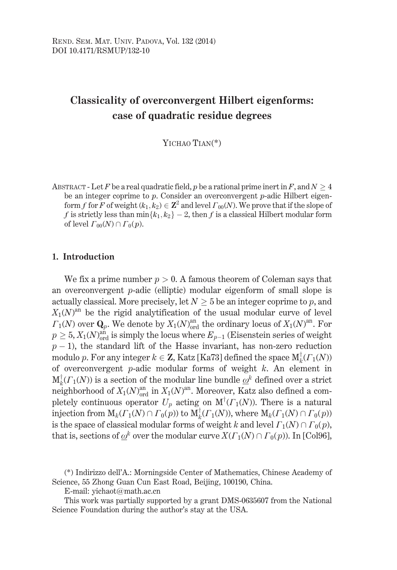# **Classicality of overconvergent Hilbert eigenforms:** case of quadratic residue degrees

YICHAO TIAN<sup>(\*)</sup>

ABSTRACT - Let F be a real quadratic field, p be a rational prime inert in F, and  $N \ge 4$ be an integer coprime to  $p$ . Consider an overconvergent  $p$ -adic Hilbert eigenform f for F of weight  $(k_1, k_2) \in \mathbb{Z}^2$  and level  $\Gamma_{00}(N)$ . We prove that if the slope of f is strictly less than  $\min\{k_1, k_2\}$  – 2, then f is a classical Hilbert modular form of level  $\Gamma_{00}(N) \cap \Gamma_0(p)$ .

## 1. Introduction

We fix a prime number  $p > 0$ . A famous theorem of Coleman says that an overconvergent  $p$ -adic (elliptic) modular eigenform of small slope is actually classical. More precisely, let  $N > 5$  be an integer coprime to p, and  $X_1(N)^{an}$  be the rigid analytification of the usual modular curve of level  $\Gamma_1(N)$  over  $\mathbf{Q}_p$ . We denote by  $X_1(N)_{\text{ord}}^{\text{an}}$  the ordinary locus of  $X_1(N)^{\text{an}}$ . For  $p \geq 5$ ,  $X_1(N)_{\text{ord}}^{\text{an}}$  is simply the locus where  $E_{p-1}$  (Eisenstein series of weight  $p-1$ ), the standard lift of the Hasse invariant, has non-zero reduction modulo p. For any integer  $k \in \mathbb{Z}$ , Katz [Ka73] defined the space  $M<sub>k</sub><sup>T</sup>(\Gamma_1(N))$ of overconvergent  $p$ -adic modular forms of weight  $k$ . An element in  $M_k^{\dagger}(F_1(N))$  is a section of the modular line bundle  $\omega^k$  defined over a strict neighborhood of  $X_1(N)_{\text{ord}}^{\text{an}}$  in  $X_1(N)^{\text{an}}$ . Moreover, Katz also defined a completely continuous operator  $U_p$  acting on  $M^{\dagger}(F_1(N))$ . There is a natural injection from  $M_k(\Gamma_1(N) \cap \Gamma_0(p))$  to  $M_k^{\dagger}(\Gamma_1(N))$ , where  $M_k(\Gamma_1(N) \cap \Gamma_0(p))$ is the space of classical modular forms of weight k and level  $\Gamma_1(N) \cap \Gamma_0(p)$ , that is, sections of  $\underline{\omega}^k$  over the modular curve  $X(\Gamma_1(N) \cap \Gamma_0(p))$ . In [Col96],

E-mail: yichaot@math.ac.cn

This work was partially supported by a grant DMS-0635607 from the National Science Foundation during the author's stay at the USA.

<sup>(\*)</sup> Indirizzo dell'A.: Morningside Center of Mathematics, Chinese Academy of Science, 55 Zhong Guan Cun East Road, Beijing, 100190, China.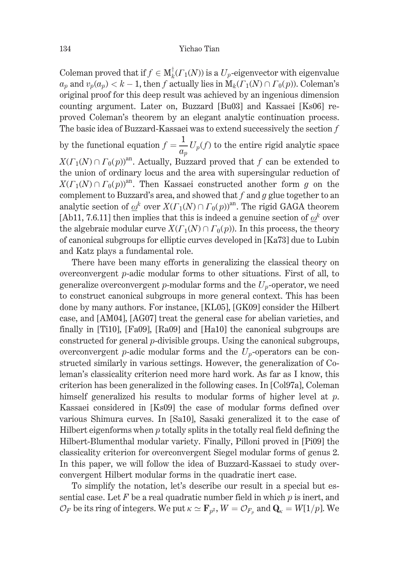Coleman proved that if  $f \in M^{\dagger}_k(\Gamma_1(N))$  is a  $U_p$ -eigenvector with eigenvalue  $a_n$  and  $v_n(a_n) < k - 1$ , then f actually lies in  $\mathbf{M}_k(\Gamma_1(N) \cap \Gamma_0(p))$ . Coleman's original proof for this deep result was achieved by an ingenious dimension counting argument. Later on, Buzzard [Bu03] and Kassaei [Ks06] reproved Coleman's theorem by an elegant analytic continuation process. The basic idea of Buzzard-Kassaei was to extend successively the section  $f$ 

by the functional equation  $f = \frac{1}{q_n} U_p(f)$  to the entire rigid analytic space  $X(\Gamma_1(N) \cap \Gamma_0(p))^{an}$ . Actually, Buzzard proved that f can be extended to the union of ordinary locus and the area with supersingular reduction of  $X(\Gamma_1(N) \cap \Gamma_0(p))^{an}$ . Then Kassaei constructed another form g on the complement to Buzzard's area, and showed that  $f$  and  $g$  glue together to an analytic section of  $\omega^k$  over  $X(\Gamma_1(N) \cap \Gamma_0(p))^{an}$ . The rigid GAGA theorem [Ab11, 7.6.11] then implies that this is indeed a genuine section of  $\omega^k$  over the algebraic modular curve  $X(\Gamma_1(N) \cap \Gamma_0(p))$ . In this process, the theory of canonical subgroups for elliptic curves developed in [Ka73] due to Lubin and Katz plays a fundamental role.

There have been many efforts in generalizing the classical theory on overconvergent *p*-adic modular forms to other situations. First of all, to generalize overconvergent p-modular forms and the  $U_n$ -operator, we need to construct canonical subgroups in more general context. This has been done by many authors. For instance, [KL05], [GK09] consider the Hilbert case, and [AM04], [AG07] treat the general case for abelian varieties, and finally in [Ti10], [Fa09], [Ra09] and [Ha10] the canonical subgroups are constructed for general  $p$ -divisible groups. Using the canonical subgroups, overconvergent p-adic modular forms and the  $U_p$ -operators can be constructed similarly in various settings. However, the generalization of Coleman's classicality criterion need more hard work. As far as I know, this criterion has been generalized in the following cases. In [Col97a], Coleman himself generalized his results to modular forms of higher level at  $p$ . Kassaei considered in [Ks09] the case of modular forms defined over various Shimura curves. In [Sa10], Sasaki generalized it to the case of Hilbert eigenforms when  $p$  totally splits in the totally real field defining the Hilbert-Blumenthal modular variety. Finally, Pilloni proved in [Pi09] the classicality criterion for overconvergent Siegel modular forms of genus 2. In this paper, we will follow the idea of Buzzard-Kassaei to study overconvergent Hilbert modular forms in the quadratic inert case.

To simplify the notation, let's describe our result in a special but essential case. Let F be a real quadratic number field in which  $p$  is inert, and  $\mathcal{O}_F$  be its ring of integers. We put  $\kappa \simeq \mathbf{F}_{p^2}$ ,  $W = \mathcal{O}_{F_p}$  and  $\mathbf{Q}_{\kappa} = W[1/p]$ . We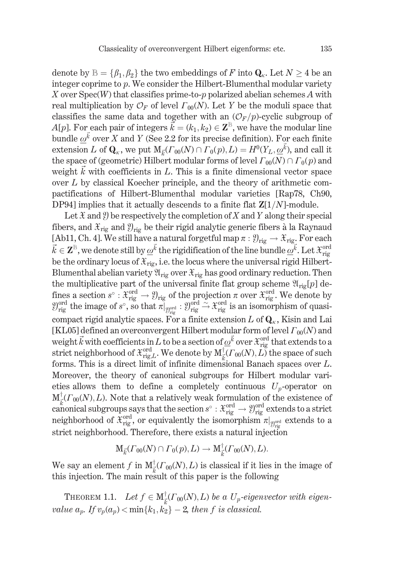denote by  $\mathbb{B} = {\beta_1, \beta_2}$  the two embeddings of F into  $\mathbf{Q}_{\kappa}$ . Let  $N > 4$  be an integer coprime to  $p$ . We consider the Hilbert-Blumenthal modular variety X over  $Spec(W)$  that classifies prime-to-p polarized abelian schemes A with real multiplication by  $\mathcal{O}_F$  of level  $\Gamma_{00}(N)$ . Let Y be the moduli space that classifies the same data and together with an  $(\mathcal{O}_F/p)$ -cyclic subgroup of  $A[p]$ . For each pair of integers  $\vec{k} = (k_1, k_2) \in \mathbb{Z}^{\mathbb{B}}$ , we have the modular line bundle  $\omega^{\vec{k}}$  over X and Y (See 2.2 for its precise definition). For each finite extension L of  $\mathbf{Q}_{\kappa}$ , we put  $M_{\vec{k}}(r_{00}(N) \cap \Gamma_0(p), L) = H^0(Y_L, \underline{\omega}^{\vec{k}})$ , and call it the space of (geometric) Hilbert modular forms of level  $\Gamma_{00}(N) \cap \Gamma_0(p)$  and weight  $\vec{k}$  with coefficients in L. This is a finite dimensional vector space over  $L$  by classical Koecher principle, and the theory of arithmetic compactifications of Hilbert-Blumenthal modular varieties [Rap78, Ch90, DP94] implies that it actually descends to a finite flat  $\mathbb{Z}[1/N]$ -module.

Let  $\mathfrak X$  and  $\mathfrak Y$  be respectively the completion of X and Y along their special fibers, and  $\mathfrak{X}_{\text{rig}}$  and  $\mathfrak{Y}_{\text{rig}}$  be their rigid analytic generic fibers à la Raynaud [Ab11, Ch. 4]. We still have a natural forgetful map  $\pi : \mathcal{Y}_{\text{rig}} \to \mathcal{X}_{\text{rig}}$ . For each  $\vec{k} \in \mathbf{Z}^{\mathbb{B}}$ , we denote still by  $\underline{\omega}^{\vec{k}}$  the rigidification of the line bundle  $\underline{\omega}^{\vec{k}}$ . Let  $\mathfrak{X}_{\text{rig}}^{\text{ord}}$ be the ordinary locus of  $\mathfrak{X}_{\text{rig}}$ , i.e. the locus where the universal rigid Hilbert-Blumenthal abelian variety  $\mathfrak{A}_{\text{rig}}$  over  $\mathfrak{X}_{\text{rig}}$  has good ordinary reduction. Then the multiplicative part of the universal finite flat group scheme  $\mathfrak{A}_{\text{rig}}[p]$  dethe matrice part of the time can muchake the group some  $x_{\text{rig}}$ . We denote by<br>fines a section  $s^{\circ}: \mathfrak{X}_{\text{rig}}^{\text{ord}} \to \mathfrak{Y}_{\text{rig}}$  of the projection  $\pi$  over  $\mathfrak{X}_{\text{rig}}^{\text{ord}}$ . We denote by<br> $\mathfrak{Y}_{\text{rig}}^{\text{ord}}$  t compact rigid analytic spaces. For a finite extension L of  $\mathbf{Q}_{\kappa}$ , Kisin and Lai [KL05] defined an overconvergent Hilbert modular form of level  $\Gamma_{00}(N)$  and weight  $\vec{k}$  with coefficients in  $\vec{L}$  to be a section of  $\underline{\omega}^{\vec{k}}$  over  $\mathcal{X}_{\text{rig}}^{\text{ord}}$  that extends to a strict neighborhood of  $\mathcal{X}_{\text{rig},L}^{\text{ord}}$ . We denote by  $M_{\vec{k}}^{\dagger}(T_{00}(N), L)$  the space of such forms. This is a direct limit of infinite dimensional Banach spaces over  $L$ . Moreover, the theory of canonical subgroups for Hilbert modular varieties allows them to define a completely continuous  $U_p$ -operator on  $M_{\vec{k}}^{\dagger}(T_{00}(N), L)$ . Note that a relatively weak formulation of the existence of canonical subgroups says that the section  $s^{\circ} : \mathfrak{X}_{\text{rig}}^{\text{ord}} \to \mathfrak{Y}_{\text{rig}}^{\text{ord}}$  extends to a strict neighborhood of  $\hat{\mathfrak{X}}_{\text{rig}}^{\text{ord}}$ , or equivalently the isomorphism  $\pi|_{\mathfrak{Y}_{\text{rig}}^{\text{ord}}}$  extends to a strict neighborhood. Therefore, there exists a natural injection

$$
\mathop{\text{\rm M}}\nolimits_{\vec{k}}(\varGamma_{00}(N)\cap\varGamma_0(p),L)\to\mathop{\text{\rm M}}\nolimits^{\dagger}_{\vec{k}}(\varGamma_{00}(N),L).
$$

We say an element f in  $M_{\vec{k}}^{\dagger}(r_{00}(N), L)$  is classical if it lies in the image of this injection. The main result of this paper is the following

THEOREM 1.1. Let  $f \in M_{\vec{k}}^{\dagger}(T_{00}(N), L)$  be a  $U_p$ -eigenvector with eigenvalue  $a_p$ . If  $v_p(a_p) < \min\{k_1, k_2\} - 2$ , then f is classical.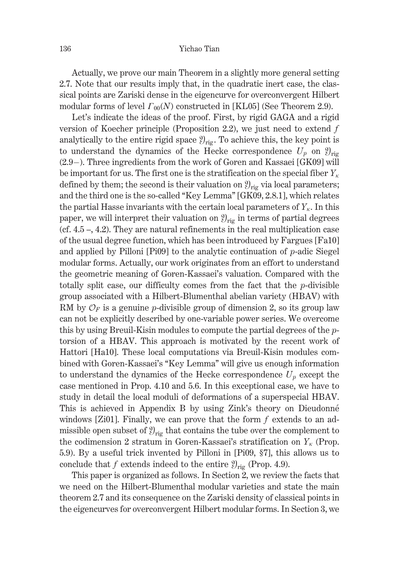Actually, we prove our main Theorem in a slightly more general setting 2.7. Note that our results imply that, in the quadratic inert case, the classical points are Zariski dense in the eigencurve for overconvergent Hilbert modular forms of level  $\Gamma_{00}(N)$  constructed in [KL05] (See Theorem 2.9).

Let's indicate the ideas of the proof. First, by rigid GAGA and a rigid version of Koecher principle (Proposition 2.2), we just need to extend  $f$ analytically to the entire rigid space  $\mathcal{Y}_{\text{rig}}$ . To achieve this, the key point is to understand the dynamics of the Hecke correspondence  $U_p$  on  $\mathfrak{Y}_{\text{rig}}$  $(2.9)$ . Three ingredients from the work of Goren and Kassaei [GK09] will be important for us. The first one is the stratification on the special fiber  $Y_{\kappa}$ defined by them; the second is their valuation on  $\mathcal{Y}_{\text{rig}}$  via local parameters; and the third one is the so-called "Key Lemma" [GK09, 2.8.1], which relates the partial Hasse invariants with the certain local parameters of  $Y_{\kappa}$ . In this paper, we will interpret their valuation on  $\mathcal{Y}_{\text{trig}}$  in terms of partial degrees (cf.  $4.5$  –,  $4.2$ ). They are natural refinements in the real multiplication case of the usual degree function, which has been introduced by Fargues [Fa10] and applied by Pilloni [Pi09] to the analytic continuation of  $p$ -adic Siegel modular forms. Actually, our work originates from an effort to understand the geometric meaning of Goren-Kassaei's valuation. Compared with the totally split case, our difficulty comes from the fact that the  $p$ -divisible group associated with a Hilbert-Blumenthal abelian variety (HBAV) with RM by  $\mathcal{O}_F$  is a genuine p-divisible group of dimension 2, so its group law can not be explicitly described by one-variable power series. We overcome this by using Breuil-Kisin modules to compute the partial degrees of the ptorsion of a HBAV. This approach is motivated by the recent work of Hattori [Ha10]. These local computations via Breuil-Kisin modules combined with Goren-Kassaei's "Key Lemma" will give us enough information to understand the dynamics of the Hecke correspondence  $U_p$  except the case mentioned in Prop. 4.10 and 5.6. In this exceptional case, we have to study in detail the local moduli of deformations of a superspecial HBAV. This is achieved in Appendix B by using Zink's theory on Dieudonné windows [Zi01]. Finally, we can prove that the form  $f$  extends to an admissible open subset of  $\mathcal{Y}_{\text{rig}}$  that contains the tube over the complement to the codimension 2 stratum in Goren-Kassaei's stratification on  $Y_{\kappa}$  (Prop. 5.9). By a useful trick invented by Pilloni in [Pi09, §7], this allows us to conclude that f extends indeed to the entire  $\mathcal{Y}_{\text{rig}}$  (Prop. 4.9).

This paper is organized as follows. In Section 2, we review the facts that we need on the Hilbert-Blumenthal modular varieties and state the main theorem 2.7 and its consequence on the Zariski density of classical points in the eigencurves for overconvergent Hilbert modular forms. In Section 3, we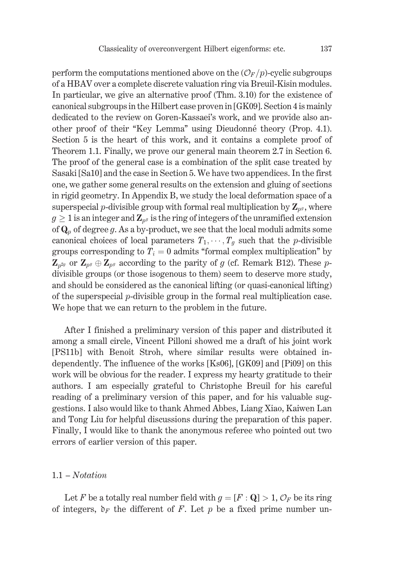perform the computations mentioned above on the  $(\mathcal{O}_F/p)$ -cyclic subgroups of a HBAV over a complete discrete valuation ring via Breuil-Kisin modules. In particular, we give an alternative proof (Thm. 3.10) for the existence of canonical subgroups in the Hilbert case proven in [GK09]. Section 4 is mainly dedicated to the review on Goren-Kassaei's work, and we provide also another proof of their "Key Lemma" using Dieudonné theory (Prop. 4.1). Section 5 is the heart of this work, and it contains a complete proof of Theorem 1.1. Finally, we prove our general main theorem 2.7 in Section 6. The proof of the general case is a combination of the split case treated by Sasaki [Sa10] and the case in Section 5. We have two appendices. In the first one, we gather some general results on the extension and gluing of sections in rigid geometry. In Appendix B, we study the local deformation space of a superspecial *p*-divisible group with formal real multiplication by  $\mathbf{Z}_{p^g}$ , where  $g \geq 1$  is an integer and  $\mathbb{Z}_{p^g}$  is the ring of integers of the unramified extension of  $\mathbf{Q}_p$  of degree g. As a by-product, we see that the local moduli admits some canonical choices of local parameters  $T_1, \dots, T_q$  such that the *p*-divisible groups corresponding to  $T_i = 0$  admits "formal complex multiplication" by  $\mathbf{Z}_{p^{2g}}$  or  $\mathbf{Z}_{p^g} \oplus \mathbf{Z}_{p^g}$  according to the parity of g (cf. Remark B12). These pdivisible groups (or those isogenous to them) seem to deserve more study, and should be considered as the canonical lifting (or quasi-canonical lifting) of the superspecial  $p$ -divisible group in the formal real multiplication case. We hope that we can return to the problem in the future.

After I finished a preliminary version of this paper and distributed it among a small circle, Vincent Pilloni showed me a draft of his joint work [PS11b] with Benoit Stroh, where similar results were obtained independently. The influence of the works [Ks06], [GK09] and [Pi09] on this work will be obvious for the reader. I express my hearty gratitude to their authors. I am especially grateful to Christophe Breuil for his careful reading of a preliminary version of this paper, and for his valuable suggestions. I also would like to thank Ahmed Abbes, Liang Xiao, Kaiwen Lan and Tong Liu for helpful discussions during the preparation of this paper. Finally, I would like to thank the anonymous referee who pointed out two errors of earlier version of this paper.

## $1.1 - Notation$

Let F be a totally real number field with  $g = [F : Q] > 1$ ,  $\mathcal{O}_F$  be its ring of integers,  $\mathfrak{d}_F$  the different of F. Let p be a fixed prime number un-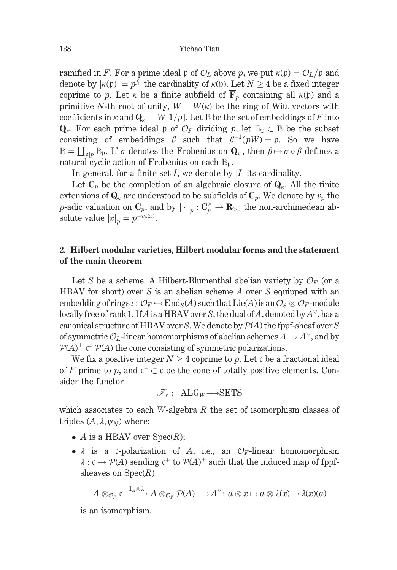ramified in F. For a prime ideal p of  $\mathcal{O}_L$  above p, we put  $\kappa(\mathfrak{p}) = \mathcal{O}_L/\mathfrak{p}$  and denote by  $|\kappa(\mathfrak{p})| = p^{f_{\mathfrak{p}}}$  the cardinality of  $\kappa(\mathfrak{p})$ . Let  $N > 4$  be a fixed integer coprime to p. Let  $\kappa$  be a finite subfield of  $\overline{F}_p$  containing all  $\kappa(p)$  and a primitive N-th root of unity,  $W = W(\kappa)$  be the ring of Witt vectors with coefficients in  $\kappa$  and  $\mathbf{Q}_{\kappa} = W[1/p]$ . Let B be the set of embeddings of F into  $Q_{\kappa}$ . For each prime ideal p of  $\mathcal{O}_F$  dividing p, let  $\mathbb{B}_p \subset \mathbb{B}$  be the subset consisting of embeddings  $\beta$  such that  $\beta^{-1}(pW) = \mathfrak{p}$ . So we have  $\mathbb{B} = \prod_{\text{min}} \mathbb{B}_{p}$ . If  $\sigma$  denotes the Frobenius on  $\mathbf{Q}_{\kappa}$ , then  $\beta \mapsto \sigma \circ \beta$  defines a natural cyclic action of Frobenius on each B<sub>n</sub>.

In general, for a finite set I, we denote by |I| its cardinality.

Let  $C_p$  be the completion of an algebraic closure of  $Q_{\kappa}$ . All the finite extensions of  $\mathbf{Q}_{k}$  are understood to be subfields of  $\mathbf{C}_{n}$ . We denote by  $v_{n}$  the *p*-adic valuation on  $\mathbf{C}_p$ , and by  $|\cdot|_p : \mathbf{C}_p^{\times} \to \mathbf{R}_{>0}$  the non-archimedean absolute value  $|x|_p = p^{-v_p(x)}$ .

# 2. Hilbert modular varieties, Hilbert modular forms and the statement of the main theorem

Let S be a scheme. A Hilbert-Blumenthal abelian variety by  $\mathcal{O}_F$  (or a HBAV for short) over S is an abelian scheme A over S equipped with an embedding of rings  $\iota: \mathcal{O}_F \hookrightarrow \text{End}_S(A)$  such that  $\text{Lie}(A)$  is an  $\mathcal{O}_S \otimes \mathcal{O}_F$ -module locally free of rank 1. If A is a HBAV over S, the dual of A, denoted by  $A^{\vee}$ , has a canonical structure of HBAV over S. We denote by  $\mathcal{P}(A)$  the fppf-sheaf over S of symmetric  $\mathcal{O}_L$ -linear homomorphisms of abelian schemes  $A \to A^{\vee}$ , and by  $P(A)^{+} \subset P(A)$  the cone consisting of symmetric polarizations.

We fix a positive integer  $N > 4$  coprime to p. Let c be a fractional ideal of F prime to p, and  $\mathfrak{c}^+ \subset \mathfrak{c}$  be the cone of totally positive elements. Consider the functor

$$
\mathcal{F}_{\mathfrak{c}}: \ \mathbf{ALG}_{W} {\longrightarrow} \mathbf{SETS}
$$

which associates to each  $W$ -algebra  $R$  the set of isomorphism classes of triples  $(A, \lambda, \psi_N)$  where:

- A is a HBAV over  $Spec(R)$ ;
- $\lambda$  is a c-polarization of A, i.e., an  $\mathcal{O}_F$ -linear homomorphism  $\lambda: \mathfrak{c} \to \mathcal{P}(A)$  sending  $\mathfrak{c}^+$  to  $\mathcal{P}(A)^+$  such that the induced map of fppfsheaves on  $Spec(R)$

$$
A\otimes_{\mathcal{O}_F}\mathfrak{c}\xrightarrow{1_A\otimes\lambda}A\otimes_{\mathcal{O}_F}\mathcal{P}(A)\longrightarrow A^{\vee}\colon a\otimes x\mapsto a\otimes\lambda(x)\mapsto\lambda(x)(a)
$$

is an isomorphism.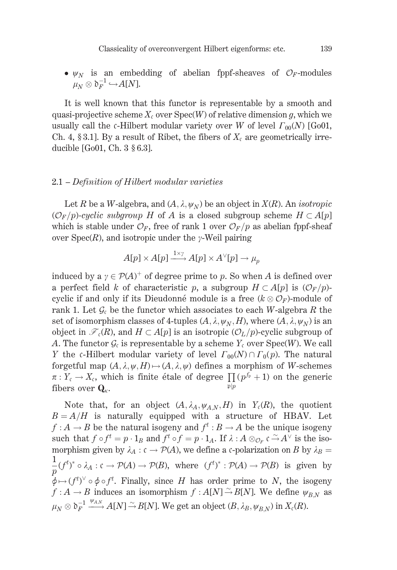•  $\psi_N$  is an embedding of abelian fppf-sheaves of  $\mathcal{O}_F$ -modules  $\mu_N \otimes \mathfrak{d}_F^{-1} \hookrightarrow A[N].$ 

It is well known that this functor is representable by a smooth and quasi-projective scheme  $X_c$  over  $Spec(W)$  of relative dimension q, which we usually call the c-Hilbert modular variety over W of level  $\Gamma_{00}(N)$  [Go01, Ch. 4, § 3.1]. By a result of Ribet, the fibers of  $X_c$  are geometrically irreducible [Go01, Ch.  $3 \, \S 6.3$ ].

#### 2.1 – Definition of Hilbert modular varieties

Let R be a W-algebra, and  $(A, \lambda, \psi_N)$  be an object in  $X(R)$ . An *isotropic*  $(\mathcal{O}_F/p)$ -cyclic subgroup H of A is a closed subgroup scheme  $H \subset A[p]$ which is stable under  $\mathcal{O}_F$ , free of rank 1 over  $\mathcal{O}_F/p$  as abelian fppf-sheaf over  $Spec(R)$ , and isotropic under the y-Weil pairing

$$
A[p] \times A[p] \xrightarrow{1 \times \gamma} A[p] \times A^{\vee}[p] \to \mu_p
$$

induced by a  $\gamma \in \mathcal{P}(A)^+$  of degree prime to p. So when A is defined over a perfect field k of characteristic p, a subgroup  $H \subset A[p]$  is  $(\mathcal{O}_F/p)$ cyclic if and only if its Dieudonné module is a free  $(k \otimes \mathcal{O}_F)$ -module of rank 1. Let  $\mathcal{G}_c$  be the functor which associates to each W-algebra R the set of isomorphism classes of 4-tuples  $(A, \lambda, \psi_N, H)$ , where  $(A, \lambda, \psi_N)$  is an object in  $\mathcal{F}_c(R)$ , and  $H \subset A[p]$  is an isotropic  $(\mathcal{O}_L/p)$ -cyclic subgroup of A. The functor  $\mathcal{G}_c$  is representable by a scheme  $Y_c$  over  $Spec(W)$ . We call Y the c-Hilbert modular variety of level  $\Gamma_{00}(N) \cap \Gamma_0(p)$ . The natural forgetful map  $(A, \lambda, \psi, H) \mapsto (A, \lambda, \psi)$  defines a morphism of W-schemes  $\pi: Y_{\mathfrak{c}} \to X_{\mathfrak{c}}$ , which is finite étale of degree  $\prod (p^{f_{\mathfrak{p}}} + 1)$  on the generic fibers over  $\mathbf{Q}_{\kappa}$ .

Note that, for an object  $(A, \lambda_A, \psi_{A,N}, H)$  in  $Y_c(R)$ , the quotient  $B = A/H$  is naturally equipped with a structure of HBAV. Let  $f: A \to B$  be the natural isogeny and  $f^t: B \to A$  be the unique isogeny such that  $f \circ f^t = p \cdot 1_B$  and  $f^t \circ f = p \cdot 1_A$ . If  $\lambda : A \otimes_{\mathcal{O}_F} \mathfrak{c} \to A^{\vee}$  is the isomorphism given by  $\lambda_A : c \to \mathcal{P}(A)$ , we define a c-polarization on B by  $\lambda_B =$  $\frac{1}{p}(f^t)^* \circ \lambda_A : c \to \mathcal{P}(A) \to \mathcal{P}(B)$ , where  $(f^t)^* : \mathcal{P}(A) \to \mathcal{P}(B)$  is given by  $\phi \mapsto (f^t)^{\vee} \circ \phi \circ f^t$ . Finally, since H has order prime to N, the isogeny  $f: A \to B$  induces an isomorphism  $f: A[N] \to B[N]$ . We define  $\psi_{B,N}$  as  $\mu_N \otimes \mathfrak{d}_F^{-1} \xrightarrow{\psi_{A,N}} A[N] \xrightarrow{\sim} B[N]$ . We get an object  $(B, \lambda_B, \psi_{B,N})$  in  $X_c(R)$ .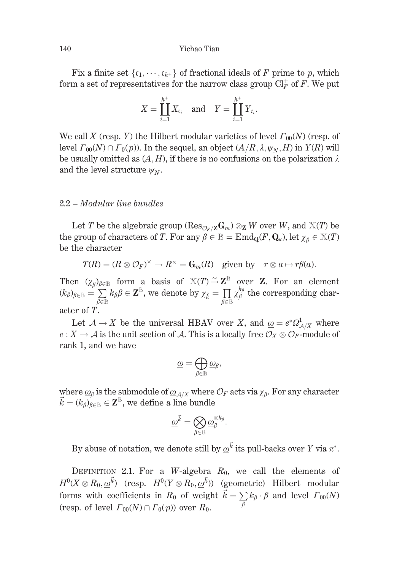Fix a finite set  $\{c_1, \dots, c_{h^+}\}\$  of fractional ideals of F prime to p, which form a set of representatives for the narrow class group  $\mathrm{Cl}_F^+$  of F. We put

$$
X=\coprod_{i=1}^{h^+} X_{\mathfrak{c}_i} \quad \text{and} \quad Y=\coprod_{i=1}^{h^+} Y_{\mathfrak{c}_i}.
$$

We call X (resp. Y) the Hilbert modular varieties of level  $\Gamma_{00}(N)$  (resp. of level  $\Gamma_{00}(N) \cap \Gamma_0(p)$ ). In the sequel, an object  $(A/R, \lambda, \psi_N, H)$  in  $Y(R)$  will be usually omitted as  $(A, H)$ , if there is no confusions on the polarization  $\lambda$ and the level structure  $\psi_N$ .

## 2.2 - Modular line bundles

Let T be the algebraic group ( $\text{Res}_{\mathcal{O}_F/\mathbf{Z}}\mathbf{G}_m$ )  $\otimes_{\mathbf{Z}} W$  over W, and  $\mathbb{X}(T)$  be the group of characters of T. For any  $\beta \in \mathbb{B} = \text{End}_{\mathbf{Q}}(F, \mathbf{Q}_{\kappa})$ , let  $\chi_{\beta} \in \mathbb{X}(T)$ be the character

$$
T(R) = (R \otimes \mathcal{O}_F)^{\times} \to R^{\times} = \mathbf{G}_m(R) \text{ given by } r \otimes a \mapsto r\beta(a).
$$

Then  $(\chi_{\beta})_{\beta \in \mathbb{B}}$  form a basis of  $X(T) \xrightarrow{\sim} \mathbb{Z}^{\mathbb{B}}$  over **Z**. For an element  $(k_{\beta})_{\beta \in \mathbb{B}} = \sum_{\beta \in \mathbb{B}} k_{\beta} \beta \in \mathbb{Z}^{\mathbb{B}}$ , we denote by  $\chi_{\vec{k}} = \prod_{\beta \in \mathbb{B}} \chi_{\beta}^{k_{\beta}}$  the corresponding character of T.

Let  $A \to X$  be the universal HBAV over X, and  $\underline{\omega} = e^* \Omega^1_{A/X}$  where  $e: X \to A$  is the unit section of A. This is a locally free  $\mathcal{O}_X \otimes \mathcal{O}_F$ -module of rank 1, and we have

$$
\underline{\omega} = \bigoplus_{\beta \in \mathbb{B}} \underline{\omega}_{\beta},
$$

where  $\underline{\omega}_{\beta}$  is the submodule of  $\underline{\omega}_{A/X}$  where  $\mathcal{O}_F$  acts via  $\chi_{\beta}$ . For any character  $\vec{k} = (k_{\beta})_{\beta \in \mathbb{B}} \in \mathbb{Z}^{\mathbb{B}}$ , we define a line bundle

$$
\underline{\omega}^{\vec{k}} = \bigotimes_{\beta \in \mathbb{B}} \underline{\omega}^{\otimes k_\beta}_\beta.
$$

By abuse of notation, we denote still by  $\omega^{\vec{k}}$  its pull-backs over Y via  $\pi^*$ .

DEFINITION 2.1. For a W-algebra  $R_0$ , we call the elements of  $H^0(X \otimes R_0, \omega^{\vec{k}})$  (resp.  $H^0(Y \otimes R_0, \omega^{\vec{k}})$ ) (geometric) Hilbert modular forms with coefficients in  $R_0$  of weight  $\vec{k} = \sum_{\beta} k_{\beta} \cdot \beta$  and level  $\Gamma_{00}(N)$ (resp. of level  $\Gamma_{00}(N) \cap \Gamma_0(p)$ ) over  $R_0$ .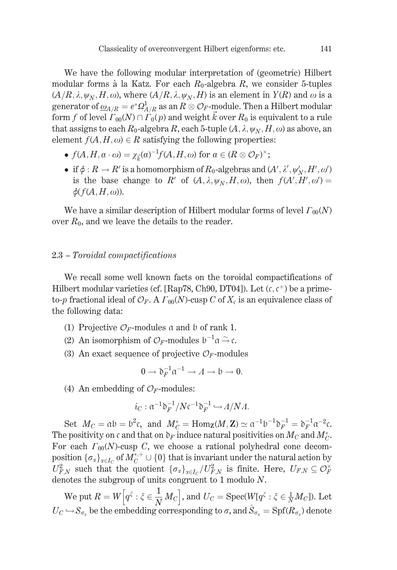We have the following modular interpretation of (geometric) Hilbert modular forms à la Katz. For each  $R_0$ -algebra R, we consider 5-tuples  $(A/R, \lambda, \psi_N, H, \omega)$ , where  $(A/R, \lambda, \psi_N, H)$  is an element in  $Y(R)$  and  $\omega$  is a generator of  $\underline{\omega}_{A/R} = e^* \Omega^1_{A/R}$  as an  $R \otimes \mathcal{O}_F$ -module. Then a Hilbert modular form f of level  $\Gamma_{00}(N) \cap \Gamma_0(p)$  and weight  $\vec{k}$  over  $R_0$  is equivalent to a rule that assigns to each  $R_0$ -algebra R, each 5-tuple  $(A, \lambda, \psi_N, H, \omega)$  as above, an element  $f(A, H, \omega) \in R$  satisfying the following properties:

- $f(A, H, a \cdot \omega) = \chi_{\vec{\iota}}(a)^{-1} f(A, H, \omega)$  for  $a \in (R \otimes \mathcal{O}_F)^{\times}$ ;
- if  $\phi: R \to R'$  is a homomorphism of  $R_0$ -algebras and  $(A', \lambda', \psi'_N, H', \omega')$ is the base change to R' of  $(A, \lambda, \psi_N, H, \omega)$ , then  $f(A', H', \omega') =$  $\phi(f(A, H, \omega)).$

We have a similar description of Hilbert modular forms of level  $\Gamma_{00}(N)$ over  $R_0$ , and we leave the details to the reader.

## 2.3 – Toroidal compactifications

We recall some well known facts on the toroidal compactifications of Hilbert modular varieties (cf. [Rap78, Ch90, DT04]). Let  $(c, c^+)$  be a primeto-p fractional ideal of  $\mathcal{O}_F$ . A  $\Gamma_{00}(N)$ -cusp C of  $X_c$  is an equivalence class of the following data:

- (1) Projective  $\mathcal{O}_F$ -modules a and b of rank 1.
- (2) An isomorphism of  $\mathcal{O}_F$ -modules  $\mathfrak{b}^{-1}\mathfrak{a} \stackrel{\sim}{\rightarrow} \mathfrak{c}$ .
- (3) An exact sequence of projective  $\mathcal{O}_F$ -modules

$$
0 \to \mathfrak{d}_F^{-1} \mathfrak{a}^{-1} \to A \to \mathfrak{b} \to 0.
$$

(4) An embedding of  $\mathcal{O}_F$ -modules:

$$
i_C : \mathfrak{a}^{-1} \mathfrak{d}_F^{-1} / N \mathfrak{c}^{-1} \mathfrak{d}_F^{-1} \hookrightarrow \Lambda / N \Lambda.
$$

Set  $M_C = \alpha b = b^2c$ , and  $M_C^* = \text{Hom}_{\mathbf{Z}}(M, \mathbf{Z}) \simeq \alpha^{-1}b^{-1}b_F^{-1} = b_F^{-1}\alpha^{-2}c$ . The positivity on c and that on  $\delta_F$  induce natural positivities on  $M_C$  and  $M_C^*$ . For each  $\Gamma_{00}(N)$ -cusp C, we choose a rational polyhedral cone decomposition  $\{\sigma_{\alpha}\}_{{\alpha}\in I_{C}}$  of  $M_{C}^{*,+}\cup\{0\}$  that is invariant under the natural action by  $U_{F,N}^2$  such that the quotient  ${\{\sigma_\alpha\}}_{\alpha\in I_C}/U_{F,N}^2$  is finite. Here,  $U_{F,N}\subseteq \mathcal{O}_F^{\times}$ denotes the subgroup of units congruent to  $1$  modulo  $N$ .

We put  $R = W\left[q^{\xi} : \xi \in \frac{1}{N}M_C\right]$ , and  $U_C = \text{Spec}(W[q^{\xi} : \xi \in \frac{1}{N}M_C])$ . Let  $U_C \hookrightarrow S_{\sigma_x}$  be the embedding corresponding to  $\sigma$ , and  $\hat{S}_{\sigma_x} = \text{Spf}(R_{\sigma_x})$  denote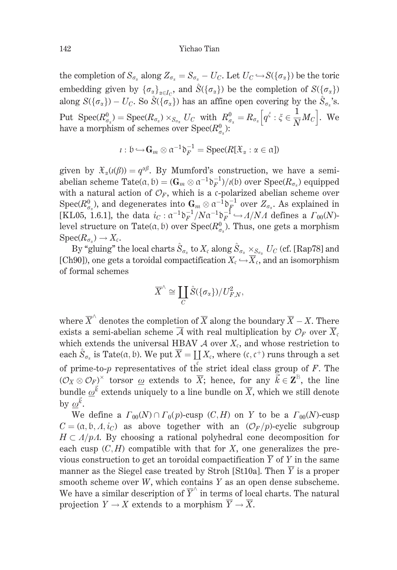the completion of  $S_{\sigma_{\alpha}}$  along  $Z_{\sigma_{\alpha}} = S_{\sigma_{\alpha}} - U_C$ . Let  $U_C \hookrightarrow S(\{\sigma_{\alpha}\})$  be the toric embedding given by  $\{\sigma_\alpha\}_{\alpha \in I_{\alpha}}$ , and  $\hat{S}(\{\sigma_\alpha\})$  be the completion of  $S(\{\sigma_\alpha\})$ along  $S(\{\sigma_{\alpha}\}) - U_C$ . So  $\hat{S}(\{\sigma_{\alpha}\})$  has an affine open covering by the  $\hat{S}_{\sigma_{\alpha}}$ 's. Put  $\text{Spec}(R_{\sigma_{\alpha}}^0) = \text{Spec}(R_{\sigma_{\alpha}}) \times_{S_{\sigma_{\alpha}}} U_C$  with  $R_{\sigma_{\alpha}}^0 = R_{\sigma_{\alpha}} \left[ q^{\xi} : \xi \in \frac{1}{N} M_C \right]$ . We have a morphism of schemes over  $\text{Spec}(R_{\sigma_{\alpha}}^0)$ :

$$
\iota: \mathfrak{b} \hookrightarrow \mathbf{G}_m \otimes \mathfrak{a}^{-1} \mathfrak{d}_F^{-1} = \mathrm{Spec}(R[\mathfrak{X}_{\alpha}: \alpha \in \mathfrak{a}])
$$

given by  $\mathfrak{X}_{\alpha}(\iota(\beta)) = q^{\alpha\beta}$ . By Mumford's construction, we have a semiabelian scheme Tate $(\alpha, \mathfrak{b}) = (\mathbb{G}_m \otimes \alpha^{-1} \mathfrak{d}_F^{-1})/(\mathfrak{b})$  over  $\text{Spec}(R_{\sigma})$  equipped with a natural action of  $\mathcal{O}_F$ , which is a c-polarized abelian scheme over Spec( $R^0_{\sigma_x}$ ), and degenerates into  $\mathbf{G}_m \otimes \mathfrak{a}^{-1} \mathfrak{d}_F^{-1}$  over  $Z_{\sigma_x}$ . As explained in [KL05, 1.6.1], the data  $i_C : \mathfrak{a}^{-1} \mathfrak{d}_F^{-1}/N \mathfrak{a}^{-1} \mathfrak{d}_F^{-1} \hookrightarrow \Lambda/N\Lambda$  defines a  $\Gamma_{00}(N)$ level structure on Tate $(\alpha, b)$  over  $Spec(R^0_{\sigma})$ . Thus, one gets a morphism  $Spec(R_{\sigma_{\varepsilon}}) \to X_{\varepsilon}.$ 

By "gluing" the local charts  $\hat{S}_{\sigma_{\alpha}}$  to  $X_c$  along  $\hat{S}_{\sigma_{\alpha}} \times_{S_{\sigma_{\alpha}}} U_C$  (cf. [Rap78] and [Ch90]), one gets a toroidal compactification  $X_c \hookrightarrow \overline{X}_c$ , and an isomorphism of formal schemes

$$
\overline{X}^{\wedge} \cong \coprod_{C} \hat{S}(\{\sigma_{\alpha}\})/U_{F,N}^{2},
$$

where  $\overline{X}^{\wedge}$  denotes the completion of  $\overline{X}$  along the boundary  $\overline{X} - X$ . There exists a semi-abelian scheme  $\overline{A}$  with real multiplication by  $\mathcal{O}_F$  over  $\overline{X}_c$ which extends the universal HBAV  $A$  over  $X_c$ , and whose restriction to each  $\hat{S}_{\sigma_{\alpha}}$  is Tate( $\alpha$ ,  $\beta$ ). We put  $\overline{X} = \prod X_{\alpha}$ , where ( $\alpha$ ,  $\alpha^{+}$ ) runs through a set of prime-to- $p$  representatives of the strict ideal class group of  $F$ . The  $(\mathcal{O}_X \otimes \mathcal{O}_F)^\times$  torsor  $\omega$  extends to  $\overline{X}$ ; hence, for any  $\vec{k} \in \mathbb{Z}^{\mathbb{B}}$ , the line bundle  $\omega^{\vec{k}}$  extends uniquely to a line bundle on  $\overline{X}$ , which we still denote by  $\omega^{\vec{k}}$ .

We define a  $\Gamma_{00}(N) \cap \Gamma_0(p)$ -cusp  $(C, H)$  on Y to be a  $\Gamma_{00}(N)$ -cusp  $C = (\alpha, \mathfrak{b}, A, i_C)$  as above together with an  $(\mathcal{O}_F/p)$ -cyclic subgroup  $H \subset A/pA$ . By choosing a rational polyhedral cone decomposition for each cusp  $(C, H)$  compatible with that for X, one generalizes the previous construction to get an toroidal compactification  $\overline{Y}$  of Y in the same manner as the Siegel case treated by Stroh [St10a]. Then  $\overline{Y}$  is a proper smooth scheme over  $W$ , which contains  $Y$  as an open dense subscheme. We have a similar description of  $\overline{Y}^{\wedge}$  in terms of local charts. The natural projection  $Y \to X$  extends to a morphism  $\overline{Y} \to \overline{X}$ .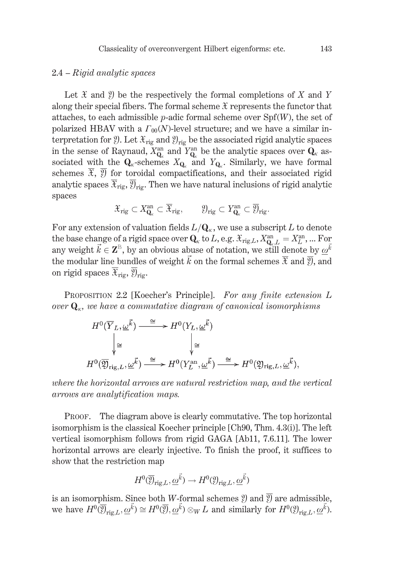## $2.4 - Rioid$  analytic spaces

Let  $\mathfrak X$  and  $\mathfrak Y$  be the respectively the formal completions of X and Y along their special fibers. The formal scheme  $\mathfrak X$  represents the functor that attaches, to each admissible *p*-adic formal scheme over  $Spf(W)$ , the set of polarized HBAV with a  $\Gamma_{00}(N)$ -level structure; and we have a similar interpretation for  $\mathcal{Y}$ . Let  $\mathcal{X}_{\text{rig}}$  and  $\mathcal{Y}_{\text{rig}}$  be the associated rigid analytic spaces in the sense of Raynaud,  $X_{\mathbf{Q}_n}^{\text{an}}$  and  $Y_{\mathbf{Q}_n}^{\text{an}}$  be the analytic spaces over  $\mathbf{Q}_\kappa$  associated with the  $Q_k$ -schemes  $X_{Q_k}$  and  $Y_{Q_k}$ . Similarly, we have formal schemes  $\mathfrak{X}, \mathfrak{Y}$  for toroidal compactifications, and their associated rigid analytic spaces  $\overline{\mathcal{X}}_{\text{rig}}, \overline{\mathcal{Y}}_{\text{rig}}$ . Then we have natural inclusions of rigid analytic spaces

$$
{\mathfrak X}_{\rm rig}\subset X^{\rm an}_{\mathbf Q_\kappa}\subset \overline{{\mathfrak X}}_{\rm rig}, \qquad {\mathfrak Y}_{\rm rig}\subset Y^{\rm an}_{\mathbf Q_\kappa}\subset \overline{{\mathfrak Y}}_{\rm rig}.
$$

For any extension of valuation fields  $L/\mathbf{Q}_{\kappa}$ , we use a subscript L to denote the base change of a rigid space over  $Q_k$  to L, e.g.  $\mathfrak{X}_{\text{rig},L}$ ,  $X_{Q_k,L}^{\text{an}} = X_L^{\text{an}}$ , ... For any weight  $\vec{k} \in \mathbf{Z}^{\mathbb{B}}$ , by an obvious abuse of notation, we still denote by  $\underline{\omega}^k$ the modular line bundles of weight  $\vec{k}$  on the formal schemes  $\overline{\mathfrak{X}}$  and  $\overline{\mathfrak{Y}}$ , and on rigid spaces  $\overline{\mathfrak{X}}_{\text{rig}}, \overline{\mathfrak{Y}}_{\text{rig}}.$ 

PROPOSITION 2.2 [Koecher's Principle]. For any finite extension L over  $\mathbf{Q}_{\kappa}$ , we have a commutative diagram of canonical isomorphisms

$$
H^{0}(\overline{Y}_{L}, \underline{\omega}^{\vec{k}}) \xrightarrow{\cong} H^{0}(Y_{L}, \underline{\omega}^{\vec{k}})
$$
  

$$
\downarrow \cong \qquad \qquad \downarrow \cong
$$
  

$$
H^{0}(\overline{\mathfrak{Y}}_{\mathrm{rig}, L}, \underline{\omega}^{\vec{k}}) \xrightarrow{\cong} H^{0}(Y_{L}^{\mathrm{an}}, \underline{\omega}^{\vec{k}}) \xrightarrow{\cong} H^{0}(\mathfrak{Y}_{\mathrm{rig}, L}, \underline{\omega}^{\vec{k}}),
$$

where the horizontal arrows are natural restriction map, and the vertical arrows are analytification maps.

The diagram above is clearly commutative. The top horizontal PROOF. isomorphism is the classical Koecher principle [Ch90, Thm. 4.3(i)]. The left vertical isomorphism follows from rigid GAGA [Ab11, 7.6.11]. The lower horizontal arrows are clearly injective. To finish the proof, it suffices to show that the restriction map

$$
H^0(\overline{\mathfrak{Y}}_{\mathrm{rig},L},\underline{\omega}^{\vec{k}}) \to H^0(\mathfrak{Y}_{\mathrm{rig},L},\underline{\omega}^{\vec{k}})
$$

is an isomorphism. Since both *W*-formal schemes  $\mathcal{Y}$  and  $\overline{\mathcal{Y}}$  are admissible, we have  $H^0(\overline{\mathfrak{Y}}_{\text{rig},L},\underline{\omega}^{\vec{k}}) \cong H^0(\overline{\mathfrak{Y}},\underline{\omega}^{\vec{k}}) \otimes_W L$  and similarly for  $H^0(\mathfrak{Y}_{\text{rig},L},\underline{\omega}^{\vec{k}})$ .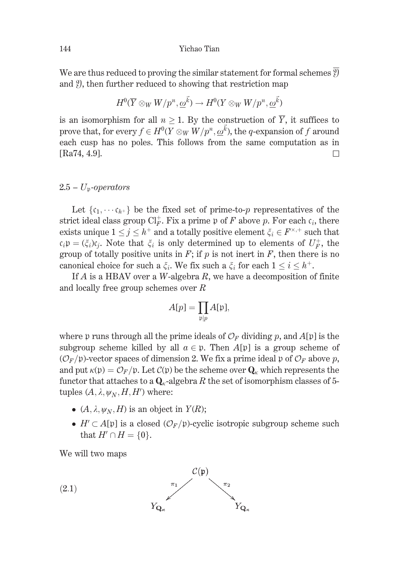We are thus reduced to proving the similar statement for formal schemes  $\overline{y}$ and ?), then further reduced to showing that restriction map

$$
H^0(\overline{Y} \otimes_W W/p^n, \underline{\omega}^{\vec{k}}) \to H^0(Y \otimes_W W/p^n, \underline{\omega}^{\vec{k}})
$$

is an isomorphism for all  $n \geq 1$ . By the construction of  $\overline{Y}$ , it suffices to prove that, for every  $f \in H^0(Y \otimes_W W/p^n, \underline{\omega}^{\vec{k}})$ , the q-expansion of f around each cusp has no poles. This follows from the same computation as in [Ra74, 4.9].  $\Box$ 

## $2.5 - U_p$ -operators

Let  $\{c_1, \dots, c_{h^+}\}\$ be the fixed set of prime-to-p representatives of the strict ideal class group  $\mathrm{Cl}_{F}^+$ . Fix a prime p of F above p. For each  $\mathfrak{c}_i$ , there exists unique  $1 \le j \le h^+$  and a totally positive element  $\xi_i \in F^{\times,+}$  such that  $c_i p = (\xi_i)c_i$ . Note that  $\xi_i$  is only determined up to elements of  $U_F^+$ , the group of totally positive units in  $F$ ; if  $p$  is not inert in  $F$ , then there is no canonical choice for such a  $\xi_i$ . We fix such a  $\xi_i$  for each  $1 \leq i \leq h^+$ .

If  $A$  is a HBAV over a W-algebra  $R$ , we have a decomposition of finite and locally free group schemes over  $R$ 

$$
A[p] = \prod_{\mathfrak{p} \mid p} A[\mathfrak{p}],
$$

where p runs through all the prime ideals of  $\mathcal{O}_F$  dividing p, and  $A[\mathfrak{p}]$  is the subgroup scheme killed by all  $a \in \mathfrak{p}$ . Then  $A[\mathfrak{p}]$  is a group scheme of  $(\mathcal{O}_F/\mathfrak{p})$ -vector spaces of dimension 2. We fix a prime ideal  $\mathfrak{p}$  of  $\mathcal{O}_F$  above p, and put  $\kappa(\mathfrak{p}) = \mathcal{O}_F/\mathfrak{p}$ . Let  $\mathcal{C}(\mathfrak{p})$  be the scheme over  $\mathbf{Q}_\kappa$  which represents the functor that attaches to a  $\mathbf{Q}_{k}$ -algebra R the set of isomorphism classes of 5tuples  $(A, \lambda, \psi_N, H, H')$  where:

- $(A, \lambda, \psi_N, H)$  is an object in  $Y(R)$ ;
- $H' \subset A[\mathfrak{p}]$  is a closed  $(\mathcal{O}_F/\mathfrak{p})$ -cyclic isotropic subgroup scheme such that  $H' \cap H = \{0\}.$

We will two maps

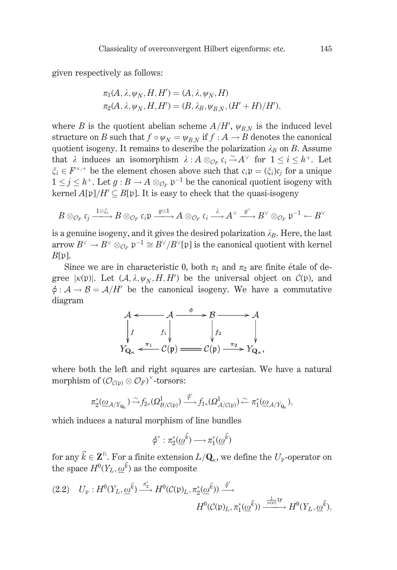given respectively as follows:

$$
\pi_1(A, \lambda, \psi_N, H, H') = (A, \lambda, \psi_N, H)
$$
  

$$
\pi_2(A, \lambda, \psi_N, H, H') = (B, \lambda_B, \psi_{B,N}, (H' + H)/H'),
$$

where B is the quotient abelian scheme  $A/H'$ ,  $\psi_{BN}$  is the induced level structure on B such that  $f \circ \psi_N = \psi_{R,N}$  if  $f : A \to B$  denotes the canonical quotient isogeny. It remains to describe the polarization  $\lambda_B$  on B. Assume that  $\lambda$  induces an isomorphism  $\lambda : A \otimes_{\mathcal{O}_F} c_i \xrightarrow{\sim} A^{\vee}$  for  $1 \leq i \leq h^+$ . Let  $\xi_i \in F^{\times,+}$  be the element chosen above such that  $c_i \mathfrak{p} = (\xi_i)c_i$  for a unique  $1 \leq j \leq h^+$ . Let  $g : B \to A \otimes_{\mathcal{O}_F} \mathfrak{p}^{-1}$  be the canonical quotient isogeny with kernel  $A[\mathfrak{p}]/H' \subseteq B[\mathfrak{p}]$ . It is easy to check that the quasi-isogeny

$$
B\otimes_{\mathcal{O}_F}\mathfrak{c}_j\xrightarrow{1\otimes\xi_i}B\otimes_{\mathcal{O}_F}\mathfrak{c}_i\mathfrak{p}\xrightarrow{g\otimes 1}A\otimes_{\mathcal{O}_F}\mathfrak{c}_i\xrightarrow{\lambda}A^\vee\xrightarrow{g^\vee}B^\vee\otimes_{\mathcal{O}_F}\mathfrak{p}^{-1}\leftarrow B^\vee
$$

is a genuine isogeny, and it gives the desired polarization  $\lambda_B$ . Here, the last arrow  $B^{\vee} \to B^{\vee} \otimes_{\mathcal{O}_F} \mathfrak{p}^{-1} \cong B^{\vee}/B^{\vee}[\mathfrak{p}]$  is the canonical quotient with kernel  $B[\mathfrak{p}].$ 

Since we are in characteristic 0, both  $\pi_1$  and  $\pi_2$  are finite étale of degree | $\kappa(\mathfrak{p})$ |. Let  $(\mathcal{A}, \lambda, \psi_N, H, H')$  be the universal object on  $\mathcal{C}(\mathfrak{p})$ , and  $\phi: \mathcal{A} \to \mathcal{B} = \mathcal{A}/H'$  be the canonical isogeny. We have a commutative diagram

$$
\mathcal{A} \leftarrow \mathcal{A} \xrightarrow{\phi} \mathcal{B} \longrightarrow \mathcal{A}
$$
\n
$$
\downarrow f \qquad \qquad \downarrow f_1 \qquad \qquad \downarrow f_2 \qquad \qquad \downarrow f_2
$$
\n
$$
Y_{Q_\kappa} \leftarrow \pi_1 \quad \mathcal{C}(\mathfrak{p}) \longrightarrow \mathcal{C}(\mathfrak{p}) \xrightarrow{\pi_2} Y_{Q_\kappa},
$$

where both the left and right squares are cartesian. We have a natural morphism of  $(\mathcal{O}_{\mathcal{C}(h)} \otimes \mathcal{O}_F)^\times$ -torsors:

$$
\pi_2^*(\underline{\omega}_{\mathcal{A}/Y_{\mathbf{Q}_\kappa}}) \tilde{\longrightarrow} f_{2*}(\Omega^1_{\mathcal{B}/\mathcal{C}(\mathfrak{p})}) \xrightarrow{\phi^*} f_{1*}(\Omega^1_{\mathcal{A}/\mathcal{C}(\mathfrak{p})}) \tilde{\longleftarrow} \pi_1^*(\underline{\omega}_{\mathcal{A}/Y_{\mathbf{Q}_\kappa}}),
$$

which induces a natural morphism of line bundles

$$
\phi^*:\pi_2^*(\underline{\omega}^{\vec{k}})\longrightarrow \pi_1^*(\underline{\omega}^{\vec{k}})
$$

for any  $\vec{k} \in \mathbf{Z}^{\mathbb{B}}$ . For a finite extension  $L/\mathbf{Q}_{\kappa}$ , we define the  $U_{p}$ -operator on the space  $H^0(Y_L, \underline{\omega}^{\vec{k}})$  as the composite

$$
(2.2) \quad U_{\mathfrak{p}}: H^{0}(Y_L, \underline{\omega}^{\vec{k}}) \xrightarrow{\pi_{\vec{k}}^{*}} H^{0}(\mathcal{C}(\mathfrak{p})_L, \pi_2^{*}(\underline{\omega}^{\vec{k}})) \xrightarrow{\phi^{*}} H^{0}(\mathcal{C}(\mathfrak{p})_L, \pi_1^{*}(\underline{\omega}^{\vec{k}})) \xrightarrow{\frac{1}{[K(\mathfrak{p})]} \text{tr}} H^{0}(Y_L, \underline{\omega}^{\vec{k}}),
$$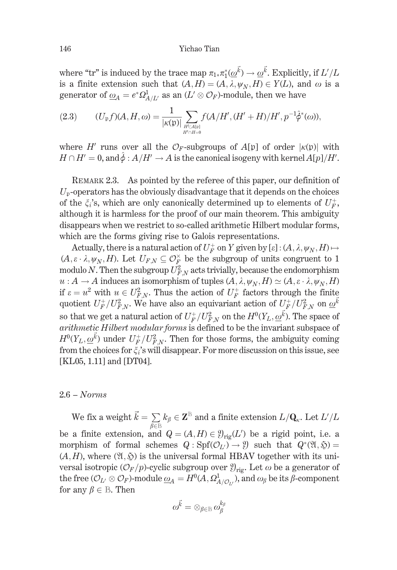where "tr" is induced by the trace map  $\pi_{1*}\pi_1^*(\omega^{\vec{k}}) \to \omega^{\vec{k}}$ . Explicitly, if  $L'/L$ is a finite extension such that  $(A, H) = (A, \lambda, \psi_N, H) \in Y(L)$ , and  $\omega$  is a generator of  $\underline{\omega}_A = e^* \Omega^1_{A/L}$  as an  $(L' \otimes \mathcal{O}_F)$ -module, then we have

$$
(2.3) \qquad (U_{\mathfrak{p}}f)(A,H,\omega) = \frac{1}{|\kappa(\mathfrak{p})|} \sum_{\substack{H' \subset A[\mathfrak{p}] \\ H' \cap H = 0}} f(A/H', (H' + H)/H', p^{-1}\hat{\phi}^*(\omega)),
$$

where H' runs over all the  $\mathcal{O}_F$ -subgroups of  $A[\mathfrak{p}]$  of order  $|\kappa(\mathfrak{p})|$  with  $H \cap H' = 0$ , and  $\hat{\phi} : A/H' \to A$  is the canonical isogeny with kernel  $A[p]/H'$ .

REMARK 2.3. As pointed by the referee of this paper, our definition of  $U_p$ -operators has the obviously disadvantage that it depends on the choices of the  $\xi_i$ 's, which are only canonically determined up to elements of  $U^+_F$ , although it is harmless for the proof of our main theorem. This ambiguity disappears when we restrict to so-called arithmetic Hilbert modular forms, which are the forms giving rise to Galois representations.

Actually, there is a natural action of  $U_F^+$  on Y given by  $[\varepsilon]$ :  $(A, \lambda, \psi_N, H) \mapsto$  $(A, \varepsilon \cdot \lambda, \psi_N, H)$ . Let  $U_{F,N} \subseteq \mathcal{O}_F^{\times}$  be the subgroup of units congruent to 1 modulo N. Then the subgroup  $U_F^2$  acts trivially, because the endomorphism  $u: A \to A$  induces an isomorphism of tuples  $(A, \lambda, \psi_N, H) \simeq (A, \varepsilon \cdot \lambda, \psi_N, H)$ if  $\varepsilon = u^2$  with  $u \in U_{FN}^2$ . Thus the action of  $U_F^+$  factors through the finite quotient  $U_F^+/U_{F,N}^2$ . We have also an equivariant action of  $U_F^+/U_{F,N}^2$  on  $\omega^k$ so that we get a natural action of  $U_F^+/U_{F,N}^2$  on the  $H^0(Y_L, \omega^k)$ . The space of arithmetic Hilbert modular forms is defined to be the invariant subspace of  $H^0(Y_L, \underline{\omega}^{\vec{k}})$  under  $U_F^+/U_{F,N}^2$ . Then for those forms, the ambiguity coming from the choices for  $\xi_i$ 's will disappear. For more discussion on this issue, see [KL05, 1.11] and [DT04].

## $2.6 - Norms$

We fix a weight  $\vec{k} = \sum_{\beta \in \mathbb{B}} k_{\beta} \in \mathbb{Z}^{\mathbb{B}}$  and a finite extension  $L/\mathbf{Q}_{\kappa}$ . Let  $L'/L$ be a finite extension, and  $Q = (A, H) \in \mathcal{Y}_{\text{rig}}(L')$  be a rigid point, i.e. a morphism of formal schemes  $Q: Spf(\mathcal{O}_{L'}) \to \mathcal{Y}$  such that  $Q^*(\mathfrak{A}, \mathfrak{H}) =$  $(A, H)$ , where  $(\mathfrak{A}, \mathfrak{H})$  is the universal formal HBAV together with its universal isotropic  $(\mathcal{O}_F/p)$ -cyclic subgroup over  $\mathcal{Y}_{\text{ric}}$ . Let  $\omega$  be a generator of the free  $(\mathcal{O}_L \otimes \mathcal{O}_F)$ -module  $\underline{\omega}_A = H^0(A, \Omega^1_{A/\mathcal{O}_L})$ , and  $\omega_\beta$  be its  $\beta$ -component for any  $\beta \in \mathbb{B}$ . Then

$$
\omega^{\vec{k}}=\otimes_{\beta\in\mathbb{B}}\omega_{\beta}^{k_{\beta}}
$$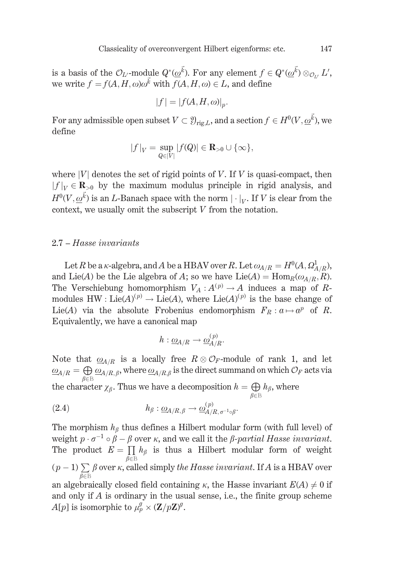is a basis of the  $\mathcal{O}_{L'}$ -module  $Q^*(\omega^{\vec{k}})$ . For any element  $f \in Q^*(\omega^{\vec{k}}) \otimes_{\mathcal{O}_{L'}} L'$ , we write  $f = f(A, H, \omega) \omega^k$  with  $f(A, H, \omega) \in L$ , and define

$$
|f| = |f(A, H, \omega)|_p.
$$

For any admissible open subset  $V \subset \mathcal{Y}_{\text{rig},L}$ , and a section  $f \in H^0(V, \underline{\omega}^{\vec{k}})$ , we define

$$
|f|_V = \sup_{Q \in |V|} |f(Q)| \in \mathbf{R}_{>0} \cup \{\infty\},\
$$

where  $|V|$  denotes the set of rigid points of V. If V is quasi-compact, then  $|f|_V \in \mathbf{R}_{>0}$  by the maximum modulus principle in rigid analysis, and  $H^0(V, \omega^{\vec{k}})$  is an L-Banach space with the norm  $|\cdot|_V$ . If V is clear from the context, we usually omit the subscript  $V$  from the notation.

## 2.7 – Hasse invariants

Let R be a *K*-algebra, and A be a HBAV over R. Let  $\omega_{A/R} = H^0(A, \Omega^1_{A/R})$ , and Lie(A) be the Lie algebra of A; so we have Lie(A) =  $\text{Hom}_{R}(\omega_{A/R}, R)$ . The Verschiebung homomorphism  $V_A: A^{(p)} \to A$  induces a map of Rmodules HW : Lie(A)<sup>(p)</sup>  $\rightarrow$  Lie(A), where Lie(A)<sup>(p)</sup> is the base change of Lie(A) via the absolute Frobenius endomorphism  $F_R: a \mapsto a^p$  of R. Equivalently, we have a canonical map

$$
h:\underline{\omega}_{A/R}\rightarrow \underline{\omega}_{A/R}^{(p)}.
$$

Note that  $\underline{\omega}_{A/R}$  is a locally free  $R \otimes \mathcal{O}_F$ -module of rank 1, and let  $\underline{\omega}_{A/R} = \bigoplus_{\beta \in \mathbb{B}} \underline{\omega}_{A/R,\beta}$ , where  $\underline{\omega}_{A/R,\beta}$  is the direct summand on which  $\mathcal{O}_F$  acts via the character  $\chi_{\beta}$ . Thus we have a decomposition  $h = \bigoplus_{\beta \in \mathbb{B}} h_{\beta}$ , where

(2.4) 
$$
h_{\beta} : \underline{\omega}_{A/R,\beta} \to \underline{\omega}_{A/R,\sigma^{-1}\circ\beta}^{(p)}.
$$

The morphism  $h_{\beta}$  thus defines a Hilbert modular form (with full level) of weight  $p \cdot \sigma^{-1} \circ \beta - \beta$  over  $\kappa$ , and we call it the  $\beta$ -partial Hasse invariant. The product  $E = \prod h_{\beta}$  is thus a Hilbert modular form of weight  $(p-1)\sum_{\alpha\in\mathbb{D}}\beta$  over  $\kappa$ , called simply the Hasse invariant. If A is a HBAV over an algebraically closed field containing  $\kappa$ , the Hasse invariant  $E(A) \neq 0$  if and only if  $A$  is ordinary in the usual sense, i.e., the finite group scheme  $A[p]$  is isomorphic to  $\mu_p^g \times (\mathbf{Z}/p\mathbf{Z})^g$ .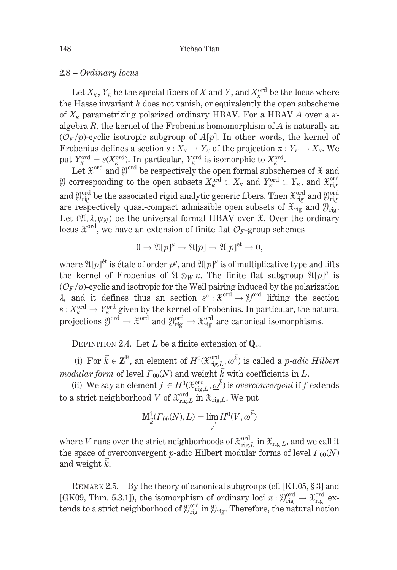## 2.8 – Ordinary locus

Let  $X_{\kappa}$ ,  $Y_{\kappa}$  be the special fibers of X and Y, and  $X_{\kappa}^{\text{ord}}$  be the locus where the Hasse invariant  $h$  does not vanish, or equivalently the open subscheme of  $X_{\kappa}$  parametrizing polarized ordinary HBAV. For a HBAV A over a  $\kappa$ algebra  $R$ , the kernel of the Frobenius homomorphism of  $A$  is naturally an  $(\mathcal{O}_F/p)$ -cyclic isotropic subgroup of  $A[p]$ . In other words, the kernel of Frobenius defines a section  $s: X_{\kappa} \to Y_{\kappa}$  of the projection  $\pi: Y_{\kappa} \to X_{\kappa}$ . We put  $Y_{\kappa}^{\text{ord}} = s(X_{\kappa}^{\text{ord}})$ . In particular,  $Y_{\kappa}^{\text{ord}}$  is isomorphic to  $X_{\kappa}^{\text{ord}}$ .<br>Let  $\mathfrak{X}^{\text{ord}}$  and  $\mathfrak{Y}^{\text{ord}}$  be respectively the open formal subschemes of  $\mathfrak{X}$  and

*Q*) corresponding to the open subsets  $X_{\kappa}^{\text{ord}} \subset X_{\kappa}$  and  $Y_{\kappa}^{\text{ord}} \subset Y_{\kappa}$ , and  $\mathfrak{X}_{\text{rig}}^{\text{ord}}$ and  $\mathcal{Y}_{\text{rig}}^{\text{ord}}$  be the associated rigid analytic generic fibers. Then  $\mathcal{X}_{\text{rig}}^{\text{ord}}$  and  $\mathcal{Y}_{\text{rig}}^{\text{ord}}$ are respectively quasi-compact admissible open subsets of  $\mathfrak{X}_{\text{rig}}$  and  $\mathfrak{Y}_{\text{rig}}$ . Let  $(\mathfrak{A}, \lambda, \psi_N)$  be the universal formal HBAV over  $\mathfrak{X}$ . Over the ordinary locus  $\mathfrak{X}^{\text{ord}}$ , we have an extension of finite flat  $\mathcal{O}_F$ -group schemes

$$
0 \to \mathfrak{A}[p]^\mu \to \mathfrak{A}[p] \to \mathfrak{A}[p]^{\mathrm{et}} \to 0,
$$

where  $\mathfrak{A}[p]$ <sup> $\acute{e}t$ </sup> is étale of order  $p^g$ , and  $\mathfrak{A}[p]^{\mu}$  is of multiplicative type and lifts the kernel of Frobenius of  $\mathfrak{A} \otimes_W \kappa$ . The finite flat subgroup  $\mathfrak{A}[p]^{\mu}$  is  $(\mathcal{O}_F/p)$ -cyclic and isotropic for the Weil pairing induced by the polarization  $\lambda$ , and it defines thus an section  $s^{\circ} : \mathfrak{X}^{\text{ord}} \to \mathfrak{Y}^{\text{ord}}$  lifting the section  $s: X_{\kappa}^{\text{ord}} \to Y_{\kappa}^{\text{ord}}$  given by the kernel of Frobenius. In particular, the natural<br>projections  $\mathfrak{Y}^{\text{ord}} \to \mathfrak{X}^{\text{ord}}$  and  $\mathfrak{Y}_{\text{rig}}^{\text{ord}} \to \mathfrak{X}_{\text{rig}}^{\text{ord}}$  are canonical isomorphisms.

DEFINITION 2.4. Let L be a finite extension of  $Q_{\alpha}$ .

(i) For  $\vec{k} \in \mathbf{Z}^{\mathbb{B}}$ , an element of  $H^0(\mathfrak{X}_{\mathrm{rig},L}^{\mathrm{ord}}, \underline{\omega}^{\vec{k}})$  is called a *p*-adic Hilbert *modular form* of level  $\Gamma_{00}(N)$  and weight  $\vec{k}$  with coefficients in L.

(ii) We say an element  $f \in H^0(\mathfrak{X}_{\text{rig},L}^{\text{ord}}, \underline{\omega}^{\vec{k}})$  is *overconvergent* if f extends to a strict neighborhood V of  $\mathcal{X}_{\text{rig},L}^{\text{ord}}$  in  $\mathcal{X}_{\text{rig},L}$ . We put

$$
\mathbf{M}^{\dagger}_{\vec{k}}(\Gamma_{00}(N),L) = \lim_{\substack{\longrightarrow \\ V}} H^0(V,\underline{\omega}^{\vec{k}})
$$

where V runs over the strict neighborhoods of  $\mathfrak{X}_{\mathrm{rig},L}^{\mathrm{ord}}$  in  $\mathfrak{X}_{\mathrm{rig},L}$ , and we call it the space of overconvergent p-adic Hilbert modular forms of level  $\Gamma_{00}(N)$ and weight  $k$ .

REMARK 2.5. By the theory of canonical subgroups (cf. [KL05,  $\S 3$ ] and [GK09, Thm. 5.3.1]), the isomorphism of ordinary loci  $\pi : \mathcal{Y}_{\text{rig}}^{\text{ord}} \to \mathcal{X}_{\text{rig}}^{\text{ord}}$  extends to a strict neighborhood of  $\mathcal{Y}_{\text{rig}}^{\text{ord}}$  in  $\mathcal{Y}_{\text{rig}}$ . Therefore, the natural notion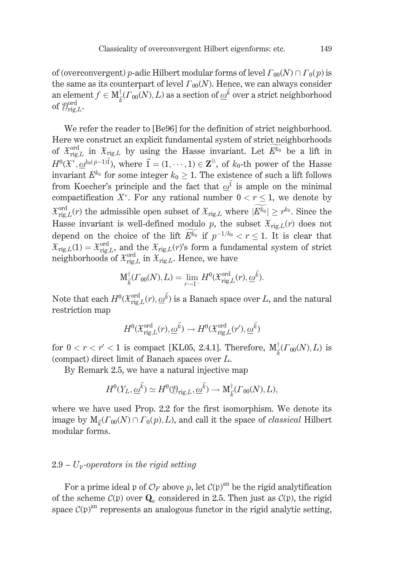of (overconvergent) p-adic Hilbert modular forms of level  $\Gamma_{00}(N) \cap \Gamma_0(n)$  is the same as its counterpart of level  $\Gamma_{00}(N)$ . Hence, we can always consider an element  $f \in M^{\dagger}_{\tau}(F_{00}(N), L)$  as a section of  $\omega^{\vec{k}}$  over a strict neighborhood of  $\mathfrak{Y}_{\mathrm{rig},L}^{\mathrm{ord}}$ .

We refer the reader to [Be96] for the definition of strict neighborhood. Here we construct an explicit fundamental system of strict neighborhoods of  $\mathfrak{X}_{\text{rig},L}^{\text{ord}}$  in  $\mathfrak{X}_{\text{rig},L}$  by using the Hasse invariant. Let  $\widetilde{E^{k_0}}$  be a lift in  $H^0(\mathfrak{X}^*, \omega^{k_0(p-1)\vec{1}})$ , where  $\vec{1} = (1, \dots, 1) \in \mathbb{Z}^{\mathbb{B}}$ , of  $k_0$ -th power of the Hasse invariant  $E^{k_0}$  for some integer  $k_0 \geq 1$ . The existence of such a lift follows from Koecher's principle and the fact that  $\omega^{\vec{1}}$  is ample on the minimal compactification  $X^*$ . For any rational number  $0 < r \leq 1$ , we denote by  $\mathcal{X}_{\text{rig},L}^{\text{ord}}(r)$  the admissible open subset of  $\mathcal{X}_{\text{rig},L}$  where  $|\widetilde{E^{k_0}}| \geq r^{k_0}$ . Since the Hasse invariant is well-defined modulo p, the subset  $\mathfrak{X}_{\text{rig},L}(r)$  does not depend on the choice of the lift  $E^{k_0}$  if  $p^{-1/k_0} < r < 1$ . It is clear that  $\mathcal{X}_{\text{rig},L}(1) = \mathcal{X}_{\text{rig},L}^{\text{ord}}$ , and the  $\mathcal{X}_{\text{rig},L}(r)$ 's form a fundamental system of strict<br>neighborhoods of  $\mathcal{X}_{\text{rig},L}^{\text{ord}}$  in  $\mathcal{X}_{\text{rig},L}$ . Hence, we have

$$
\mathbf{M}_{\vec{k}}^{\dagger}(\Gamma_{00}(N),L) = \lim_{r \to 1^{-}} H^{0}(\mathfrak{X}_{\mathrm{rig},L}^{\mathrm{ord}}(r), \underline{\omega}^{\vec{k}}).
$$

Note that each  $H^0(\mathfrak{X}_{\text{rig},L}^{\text{ord}}(r), \underline{\omega}^{\vec{k}})$  is a Banach space over L, and the natural restriction map

$$
H^0(\mathfrak{X}_{\mathrm{rig},L}^{\mathrm{ord}}(r), \underline{\omega}^{\vec{k}}) \to H^0(\mathfrak{X}_{\mathrm{rig},L}^{\mathrm{ord}}(r'), \underline{\omega}^{\vec{k}})
$$

for  $0 < r < r' < 1$  is compact [KL05, 2.4.1]. Therefore,  $M_{\tau}^{\dagger}(r_{00}(N), L)$  is (compact) direct limit of Banach spaces over  $L$ .

By Remark 2.5, we have a natural injective map

$$
H^0(Y_L, \underline{\omega}^{\vec{k}}) \simeq H^0(\mathfrak{Y}_{\mathrm{rig},L}, \underline{\omega}^{\vec{k}}) \to \mathrm{M}^{\dagger}_{\vec{k}}(\Gamma_{00}(N), L),
$$

where we have used Prop. 2.2 for the first isomorphism. We denote its image by  $M_{\vec{k}}(\Gamma_{00}(N) \cap \Gamma_0(p), L)$ , and call it the space of *classical* Hilbert modular forms.

## $2.9 - U_p$ -operators in the rigid setting

For a prime ideal  $\mathfrak p$  of  $\mathcal O_F$  above p, let  $\mathcal C(\mathfrak p)^{\rm an}$  be the rigid analytification of the scheme  $\mathcal{C}(\mathfrak{p})$  over  $\mathbf{Q}_{\kappa}$  considered in 2.5. Then just as  $\mathcal{C}(\mathfrak{p})$ , the rigid space  $\mathcal{C}(\mathfrak{p})^{\text{an}}$  represents an analogous functor in the rigid analytic setting,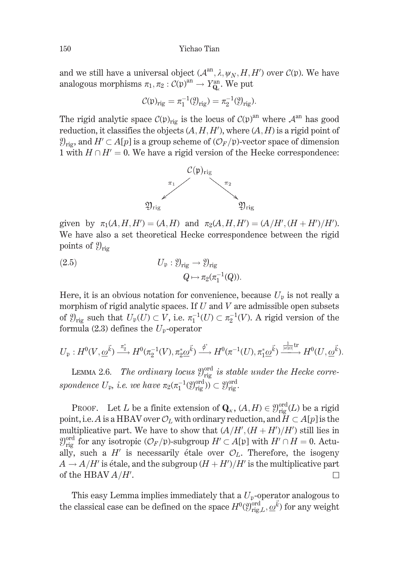and we still have a universal object  $(A^{an}, \lambda, \psi_N, H, H')$  over  $C(\mathfrak{p})$ . We have analogous morphisms  $\pi_1, \pi_2 : C(\mathfrak{p})^{\text{an}} \to Y^{\text{an}}_0$ . We put

$$
\mathcal{C}(\mathfrak{p})_{\mathrm{rig}} = \pi_1^{-1}(\mathfrak{Y}_{\mathrm{rig}}) = \pi_2^{-1}(\mathfrak{Y}_{\mathrm{rig}}).
$$

The rigid analytic space  $\mathcal{C}(\mathfrak{p})_{\text{rig}}$  is the locus of  $\mathcal{C}(\mathfrak{p})^{\text{an}}$  where  $\mathcal{A}^{\text{an}}$  has good reduction, it classifies the objects  $(A, H, H')$ , where  $(A, H)$  is a rigid point of  $\mathcal{Y}_{\text{rig}}$ , and  $H' \subset A[p]$  is a group scheme of  $(\mathcal{O}_F/\mathfrak{p})$ -vector space of dimension 1 with  $H \cap H' = 0$ . We have a rigid version of the Hecke correspondence:



given by  $\pi_1(A, H, H') = (A, H)$  and  $\pi_2(A, H, H') = (A/H', (H + H')/H')$ . We have also a set theoretical Hecke correspondence between the rigid points of  $\mathcal{Y}_{\text{rio}}$ 

(2.5) 
$$
U_{\mathfrak{p}} : \mathcal{Y}_{\text{rig}} \to \mathcal{Y}_{\text{rig}}
$$

$$
Q \mapsto \pi_2(\pi_1^{-1}(Q)).
$$

Here, it is an obvious notation for convenience, because  $U_p$  is not really a morphism of rigid analytic spaces. If  $U$  and  $V$  are admissible open subsets of  $\mathcal{Y}_{\text{rig}}$  such that  $U_{\mathfrak{p}}(U) \subset V$ , i.e.  $\pi_1^{-1}(U) \subset \pi_2^{-1}(V)$ . A rigid version of the formula (2.3) defines the  $U_{\mathfrak{p}}$ -operator

$$
U_{\mathfrak{p}}:H^0(V,\underline{\omega}^{\vec{k}})\xrightarrow{\pi_{2}^*}H^0(\pi_2^{-1}(V),\pi_2^*\underline{\omega}^{\vec{k}})\xrightarrow{\phi^*}H^0(\pi^{-1}(U),\pi_1^*\underline{\omega}^{\vec{k}})\xrightarrow[\text{Ker}]{\frac{1}{\text{Ker}(\mathbb{N})}\text{tr}}H^0(U,\underline{\omega}^{\vec{k}})
$$

LEMMA 2.6. The ordinary locus  $\mathcal{Y}_{\text{rig}}^{\text{ord}}$  is stable under the Hecke correspondence  $U_{\mathfrak{p}}$ , i.e. we have  $\pi_2(\pi_1^{-1}(\mathcal{Y}_{\text{rig}}^{\text{ord}})) \subset \mathcal{Y}_{\text{rig}}^{\text{ord}}$ .

PROOF. Let L be a finite extension of  $\mathbf{Q}_{\kappa}$ ,  $(A, H) \in \mathcal{Y}_{\text{rig}}^{\text{ord}}(L)$  be a rigid point, i.e. A is a HBAV over  $\mathcal{O}_L$  with ordinary reduction, and  $H \subset A[p]$  is the multiplicative part. We have to show that  $(A/H', (H + H')/H')$  still lies in  $\mathcal{Y}_{\text{rig}}^{\text{ord}}$  for any isotropic  $(\mathcal{O}_F/\mathfrak{p})$ -subgroup  $H' \subset A[\mathfrak{p}]$  with  $H' \cap H = 0$ . Actually, such a H' is necessarily étale over  $\mathcal{O}_L$ . Therefore, the isogeny  $A \rightarrow A/H'$  is étale, and the subgroup  $(H + H')/H'$  is the multiplicative part of the HBAV  $A/H'$ .  $\Box$ 

This easy Lemma implies immediately that a  $U_p$ -operator analogous to the classical case can be defined on the space  $H^0(\mathcal{Y}_{\text{rig},L}^{\text{ord}}, \underline{\omega}^{\vec{k}})$  for any weight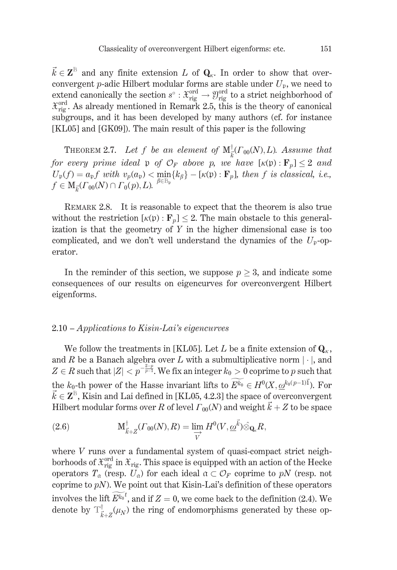$\vec{k} \in \mathbb{Z}^{\mathbb{B}}$  and any finite extension L of  $\mathbf{Q}_{\kappa}$ . In order to show that overconvergent *p*-adic Hilbert modular forms are stable under  $U_p$ , we need to extend canonically the section  $s^{\circ}$ :  $\mathcal{X}_{\text{rig}}^{\text{ord}} \to \mathcal{Y}_{\text{rig}}^{\text{ord}}$  to a strict neighborhood of  $\mathcal{X}_{\text{ris}}^{\text{ord}}$ . As already mentioned in Remark 2.5, this is the theory of canonical subgroups, and it has been developed by many authors (cf. for instance [KL05] and [GK09]). The main result of this paper is the following

**THEOREM 2.7.** Let f be an element of  $\text{M}^{\dagger}_{\vec{k}}(\Gamma_{00}(N),L)$ . Assume that for every prime ideal p of  $\mathcal{O}_F$  above p, we have  $[\kappa(\mathfrak{p}) : \mathbf{F}_p] < 2$  and  $U_{\mathfrak{p}}(f) = a_{\mathfrak{p}} f$  with  $v_p(a_{\mathfrak{p}}) < \min_{\beta \in \mathbb{B}_{\mathfrak{p}}} \{k_{\beta}\} - [\kappa(\mathfrak{p}) : \mathbf{F}_p]$ , then f is classical, i.e.,<br>  $f \in M_{\vec{k}}(\Gamma_{00}(N) \cap \Gamma_0(p), L)$ .

REMARK 2.8. It is reasonable to expect that the theorem is also true without the restriction  $[\kappa(\mathfrak{p}) : \mathbf{F}_n] \leq 2$ . The main obstacle to this generalization is that the geometry of  $Y$  in the higher dimensional case is too complicated, and we don't well understand the dynamics of the  $U_p$ -operator.

In the reminder of this section, we suppose  $p > 3$ , and indicate some consequences of our results on eigencurves for overconvergent Hilbert eigenforms.

## $2.10 - Applications to Kisin-Lai's eigencurves$

We follow the treatments in [KL05]. Let L be a finite extension of  $\mathbf{Q}_{\kappa}$ , and R be a Banach algebra over L with a submultiplicative norm  $|\cdot|$ , and  $Z \in R$  such that  $|Z| < p^{-\frac{2-p}{p-1}}$ . We fix an integer  $k_0 > 0$  coprime to p such that the  $k_0$ -th power of the Hasse invariant lifts to  $\widetilde{E^{k_0}} \in H^0(X, \omega^{k_0(p-1)\vec{1}})$ . For  $\vec{k} \in \mathbb{Z}^{\mathbb{B}}$ , Kisin and Lai defined in [KL05, 4.2.3] the space of overconvergent Hilbert modular forms over R of level  $\Gamma_{00}(N)$  and weight  $\vec{k} + Z$  to be space

(2.6) 
$$
\mathbf{M}_{\vec{k}+Z}^{\dagger}(r_{00}(N),R) = \lim_{\overrightarrow{V}} H^0(V,\underline{\omega}^{\vec{k}}) \hat{\otimes}_{\mathbf{Q}_{\kappa}} R,
$$

where  $V$  runs over a fundamental system of quasi-compact strict neighborhoods of  $\mathfrak{X}_{\text{rig}}^{\text{ord}}$  in  $\mathfrak{X}_{\text{rig}}$ . This space is equipped with an action of the Hecke operators  $T_a$  (resp.  $U_a$ ) for each ideal  $a \subset \mathcal{O}_F$  coprime to pN (resp. not coprime to  $pN$ ). We point out that Kisin-Lai's definition of these operators involves the lift  $E^{k_0 t}$ , and if  $Z = 0$ , we come back to the definition (2.4). We denote by  $T^{\dagger}_{\vec{k}+\vec{z}}(\mu_N)$  the ring of endomorphisms generated by these op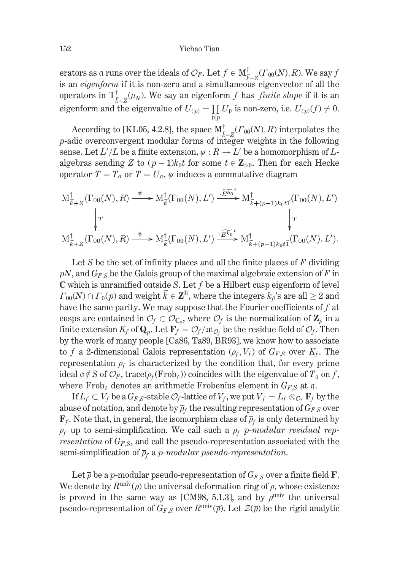erators as a runs over the ideals of  $\mathcal{O}_F$ . Let  $f \in M_{\vec{k}+Z}^{\dagger}(r_{00}(N),R)$ . We say f is an *eigenform* if it is non-zero and a simultaneous eigenvector of all the operators in  $\mathbb{T}^{\dagger}_{\vec{k}+\vec{z}}(\mu_N)$ . We say an eigenform f has finite slope if it is an eigenform and the eigenvalue of  $U_{(p)} = \prod U_p$  is non-zero, i.e.  $U_{(p)}(f) \neq 0$ .

According to [KL05, 4.2.8], the space  $M_{\vec{k}+Z}^{\dagger}(r_{00}(N),R)$  interpolates the  $p$ -adic overconvergent modular forms of integer weights in the following sense. Let  $L'/L$  be a finite extension,  $\psi: R \to L'$  be a homomorphism of Lalgebras sending Z to  $(p-1)k_0t$  for some  $t \in \mathbb{Z}_{>0}$ . Then for each Hecke operator  $T = T_0$  or  $T = U_0$ ,  $\psi$  induces a commutative diagram

$$
M_{\vec{k}+Z}^{\dagger}(\Gamma_{00}(N),R) \xrightarrow{\psi} M_{\vec{k}}^{\dagger}(\Gamma_{00}(N),L') \xrightarrow{\cdot \widetilde{E^{k_0}}^{\dagger}} M_{\vec{k}+(p-1)k_0t\vec{1}}^{\dagger}(\Gamma_{00}(N),L')
$$
  

$$
\downarrow T
$$
  

$$
M_{\vec{k}+Z}^{\dagger}(\Gamma_{00}(N),R) \xrightarrow{\psi} M_{\vec{k}}^{\dagger}(\Gamma_{00}(N),L') \xrightarrow{\cdot \widetilde{E^{k_0}}^{\dagger}} M_{\vec{k}+(p-1)k_0t\vec{1}}^{\dagger}(\Gamma_{00}(N),L').
$$

Let S be the set of infinity places and all the finite places of  $F$  dividing  $pN$ , and  $G_{FS}$  be the Galois group of the maximal algebraic extension of F in  $C$  which is unramified outside S. Let  $f$  be a Hilbert cusp eigenform of level  $\Gamma_{00}(N) \cap \Gamma_0(p)$  and weight  $\vec{k} \in \mathbb{Z}^{\mathbb{B}}$ , where the integers  $k_{\beta}$ 's are all  $\geq 2$  and have the same parity. We may suppose that the Fourier coefficients of  $f$  at cusps are contained in  $\mathcal{O}_f \subset \mathcal{O}_{C_n}$ , where  $\mathcal{O}_f$  is the normalization of  $\mathbf{Z}_p$  in a finite extension  $K_f$  of  $\mathbf{Q}_p$ . Let  $\mathbf{F}_f = \mathcal{O}_f / \mathfrak{m}_{\mathcal{O}_f}$  be the residue field of  $\mathcal{O}_f$ . Then by the work of many people [Ca86, Ta89, BR93], we know how to associate to f a 2-dimensional Galois representation  $(\rho_f, V_f)$  of  $G_{FS}$  over  $K_f$ . The representation  $\rho_f$  is characterized by the condition that, for every prime ideal  $q \notin S$  of  $\mathcal{O}_F$ , trace( $\rho_f$ (Frob<sub>q</sub>)) coincides with the eigenvalue of  $T_q$  on f, where  $Frob_{\alpha}$  denotes an arithmetic Frobenius element in  $G_{FS}$  at q.

If  $L_f \subset V_f$  be a  $G_{F,S}$ -stable  $\mathcal{O}_f$ -lattice of  $V_f$ , we put  $\overline{V}_f = L_f \otimes_{\mathcal{O}_f} \mathbf{F}_f$  by the abuse of notation, and denote by  $\overline{\rho}_f$  the resulting representation of  $G_{FS}$  over  $\mathbf{F}_f$ . Note that, in general, the isomorphism class of  $\overline{\rho}_f$  is only determined by  $\rho_f$  up to semi-simplification. We call such a  $\bar{\rho}_f$  p-modular residual representation of  $G_{FS}$ , and call the pseudo-representation associated with the semi-simplification of  $\bar{p}_f$  a p-modular pseudo-representation.

Let  $\bar{\rho}$  be a p-modular pseudo-representation of  $G_{FS}$  over a finite field **F**. We denote by  $R^{\text{univ}}(\overline{\rho})$  the universal deformation ring of  $\overline{\rho}$ , whose existence is proved in the same way as [CM98, 5.1.3], and by  $\rho^{\text{univ}}$  the universal pseudo-representation of  $G_{FS}$  over  $R^{\text{univ}}(\overline{\rho})$ . Let  $\mathcal{Z}(\overline{\rho})$  be the rigid analytic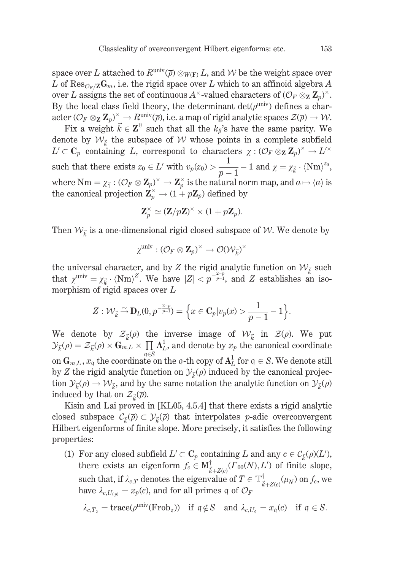space over L attached to  $R^{\text{univ}}(\overline{\rho}) \otimes_{W(\mathbf{F})} L$ , and W be the weight space over L of Res<sub>On</sub>  $Z\mathbf{G}_m$ , i.e. the rigid space over L which to an affinoid algebra A over L assigns the set of continuous  $A^{\times}$ -valued characters of  $(\mathcal{O}_F \otimes_{\mathbf{Z}} \mathbf{Z}_p)^{\times}$ . By the local class field theory, the determinant  $\det(\rho^{\text{univ}})$  defines a char- $\text{acter } (\mathcal{O}_F \otimes_{\mathbf{Z}} \mathbf{Z}_p)^{\times} \to R^{\text{univ}}(\overline{\rho}), \text{ i.e. a map of rigid analytic spaces } \mathcal{Z}(\overline{\rho}) \to \mathcal{W}.$ 

Fix a weight  $\vec{k} \in \mathbf{Z}^{\mathbb{B}}$  such that all the  $k_{\beta}$ 's have the same parity. We denote by  $W_{\vec{k}}$  the subspace of W whose points in a complete subfield  $L' \subset \mathbf{C}_p$  containing L, correspond to characters  $\chi : (\mathcal{O}_F \otimes_{\mathbf{Z}} \mathbf{Z}_p)^{\times} \to L'^{\times}$ such that there exists  $z_0 \in L'$  with  $v_p(z_0) > \frac{1}{p-1} - 1$  and  $\chi = \chi_{\vec{k}} \cdot \langle Nm \rangle^{z_0}$ , where  $Nm = \chi_{\vec{1}} : (\mathcal{O}_F \otimes \mathbf{Z}_p)^{\times} \to \mathbf{Z}_p^{\times}$  is the natural norm map, and  $a \mapsto \langle a \rangle$  is the canonical projection  $\mathbf{Z}_p^{\times} \to (1 + p\mathbf{Z}_p)$  defined by

$$
\mathbf{Z}_p^\times \simeq (\mathbf{Z}/p\mathbf{Z})^\times \times (1+p\mathbf{Z}_p).
$$

Then  $W_{\vec{k}}$  is a one-dimensional rigid closed subspace of W. We denote by

$$
\chi^{\text{univ}}: (\mathcal{O}_F \otimes \mathbf{Z}_p)^\times \rightarrow \mathcal{O}(\mathcal{W}_{\vec{k}})^\times
$$

the universal character, and by Z the rigid analytic function on  $W_{\vec{k}}$  such that  $\chi^{\text{univ}} = \chi_{\vec{k}} \cdot (\text{Nm})^Z$ . We have  $|Z| < p^{-\frac{2-p}{p-1}}$ , and Z establishes an isomorphism of rigid spaces over  $L$ 

$$
Z: \mathcal{W}_{\vec{k}} \stackrel{\sim}{\rightarrow} \mathbf{D}_L(0,p^{-\frac{2-p}{p-1}}) = \Big\{ x \in \mathbf{C}_p | v_p(x) > \frac{1}{p-1} - 1 \Big\}.
$$

We denote by  $\mathcal{Z}_{\vec{\iota}}(\overline{\rho})$  the inverse image of  $\mathcal{W}_{\vec{\iota}}$  in  $\mathcal{Z}(\overline{\rho})$ . We put  $\mathcal{Y}_{\vec{k}}(\overline{\rho}) = \mathcal{Z}_{\vec{k}}(\overline{\rho}) \times \overline{\mathbf{G}_{m,L}} \times \prod_{\alpha} \mathbf{A}_{L}^{1}$ , and denote by  $x_p$  the canonical coordinate on  $\mathbf{G}_{m,L}$ ,  $x_q$  the coordinate on the q-th copy of  $\mathbf{A}_L^1$  for  $q \in S$ . We denote still by Z the rigid analytic function on  $\mathcal{Y}_{\vec{k}}(\overline{\rho})$  induced by the canonical projection  $\mathcal{Y}_{\vec{k}}(\overline{\rho}) \to \mathcal{W}_{\vec{k}}$ , and by the same notation the analytic function on  $\mathcal{Y}_{\vec{k}}(\overline{\rho})$ induced by that on  $\mathcal{Z}_{\vec{k}}(\overline{\rho}).$ 

Kisin and Lai proved in [KL05, 4.5.4] that there exists a rigid analytic closed subspace  $\mathcal{C}_{\vec{k}}(\overline{\rho}) \subset \mathcal{Y}_{\vec{k}}(\overline{\rho})$  that interpolates *p*-adic overconvergent Hilbert eigenforms of finite slope. More precisely, it satisfies the following properties:

(1) For any closed subfield  $L' \subset \mathbb{C}_p$  containing L and any  $c \in \mathcal{C}_{\vec{k}}(\overline{p})(L'),$ there exists an eigenform  $f_c \in M_{\vec{k}+Z(c)}^{\dagger}(r_{00}(N),L')$  of finite slope, such that, if  $\lambda_{c,T}$  denotes the eigenvalue of  $T \in \mathbb{T}^{\dagger}_{\vec{k}+Z(c)}(\mu_N)$  on  $f_c$ , we have  $\lambda_{c,U_{(n)}} = x_p(c)$ , and for all primes q of  $\mathcal{O}_F$ 

$$
\lambda_{c,T_o} = \text{trace}(\rho^{\text{univ}}(\text{Frob}_g)) \quad \text{if } q \notin S \quad \text{and } \lambda_{c,U_o} = x_q(c) \quad \text{if } q \in S.
$$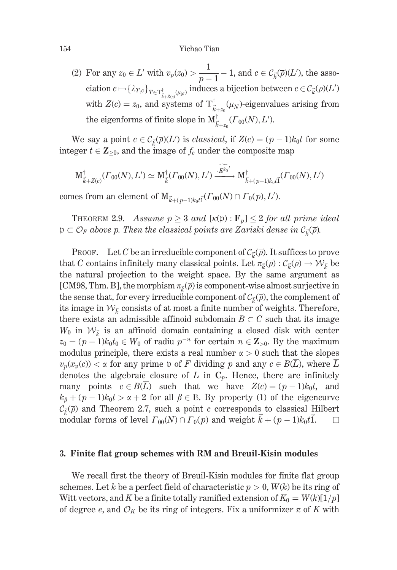(2) For any  $z_0 \in L'$  with  $v_p(z_0) > \frac{1}{p-1} - 1$ , and  $c \in C_{\vec{k}}(\overline{p})(L')$ , the association  $c \mapsto {\{\lambda_{T,c}\}}_{T \in \mathcal{T}^\dagger_{\vec{k} + Z(c)}(\mu_N)}$  induces a bijection between  $c \in \mathcal{C}_{\vec{k}}(\overline{\rho})(L')$ with  $Z(c) = z_0$ , and systems of  $T^{\dagger}_{\vec{k}+z_0}(\mu_N)$ -eigenvalues arising from the eigenforms of finite slope in  $\mathcal{M}^{\dagger}_{\vec{k}+z_0}(\Gamma_{00}(N),L').$ 

We say a point  $c \in C_{\vec{k}}(\overline{\rho})(L')$  is *classical*, if  $Z(c) = (p-1)k_0t$  for some integer  $t \in \mathbb{Z}_{\geq 0}$ , and the image of  $f_c$  under the composite map

$$
\mathbf{M}^{\dagger}_{\vec{k}+Z(c)}(\Gamma_{00}(N),L') \simeq \mathbf{M}^{\dagger}_{\vec{k}}(\Gamma_{00}(N),L') \xrightarrow{\cdot E^{k_0t}} \mathbf{M}^{\dagger}_{\vec{k}+(p-1)k_0t\vec{1}}(\Gamma_{00}(N),L')
$$

comes from an element of  $\mathbf{M}_{\vec{k}+(n-1)k\circ t\vec{1}}(\Gamma_{00}(N)\cap\Gamma_0(p),L').$ 

**THEOREM 2.9.** Assume  $p \ge 3$  and  $[\kappa(p): \mathbf{F}_p] \le 2$  for all prime ideal  $\mathfrak{p} \subset \mathcal{O}_F$  above p. Then the classical points are Zariski dense in  $\mathcal{C}_{\vec{k}}(\overline{\rho})$ .

PROOF. Let C be an irreducible component of  $C_{\vec{i}}(\overline{\rho})$ . It suffices to prove that C contains infinitely many classical points. Let  $\pi_{\vec{k}}(\overline{\rho}) : C_{\vec{k}}(\overline{\rho}) \to \mathcal{W}_{\vec{k}}$  be the natural projection to the weight space. By the same argument as [CM98, Thm, B], the morphism  $\pi_{\vec{r}}(\vec{p})$  is component-wise almost surjective in the sense that, for every irreducible component of  $\mathcal{C}_{\vec{k}}(\overline{\rho})$ , the complement of its image in  $W_{\vec{k}}$  consists of at most a finite number of weights. Therefore, there exists an admissible affinoid subdomain  $B \subset C$  such that its image  $W_0$  in  $W_{\vec{k}}$  is an affinoid domain containing a closed disk with center  $z_0 = (p-1)k_0t_0 \in W_0$  of radiu  $p^{-n}$  for certain  $n \in \mathbb{Z}_{>0}$ . By the maximum modulus principle, there exists a real number  $\alpha > 0$  such that the slopes  $v_p(x_p(c)) < \alpha$  for any prime p of F dividing p and any  $c \in B(\overline{L})$ , where  $\overline{L}$ denotes the algebraic closure of  $L$  in  $C_p$ . Hence, there are infinitely many points  $c \in B(\overline{L})$  such that we have  $Z(c) = (p-1)k_0t$ , and  $k_{\beta} + (p-1)k_0t > \alpha + 2$  for all  $\beta \in \mathbb{B}$ . By property (1) of the eigencurve  $\mathcal{C}_{\vec{\iota}}(\overline{\rho})$  and Theorem 2.7, such a point c corresponds to classical Hilbert modular forms of level  $\Gamma_{00}(N) \cap \Gamma_0(p)$  and weight  $k + (p-1)k_0t\overline{1}$ .  $\Box$ 

#### 3. Finite flat group schemes with RM and Breuil-Kisin modules

We recall first the theory of Breuil-Kisin modules for finite flat group schemes. Let k be a perfect field of characteristic  $p > 0$ ,  $W(k)$  be its ring of Witt vectors, and K be a finite totally ramified extension of  $K_0 = W(k)[1/p]$ of degree e, and  $\mathcal{O}_K$  be its ring of integers. Fix a uniformizer  $\pi$  of K with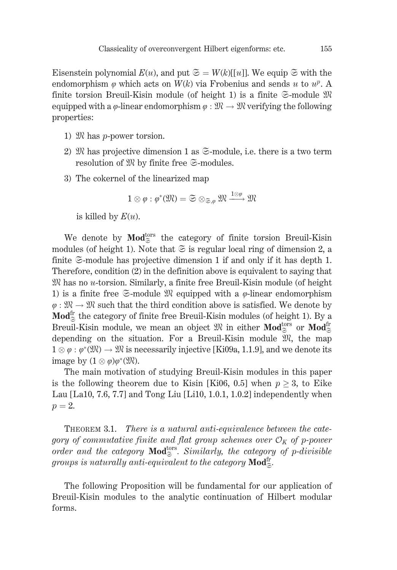Eisenstein polynomial  $E(u)$ , and put  $\mathfrak{S} = W(k)[u]$ . We equip  $\mathfrak{S}$  with the endomorphism  $\varphi$  which acts on  $W(k)$  via Frobenius and sends u to  $u^p$ . A finite torsion Breuil-Kisin module (of height 1) is a finite  $\mathfrak{S}\text{-module} \mathfrak{M}$ equipped with a  $\varphi$ -linear endomorphism  $\varphi : \mathfrak{M} \to \mathfrak{M}$  verifying the following properties:

- 1)  $\mathfrak{M}$  has *p*-power torsion.
- 2) We has projective dimension 1 as  $\mathfrak{S}\text{-module}$ , i.e. there is a two term resolution of  $\mathfrak{M}$  by finite free  $\mathfrak{S}\text{-modules.}$
- 3) The cokernel of the linearized map

$$
1 \otimes \varphi : \varphi^*(\mathfrak{M}) = \mathfrak{S} \otimes_{\mathfrak{S}, \varphi} \mathfrak{M} \xrightarrow{1 \otimes \varphi} \mathfrak{M}
$$

is killed by  $E(u)$ .

We denote by  $\mathbf{Mod}_{\simeq}^{\mathsf{tors}}$  the category of finite torsion Breuil-Kisin modules (of height 1). Note that  $\mathfrak{S}$  is regular local ring of dimension 2, a finite  $\mathfrak{S}\text{-module}$  has projective dimension 1 if and only if it has depth 1. Therefore, condition (2) in the definition above is equivalent to saying that  $\mathfrak{M}$  has no *u*-torsion. Similarly, a finite free Breuil-Kisin module (of height 1) is a finite free  $\mathfrak{S}\text{-module} \mathfrak{M}$  equipped with a  $\varphi$ -linear endomorphism  $\varphi : \mathfrak{M} \to \mathfrak{M}$  such that the third condition above is satisfied. We denote by  $\mathbf{Mod}_{\approx}^{\text{fr}}$  the category of finite free Breuil-Kisin modules (of height 1). By a Breuil-Kisin module, we mean an object  $\mathfrak{M}$  in either **Mod**<sup>tors</sup> or **Mod**<sup>fr</sup><sub> $\approx$ </sub> depending on the situation. For a Breuil-Kisin module  $\mathfrak{M}$ , the map  $1 \otimes \varphi : \varphi^*(\mathfrak{M}) \to \mathfrak{M}$  is necessarily injective [Ki09a, 1.1.9], and we denote its image by  $(1 \otimes \varphi)\varphi^*(\mathfrak{M})$ .

The main motivation of studying Breuil-Kisin modules in this paper is the following theorem due to Kisin [Ki06, 0.5] when  $p \geq 3$ , to Eike Lau [La10, 7.6, 7.7] and Tong Liu [Li10, 1.0.1, 1.0.2] independently when  $p=2$ .

THEOREM 3.1. There is a natural anti-equivalence between the category of commutative finite and flat group schemes over  $\mathcal{O}_K$  of p-power order and the category  $\text{Mod}_{\mathfrak{S}}^{\text{tors}}$ . Similarly, the category of p-divisible groups is naturally anti-equivalent to the category  $\text{Mod}_{\mathbb{Z}}^{\text{tr}}$ .

The following Proposition will be fundamental for our application of Breuil-Kisin modules to the analytic continuation of Hilbert modular forms.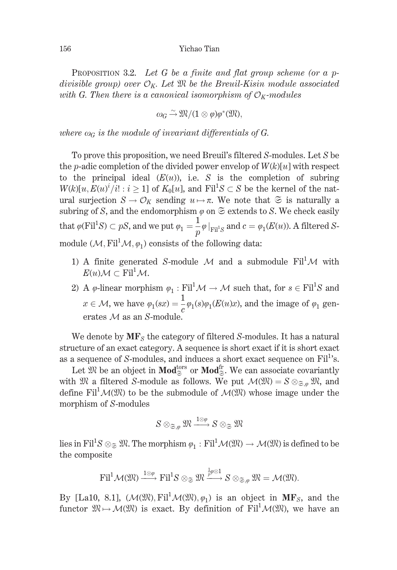PROPOSITION 3.2. Let G be a finite and flat group scheme (or a pdivisible group) over  $\mathcal{O}_K$ . Let  $\mathfrak M$  be the Breuil-Kisin module associated with G. Then there is a canonical isomorphism of  $\mathcal{O}_K$ -modules

$$
\omega_G \stackrel{\sim}{\rightarrow} \mathfrak{M}/(1\otimes \varphi)\varphi^*(\mathfrak{M}),
$$

where  $\omega_G$  is the module of invariant differentials of G.

To prove this proposition, we need Breuil's filtered S-modules. Let S be the *p*-adic completion of the divided power envelop of  $W(k)[u]$  with respect to the principal ideal  $(E(u))$ , i.e. S is the completion of subring  $W(k)[u, E(u)^{i}/i]: i \geq 1$  of  $K_0[u]$ , and  $Fil^1S \subset S$  be the kernel of the natural surjection  $S \to \mathcal{O}_K$  sending  $u \mapsto \pi$ . We note that  $\mathfrak{S}$  is naturally a subring of S, and the endomorphism  $\varphi$  on  $\mathfrak{S}$  extends to S. We check easily that  $\varphi$ (Fil<sup>1</sup>S)  $\subset pS$ , and we put  $\varphi_1 = \frac{1}{p} \varphi |_{\text{Fil}^1S}$  and  $c = \varphi_1(E(u))$ . A filtered Smodule  $(\mathcal{M}, \mathrm{Fil}^1 \mathcal{M}, \varphi_1)$  consists of the following data:

- 1) A finite generated S-module M and a submodule  $\text{Fil}^1 \mathcal{M}$  with  $E(u) \mathcal{M} \subset \text{Fil}^1 \mathcal{M}.$
- 2) A  $\varphi$ -linear morphism  $\varphi_1 : \text{Fil}^1 \mathcal{M} \to \mathcal{M}$  such that, for  $s \in \text{Fil}^1 S$  and  $x\in\mathcal{M},$  we have  $\varphi_1(sx)=\frac{1}{c}\varphi_1(s)\varphi_1(E(u)x),$  and the image of  $\varphi_1$  generates  $M$  as an S-module

We denote by  $MF_S$  the category of filtered S-modules. It has a natural structure of an exact category. A sequence is short exact if it is short exact as a sequence of S-modules, and induces a short exact sequence on Fil<sup>1</sup>'s.

Let  $\overline{\mathfrak{M}}$  be an object in  $\mathbf{Mod}_{\mathfrak{S}}^{\text{tors}}$  or  $\mathbf{Mod}_{\mathfrak{S}}^{\text{fr}}$ . We can associate covariantly with  $\mathfrak{M}$  a filtered S-module as follows. We put  $\mathcal{M}(\mathfrak{M}) = S \otimes_{\mathfrak{S}_\mathfrak{M}} \mathfrak{M}$ , and define  $\text{Fil}^1 \mathcal{M}(\mathfrak{M})$  to be the submodule of  $\mathcal{M}(\mathfrak{M})$  whose image under the morphism of S-modules

$$
S\otimes_{\mathfrak{S},\varphi}\mathfrak{M}\xrightarrow{1\otimes\varphi}S\otimes_{\mathfrak{S}}\mathfrak{M}
$$

lies in Fil<sup>1</sup>S  $\otimes_{\alpha} \mathfrak{M}$ . The morphism  $\varphi_1 : \mathrm{Fil}^1 \mathcal{M}(\mathfrak{M}) \to \mathcal{M}(\mathfrak{M})$  is defined to be the composite

$$
\mathrm{Fil}^1\mathcal{M}(\mathfrak{M})\xrightarrow{1\otimes\phi}\mathrm{Fil}^1S\otimes_{\mathfrak{S}}\mathfrak{M}\xrightarrow{\frac{1}{p}\phi\otimes 1}S\otimes_{\mathfrak{S},\phi}\mathfrak{M}=\mathcal{M}(\mathfrak{M}).
$$

By [La10, 8.1],  $(\mathcal{M}(\mathfrak{M}), \mathrm{Fil}^1 \mathcal{M}(\mathfrak{M}), \varphi_1)$  is an object in MF<sub>S</sub>, and the functor  $\mathfrak{M} \mapsto \mathcal{M}(\mathfrak{M})$  is exact. By definition of Fil<sup>1</sup> $\mathcal{M}(\mathfrak{M})$ , we have an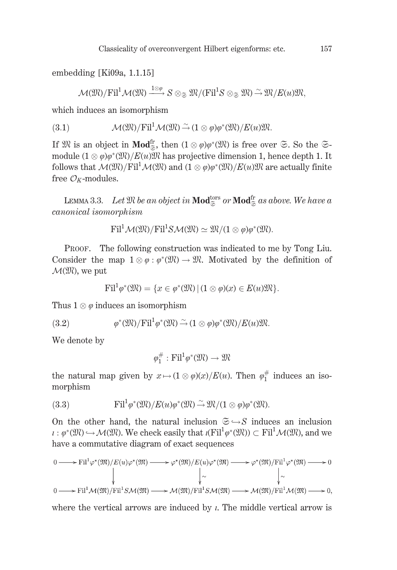embedding [Ki09a, 1.1.15]

 $\mathcal{M}(\mathfrak{M})/\mathrm{Fil}^1\mathcal{M}(\mathfrak{M})\xrightarrow{1\otimes\varphi}S\otimes_{\mathfrak{S}}\mathfrak{M}/(\mathrm{Fil}^1S\otimes_{\mathfrak{S}}\mathfrak{M})\xrightarrow{\sim}\mathfrak{M}/E(u)\mathfrak{M},$ 

which induces an isomorphism

(3.1) 
$$
\mathcal{M}(\mathfrak{M})/\mathrm{Fil}^1 \mathcal{M}(\mathfrak{M}) \stackrel{\sim}{\rightarrow} (1 \otimes \varphi)\varphi^*(\mathfrak{M})/E(u)\mathfrak{M}
$$
.

If  $\mathfrak{M}$  is an object in **Mod**<sup>fr</sup><sub> $\approx$ </sub>, then  $(1 \otimes \varphi)\varphi^*(\mathfrak{M})$  is free over  $\mathfrak{S}$ . So the  $\mathfrak{S}$ module  $(1 \otimes \varphi)\varphi^*(\mathfrak{M})/E(u)\mathfrak{M}$  has projective dimension 1, hence depth 1. It follows that  $\mathcal{M}(\mathfrak{M})/Fil^1\mathcal{M}(\mathfrak{M})$  and  $(1\otimes\varphi)\varphi^*(\mathfrak{M})/E(u)\mathfrak{M}$  are actually finite free  $\mathcal{O}_K$ -modules.

LEMMA 3.3. Let  $\mathfrak{M}$  be an object in  $\mathbf{Mod}_{\approx}^{\text{tors}}$  or  $\mathbf{Mod}_{\approx}^{\text{fr}}$  as above. We have a canonical isomorphism

$$
\text{Fil}^1 \mathcal{M}(\mathfrak{M}) / \text{Fil}^1 S \mathcal{M}(\mathfrak{M}) \simeq \mathfrak{M} / (1 \otimes \varphi) \varphi^*(\mathfrak{M}).
$$

PROOF. The following construction was indicated to me by Tong Liu. Consider the map  $1 \otimes \varphi : \varphi^*(\mathfrak{M}) \to \mathfrak{M}$ . Motivated by the definition of  $\mathcal{M}(\mathfrak{M})$ , we put

$$
\mathrm{Fil}^1\varphi^*(\mathfrak{M})=\{x\in\varphi^*(\mathfrak{M})\,|\,(1\otimes\varphi)(x)\in E(u)\mathfrak{M}\}.
$$

Thus  $1 \otimes \varphi$  induces an isomorphism

(3.2) 
$$
\varphi^*(\mathfrak{M})/\mathrm{Fil}^1\varphi^*(\mathfrak{M}) \stackrel{\sim}{\rightarrow} (1 \otimes \varphi)\varphi^*(\mathfrak{M})/E(u)\mathfrak{M}.
$$

We denote by

 $\varphi_1^{\#} : \mathrm{Fil}^1 \varphi^* (\mathfrak{M}) \to \mathfrak{M}$ 

the natural map given by  $x \mapsto (1 \otimes \varphi)(x)/E(u)$ . Then  $\varphi_1^{\#}$  induces an isomorphism

(3.3) 
$$
\mathrm{Fil}^1 \varphi^*(\mathfrak{M})/E(u)\varphi^*(\mathfrak{M}) \stackrel{\sim}{\rightarrow} \mathfrak{M}/(1 \otimes \varphi)\varphi^*(\mathfrak{M}).
$$

On the other hand, the natural inclusion  $\mathfrak{S} \hookrightarrow S$  induces an inclusion  $\iota: \varphi^*(\mathfrak{M}) \hookrightarrow \mathcal{M}(\mathfrak{M})$ . We check easily that  $\iota(Fil^1\varphi^*(\mathfrak{M})) \subset Fil^1\mathcal{M}(\mathfrak{M})$ , and we have a commutative diagram of exact sequences

$$
\begin{array}{ccc}\n0 & \longrightarrow \mathrm{Fil}^1 \varphi^*(\mathfrak{M})/E(u) \varphi^*(\mathfrak{M}) \longrightarrow \varphi^*(\mathfrak{M})/E(u) \varphi^*(\mathfrak{M}) \longrightarrow \varphi^*(\mathfrak{M})/\mathrm{Fil}^1 \varphi^*(\mathfrak{M}) \longrightarrow 0 \\
 & \downarrow \sim & \downarrow \sim & \downarrow \sim & \\
0 & \longrightarrow \mathrm{Fil}^1 \mathcal{M}(\mathfrak{M})/\mathrm{Fil}^1 S \mathcal{M}(\mathfrak{M}) \longrightarrow \mathcal{M}(\mathfrak{M})/\mathrm{Fil}^1 S \mathcal{M}(\mathfrak{M}) \longrightarrow \mathcal{M}(\mathfrak{M})/\mathrm{Fil}^1 \mathcal{M}(\mathfrak{M}) \longrightarrow 0,\n\end{array}
$$

where the vertical arrows are induced by  $\iota$ . The middle vertical arrow is

157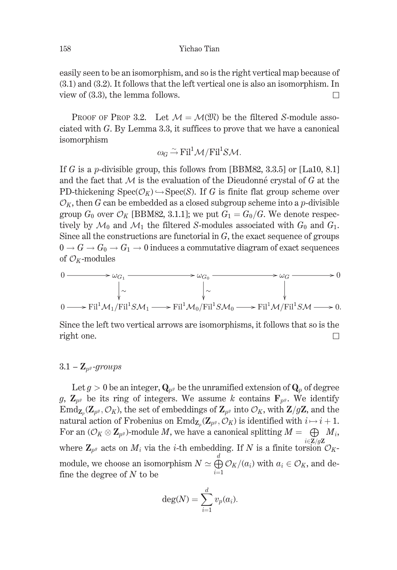easily seen to be an isomorphism, and so is the right vertical map because of  $(3.1)$  and  $(3.2)$ . It follows that the left vertical one is also an isomorphism. In view of  $(3.3)$ , the lemma follows. П

**PROOF OF PROP 3.2.** Let  $\mathcal{M} = \mathcal{M}(\mathcal{M})$  be the filtered S-module associated with  $G$ . By Lemma 3.3, it suffices to prove that we have a canonical isomorphism

$$
\omega_G \stackrel{\sim}{\rightarrow} \mathrm{Fil}^1 \mathcal{M}/\mathrm{Fil}^1 S \mathcal{M}.
$$

If G is a p-divisible group, this follows from [BBM82, 3.3.5] or [La10, 8.1] and the fact that  $M$  is the evaluation of the Dieudonné crystal of  $G$  at the PD-thickening  $Spec(\mathcal{O}_K) \hookrightarrow Spec(S)$ . If G is finite flat group scheme over  $\mathcal{O}_K$ , then G can be embedded as a closed subgroup scheme into a p-divisible group  $G_0$  over  $\mathcal{O}_K$  [BBM82, 3.1.1]; we put  $G_1 = G_0/G$ . We denote respectively by  $\mathcal{M}_0$  and  $\mathcal{M}_1$  the filtered S-modules associated with  $G_0$  and  $G_1$ . Since all the constructions are functorial in  $G$ , the exact sequence of groups  $0 \to G \to G_0 \to G_1 \to 0$  induces a commutative diagram of exact sequences of  $\mathcal{O}_K$ -modules

$$
0 \longrightarrow \omega_{G_1} \longrightarrow \omega_{G_0} \longrightarrow \omega_G \longrightarrow 0
$$
  
\n
$$
\downarrow \sim \qquad \qquad \downarrow \sim \qquad \qquad \downarrow
$$
  
\n
$$
0 \longrightarrow \text{Fil}^1 \mathcal{M}_1/\text{Fil}^1 S \mathcal{M}_1 \longrightarrow \text{Fil}^1 \mathcal{M}_0/\text{Fil}^1 S \mathcal{M}_0 \longrightarrow \text{Fil}^1 \mathcal{M}/\text{Fil}^1 S \mathcal{M} \longrightarrow 0.
$$

Since the left two vertical arrows are isomorphisms, it follows that so is the right one.  $\Box$ 

## $3.1 - \mathbf{Z}_{p^g}$ -groups

Let  $g > 0$  be an integer,  $\mathbf{Q}_{p^g}$  be the unramified extension of  $\mathbf{Q}_p$  of degree g,  $\mathbb{Z}_{p^g}$  be its ring of integers. We assume k contains  $\mathbf{F}_{p^g}$ . We identify  $\text{End}_{\mathbf{Z}_p}(\mathbf{Z}_{p^g}, \mathcal{O}_K)$ , the set of embeddings of  $\mathbf{Z}_{p^g}$  into  $\mathcal{O}_K$ , with  $\mathbf{Z}/g\mathbf{Z}$ , and the natural action of Frobenius on  $\text{End}_{\mathbf{Z}_p}(\mathbf{Z}_{p^g}, \mathcal{O}_K)$  is identified with  $i \mapsto i+1$ . For an  $(\mathcal{O}_K \otimes \mathbb{Z}_{p^g})$ -module M, we have a canonical splitting  $M = \bigoplus M_i$ ,  $i \in \mathbb{Z}/q\mathbb{Z}$ where  $\mathbf{Z}_{p^g}$  acts on  $M_i$  via the *i*-th embedding. If N is a finite torsion  $\mathcal{O}_K$ module, we choose an isomorphism  $N \simeq \bigoplus_{i=1}^n \mathcal{O}_K/(a_i)$  with  $a_i \in \mathcal{O}_K$ , and define the degree of  $N$  to be

$$
\deg(N) = \sum_{i=1}^d v_p(a_i).
$$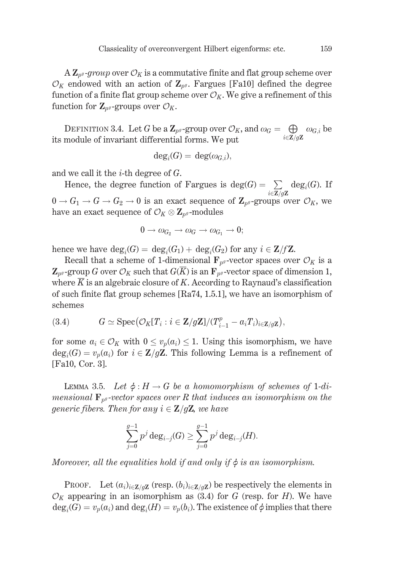$A\mathbf{Z}_{p^g}$ -group over  $\mathcal{O}_K$  is a commutative finite and flat group scheme over  $\mathcal{O}_K$  endowed with an action of  $\mathbb{Z}_{n^g}$ . Fargues [Fa10] defined the degree function of a finite flat group scheme over  $\mathcal{O}_K$ . We give a refinement of this function for  $\mathbf{Z}_{p^g}$ -groups over  $\mathcal{O}_K$ .

DEFINITION 3.4. Let G be a  $\mathbb{Z}_{p^g}$ -group over  $\mathcal{O}_K$ , and  $\omega_G = \bigoplus_{i \in \mathbb{Z}/g\mathbb{Z}} \omega_{G,i}$  be its module of invariant differential forms. We put

$$
\deg_i(G) = \deg(\omega_{G,i}),
$$

and we call it the  $i$ -th degree of  $G$ .

Hence, the degree function of Fargues is deg(G) =  $\sum_{i \in \mathbb{Z}/q\mathbb{Z}}$  deg<sub>i</sub>(G). If  $0 \to G_1 \to G \to G_2 \to 0$  is an exact sequence of  $\mathbb{Z}_{p^g}$ -groups over  $\mathcal{O}_K$ , we have an exact sequence of  $\mathcal{O}_K \otimes \mathbf{Z}_{p^g}$ -modules

$$
0 \to \omega_{G_2} \to \omega_G \to \omega_{G_1} \to 0;
$$

hence we have  $\deg_i(G) = \deg_i(G_1) + \deg_i(G_2)$  for any  $i \in \mathbb{Z}/f\mathbb{Z}$ .

Recall that a scheme of 1-dimensional  $\mathbf{F}_{p^g}$ -vector spaces over  $\mathcal{O}_K$  is a  $\mathbf{Z}_{p^g}$ -group G over  $\mathcal{O}_K$  such that  $G(\overline{K})$  is an  $\mathbf{F}_{p^g}$ -vector space of dimension 1, where  $\overline{K}$  is an algebraic closure of K. According to Raynaud's classification of such finite flat group schemes  $[Ra74, 1.5.1]$ , we have an isomorphism of schemes

(3.4) 
$$
G \simeq \operatorname{Spec}(\mathcal{O}_K[T_i : i \in \mathbb{Z}/g\mathbb{Z}]/(T_{i-1}^p - a_iT_i)_{i \in \mathbb{Z}/g\mathbb{Z}}),
$$

for some  $a_i \in \mathcal{O}_K$  with  $0 \leq v_p(a_i) \leq 1$ . Using this isomorphism, we have  $deg_i(G) = v_p(a_i)$  for  $i \in \mathbb{Z}/g\mathbb{Z}$ . This following Lemma is a refinement of [Fa10, Cor. 3].

LEMMA 3.5. Let  $\phi: H \to G$  be a homomorphism of schemes of 1-dimensional  $\mathbf{F}_{p^g}$ -vector spaces over R that induces an isomorphism on the generic fibers. Then for any  $i \in \mathbb{Z}/g\mathbb{Z}$ , we have

$$
\sum_{j=0}^{g-1} p^j \deg_{i-j}(G) \geq \sum_{j=0}^{g-1} p^j \deg_{i-j}(H).
$$

Moreover, all the equalities hold if and only if  $\phi$  is an isomorphism.

PROOF. Let  $(a_i)_{i \in \mathbb{Z}/g\mathbb{Z}}$  (resp.  $(b_i)_{i \in \mathbb{Z}/g\mathbb{Z}}$ ) be respectively the elements in  $\mathcal{O}_K$  appearing in an isomorphism as (3.4) for G (resp. for H). We have  $deg_i(G) = v_p(a_i)$  and  $deg_i(H) = v_p(b_i)$ . The existence of  $\phi$  implies that there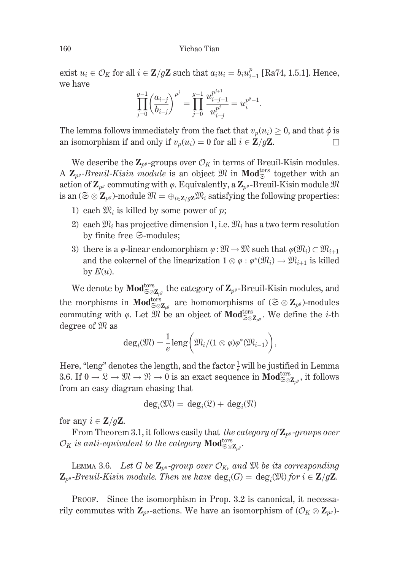exist  $u_i \in \mathcal{O}_K$  for all  $i \in \mathbb{Z}/g\mathbb{Z}$  such that  $a_i u_i = b_i u_{i-1}^p$  [Ra74, 1.5.1]. Hence, we have

$$
\prod_{j=0}^{g-1} \left( \frac{a_{i-j}}{b_{i-j}} \right)^{p^j} = \prod_{j=0}^{g-1} \frac{u_{i-j-1}^{p^{j+1}}}{u_{i-j}^{p^j}} = u_i^{p^g-1}.
$$

The lemma follows immediately from the fact that  $v_n(u_i) \geq 0$ , and that  $\phi$  is an isomorphism if and only if  $v_p(u_i) = 0$  for all  $i \in \mathbb{Z}/g\mathbb{Z}$ . П

We describe the  $\mathbb{Z}_{p^g}$ -groups over  $\mathcal{O}_K$  in terms of Breuil-Kisin modules. A  $\mathbb{Z}_{p^g}$ -Breuil-Kisin module is an object  $\mathfrak{M}$  in Mod<sup>tors</sup> together with an action of  $\mathbf{Z}_{p^g}$  commuting with  $\varphi$ . Equivalently, a  $\mathbf{Z}_{p^g}$ -Breuil-Kisin module  $\mathfrak{M}$ is an  $(\mathfrak{S} \otimes \mathbf{Z}_{p^g})$ -module  $\mathfrak{M} = \bigoplus_{i \in \mathbf{Z}/q\mathbf{Z}} \mathfrak{M}_i$  satisfying the following properties:

- 1) each  $\mathfrak{M}_i$  is killed by some power of p;
- 2) each  $\mathfrak{M}_i$  has projective dimension 1, i.e.  $\mathfrak{M}_i$  has a two term resolution by finite free  $\mathfrak{S}\text{-modules}$ :
- 3) there is a  $\varphi$ -linear endomorphism  $\varphi : \mathfrak{M} \to \mathfrak{M}$  such that  $\varphi(\mathfrak{M}_i) \subset \mathfrak{M}_{i+1}$ and the cokernel of the linearization  $1 \otimes \varphi : \varphi^*(\mathfrak{M}_i) \to \mathfrak{M}_{i+1}$  is killed by  $E(u)$ .

We denote by  $\mathbf{Mod}_{\mathcal{Z}\otimes \mathbf{Z}_{\text{ref}}}^{\text{tors}}$  the category of  $\mathbf{Z}_{p^g}$ -Breuil-Kisin modules, and the morphisms in  $\mathbf{Mod}_{\mathcal{Z}\otimes \mathbf{Z}_{p^g}}^{\text{tors}}$  are homomorphisms of  $(\mathcal{Z}\otimes \mathbf{Z}_{p^g})$ -modules commuting with  $\varphi$ . Let  $\mathfrak{M}$  be an object of **Mod**<sup>tors</sup><sub> $\tilde{\otimes} \otimes \mathbb{Z}_{\alpha}$ . We define the *i*-th</sub> degree of  $\mathfrak{M}$  as

$$
\deg_i(\mathfrak{M}) = \frac{1}{e} \operatorname{leng} \bigg( \mathfrak{M}_i / (1 \otimes \varphi) \varphi^*(\mathfrak{M}_{i-1}) \bigg),
$$

Here, "leng" denotes the length, and the factor  $\frac{1}{e}$  will be justified in Lemma 3.6. If  $0 \to \mathfrak{L} \to \mathfrak{M} \to \mathfrak{N} \to 0$  is an exact sequence in **Mod**<sup>tors</sup><sub> $\mathcal{Z}_{\varnothing}$ </sub> it follows from an easy diagram chasing that

$$
\deg_i(\mathfrak{M}) = \deg_i(\mathfrak{L}) + \deg_i(\mathfrak{N})
$$

for any  $i \in \mathbb{Z}/q\mathbb{Z}$ .

From Theorem 3.1, it follows easily that the category of  $\mathbb{Z}_{p^g}$ -groups over  $\mathcal{O}_K$  is anti-equivalent to the category  $\mathbf{Mod}_{\mathcal{Z} \otimes \mathbf{Z}_{\mathcal{A}}}^{\text{tors}}$ .

LEMMA 3.6. Let G be  $\mathbb{Z}_{p^g}$ -group over  $\mathcal{O}_K$ , and  $\mathfrak{M}$  be its corresponding  $\mathbf{Z}_{p^g}$ -Breuil-Kisin module. Then we have  $\text{deg}_i(G) = \text{deg}_i(\mathfrak{M})$  for  $i \in \mathbf{Z}/g\mathbf{Z}$ .

PROOF. Since the isomorphism in Prop. 3.2 is canonical, it necessarily commutes with  $\mathbf{Z}_{p^g}$ -actions. We have an isomorphism of  $(\mathcal{O}_K \otimes \mathbf{Z}_{p^g})$ -

160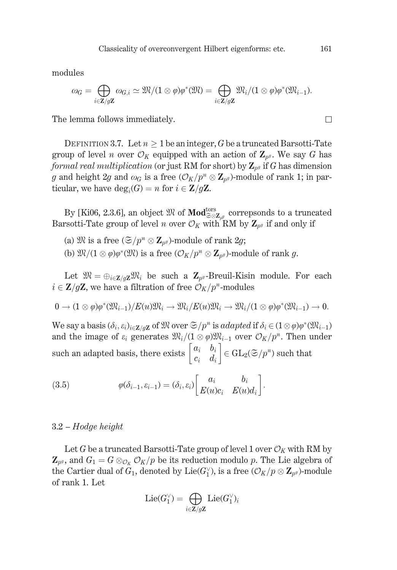modules

$$
\omega_G = \bigoplus_{i \in \mathbf{Z}/g\mathbf{Z}} \omega_{G,i} \simeq \mathfrak{M}/(1 \otimes \varphi)\varphi^*(\mathfrak{M}) = \bigoplus_{i \in \mathbf{Z}/g\mathbf{Z}} \mathfrak{M}_i/(1 \otimes \varphi)\varphi^*(\mathfrak{M}_{i-1}).
$$

The lemma follows immediately.

DEFINITION 3.7. Let  $n \geq 1$  be an integer, G be a truncated Barsotti-Tate group of level *n* over  $\mathcal{O}_K$  equipped with an action of  $\mathbb{Z}_{p^g}$ . We say G has formal real multiplication (or just RM for short) by  $\mathbb{Z}_{p^g}$  if G has dimension g and height 2g and  $\omega_G$  is a free  $(\mathcal{O}_K/p^n \otimes \mathbb{Z}_{p^g})$ -module of rank 1; in particular, we have  $deg_i(G) = n$  for  $i \in \mathbb{Z}/g\mathbb{Z}$ .

By [Ki06, 2.3.6], an object  $\mathfrak{M}$  of  $\mathbf{Mod}_{\mathcal{Z}\otimes \mathbf{Z}_{nd}}^{\text{tors}}$  correpsonds to a truncated Barsotti-Tate group of level *n* over  $\mathcal{O}_K$  with RM by  $\mathbf{Z}_{p^g}$  if and only if

- (a)  $\mathfrak{M}$  is a free  $(\mathfrak{S}/p^n \otimes \mathbf{Z}_{p^g})$ -module of rank  $2g$ ;
- (b)  $\mathfrak{M}/(1 \otimes \varphi)\varphi^*(\mathfrak{M})$  is a free  $(\mathcal{O}_K/p^n \otimes \mathbf{Z}_{n\vartheta})$ -module of rank  $q$ .

Let  $\mathfrak{M} = \bigoplus_{i \in \mathbb{Z}/g\mathbb{Z}} \mathfrak{M}_i$  be such a  $\mathbb{Z}_{p^g}$ -Breuil-Kisin module. For each  $i \in \mathbb{Z}/g\mathbb{Z}$ , we have a filtration of free  $\mathcal{O}_K/p^n$ -modules

$$
0 \to (1 \otimes \varphi)\varphi^*(\mathfrak{M}_{i-1})/E(u)\mathfrak{M}_i \to \mathfrak{M}_i/E(u)\mathfrak{M}_i \to \mathfrak{M}_i/(1 \otimes \varphi)\varphi^*(\mathfrak{M}_{i-1}) \to 0.
$$

We say a basis  $(\delta_i, \varepsilon_i)_{i \in \mathbb{Z}/q\mathbb{Z}}$  of  $\mathfrak{M}$  over  $\mathfrak{S}/p^n$  is adapted if  $\delta_i \in (1 \otimes \varphi)\varphi^*(\mathfrak{M}_{i-1})$ and the image of  $\varepsilon_i$  generates  $\mathfrak{M}_i/(1 \otimes \varphi) \mathfrak{M}_{i-1}$  over  $\mathcal{O}_K/p^n$ . Then under such an adapted basis, there exists  $\begin{bmatrix} a_i & b_i \\ c_i & d_i \end{bmatrix} \in GL_2(\mathfrak{S}/p^n)$  such that

(3.5) 
$$
\varphi(\delta_{i-1}, \varepsilon_{i-1}) = (\delta_i, \varepsilon_i) \begin{bmatrix} a_i & b_i \\ E(u)c_i & E(u)d_i \end{bmatrix}.
$$

## $3.2 - Hodge height$

Let G be a truncated Barsotti-Tate group of level 1 over  $\mathcal{O}_K$  with RM by  $\mathbf{Z}_{p^g}$ , and  $G_1 = G \otimes_{\mathcal{O}_K} \mathcal{O}_K/p$  be its reduction modulo p. The Lie algebra of the Cartier dual of  $G_1$ , denoted by Lie( $G_1^{\vee}$ ), is a free ( $\mathcal{O}_K/p \otimes \mathbb{Z}_{p^g}$ )-module of rank 1. Let

$$
\mathrm{Lie}(G_1^\vee)=\bigoplus_{i\in \mathbf{Z}/g\mathbf{Z}}\mathrm{Lie}(G_1^\vee)_i
$$

161

 $\Box$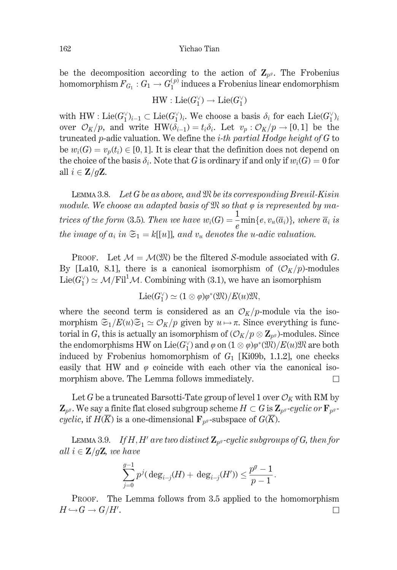be the decomposition according to the action of  $\mathbb{Z}_{n^g}$ . The Frobenius homomorphism  $F_{G_1}: G_1 \to G_1^{(p)}$  induces a Frobenius linear endomorphism

 $HW: Lie(G_1^{\vee}) \rightarrow Lie(G_1^{\vee})$ 

with HW : Lie(G'<sub>1</sub>)<sub>i-1</sub>  $\subset$  Lie(G'<sub>1</sub>)<sub>i</sub>. We choose a basis  $\delta_i$  for each Lie(G'<sub>1</sub>)<sub>i</sub> over  $\mathcal{O}_K/p$ , and write HW( $\delta_{i-1}$ ) =  $t_i\delta_i$ . Let  $v_p : \mathcal{O}_K/p \to [0,1]$  be the truncated p-adic valuation. We define the *i-th partial Hodge height of G* to be  $w_i(G) = v_p(t_i) \in [0,1]$ . It is clear that the definition does not depend on the choice of the basis  $\delta_i$ . Note that G is ordinary if and only if  $w_i(G) = 0$  for all  $i \in \mathbb{Z}/g\mathbb{Z}$ .

LEMMA 3.8. Let  $G$  be as above, and  $\mathfrak M$  be its corresponding Breuil-Kisin module. We choose an adapted basis of  $\mathfrak M$  so that  $\varphi$  is represented by matrices of the form (3.5). Then we have  $w_i(G) = \frac{1}{e} \min\{e, v_u(\overline{a}_i)\},$  where  $\overline{a}_i$  is the image of  $a_i$  in  $\mathfrak{S}_1 = k[[u]]$ , and  $v_u$  denotes the u-adic valuation.

**PROOF.** Let  $M = \mathcal{M}(\mathfrak{M})$  be the filtered S-module associated with G. By [La10, 8.1], there is a canonical isomorphism of  $(\mathcal{O}_K/p)$ -modules  $Lie(G_1^{\vee}) \simeq \mathcal{M}/\mathrm{Fil}^1 \mathcal{M}$ . Combining with (3.1), we have an isomorphism

$$
\mathrm{Lie}(G_1^\vee) \simeq (1 \otimes \varphi)\varphi^*(\mathfrak{M})/E(u)\mathfrak{M},
$$

where the second term is considered as an  $\mathcal{O}_K/p$ -module via the isomorphism  $\mathfrak{S}_1/E(u)\mathfrak{S}_1 \simeq \mathcal{O}_K/p$  given by  $u \mapsto \pi$ . Since everything is functorial in G, this is actually an isomorphism of  $(\mathcal{O}_K/p \otimes \mathbb{Z}_{p^g})$ -modules. Since the endomorphisms HW on Lie(G'<sub>1</sub>) and  $\varphi$  on  $(1 \otimes \varphi)\varphi^*(\mathfrak{M})/E(u)\mathfrak{M}$  are both induced by Frobenius homomorphism of  $G_1$  [Ki09b, 1.1.2], one checks easily that HW and  $\varphi$  coincide with each other via the canonical isomorphism above. The Lemma follows immediately.  $\Box$ 

Let G be a truncated Barsotti-Tate group of level 1 over  $\mathcal{O}_K$  with RM by  $\mathbf{Z}_{p^g}$ . We say a finite flat closed subgroup scheme  $H \subset G$  is  $\mathbf{Z}_{p^g}$ -cyclic or  $\mathbf{F}_{p^g}$ cyclic, if  $H(K)$  is a one-dimensional  $\mathbf{F}_{p^g}$ -subspace of  $G(K)$ .

LEMMA 3.9. If H, H' are two distinct  $\mathbb{Z}_{p^g}$ -cyclic subgroups of G, then for all  $i \in \mathbb{Z}/g\mathbb{Z}$ , we have

$$
\sum_{j=0}^{g-1} p^j (\deg_{i-j}(H) + \deg_{i-j}(H')) \leq \frac{p^g-1}{p-1}.
$$

PROOF. The Lemma follows from 3.5 applied to the homomorphism  $H \hookrightarrow G \rightarrow G/H'.$  $\Box$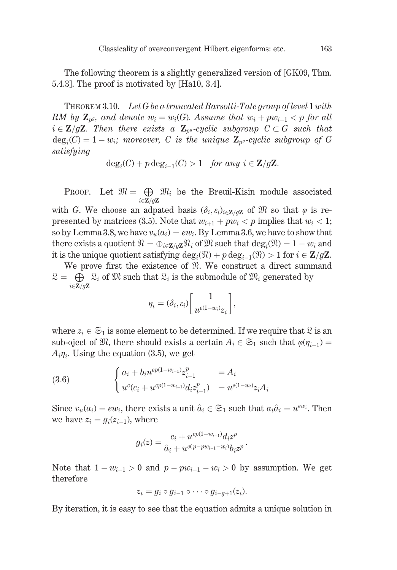The following theorem is a slightly generalized version of [GK09, Thm. 5.4.3. The proof is motivated by [Ha10, 3.4].

**THEOREM 3.10.** Let G be a truncated Barsotti-Tate group of level 1 with RM by  $\mathbb{Z}_{p^g}$ , and denote  $w_i = w_i(G)$ . Assume that  $w_i + pw_{i-1} < p$  for all  $i \in \mathbb{Z}/g\mathbb{Z}$ . Then there exists a  $\mathbb{Z}_{p^g}$ -cyclic subgroup  $C \subset G$  such that  $deg_i(C) = 1 - w_i$ ; moreover, C is the unique  $\mathbb{Z}_{p^g}$ -cyclic subgroup of G satisfying

$$
\deg_i(C) + p \deg_{i-1}(C) > 1 \quad \text{for any } i \in \mathbb{Z}/g\mathbb{Z}.
$$

PROOF. Let  $\mathfrak{M} = \bigoplus \mathfrak{M}_i$  be the Breuil-Kisin module associated  $i \in \mathbb{Z}/q\mathbb{Z}$ 

with G. We choose an adpated basis  $(\delta_i, \varepsilon_i)_{i \in \mathbb{Z}/q\mathbb{Z}}$  of  $\mathbb{R}$  so that  $\varphi$  is represented by matrices (3.5). Note that  $w_{i+1} + pw_i < p$  implies that  $w_i < 1$ ; so by Lemma 3.8, we have  $v_u(a_i) = ew_i$ . By Lemma 3.6, we have to show that there exists a quotient  $\mathfrak{N} = \bigoplus_{i \in \mathbf{Z}/q\mathbf{Z}} \mathfrak{N}_i$  of  $\mathfrak{M}$  such that  $\deg_i(\mathfrak{N}) = 1 - w_i$  and it is the unique quotient satisfying  $deg_i(\mathfrak{N}) + p \deg_{i-1}(\mathfrak{N}) > 1$  for  $i \in \mathbb{Z}/g\mathbb{Z}$ .

We prove first the existence of  $\mathcal{R}$ . We construct a direct summand  $\mathcal{Q} = \bigoplus \mathcal{Q}_i$  of  $\mathcal{R}$  such that  $\mathcal{Q}_i$  is the submodule of  $\mathcal{R}_i$  generated by  $i \in \mathbb{Z}/g\mathbb{Z}$ 

$$
\eta_i = (\delta_i, \varepsilon_i) \bigg[\frac{1}{u^{e(1-w_i)}z_i}\bigg],
$$

where  $z_i \in \mathfrak{S}_1$  is some element to be determined. If we require that  $\mathfrak{L}$  is an sub-oject of  $\mathfrak{M}$ , there should exists a certain  $A_i \in \mathfrak{S}_1$  such that  $\varphi(\eta_{i-1}) =$  $A_i\eta_i$ . Using the equation (3.5), we get

(3.6) 
$$
\begin{cases} a_i + b_i u^{ep(1-w_{i-1})} z_{i-1}^p = A_i \\ u^e(c_i + u^{ep(1-w_{i-1})} d_i z_{i-1}^p) = u^{e(1-w_i)} z_i A_i \end{cases}
$$

Since  $v_u(a_i) = ew_i$ , there exists a unit  $\hat{a}_i \in \mathfrak{S}_1$  such that  $a_i\hat{a}_i = u^{ew_i}$ . Then we have  $z_i = g_i(z_{i-1})$ , where

$$
g_i(z)=\frac{c_i+u^{ep(1-w_{i-1})}d_iz^p}{\hat{a}_i+u^{e(p-pw_{i-1}-w_i)}b_iz^p}.
$$

Note that  $1 - w_{i-1} > 0$  and  $p - pw_{i-1} - w_i > 0$  by assumption. We get therefore

$$
z_i = g_i \circ g_{i-1} \circ \cdots \circ g_{i-g+1}(z_i).
$$

By iteration, it is easy to see that the equation admits a unique solution in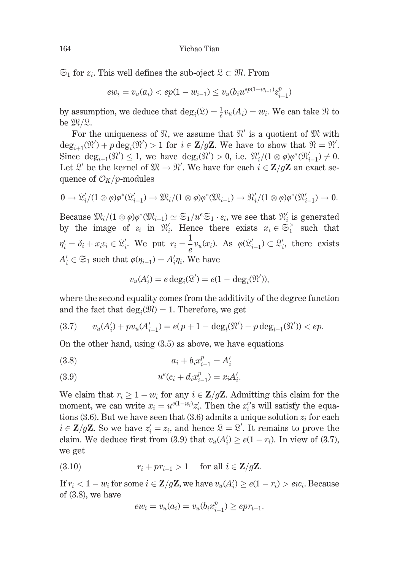$\mathfrak{S}_1$  for  $z_i$ . This well defines the sub-oject  $\mathfrak{L} \subset \mathfrak{M}$ . From

$$
ew_i = v_u(a_i) < ep(1 - w_{i-1}) \le v_u(b_i u^{ep(1 - w_{i-1})} z_{i-1}^p)
$$

by assumption, we deduce that  $\deg_i(\mathfrak{L}) = \frac{1}{e}v_u(A_i) = w_i$ . We can take  $\mathfrak{R}$  to be  $\mathfrak{M}/\mathfrak{L}$ .

For the uniqueness of  $\mathcal{R}$ , we assume that  $\mathcal{R}'$  is a quotient of  $\mathcal{R}$  with  $\deg_{i+1}(\mathfrak{N}') + p \deg_i(\mathfrak{N}') > 1$  for  $i \in \mathbb{Z}/g\mathbb{Z}$ . We have to show that  $\mathfrak{N} = \mathfrak{N}'$ . Since  $\deg_{i+1}(\mathfrak{N}') \leq 1$ , we have  $\deg_i(\mathfrak{N}') > 0$ , i.e.  $\mathfrak{N}'_i/(1 \otimes \varphi)\varphi^*(\mathfrak{N}'_{i-1}) \neq 0$ . Let  $\mathcal{R}'$  be the kernel of  $\mathfrak{M} \to \mathfrak{N}'$ . We have for each  $i \in \mathbb{Z}/g\mathbb{Z}$  an exact sequence of  $\mathcal{O}_K/p$ -modules

$$
0 \to \mathfrak{L}'_i/(1 \otimes \varphi)\varphi^*(\mathfrak{L}'_{i-1}) \to \mathfrak{M}_i/(1 \otimes \varphi)\varphi^*(\mathfrak{M}_{i-1}) \to \mathfrak{M}'_i/(1 \otimes \varphi)\varphi^*(\mathfrak{M}'_{i-1}) \to 0.
$$

Because  $\mathfrak{M}_i/(1 \otimes \varphi)\varphi^*(\mathfrak{M}_{i-1}) \simeq \mathfrak{S}_1/u^e\mathfrak{S}_1 \cdot \varepsilon_i$ , we see that  $\mathfrak{N}'_i$  is generated by the image of  $\varepsilon_i$  in  $\mathfrak{N}'_i$ . Hence there exists  $x_i \in \mathfrak{S}_1^{\times}$  such that  $\eta'_i = \delta_i + x_i \varepsilon_i \in \mathfrak{L}'_i$ . We put  $r_i = \frac{1}{e} v_u(x_i)$ . As  $\varphi(\mathfrak{L}'_{i-1}) \subset \mathfrak{L}'_i$ , there exists  $A'_i \in \mathfrak{S}_1$  such that  $\varphi(\eta_{i-1}) = A'_i \eta_i$ . We have

$$
v_u(A'_i) = e \deg_i(\mathfrak{L}') = e(1 - \deg_i(\mathfrak{N}')),
$$

where the second equality comes from the additivity of the degree function and the fact that  $deg_i(\mathfrak{M}) = 1$ . Therefore, we get

$$
(3.7) \t v_u(A'_i) + pv_u(A'_{i-1}) = e(p+1-\deg_i(\mathfrak{R}') - p \deg_{i-1}(\mathfrak{R}')) < ep.
$$

On the other hand, using  $(3.5)$  as above, we have equations

(3.8) 
$$
a_i + b_i x_{i-1}^p = A'_i
$$

(3.9) 
$$
u^{e}(c_i + d_i x_{i-1}^{p}) = x_i A'_i.
$$

We claim that  $r_i \geq 1 - w_i$  for any  $i \in \mathbb{Z}/g\mathbb{Z}$ . Admitting this claim for the moment, we can write  $x_i = u^{e(1-w_i)}z'_i$ . Then the  $z''_i$ s will satisfy the equations (3.6). But we have seen that (3.6) admits a unique solution  $z_i$  for each  $i \in \mathbb{Z}/g\mathbb{Z}$ . So we have  $z_i' = z_i$ , and hence  $\mathcal{L} = \mathcal{L}'$ . It remains to prove the claim. We deduce first from (3.9) that  $v_u(A'_i) \ge e(1 - r_i)$ . In view of (3.7), we get

$$
(3.10) \t\t r_i + pr_{i-1} > 1 \t\t for all  $i \in \mathbb{Z}/g\mathbb{Z}$ .
$$

If  $r_i < 1 - w_i$  for some  $i \in \mathbb{Z}/g\mathbb{Z}$ , we have  $v_u(A_i') \ge e(1 - r_i) > ew_i$ . Because of  $(3.8)$ , we have

$$
ew_i = v_u(a_i) = v_u(b_ix_{i-1}^p) \ge epr_{i-1}.
$$

164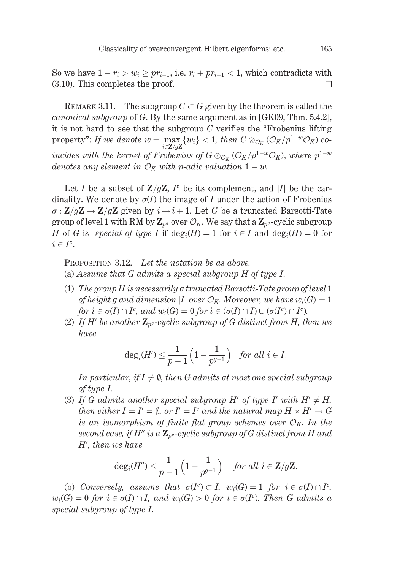So we have  $1 - r_i > w_i \geq pr_{i-1}$ , i.e.  $r_i + pr_{i-1} < 1$ , which contradicts with  $(3.10)$ . This completes the proof.  $\Box$ 

REMARK 3.11. The subgroup  $C \subset G$  given by the theorem is called the *canonical subgroup* of G. By the same argument as in [GK09, Thm.  $5.4.2$ ], it is not hard to see that the subgroup  $C$  verifies the "Frobenius lifting property": If we denote  $w = \max_{i \in \mathbf{Z}/g\mathbf{Z}} \{w_i\} < 1$ , then  $C \otimes_{\mathcal{O}_K} (\mathcal{O}_K/p^{1-w}\mathcal{O}_K)$  coincides with the kernel of Frobenius of  $G \otimes_{\mathcal{O}_K} (\mathcal{O}_K/p^{1-w}\mathcal{O}_K)$ , where  $p^{1-w}$ denotes any element in  $\mathcal{O}_K$  with p-adic valuation  $1 - w$ .

Let I be a subset of  $\mathbb{Z}/q\mathbb{Z}$ , I<sup>c</sup> be its complement, and |I| be the cardinality. We denote by  $\sigma(I)$  the image of I under the action of Frobenius  $\sigma$ :  $\mathbb{Z}/g\mathbb{Z} \to \mathbb{Z}/g\mathbb{Z}$  given by  $i \mapsto i+1$ . Let G be a truncated Barsotti-Tate group of level 1 with RM by  $\mathbb{Z}_{p^g}$  over  $\mathcal{O}_K$ . We say that a  $\mathbb{Z}_{p^g}$ -cyclic subgroup H of G is special of type I if  $deg_i(H) = 1$  for  $i \in I$  and  $deg_i(H) = 0$  for  $i \in I^c$ .

PROPOSITION 3.12. Let the notation be as above. (a) Assume that  $G$  admits a special subgroup  $H$  of type  $I$ .

- (1) The group  $H$  is necessarily a truncated Barsotti-Tate group of level 1 of height g and dimension |I| over  $\mathcal{O}_K$ . Moreover, we have  $w_i(G) = 1$ for  $i \in \sigma(I) \cap I^c$ , and  $w_i(G) = 0$  for  $i \in (\sigma(I) \cap I) \cup (\sigma(I^c) \cap I^c)$ .
- (2) If H' be another  $\mathbf{Z}_{p}$ -cyclic subgroup of G distinct from H, then we have

$$
\deg_i(H') \le \frac{1}{p-1}\left(1 - \frac{1}{p^{g-1}}\right) \quad \text{for all } i \in I.
$$

In particular, if  $I \neq \emptyset$ , then G admits at most one special subgroup of type  $I$ .

(3) If G admits another special subgroup H' of type I' with  $H' \neq H$ , then either  $I = I' = \emptyset$ , or  $I' = I^c$  and the natural map  $H \times H' \to G$ is an isomorphism of finite flat group schemes over  $\mathcal{O}_K$ . In the second case, if  $H''$  is a  $\mathbb{Z}_{p^g}$ -cyclic subgroup of G distinct from H and  $H'$ , then we have

$$
\deg_i(H'') \leq \frac{1}{p-1}\left(1-\frac{1}{p^{g-1}}\right) \quad \text{for all } i \in \mathbf{Z}/g\mathbf{Z}.
$$

(b) Conversely, assume that  $\sigma(I^c) \subset I$ ,  $w_i(G) = 1$  for  $i \in \sigma(I) \cap I^c$ ,  $w_i(G) = 0$  for  $i \in \sigma(I) \cap I$ , and  $w_i(G) > 0$  for  $i \in \sigma(I^c)$ . Then G admits a special subgroup of type I.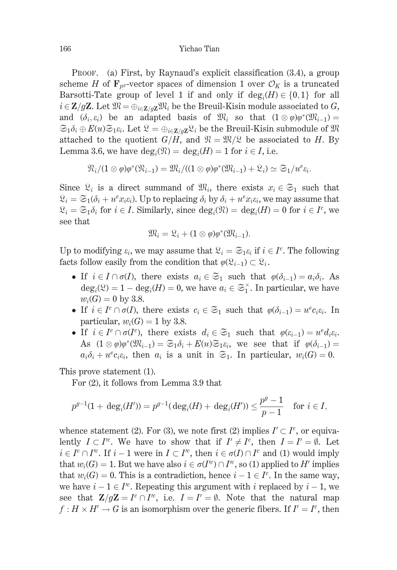PROOF. (a) First, by Raynaud's explicit classification (3.4), a group scheme H of  $\mathbf{F}_{n}$ -vector spaces of dimension 1 over  $\mathcal{O}_K$  is a truncated Barsotti-Tate group of level 1 if and only if  $deg_i(H) \in \{0,1\}$  for all  $i \in \mathbb{Z}/q\mathbb{Z}$ . Let  $\mathfrak{M} = \bigoplus_{i \in \mathbb{Z}/q\mathbb{Z}} \mathfrak{M}_i$  be the Breuil-Kisin module associated to G, and  $(\delta_i, \varepsilon_i)$  be an adapted basis of  $\mathfrak{M}_i$  so that  $(1 \otimes \varphi)\varphi^*(\mathfrak{M}_{i-1}) =$  $\mathfrak{S}_1\delta_i\oplus E(u)\mathfrak{S}_1\varepsilon_i$ . Let  $\mathfrak{L}=\bigoplus_{i\in\mathbf{Z}/q\mathbf{Z}}\mathfrak{L}_i$  be the Breuil-Kisin submodule of  $\mathfrak{M}$ attached to the quotient  $G/H$ , and  $\mathfrak{N} = \mathfrak{M}/\mathfrak{L}$  be associated to H. By Lemma 3.6, we have  $deg_i(\mathfrak{N}) = deg_i(H) = 1$  for  $i \in I$ , i.e.

$$
\mathfrak{N}_i/(1\otimes \varphi)\varphi^*(\mathfrak{N}_{i-1})=\mathfrak{M}_i/((1\otimes \varphi)\varphi^*(\mathfrak{M}_{i-1})+\mathfrak{L}_i)\simeq \mathfrak{S}_1/u^e \varepsilon_i.
$$

Since  $\mathcal{R}_i$  is a direct summand of  $\mathcal{R}_i$ , there exists  $x_i \in \mathfrak{S}_1$  such that  $\mathcal{Q}_i = \mathfrak{S}_1(\delta_i + u^e x_i \varepsilon_i)$ . Up to replacing  $\delta_i$  by  $\delta_i + u^e x_i \varepsilon_i$ , we may assume that  $\mathfrak{L}_i = \mathfrak{S}_1 \delta_i$  for  $i \in I$ . Similarly, since  $\deg_i(\mathfrak{N}) = \deg_i(H) = 0$  for  $i \in I^c$ , we see that

$$
\mathfrak{M}_i = \mathfrak{L}_i + (1 \otimes \varphi)\varphi^*(\mathfrak{M}_{i-1}).
$$

Up to modifying  $\varepsilon_i$ , we may assume that  $\mathcal{R}_i = \mathfrak{S}_1 \varepsilon_i$  if  $i \in I^c$ . The following facts follow easily from the condition that  $\varphi(\mathfrak{L}_{i-1}) \subset \mathfrak{L}_i$ .

- If  $i \in I \cap \sigma(I)$ , there exists  $a_i \in \mathfrak{S}_1$  such that  $\varphi(\delta_{i-1}) = a_i \delta_i$ . As  $\deg_i(\mathfrak{L}) = 1 - \deg_i(H) = 0$ , we have  $a_i \in \mathfrak{S}_1^{\times}$ . In particular, we have  $w_i(G) = 0$  by 3.8.
- If  $i \in I^c \cap \sigma(I)$ , there exists  $c_i \in \mathfrak{S}_1$  such that  $\varphi(\delta_{i-1}) = u^c c_i \varepsilon_i$ . In particular,  $w_i(G) = 1$  by 3.8.
- If  $i \in I^c \cap \sigma(I^c)$ , there exists  $d_i \in \mathfrak{S}_1$  such that  $\varphi(\varepsilon_{i-1}) = u^{\varepsilon} d_i \varepsilon_i$ . As  $(1 \otimes \varphi)\varphi^*(\mathfrak{M}_{i-1}) = \mathfrak{S}_1 \delta_i + E(u) \mathfrak{S}_1 \varepsilon_i$ , we see that if  $\varphi(\delta_{i-1}) =$  $a_i\delta_i + u^e c_i \varepsilon_i$ , then  $a_i$  is a unit in  $\mathfrak{S}_1$ . In particular,  $w_i(G) = 0$ .

This prove statement (1).

For (2), it follows from Lemma 3.9 that

$$
p^{g-1}(1+\deg_i(H'))=p^{g-1}(\deg_i(H)+\deg_i(H'))\leq \frac{p^g-1}{p-1}\quad\text{for $i\in I$},
$$

whence statement (2). For (3), we note first (2) implies  $I' \subset I^c$ , or equivalently  $I \subset I'^c$ . We have to show that if  $I' \neq I^c$ , then  $I = I' = \emptyset$ . Let  $i \in I^c \cap I'^c$ . If  $i-1$  were in  $I \subset I'^c$ , then  $i \in \sigma(I) \cap I^c$  and (1) would imply that  $w_i(G) = 1$ . But we have also  $i \in \sigma(I'^c) \cap I'^c$ , so (1) applied to H' implies that  $w_i(G) = 0$ . This is a contradiction, hence  $i - 1 \in I^c$ . In the same way, we have  $i-1 \in I'^c$ . Repeating this argument with i replaced by  $i-1$ , we see that  $\mathbf{Z}/g\mathbf{Z} = I^c \cap I^{c}$ , i.e.  $I = I' = \emptyset$ . Note that the natural map  $f: H \times H' \to G$  is an isomorphism over the generic fibers. If  $I' = I^c$ , then

166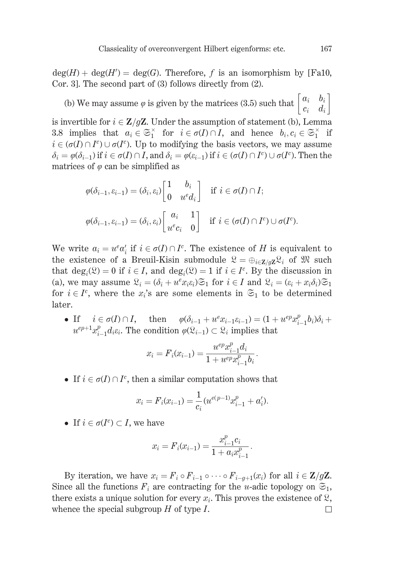$\text{deg}(H) + \text{deg}(H') = \text{deg}(G)$ . Therefore, f is an isomorphism by [Fa10, Cor. 3]. The second part of  $(3)$  follows directly from  $(2)$ .

(b) We may assume  $\varphi$  is given by the matrices (3.5) such that  $\begin{bmatrix} a_i & b_i \\ c_i & d_i \end{bmatrix}$ is invertible for  $i \in \mathbb{Z}/g\mathbb{Z}$ . Under the assumption of statement (b), Lemma 3.8 implies that  $a_i \in \mathfrak{S}_1^{\times}$  for  $i \in \sigma(I) \cap I$ , and hence  $b_i, c_i \in \mathfrak{S}_1^{\times}$  if  $i \in (\sigma(I) \cap I^c) \cup \sigma(I^c)$ . Up to modifying the basis vectors, we may assume  $\delta_i = \varphi(\delta_{i-1})$  if  $i \in \sigma(I) \cap I$ , and  $\delta_i = \varphi(\varepsilon_{i-1})$  if  $i \in (\sigma(I) \cap I^c) \cup \sigma(I^c)$ . Then the matrices of  $\varphi$  can be simplified as

$$
\varphi(\delta_{i-1}, \varepsilon_{i-1}) = (\delta_i, \varepsilon_i) \begin{bmatrix} 1 & b_i \\ 0 & u^e d_i \end{bmatrix} \quad \text{if } i \in \sigma(I) \cap I;
$$
  

$$
\varphi(\delta_{i-1}, \varepsilon_{i-1}) = (\delta_i, \varepsilon_i) \begin{bmatrix} a_i & 1 \\ u^e c_i & 0 \end{bmatrix} \quad \text{if } i \in (\sigma(I) \cap I^c) \cup \sigma(I^c)
$$

We write  $a_i = u^e a'_i$  if  $i \in \sigma(I) \cap I^c$ . The existence of H is equivalent to the existence of a Breuil-Kisin submodule  $\mathfrak{L} = \bigoplus_{i \in \mathbb{Z}/q\mathbb{Z}} \mathfrak{L}_i$  of  $\mathfrak{M}$  such that  $\deg_i(\mathfrak{L}) = 0$  if  $i \in I$ , and  $\deg_i(\mathfrak{L}) = 1$  if  $i \in I^c$ . By the discussion in (a), we may assume  $\mathcal{Q}_i = (\delta_i + u^e x_i \varepsilon_i) \mathfrak{S}_1$  for  $i \in I$  and  $\mathcal{Q}_i = (\varepsilon_i + x_i \delta_i) \mathfrak{S}_1$ for  $i \in I^c$ , where the  $x_i$ 's are some elements in  $\mathfrak{S}_1$  to be determined later.

• If  $i \in \sigma(I) \cap I$ , then  $\varphi(\delta_{i-1} + u^e x_{i-1} \varepsilon_{i-1}) = (1 + u^{ep} x_{i-1}^p b_i) \delta_i +$  $u^{ep+1}x_{i-1}^p d_i \varepsilon_i$ . The condition  $\varphi(\mathfrak{L}_{i-1}) \subset \mathfrak{L}_i$  implies that

$$
x_i = F_i(x_{i-1}) = \frac{u^{ep} x_{i-1}^p d_i}{1 + u^{ep} x_{i-1}^p b_i}
$$

• If  $i \in \sigma(I) \cap I^c$ , then a similar computation shows that

$$
x_i = F_i(x_{i-1}) = \frac{1}{c_i} (u^{e(p-1)} x_{i-1}^p + a'_i).
$$

• If  $i \in \sigma(I^c) \subset I$ , we have

$$
x_i = F_i(x_{i-1}) = \frac{x_{i-1}^{\mu}c_i}{1 + a_i x_{i-1}^{\mu}}
$$

By iteration, we have  $x_i = F_i \circ F_{i-1} \circ \cdots \circ F_{i-a+1}(x_i)$  for all  $i \in \mathbb{Z}/g\mathbb{Z}$ . Since all the functions  $F_i$  are contracting for the *u*-adic topology on  $\mathfrak{S}_1$ , there exists a unique solution for every  $x_i$ . This proves the existence of  $\mathcal{R}$ , whence the special subgroup  $H$  of type  $I$ .  $\Box$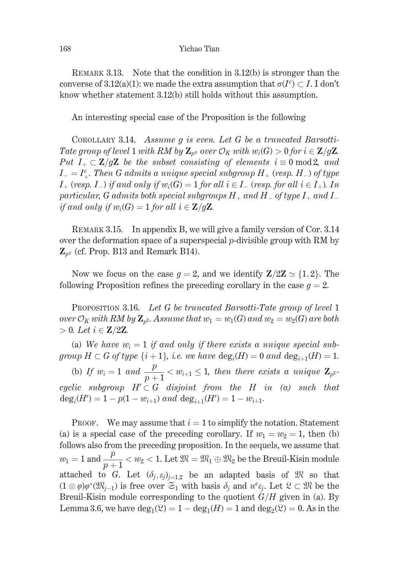REMARK 3.13. Note that the condition in  $3.12(b)$  is stronger than the converse of 3.12(a)(1): we made the extra assumption that  $\sigma(I^c) \subset I$ . I don't know whether statement 3.12(b) still holds without this assumption.

An interesting special case of the Proposition is the following

COROLLARY 3.14. Assume q is even. Let G be a truncated Barsotti-Tate group of level 1 with RM by  $\mathbb{Z}_{p^g}$  over  $\mathcal{O}_K$  with  $w_i(G) > 0$  for  $i \in \mathbb{Z}/g\mathbb{Z}$ . Put  $I_+ \subset \mathbb{Z}/g\mathbb{Z}$  be the subset consisting of elements  $i \equiv 0 \mod 2$ , and  $I_{-}=I_{+}^{c}$ . Then G admits a unique special subgroup  $H_{+}$  (resp. H<sub>-</sub>) of type  $I_{+}$  (resp.  $I_{-}$ ) if and only if  $w_i(G) = 1$  for all  $i \in I_{-}$  (resp. for all  $i \in I_{+}$ ). In particular, G admits both special subgroups  $H_+$  and  $H_-$  of type  $I_+$  and  $I_$ if and only if  $w_i(G) = 1$  for all  $i \in \mathbb{Z}/g\mathbb{Z}$ .

REMARK 3.15. In appendix B, we will give a family version of Cor. 3.14 over the deformation space of a superspecial  $p$ -divisible group with RM by  $\mathbf{Z}_{p^g}$  (cf. Prop. B13 and Remark B14).

Now we focus on the case  $q = 2$ , and we identify  $\mathbb{Z}/2\mathbb{Z} \simeq \{1,2\}$ . The following Proposition refines the preceding corollary in the case  $g = 2$ .

**PROPOSITION 3.16.** Let G be truncated Barsotti-Tate group of level 1 over  $\mathcal{O}_K$  with RM by  $\mathbb{Z}_{p^2}$ . Assume that  $w_1 = w_1(G)$  and  $w_2 = w_2(G)$  are both  $> 0.$  Let  $i \in \mathbb{Z}/2\mathbb{Z}$ .

(a) We have  $w_i = 1$  if and only if there exists a unique special subgroup  $H \subset G$  of type  $\{i+1\}$ , i.e. we have  $\deg_i(H) = 0$  and  $\deg_{i+1}(H) = 1$ .

(b) If  $w_i = 1$  and  $\frac{p}{p+1} < w_{i+1} \leq 1$ , then there exists a unique  $\mathbf{Z}_{p^2}$ . cyclic subgroup  $H' \subset G$  disjoint from the H in (a) such that  $deg_i(H') = 1 - p(1 - w_{i+1})$  and  $deg_{i+1}(H') = 1 - w_{i+1}$ .

**PROOF.** We may assume that  $i = 1$  to simplify the notation. Statement (a) is a special case of the preceding corollary. If  $w_1 = w_2 = 1$ , then (b) follows also from the preceding proposition. In the sequels, we assume that  $w_1 = 1$  and  $\frac{p}{p+1} < w_2 < 1$ . Let  $\mathfrak{M} = \mathfrak{M}_1 \oplus \mathfrak{M}_2$  be the Breuil-Kisin module attached to G. Let  $(\delta_j, \varepsilon_j)_{j=1,2}$  be an adapted basis of  $\mathfrak{M}$  so that  $(1 \otimes \varphi)\varphi^*(\mathfrak{M}_{i-1})$  is free over  $\mathfrak{S}_1$  with basis  $\delta_i$  and  $u^e\varepsilon_i$ . Let  $\mathfrak{L} \subset \mathfrak{M}$  be the Breuil-Kisin module corresponding to the quotient  $G/H$  given in (a). By Lemma 3.6, we have  $deg_1(\mathfrak{L}) = 1 - deg_1(H) = 1$  and  $deg_2(\mathfrak{L}) = 0$ . As in the

168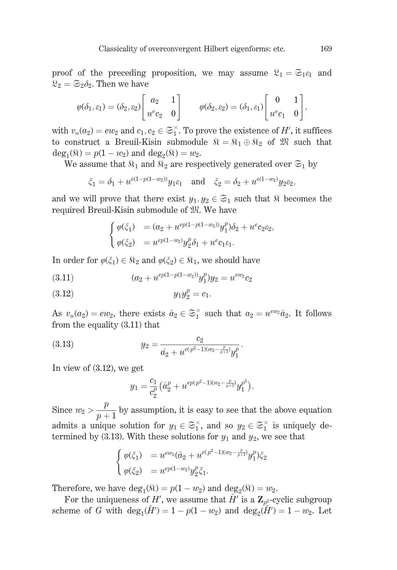proof of the preceding proposition, we may assume  $\mathfrak{L}_1 = \mathfrak{S}_{1\mathcal{E}_1}$  and  $\mathfrak{L}_2 = \mathfrak{S}_2 \delta_2$ . Then we have

$$
\varphi(\delta_1, \varepsilon_1) = (\delta_2, \varepsilon_2) \begin{bmatrix} a_2 & 1 \\ u^e c_2 & 0 \end{bmatrix} \qquad \varphi(\delta_2, \varepsilon_2) = (\delta_1, \varepsilon_1) \begin{bmatrix} 0 & 1 \\ u^e c_1 & 0 \end{bmatrix},
$$

with  $v_u(a_2) = ew_2$  and  $c_1, c_2 \in \mathfrak{S}_1^{\times}$ . To prove the existence of H', it suffices to construct a Breuil-Kisin submodule  $\mathbb{R} = \mathbb{R}_1 \oplus \mathbb{R}_2$  of  $\mathbb{R}$  such that  $deg_1(\mathfrak{R}) = p(1 - w_2)$  and  $deg_2(\mathfrak{R}) = w_2$ .

We assume that  $\Re_1$  and  $\Re_2$  are respectively generated over  $\mathfrak{S}_1$  by

$$
\xi_1 = \delta_1 + u^{e(1 - p(1 - w_2))} y_1 \varepsilon_1
$$
 and  $\xi_2 = \delta_2 + u^{e(1 - w_2)} y_2 \varepsilon_2$ ,

and we will prove that there exist  $y_1, y_2 \in \mathfrak{S}_1$  such that  $\Re$  becomes the required Breuil-Kisin submodule of  $\mathfrak{M}$ . We have

$$
\begin{cases}\n\varphi(\xi_1) = (a_2 + u^{ep(1-p(1-w_2))}y_1^p)\delta_2 + u^e c_2 \varepsilon_2 \\
\varphi(\xi_2) = u^{ep(1-w_2)}y_2^p \delta_1 + u^e c_1 \varepsilon_1.\n\end{cases}
$$

In order for  $\varphi(\xi_1) \in \Re_2$  and  $\varphi(\xi_2) \in \Re_1$ , we should have

$$
(3.11) \t\t (a_2 + u^{ep(1-p(1-w_2))}y_1^p)y_2 = u^{ew_2}c_2
$$

$$
(3.12) \t\t y_1 y_2^p = c_1
$$

As  $v_u(a_2) = ew_2$ , there exists  $\hat{a}_2 \in \mathfrak{S}_1^{\times}$  such that  $a_2 = u^{ew_2} \hat{a}_2$ . It follows from the equality  $(3.11)$  that

(3.13) 
$$
y_2 = \frac{c_2}{\hat{a_2} + u^{e(p^2 - 1)(w_2 - \frac{p}{p+1})} y_1^p}.
$$

In view of  $(3.12)$ , we get

$$
y_1 = \frac{c_1}{c_2^p} \left( \hat{a}_2^p + u^{ep(p^2-1)(w_2 - \frac{p}{p+1})} y_1^{p^2} \right).
$$

Since  $w_2 > \frac{p}{p+1}$  by assumption, it is easy to see that the above equation admits a unique solution for  $y_1 \in \mathfrak{S}_1^{\times}$ , and so  $y_2 \in \mathfrak{S}_1^{\times}$  is uniquely determined by (3.13). With these solutions for  $y_1$  and  $y_2$ , we see that

$$
\begin{cases}\n\varphi(\xi_1) = u^{ew_2}(\hat{a}_2 + u^{e(p^2 - 1)(w_2 - \frac{p}{p+1})} y_1^p) \xi_2 \\
\varphi(\xi_2) = u^{ep(1-w_2)} y_2^p \xi_1.\n\end{cases}
$$

Therefore, we have  $deg_1(\Re) = p(1 - w_2)$  and  $deg_2(\Re) = w_2$ .

For the uniqueness of H', we assume that H' is a  $\mathbb{Z}_{p^2}$ -cyclic subgroup scheme of G with  $\deg_1(\tilde{H}') = 1 - p(1 - w_2)$  and  $\deg_2(\tilde{H}') = 1 - w_2$ . Let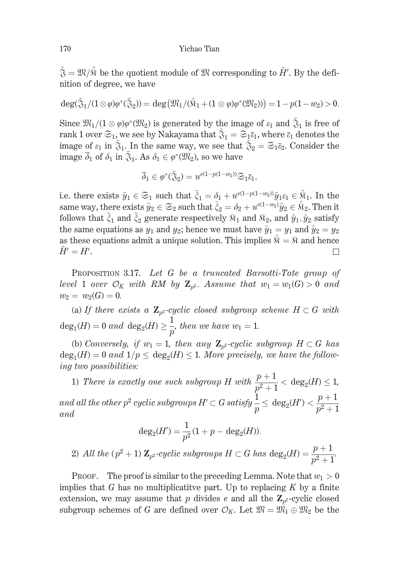$\tilde{\mathfrak{F}} = \mathfrak{M}/\tilde{\mathfrak{R}}$  be the quotient module of  $\mathfrak{M}$  corresponding to  $H'$ . By the definition of degree, we have

$$
\deg(\widetilde{\mathfrak{F}}_1/(1\otimes \varphi)\varphi^*(\widetilde{\mathfrak{F}}_2))=\deg\big(\mathfrak{M}_1/(\widetilde{\mathfrak{R}}_1+(1\otimes \varphi)\varphi^*(\mathfrak{M}_2))\big)=1-p(1-w_2)>0.
$$

Since  $\mathfrak{M}_1/(1 \otimes \varphi)\varphi^*(\mathfrak{M}_2)$  is generated by the image of  $\varepsilon_1$  and  $\tilde{\mathfrak{F}}_1$  is free of rank 1 over  $\mathfrak{S}_1$ , we see by Nakayama that  $\tilde{\mathfrak{F}}_1 = \mathfrak{S}_1 \overline{\epsilon}_1$ , where  $\overline{\epsilon}_1$  denotes the image of  $\varepsilon_1$  in  $\tilde{\mathfrak{F}}_1$ . In the same way, we see that  $\tilde{\mathfrak{F}}_2 = \mathfrak{S}_1 \overline{\varepsilon}_2$ . Consider the image  $\overline{\delta}_1$  of  $\delta_1$  in  $\tilde{\mathfrak{F}}_1$ . As  $\delta_1 \in \varphi^*(\mathfrak{M}_2)$ , so we have

$$
\overline{\delta}_1 \in \varphi^*(\widetilde{\mathfrak{J}}_2) = u^{e(1 - p(1 - w_2))} \widetilde{\mathfrak{S}}_1 \overline{\epsilon}_1,
$$

i.e. there exists  $\tilde{y}_1 \in \mathfrak{S}_1$  such that  $\tilde{\xi}_1 = \delta_1 + u^{e(1-p(1-w_2))}\tilde{y}_1 \varepsilon_1 \in \tilde{\mathfrak{R}}_1$ . In the same way, there exists  $\tilde{y}_2 \in \mathfrak{S}_2$  such that  $\tilde{\xi}_2 = \delta_2 + u^{e(1-w_2)}\tilde{y}_2 \in \tilde{\Re}_2$ . Then it follows that  $\tilde{\xi}_1$  and  $\tilde{\xi}_2$  generate respectively  $\Re_1$  and  $\Re_2$ , and  $\tilde{y}_1, \tilde{y}_2$  satisfy the same equations as  $y_1$  and  $y_2$ ; hence we must have  $\tilde{y}_1 = y_1$  and  $\tilde{y}_2 = y_2$ as these equations admit a unique solution. This implies  $\mathcal{R} = \mathcal{R}$  and hence  $H'=H'.$  $\Box$ 

PROPOSITION 3.17. Let G be a truncated Barsotti-Tate group of level 1 over  $\mathcal{O}_K$  with RM by  $\mathbb{Z}_{n^2}$ . Assume that  $w_1 = w_1(G) > 0$  and  $w_2 = w_2(G) = 0.$ 

(a) If there exists a  $\mathbb{Z}_{p^2}$ -cyclic closed subgroup scheme  $H \subset G$  with  $deg_1(H) = 0$  and  $deg_2(H) \geq \frac{1}{n}$ , then we have  $w_1 = 1$ .

(b) Conversely, if  $w_1 = 1$ , then any  $\mathbb{Z}_{p^2}$ -cyclic subgroup  $H \subset G$  has  $deg_1(H) = 0$  and  $1/p \leq deg_2(H) \leq 1$ . More precisely, we have the following two possibilities:

1) There is exactly one such subgroup H with  $\frac{p+1}{p^2+1} < \deg_2(H) \leq 1$ , and all the other  $p^2$  cyclic subgroups  $H' \subset G$  satisfy  $\frac{1}{n} \leq \deg_2(H') < \frac{p+1}{n^2+1}$  $and$ 

$$
\deg_2(H') = \frac{1}{p^2}(1+p-\deg_2(H)).
$$
  
 
$$
All\ the\ (p^2+1)\ \mathbf{Z}_{p^2}\text{-cyclic subgroups } H \subset G\ has\ \deg_2(H) = \frac{p+1}{p^2+1}.
$$

**PROOF.** The proof is similar to the preceding Lemma. Note that  $w_1 > 0$ implies that G has no multiplicative part. Up to replacing  $K$  by a finite extension, we may assume that p divides e and all the  $\mathbb{Z}_{p^2}$ -cyclic closed subgroup schemes of G are defined over  $\mathcal{O}_K$ . Let  $\mathfrak{M} = \mathfrak{M}_1 \oplus \mathfrak{M}_2$  be the

2)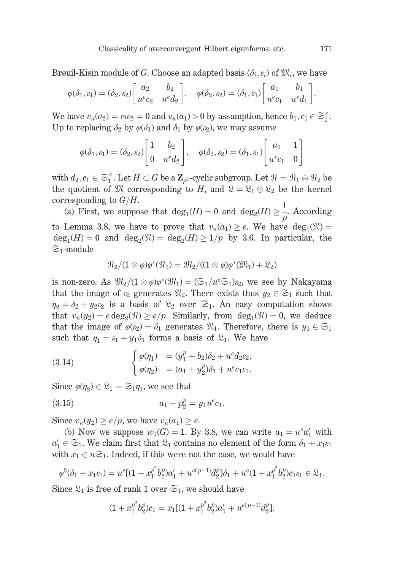Breuil-Kisin module of G. Choose an adapted basis  $(\delta_i, \varepsilon_i)$  of  $\mathfrak{M}_i$ , we have

$$
\varphi(\delta_1, \varepsilon_1) = (\delta_2, \varepsilon_2) \begin{bmatrix} a_2 & b_2 \\ u^e c_2 & u^e d_2 \end{bmatrix}, \quad \varphi(\delta_2, \varepsilon_2) = (\delta_1, \varepsilon_1) \begin{bmatrix} a_1 & b_1 \\ u^e c_1 & u^e d_1 \end{bmatrix}
$$

We have  $v_u(a_2) = ew_2 = 0$  and  $v_u(a_1) > 0$  by assumption, hence  $b_1, c_1 \in \mathfrak{S}_1^{\times}$ . Up to replacing  $\delta_2$  by  $\varphi(\delta_1)$  and  $\delta_1$  by  $\varphi(\varepsilon_2)$ , we may assume

$$
\varphi(\delta_1, \varepsilon_1) = (\delta_2, \varepsilon_2) \begin{bmatrix} 1 & b_2 \\ 0 & u^e d_2 \end{bmatrix}, \quad \varphi(\delta_2, \varepsilon_2) = (\delta_1, \varepsilon_1) \begin{bmatrix} a_1 & 1 \\ u^e c_1 & 0 \end{bmatrix}
$$

with  $d_2, c_1 \in \mathfrak{S}_1^{\times}$ . Let  $H \subset G$  be a  $\mathbb{Z}_{p^2}$ -cyclic subgroup. Let  $\mathfrak{N} = \mathfrak{N}_1 \oplus \mathfrak{N}_2$  be the quotient of  $\mathfrak{M}$  corresponding to H, and  $\mathfrak{L} = \mathfrak{L}_1 \oplus \mathfrak{L}_2$  be the kernel corresponding to  $G/H$ .

(a) First, we suppose that  $deg_1(H) = 0$  and  $deg_2(H) \geq \frac{1}{p}$ . According to Lemma 3.8, we have to prove that  $v_u(a_1) \geq e$ . We have  $deg_1(\mathfrak{N}) =$  $deg_1(H) = 0$  and  $deg_2(\mathfrak{N}) = deg_2(H) \ge 1/p$  by 3.6. In particular, the  $\mathfrak{S}_1$ -module

$$
\mathfrak{N}_2/(1\otimes \varphi)\varphi^*(\mathfrak{N}_1)=\mathfrak{M}_2/((1\otimes \varphi)\varphi^*(\mathfrak{M}_1)+\mathfrak{L}_2)
$$

is non-zero. As  $\mathfrak{M}_2/(1 \otimes \varphi)\varphi^*(\mathfrak{M}_1) = (\mathfrak{S}_1/u^e\mathfrak{S}_1)\overline{\varepsilon_2}$ , we see by Nakayama that the image of  $\varepsilon_2$  generates  $\mathfrak{N}_2$ . There exists thus  $y_2 \in \mathfrak{S}_1$  such that  $\eta_2 = \delta_2 + y_2 \varepsilon_2$  is a basis of  $\mathcal{R}_2$  over  $\mathfrak{S}_1$ . An easy computation shows that  $v_u(y_2) = e \deg_2(\mathfrak{N}) \ge e/p$ . Similarly, from  $deg_1(\mathfrak{N}) = 0$ , we deduce that the image of  $\varphi(\varepsilon_2) = \delta_1$  generates  $\mathfrak{N}_1$ . Therefore, there is  $y_1 \in \mathfrak{S}_1$ such that  $\eta_1 = \varepsilon_1 + y_1 \delta_1$  forms a basis of  $\mathfrak{L}_1$ . We have

(3.14) 
$$
\begin{cases} \varphi(\eta_1) = (y_1^p + b_2)\delta_2 + u^e d_2 \varepsilon_2, \\ \varphi(\eta_2) = (a_1 + y_2^p)\delta_1 + u^e c_1 \varepsilon_1. \end{cases}
$$

Since  $\varphi(\eta_2) \in \mathfrak{L}_1 = \mathfrak{S}_1 \eta_1$ , we see that

(3.15) 
$$
a_1 + p_2^p = y_1 u^e c_1.
$$

Since  $v_u(y_2) \ge e/p$ , we have  $v_u(a_1) \ge e$ .

(b) Now we suppose  $w_1(G) = 1$ . By 3.8, we can write  $a_1 = u^e a'_1$  with  $a'_1 \in \mathfrak{S}_1$ . We claim first that  $\mathfrak{L}_1$  contains no element of the form  $\delta_1 + x_1 \varepsilon_1$ with  $x_1 \in u \mathfrak{S}_1$ . Indeed, if this were not the case, we would have

$$
\varphi^2(\delta_1 + x_1 \varepsilon_1) = u^e[(1 + x_1^{p^2} b_2^p)a_1' + u^{e(p-1)} d_2^p]\delta_1 + u^e(1 + x_1^{p^2} b_2^p)c_1\varepsilon_1 \in \mathfrak{L}_1.
$$

Since  $\mathfrak{L}_1$  is free of rank 1 over  $\mathfrak{S}_1$ , we should have

$$
(1+x_1^{p^2}b_2^p)c_1 = x_1[(1+x_1^{p^2}b_2^p)a_1' + u^{e(p-1)}d_2^p].
$$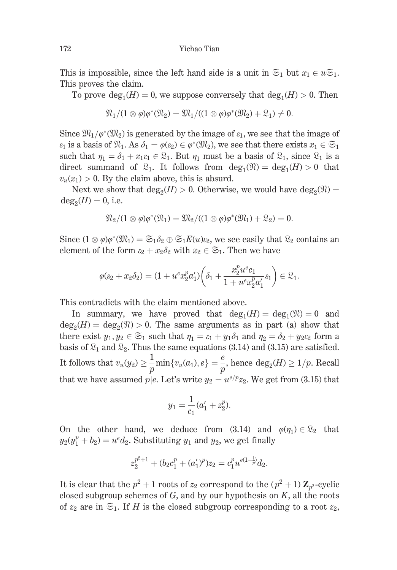This is impossible, since the left hand side is a unit in  $\mathfrak{S}_1$  but  $x_1 \in u\mathfrak{S}_1$ . This proves the claim.

To prove  $deg_1(H) = 0$ , we suppose conversely that  $deg_1(H) > 0$ . Then

$$
\mathfrak{N}_1/(1 \otimes \varphi)\varphi^*(\mathfrak{N}_2) = \mathfrak{M}_1/((1 \otimes \varphi)\varphi^*(\mathfrak{M}_2) + \mathfrak{L}_1) \neq 0.
$$

Since  $\mathfrak{M}_1/\varphi^*(\mathfrak{M}_2)$  is generated by the image of  $\varepsilon_1$ , we see that the image of  $\varepsilon_1$  is a basis of  $\mathfrak{R}_1$ . As  $\delta_1 = \varphi(\varepsilon_2) \in \varphi^*(\mathfrak{M}_2)$ , we see that there exists  $x_1 \in \mathfrak{S}_1$ such that  $\eta_1 = \delta_1 + x_1 \varepsilon_1 \in \mathfrak{L}_1$ . But  $\eta_1$  must be a basis of  $\mathfrak{L}_1$ , since  $\mathfrak{L}_1$  is a direct summand of  $\mathfrak{L}_1$ . It follows from  $deg_1(\mathfrak{N}) = deg_1(H) > 0$  that  $v_u(x_1) > 0$ . By the claim above, this is absurd.

Next we show that  $deg_2(H) > 0$ . Otherwise, we would have  $deg_2(\mathfrak{N}) =$  $deg_2(H) = 0$ , i.e.

$$
\mathfrak{N}_2/(1\otimes \varphi)\varphi^*(\mathfrak{N}_1)=\mathfrak{M}_2/((1\otimes \varphi)\varphi^*(\mathfrak{M}_1)+\mathfrak{L}_2)=0.
$$

Since  $(1 \otimes \varphi)\varphi^*(\mathfrak{M}_1) = \mathfrak{S}_1 \delta_2 \oplus \mathfrak{S}_1 E(u)\varepsilon_2$ , we see easily that  $\mathfrak{L}_2$  contains an element of the form  $\varepsilon_2 + x_2 \delta_2$  with  $x_2 \in \mathfrak{S}_1$ . Then we have

$$
\varphi(\varepsilon_2 + x_2 \delta_2) = (1 + u^e x_2^p a_1') \left( \delta_1 + \frac{x_2^p u^e c_1}{1 + u^e x_2^p a_1'} \varepsilon_1 \right) \in \mathfrak{L}_1.
$$

This contradicts with the claim mentioned above.

In summary, we have proved that  $deg_1(H) = deg_1(\mathfrak{N}) = 0$  and  $deg_2(H) = deg_2(\mathfrak{N}) > 0$ . The same arguments as in part (a) show that there exist  $y_1, y_2 \in \mathfrak{S}_1$  such that  $\eta_1 = \varepsilon_1 + y_1 \delta_1$  and  $\eta_2 = \delta_2 + y_2 \varepsilon_2$  form a basis of  $\mathfrak{L}_1$  and  $\mathfrak{L}_2$ . Thus the same equations (3.14) and (3.15) are satisfied. It follows that  $v_u(y_2) \geq \frac{1}{p} \min\{v_u(a_1), e\} = \frac{e}{p}$ , hence  $\deg_2(H) \geq 1/p$ . Recall that we have assumed  $p|e$ . Let's write  $y_2 = u^{e/p} z_2$ . We get from (3.15) that

$$
y_1 = \frac{1}{c_1}(a'_1 + z_2^p).
$$

On the other hand, we deduce from (3.14) and  $\varphi(\eta_1) \in \mathfrak{L}_2$  that  $y_2(y_1^p + b_2) = u^e d_2$ . Substituting  $y_1$  and  $y_2$ , we get finally

$$
z_2^{p^2+1} + (b_2c_1^p + (a'_1)^p)z_2 = c_1^p u^{e(1-\frac{1}{p})}d_2.
$$

It is clear that the  $p^2 + 1$  roots of  $z_2$  correspond to the  $(p^2 + 1) \mathbb{Z}_{p^2}$ -cyclic closed subgroup schemes of  $G$ , and by our hypothesis on  $K$ , all the roots of  $z_2$  are in  $\mathfrak{S}_1$ . If H is the closed subgroup corresponding to a root  $z_2$ ,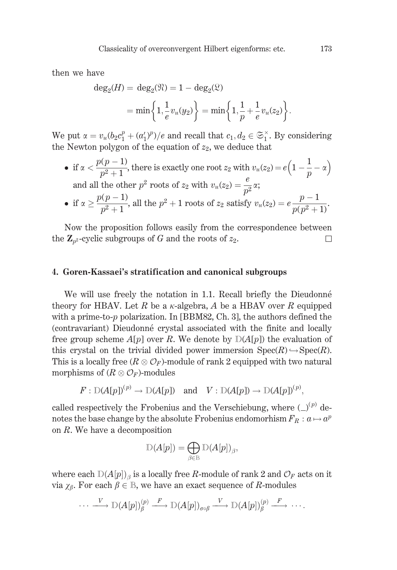then we have

$$
deg_2(H) = deg_2(\mathfrak{N}) = 1 - deg_2(\mathfrak{L})
$$
  
= min $\left\{ 1, \frac{1}{e} v_u(y_2) \right\}$  = min $\left\{ 1, \frac{1}{p} + \frac{1}{e} v_u(z_2) \right\}$ .

We put  $\alpha = v_u(b_2c_1^p + (a'_1)^p)/e$  and recall that  $c_1, d_2 \in \mathfrak{S}_1^{\times}$ . By considering the Newton polygon of the equation of  $z_2$ , we deduce that

• if  $\alpha < \frac{p(p-1)}{p^2+1}$ , there is exactly one root  $z_2$  with  $v_u(z_2) = e\left(1-\frac{1}{p}-\alpha\right)$ and all the other  $p^2$  roots of  $z_2$  with  $v_u(z_2) = \frac{e}{n^2} \alpha$ ; • if  $\alpha \geq \frac{p(p-1)}{p^2+1}$ , all the  $p^2+1$  roots of  $z_2$  satisfy  $v_u(z_2) = e \frac{p-1}{p(p^2+1)}$ .

Now the proposition follows easily from the correspondence between the  $\mathbb{Z}_{p^2}$ -cyclic subgroups of G and the roots of  $z_2$ .  $\Box$ 

### 4. Goren-Kassaei's stratification and canonical subgroups

We will use freely the notation in 1.1. Recall briefly the Dieudonné theory for HBAV. Let R be a  $\kappa$ -algebra, A be a HBAV over R equipped with a prime-to- $p$  polarization. In [BBM82, Ch. 3], the authors defined the (contravariant) Dieudonné crystal associated with the finite and locally free group scheme  $A[p]$  over R. We denote by  $D(A[p])$  the evaluation of this crystal on the trivial divided power immersion  $\text{Spec}(R) \hookrightarrow \text{Spec}(R)$ . This is a locally free  $(R \otimes \mathcal{O}_F)$ -module of rank 2 equipped with two natural morphisms of  $(R \otimes \mathcal{O}_F)$ -modules

$$
F: D(A[p])^{(p)} \to D(A[p])
$$
 and  $V: D(A[p]) \to D(A[p])^{(p)}$ ,

called respectively the Frobenius and the Verschiebung, where  $(\_)^{(p)}$  denotes the base change by the absolute Frobenius endomorhism  $F_R : a \mapsto a^p$ on  $R$ . We have a decomposition

$$
\mathbb{D}(A[p]) = \bigoplus_{\beta \in \mathbb{B}} \mathbb{D}(A[p])_{\beta},
$$

where each  $D(A[p])_g$  is a locally free R-module of rank 2 and  $\mathcal{O}_F$  acts on it via  $\chi_{\beta}$ . For each  $\beta \in \mathbb{B}$ , we have an exact sequence of R-modules

$$
\cdots \xrightarrow{V} \mathbb{D}(A[p])^{(p)}_{\beta} \xrightarrow{F} \mathbb{D}(A[p])_{\sigma \circ \beta} \xrightarrow{V} \mathbb{D}(A[p])^{(p)}_{\beta} \xrightarrow{F} \cdots
$$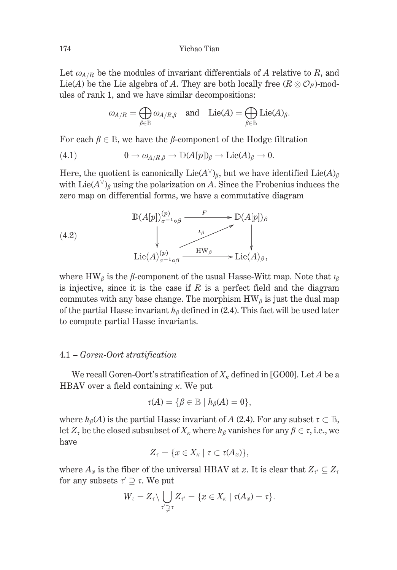Let  $\omega_{A/R}$  be the modules of invariant differentials of A relative to R, and Lie(A) be the Lie algebra of A. They are both locally free  $(R \otimes \mathcal{O}_F)$ -modules of rank 1, and we have similar decompositions:

$$
\omega_{A/R} = \bigoplus_{\beta \in \mathbb{B}} \omega_{A/R,\beta} \quad \text{and} \quad \text{Lie}(A) = \bigoplus_{\beta \in \mathbb{B}} \text{Lie}(A)_\beta.
$$

For each  $\beta \in \mathbb{B}$ , we have the  $\beta$ -component of the Hodge filtration

(4.1) 
$$
0 \to \omega_{A/R,\beta} \to \mathbb{D}(A[p])_{\beta} \to \text{Lie}(A)_{\beta} \to 0
$$

Here, the quotient is canonically  $Lie(A^{\vee})_{\beta}$ , but we have identified  $Lie(A)_{\beta}$ with  $\text{Lie}(A^{\vee})_{\beta}$  using the polarization on A. Since the Frobenius induces the zero map on differential forms, we have a commutative diagram

(4.2)  
\n
$$
\mathbb{D}(A[p])_{\sigma^{-1}\circ\beta} \xrightarrow{F} \mathbb{D}(A[p])_{\beta}
$$
\n
$$
\downarrow
$$
\n
$$
\downarrow
$$
\n
$$
\downarrow
$$
\n
$$
\downarrow
$$
\n
$$
\downarrow
$$
\n
$$
\downarrow
$$
\n
$$
\downarrow
$$
\n
$$
\downarrow
$$
\n
$$
\downarrow
$$
\n
$$
\downarrow
$$
\n
$$
\downarrow
$$
\n
$$
\downarrow
$$
\n
$$
\downarrow
$$
\n
$$
\downarrow
$$
\n
$$
\downarrow
$$
\n
$$
\downarrow
$$
\n
$$
\downarrow
$$
\n
$$
\downarrow
$$
\n
$$
\downarrow
$$
\n
$$
\downarrow
$$
\n
$$
\downarrow
$$
\n
$$
\downarrow
$$
\n
$$
\downarrow
$$
\n
$$
\downarrow
$$
\n
$$
\downarrow
$$
\n
$$
\downarrow
$$
\n
$$
\downarrow
$$
\n
$$
\downarrow
$$
\n
$$
\downarrow
$$
\n
$$
\downarrow
$$
\n
$$
\downarrow
$$
\n
$$
\downarrow
$$
\n
$$
\downarrow
$$
\n
$$
\downarrow
$$
\n
$$
\downarrow
$$
\n
$$
\downarrow
$$
\n
$$
\downarrow
$$
\n
$$
\downarrow
$$
\n
$$
\downarrow
$$
\n
$$
\downarrow
$$
\n
$$
\downarrow
$$
\n
$$
\downarrow
$$
\n
$$
\downarrow
$$
\n
$$
\downarrow
$$
\n
$$
\downarrow
$$
\n
$$
\downarrow
$$
\n
$$
\downarrow
$$
\n
$$
\downarrow
$$
\n
$$
\downarrow
$$
\n
$$
\downarrow
$$
\n
$$
\downarrow
$$
\n
$$
\downarrow
$$
\n
$$
\downarrow
$$
\n
$$
\downarrow
$$
\n
$$
\downarrow
$$
\n
$$
\downarrow
$$
\n
$$
\downarrow
$$
\n
$$
\downarrow
$$
\n
$$
\downarrow
$$
\n $$ 

where  $HW_{\beta}$  is the  $\beta$ -component of the usual Hasse-Witt map. Note that  $\iota_{\beta}$ is injective, since it is the case if R is a perfect field and the diagram commutes with any base change. The morphism  $HW_\beta$  is just the dual map of the partial Hasse invariant  $h_{\beta}$  defined in (2.4). This fact will be used later to compute partial Hasse invariants.

### 4.1 – Goren-Oort stratification

We recall Goren-Oort's stratification of  $X_{\kappa}$  defined in [GO00]. Let A be a HBAV over a field containing  $\kappa$ . We put

$$
\tau(A) = \{ \beta \in \mathbb{B} \mid h_{\beta}(A) = 0 \},
$$

where  $h_{\beta}(A)$  is the partial Hasse invariant of A (2.4). For any subset  $\tau \subset \mathbb{B}$ , let  $Z_{\tau}$  be the closed subsubset of  $X_{\kappa}$  where  $h_{\beta}$  vanishes for any  $\beta \in \tau$ , i.e., we have

$$
Z_{\tau} = \{x \in X_{\kappa} \mid \tau \subset \tau(A_x)\},\
$$

where  $A_x$  is the fiber of the universal HBAV at x. It is clear that  $Z_{\tau} \subseteq Z_{\tau}$ for any subsets  $\tau' \supseteq \tau$ . We put

$$
W_{\tau}=Z_{\tau}\setminus\bigcup_{\tau'\supsetneq\tau}Z_{\tau'}=\{x\in X_{\kappa}\mid \tau(A_x)=\tau\}.
$$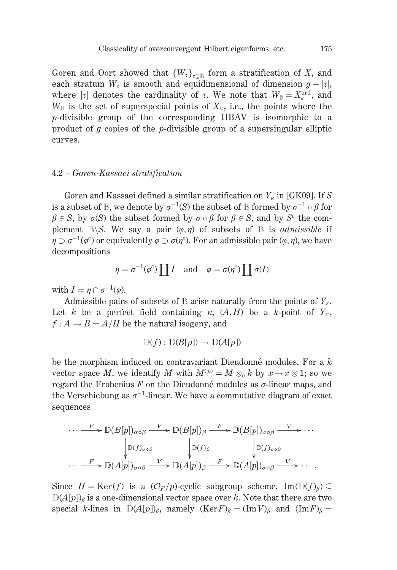Goren and Oort showed that  $\{W_{\tau}\}_{\tau \subset \mathbb{R}}$  form a stratification of X, and each stratum  $W_{\tau}$  is smooth and equidimensional of dimension  $g - |\tau|$ , where  $|\tau|$  denotes the cardinality of  $\tau$ . We note that  $W_{\theta} = X_{\kappa}^{\text{ord}}$ , and  $W_{\rm B}$  is the set of superspecial points of  $X_{\kappa}$ , i.e., the points where the p-divisible group of the corresponding HBAV is isomorphic to a product of g copies of the p-divisible group of a supersingular elliptic curves.

## 4.2 – Goren-Kassaei stratification

Goren and Kassaei defined a similar stratification on  $Y_{\kappa}$  in [GK09]. If S is a subset of B, we denote by  $\sigma^{-1}(S)$  the subset of B formed by  $\sigma^{-1} \circ \beta$  for  $\beta \in S$ , by  $\sigma(S)$  the subset formed by  $\sigma \circ \beta$  for  $\beta \in S$ , and by  $S^c$  the complement  $\mathbb{B}\backslash S$ . We say a pair  $(\varphi, \eta)$  of subsets of  $\mathbb{B}$  is *admissible* if  $\eta \supset \sigma^{-1}(\varphi^c)$  or equivalently  $\varphi \supset \sigma(\eta^c)$ . For an admissible pair  $(\varphi, \eta)$ , we have decompositions

$$
\eta = \sigma^{-1}(\varphi^c) \coprod I
$$
 and  $\varphi = \sigma(\eta^c) \coprod \sigma(I)$ 

with  $I = \eta \cap \sigma^{-1}(\varphi)$ .

Admissible pairs of subsets of  $\mathbb B$  arise naturally from the points of  $Y_{\kappa}$ . Let k be a perfect field containing  $\kappa$ ,  $(A,H)$  be a k-point of  $Y_{\kappa}$ ,  $f: A \rightarrow B = A/H$  be the natural isogeny, and

$$
\mathbb{D}(f): \mathbb{D}(B[p]) \to \mathbb{D}(A[p])
$$

be the morphism induced on contravariant Dieudonné modules. For a  $k$ vector space M, we identify M with  $M^{(p)} = M \otimes_{\sigma} k$  by  $x \mapsto x \otimes 1$ ; so we regard the Frobenius  $F$  on the Dieudonné modules as  $\sigma$ -linear maps, and the Verschiebung as  $\sigma^{-1}$ -linear. We have a commutative diagram of exact sequences

$$
\cdots \xrightarrow{F} \mathbb{D}(B[p])_{\sigma \circ \beta} \xrightarrow{V} \mathbb{D}(B[p])_{\beta} \xrightarrow{F} \mathbb{D}(B[p])_{\sigma \circ \beta} \xrightarrow{V} \cdots
$$

$$
\downarrow_{\mathbb{D}(f)_{\sigma \circ \beta}} \qquad \qquad \downarrow_{\mathbb{D}(f)_{\beta}} \qquad \qquad \downarrow_{\mathbb{D}(f)_{\sigma \circ \beta}} \qquad \qquad \downarrow_{\mathbb{D}(f)_{\sigma \circ \beta}} \cdots
$$

$$
\cdots \xrightarrow{F} \mathbb{D}(A[p])_{\sigma \circ \beta} \xrightarrow{V} \mathbb{D}(A[p])_{\beta} \xrightarrow{F} \mathbb{D}(A[p])_{\sigma \circ \beta} \xrightarrow{V} \cdots.
$$

Since  $H = \text{Ker}(f)$  is a  $(\mathcal{O}_F/p)$ -cyclic subgroup scheme,  $\text{Im}(\mathbb{D}(f)_{\beta}) \subseteq$  $D(A[p])_6$  is a one-dimensional vector space over k. Note that there are two special k-lines in  $D(A[p])_\beta$ , namely  $(\text{Ker } F)_\beta = (\text{Im } V)_\beta$  and  $(\text{Im } F)_\beta =$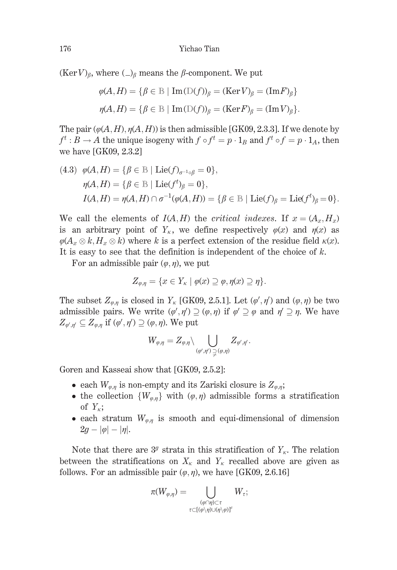$(\text{Ker }V)_{\beta}$ , where  $(\_)_{\beta}$  means the  $\beta$ -component. We put

$$
\varphi(A, H) = \{ \beta \in \mathbb{B} \mid \text{Im}(\mathbb{D}(f))_{\beta} = (\text{Ker } V)_{\beta} = (\text{Im } F)_{\beta} \}
$$

$$
\eta(A, H) = \{ \beta \in \mathbb{B} \mid \text{Im}(\mathbb{D}(f))_{\beta} = (\text{Ker } F)_{\beta} = (\text{Im } V)_{\beta} \}
$$

The pair  $(\varphi(A, H), \eta(A, H))$  is then admissible [GK09, 2.3.3]. If we denote by  $f^t : B \to A$  the unique isogeny with  $f \circ f^t = p \cdot 1_B$  and  $f^t \circ f = p \cdot 1_A$ , then we have  $[GK09, 2.3.2]$ 

(4.3) 
$$
\varphi(A, H) = \{\beta \in \mathbb{B} \mid \text{Lie}(f)_{\sigma^{-1} \circ \beta} = 0\},
$$
  
\n $\eta(A, H) = \{\beta \in \mathbb{B} \mid \text{Lie}(f^t)_{\beta} = 0\},$   
\n $I(A, H) = \eta(A, H) \cap \sigma^{-1}(\varphi(A, H)) = \{\beta \in \mathbb{B} \mid \text{Lie}(f)_{\beta} = \text{Lie}(f^t)_{\beta} = 0\}.$ 

We call the elements of  $I(A, H)$  the *critical indexes*. If  $x = (A_x, H_x)$ is an arbitrary point of  $Y_{\kappa}$ , we define respectively  $\varphi(x)$  and  $\eta(x)$  as  $\varphi(A_x \otimes k, H_x \otimes k)$  where k is a perfect extension of the residue field  $\kappa(x)$ . It is easy to see that the definition is independent of the choice of  $k$ .

For an admissible pair  $(\varphi, \eta)$ , we put

$$
Z_{\varphi,\eta} = \{x \in Y_{\kappa} \mid \varphi(x) \supseteq \varphi, \eta(x) \supseteq \eta\}.
$$

The subset  $Z_{\varphi,\eta}$  is closed in  $Y_{\kappa}$  [GK09, 2.5.1]. Let  $(\varphi', \eta')$  and  $(\varphi, \eta)$  be two admissible pairs. We write  $(\varphi', \eta') \supseteq (\varphi, \eta)$  if  $\varphi' \supseteq \varphi$  and  $\eta' \supseteq \eta$ . We have  $Z_{\varphi',\eta'} \subseteq Z_{\varphi,\eta}$  if  $(\varphi',\eta') \supseteq (\varphi,\eta)$ . We put

$$
W_{\varphi,\eta}=Z_{\varphi,\eta}\backslash \bigcup_{(\varphi',\eta')\supsetneqq(\varphi,\eta)} Z_{\varphi',\eta'}.
$$

Goren and Kasseai show that [GK09, 2.5.2]:

- each  $W_{\varphi,\eta}$  is non-empty and its Zariski closure is  $Z_{\varphi,\eta}$ ;
- the collection  $\{W_{\varphi,\eta}\}\$  with  $(\varphi,\eta)$  admissible forms a stratification of  $Y_{\kappa};$
- each stratum  $W_{\varphi,\eta}$  is smooth and equi-dimensional of dimension  $2q - |\varphi| - |\eta|$ .

Note that there are  $3<sup>g</sup>$  strata in this stratification of  $Y<sub>k</sub>$ . The relation between the stratifications on  $X_{\kappa}$  and  $Y_{\kappa}$  recalled above are given as follows. For an admissible pair  $(\varphi, \eta)$ , we have [GK09, 2.6.16]

$$
\pi(W_{\varphi,\eta})=\bigcup_{\substack{(\varphi\cap\eta)\subset\tau\\ \tau\subset[(\varphi\setminus\eta)\cup(\eta\setminus\varphi)]^c}}W_{\tau};
$$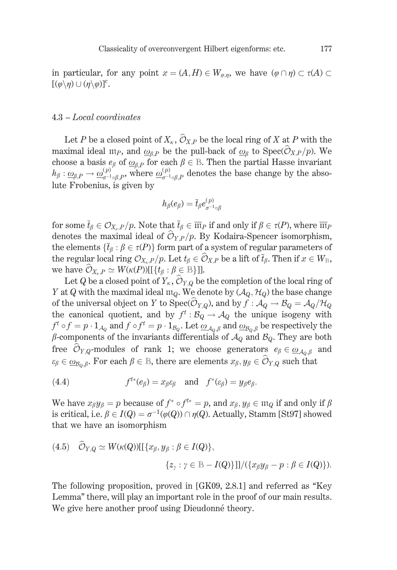in particular, for any point  $x = (A, H) \in W_{\varphi,n}$ , we have  $(\varphi \cap \eta) \subset \tau(A) \subset$  $[(\varphi \backslash \eta) \cup (\eta \backslash \varphi)]^c$ .

### $4.3 - Local coordinates$

Let P be a closed point of  $X_{\kappa}$ ,  $\hat{\mathcal{O}}_{X,P}$  be the local ring of X at P with the maximal ideal  $m_P$ , and  $\omega_{RP}$  be the pull-back of  $\omega_R$  to Spec( $\widehat{\mathcal{O}}_{X,P}/p$ ). We choose a basis  $e_{\beta}$  of  $\underline{\omega}_{\beta,P}$  for each  $\beta \in \mathbb{B}$ . Then the partial Hasse invariant  $h_{\beta}: \underline{\omega}_{\beta,P} \to \underline{\omega}_{\sigma^{-1} \circ \beta,P}^{(p)}$ , where  $\underline{\omega}_{\sigma^{-1} \circ \beta,P}^{(p)}$  denotes the base change by the absolute Frobenius, is given by

$$
h_{\beta}(e_{\beta})=\bar{t}_{\beta}e_{\sigma^{-1}\circ\beta}^{(p)}
$$

for some  $\bar{t}_{\beta} \in \mathcal{O}_{X_P}/p$ . Note that  $\bar{t}_{\beta} \in \overline{\mathfrak{m}}_P$  if and only if  $\beta \in \tau(P)$ , where  $\overline{\mathfrak{m}}_P$ denotes the maximal ideal of  $\widehat{\mathcal{O}}_{Y,P}/p$ . By Kodaira-Spencer isomorphism, the elements  $\{\bar{t}_{\beta} : \beta \in \tau(P)\}\$  form part of a system of regular parameters of the regular local ring  $\mathcal{O}_{X_r,P}/p$ . Let  $t_\beta \in \widehat{\mathcal{O}}_{X,P}$  be a lift of  $\overline{t}_\beta$ . Then if  $x \in W_{\mathbb{B}},$ we have  $\widehat{\mathcal{O}}_{X_{\kappa},P} \simeq W(\kappa(P))[[\{t_{\beta} : \beta \in \mathbb{B}\}]].$ 

Let Q be a closed point of  $Y_{\kappa}$ ,  $\hat{\mathcal{O}}_{Y,Q}$  be the completion of the local ring of Y at Q with the maximal ideal  $m_Q$ . We denote by  $(\mathcal{A}_Q, \mathcal{H}_Q)$  the base change of the universal object on Y to Spec( $\widehat{\mathcal{O}}_{Y,Q}$ ), and by  $f : \mathcal{A}_Q \to \mathcal{B}_Q = \mathcal{A}_Q/\mathcal{H}_Q$ the canonical quotient, and by  $f^t : \mathcal{B}_Q \to \mathcal{A}_Q$  the unique isogeny with  $f^t \circ f = p \cdot 1_{A_Q}$  and  $f \circ f^t = p \cdot 1_{B_Q}$ . Let  $\underline{\omega}_{A_Q,\beta}$  and  $\underline{\omega}_{B_Q,\beta}$  be respectively the  $\beta$ -components of the invariants differentials of  $\mathcal{A}_Q$  and  $\mathcal{B}_Q$ . They are both free  $\hat{\mathcal{O}}_{Y,Q}$ -modules of rank 1; we choose generators  $e_{\beta} \in \underline{\omega}_{A_0,\beta}$  and  $\varepsilon_{\beta} \in \underline{\omega}_{\beta_0,\beta}$ . For each  $\beta \in \mathbb{B}$ , there are elements  $x_{\beta}, y_{\beta} \in \widehat{\mathcal{O}}_{Y,Q}$  such that

(4.4) 
$$
f^{t*}(e_{\beta}) = x_{\beta} \varepsilon_{\beta} \quad \text{and} \quad f^{*}(\varepsilon_{\beta}) = y_{\beta} e_{\beta}.
$$

We have  $x_{\beta}y_{\beta} = p$  because of  $f^* \circ f^{t*} = p$ , and  $x_{\beta}, y_{\beta} \in \mathfrak{m}_0$  if and only if  $\beta$ is critical, i.e.  $\beta \in I(Q) = \sigma^{-1}(\varphi(Q)) \cap \eta(Q)$ . Actually, Stamm [St97] showed that we have an isomorphism

(4.5) 
$$
\mathcal{O}_{Y,Q} \simeq W(\kappa(Q))[[\{x_{\beta}, y_{\beta} : \beta \in I(Q)\}],
$$

$$
\{z_{\gamma} : \gamma \in \mathbb{B} - I(Q)\}]]/(\{x_{\beta}y_{\beta} - p : \beta \in I(Q)\}).
$$

The following proposition, proved in [GK09, 2.8.1] and referred as "Key Lemma" there, will play an important role in the proof of our main results. We give here another proof using Dieudonné theory.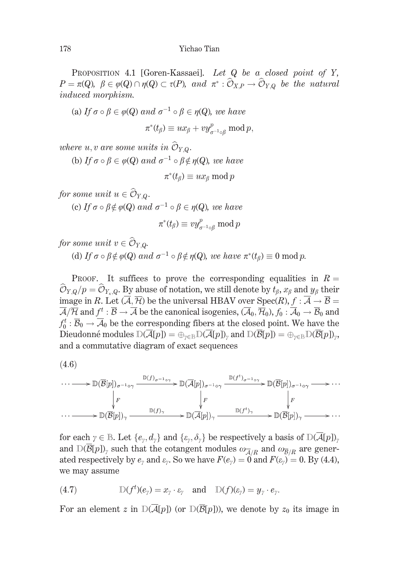PROPOSITION 4.1 [Goren-Kassaei]. Let Q be a closed point of Y,  $P = \pi(Q), \ \beta \in \varphi(Q) \cap \eta(Q) \subset \tau(P), \ \text{and} \ \pi^* : \widehat{\mathcal{O}}_{X,P} \to \widehat{\mathcal{O}}_{Y,Q}$  be the natural induced morphism.

(a) If  $\sigma \circ \beta \in \varphi(Q)$  and  $\sigma^{-1} \circ \beta \in \eta(Q)$ , we have  $\pi^*(t_\beta) \equiv ux_\beta + vy_{\sigma^{-1}\circ \beta}^p \bmod p,$ 

where u, v are some units in  $\widehat{\mathcal{O}}_{Y,Q}$ .

(b) If  $\sigma \circ \beta \in \varphi(Q)$  and  $\sigma^{-1} \circ \beta \notin \eta(Q)$ , we have

$$
\pi^*(t_\beta) \equiv ux_\beta \bmod p
$$

for some unit  $u \in \widehat{\mathcal{O}}_{Y,Q}$ .

(c) If  $\sigma \circ \beta \notin \varphi(Q)$  and  $\sigma^{-1} \circ \beta \in \eta(Q)$ , we have

$$
\pi^*(t_\beta)\equiv v y_{\sigma^{-1}\circ\beta}^p \ \mathrm{mod}\ p
$$

for some unit  $v \in \widehat{\mathcal{O}}_{Y,\Omega}$ .

(d) If  $\sigma \circ \beta \notin \varphi(Q)$  and  $\sigma^{-1} \circ \beta \notin \eta(Q)$ , we have  $\pi^*(t_\beta) \equiv 0 \mod p$ .

PROOF. It suffices to prove the corresponding equalities in  $R =$  $\widehat{\mathcal{O}}_{Y,Q}/p = \widehat{\mathcal{O}}_{Y_{\kappa},Q}$ . By abuse of notation, we still denote by  $t_{\beta}, x_{\beta}$  and  $y_{\beta}$  their image in R. Let  $(\overline{A}, \overline{\mathcal{H}})$  be the universal HBAV over Spec $(R)$ ,  $f : \overline{A} \to \overline{B}$  $\overline{\mathcal{A}}/\overline{\mathcal{H}}$  and  $f^t : \overline{\mathcal{B}} \to \overline{\mathcal{A}}$  be the canonical isogenies,  $(\overline{\mathcal{A}}_0, \overline{\mathcal{H}}_0), f_0 : \overline{\mathcal{A}}_0 \to \overline{\mathcal{B}}_0$  and  $f_0^t : \overline{\mathcal{B}}_0 \to \overline{\mathcal{A}}_0$  be the corresponding fibers at the closed point. We have the Dieudonné modules  $D(\overline{\mathcal{A}}[p]) = \bigoplus_{\gamma \in \mathbb{B}} D(\overline{\mathcal{A}}[p])_{\gamma}$  and  $D(\overline{\mathcal{B}}[p]) = \bigoplus_{\gamma \in \mathbb{B}} D(\overline{\mathcal{B}}[p])_{\gamma}$ , and a commutative diagram of exact sequences

$$
(4.6)
$$

$$
\cdots \longrightarrow \mathbb{D}(\overline{B}[p])_{\sigma^{-1}\circ\gamma} \xrightarrow{\mathbb{D}(f)_{\sigma^{-1}\circ\gamma}} \mathbb{D}(\overline{A}[p])_{\sigma^{-1}\circ\gamma} \xrightarrow{\mathbb{D}(f^t)_{\sigma^{-1}\circ\gamma}} \mathbb{D}(\overline{B}[p])_{\sigma^{-1}\circ\gamma} \longrightarrow \cdots
$$
  
\n
$$
\downarrow F \qquad \qquad \downarrow F \qquad \qquad \downarrow F
$$
  
\n
$$
\cdots \longrightarrow \mathbb{D}(\overline{B}[p])_{\gamma} \xrightarrow{\mathbb{D}(f)_{\gamma}} \mathbb{D}(A[p])_{\gamma} \xrightarrow{\mathbb{D}(f^t)_{\gamma}} \mathbb{D}(\overline{B}[p])_{\gamma} \longrightarrow \cdots
$$

for each  $\gamma \in \mathbb{B}$ . Let  $\{e_{\gamma}, d_{\gamma}\}\$  and  $\{\varepsilon_{\gamma}, \delta_{\gamma}\}\$  be respectively a basis of  $\mathbb{D}(\mathcal{A}[p])_{\gamma}$ and  $D(\overline{\mathcal{B}}[p])$ , such that the cotangent modules  $\omega_{\overline{\mathcal{A}}/R}$  and  $\omega_{\overline{\mathcal{B}}/R}$  are generated respectively by  $e_\gamma$  and  $\varepsilon_\gamma$ . So we have  $F(e_\gamma) = 0$  and  $F(\varepsilon_\gamma) = 0$ . By (4.4), we may assume

(4.7) 
$$
\mathbb{D}(f^t)(e_{\gamma}) = x_{\gamma} \cdot \varepsilon_{\gamma} \quad \text{and} \quad \mathbb{D}(f)(\varepsilon_{\gamma}) = y_{\gamma} \cdot e_{\gamma}.
$$

For an element z in  $D(\overline{A}[p])$  (or  $D(\overline{B}[p]))$ , we denote by  $z_0$  its image in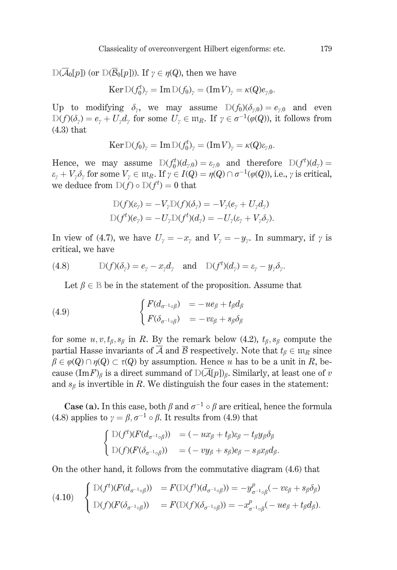$D(\overline{\mathcal{A}}_0[p])$  (or  $D(\overline{\mathcal{B}}_0[p])$ ). If  $\gamma \in \eta(Q)$ , then we have

 $\text{Ker}\,\mathbb{D}(f_0^t)_v = \text{Im}\,\mathbb{D}(f_0)_v = (\text{Im}\,V)_v = \kappa(Q)e_{v,0}.$ 

Up to modifying  $\delta_{\nu}$ , we may assume  $D(f_0)(\delta_{\nu,0})=e_{\nu,0}$  and even  $D(f)(\delta_{\gamma})=e_{\gamma}+U_{\gamma}d_{\gamma}$  for some  $U_{\gamma}\in \mathfrak{m}_R$ . If  $\gamma\in \sigma^{-1}(\varphi(Q))$ , it follows from  $(4.3)$  that

$$
\operatorname{Ker} \mathbb{D}(f_0)_{\gamma} = \operatorname{Im} \mathbb{D}(f_0^t)_{\gamma} = (\operatorname{Im} V)_{\gamma} = \kappa(Q)\varepsilon_{\gamma,0}.
$$

Hence, we may assume  $D(f_0^t)(d_{v,0}) = \varepsilon_{v,0}$  and therefore  $D(f^t)(d_v) =$  $\varepsilon_v + V_v \delta_v$  for some  $V_v \in \mathfrak{m}_R$ . If  $\gamma \in I(Q) = \eta(Q) \cap \sigma^{-1}(\varphi(Q))$ , i.e.,  $\gamma$  is critical, we deduce from  $D(f) \circ D(f^t) = 0$  that

$$
D(f)(\varepsilon_{\gamma}) = -V_{\gamma}D(f)(\delta_{\gamma}) = -V_{\gamma}(e_{\gamma} + U_{\gamma}d_{\gamma})
$$
  

$$
D(f^{t})(e_{\gamma}) = -U_{\gamma}D(f^{t})(d_{\gamma}) = -U_{\gamma}(e_{\gamma} + V_{\gamma}\delta_{\gamma})
$$

In view of (4.7), we have  $U_y = -x_y$  and  $V_y = -y_y$ . In summary, if  $\gamma$  is critical, we have

(4.8) 
$$
\mathbb{D}(f)(\delta_{\gamma})=e_{\gamma}-x_{\gamma}d_{\gamma} \text{ and } \mathbb{D}(f^{t})(d_{\gamma})=e_{\gamma}-y_{\gamma}\delta_{\gamma}.
$$

Let  $\beta \in \mathbb{B}$  be in the statement of the proposition. Assume that

(4.9) 
$$
\begin{cases} F(d_{\sigma^{-1}\circ\beta}) = -ue_{\beta} + t_{\beta}d_{\beta} \\ F(\delta_{\sigma^{-1}\circ\beta}) = -ve_{\beta} + s_{\beta}\delta_{\beta} \end{cases}
$$

for some  $u, v, t_{\beta}, s_{\beta}$  in R. By the remark below (4.2),  $t_{\beta}, s_{\beta}$  compute the partial Hasse invariants of  $\overline{A}$  and  $\overline{B}$  respectively. Note that  $t_{\beta} \in \mathfrak{m}_R$  since  $\beta \in \varphi(Q) \cap \eta(Q) \subset \tau(Q)$  by assumption. Hence u has to be a unit in R, because  $(\text{Im} F)_{\beta}$  is a direct summand of  $D(\overline{\mathcal{A}}[p])_{\beta}$ . Similarly, at least one of v and  $s_{\beta}$  is invertible in R. We distinguish the four cases in the statement:

**Case** (a). In this case, both  $\beta$  and  $\sigma^{-1} \circ \beta$  are critical, hence the formula (4.8) applies to  $\gamma = \beta$ ,  $\sigma^{-1} \circ \beta$ . It results from (4.9) that

$$
\begin{cases}\n\mathbb{D}(f^t)(F(d_{\sigma^{-1}\circ\beta})) &= (-ux_{\beta} + t_{\beta})\varepsilon_{\beta} - t_{\beta}y_{\beta}\delta_{\beta} \\
\mathbb{D}(f)(F(\delta_{\sigma^{-1}\circ\beta})) &= (-vy_{\beta} + s_{\beta})e_{\beta} - s_{\beta}x_{\beta}d_{\beta}\n\end{cases}
$$

On the other hand, it follows from the commutative diagram (4.6) that

$$
(4.10) \quad\n\begin{cases}\n\mathbb{D}(f^t)(F(d_{\sigma^{-1}\circ\beta})) \\
\mathbb{D}(f)(F(\delta_{\sigma^{-1}\circ\beta})) \\
=F(\mathbb{D}(f)(\delta_{\sigma^{-1}\circ\beta})) \\
=F(\mathbb{D}(f)(\delta_{\sigma^{-1}\circ\beta})) \\
= -x_{\sigma^{-1}\circ\beta}^p(-ue_\beta + t_\beta d_\beta).\n\end{cases}
$$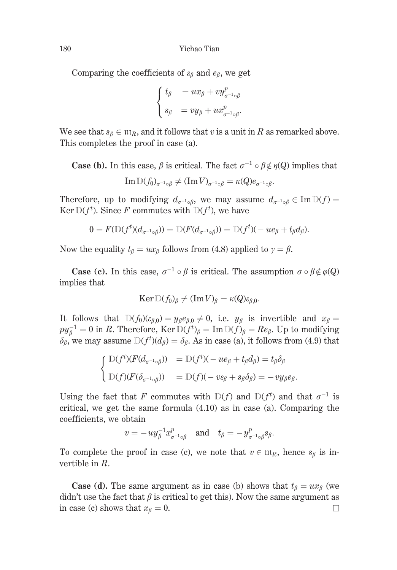Comparing the coefficients of  $\varepsilon_{\beta}$  and  $e_{\beta}$ , we get

$$
\begin{cases} t_{\beta} = ux_{\beta} + vy_{\sigma^{-1}\circ\beta}^p \\ s_{\beta} = vy_{\beta} + ux_{\sigma^{-1}\circ\beta}^p. \end{cases}
$$

We see that  $s_{\beta} \in \mathfrak{m}_R$ , and it follows that v is a unit in R as remarked above. This completes the proof in case (a).

**Case (b).** In this case,  $\beta$  is critical. The fact  $\sigma^{-1} \circ \beta \notin \eta(Q)$  implies that

$$
\operatorname{Im} \mathbb{D}(f_0)_{\sigma^{-1} \circ \beta} \neq (\operatorname{Im} V)_{\sigma^{-1} \circ \beta} = \kappa(Q) e_{\sigma^{-1} \circ \beta}.
$$

Therefore, up to modifying  $d_{\sigma^{-1}\circ\beta}$ , we may assume  $d_{\sigma^{-1}\circ\beta} \in \text{Im } D(f)$ Ker  $D(f^t)$ . Since F commutes with  $D(f^t)$ , we have

$$
0 = F(\mathbb{D}(f^t)(d_{\sigma^{-1}\circ\beta})) = \mathbb{D}(F(d_{\sigma^{-1}\circ\beta})) = \mathbb{D}(f^t)(-u e_\beta + t_\beta d_\beta).
$$

Now the equality  $t_{\beta} = ux_{\beta}$  follows from (4.8) applied to  $\gamma = \beta$ .

**Case** (c). In this case,  $\sigma^{-1} \circ \beta$  is critical. The assumption  $\sigma \circ \beta \notin \varphi(Q)$ implies that

$$
\operatorname{Ker} \mathbb{D}(f_0)_{\beta} \neq (\operatorname{Im} V)_{\beta} = \kappa(Q) \varepsilon_{\beta,0}.
$$

It follows that  $D(f_0)(\varepsilon_{\beta,0}) = y_\beta e_{\beta,0} \neq 0$ , i.e.  $y_\beta$  is invertible and  $x_\beta =$  $py_{\beta}^{-1} = 0$  in R. Therefore, Ker  $D(f^t)_{\beta} = Im D(f)_{\beta} = Re_{\beta}$ . Up to modifying  $\delta_{\beta}$ , we may assume  $D(f^t)(d_{\beta}) = \delta_{\beta}$ . As in case (a), it follows from (4.9) that

$$
\begin{cases}\n\mathbb{D}(f^t)(F(d_{\sigma^{-1}\circ\beta})) &= \mathbb{D}(f^t)(-u e_\beta + t_\beta d_\beta) = t_\beta \delta_\beta \\
\mathbb{D}(f)(F(\delta_{\sigma^{-1}\circ\beta})) &= \mathbb{D}(f)(-v \varepsilon_\beta + s_\beta \delta_\beta) = -v y_\beta e_\beta.\n\end{cases}
$$

Using the fact that F commutes with  $D(f)$  and  $D(f^t)$  and that  $\sigma^{-1}$  is critical, we get the same formula  $(4.10)$  as in case (a). Comparing the coefficients, we obtain

 $v = -uy_{\beta}^{-1}x_{\sigma^{-1}\alpha\beta}^{p}$  and  $t_{\beta} = -y_{\sigma^{-1}\alpha\beta}^{p}s_{\beta}$ .

To complete the proof in case (c), we note that  $v \in \mathfrak{m}_R$ , hence  $s_\beta$  is invertible in  $R$ .

**Case (d).** The same argument as in case (b) shows that  $t_{\beta} = ux_{\beta}$  (we didn't use the fact that  $\beta$  is critical to get this). Now the same argument as in case (c) shows that  $x_{\beta} = 0$ .  $\Box$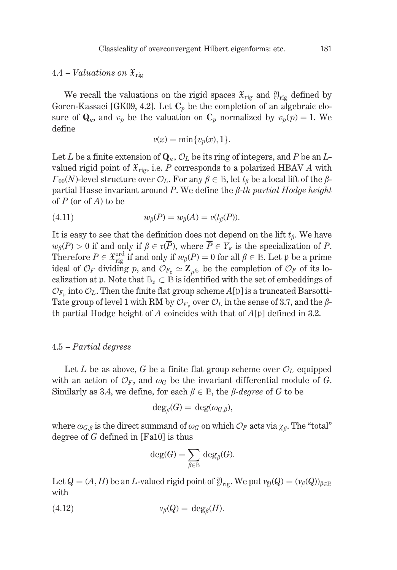# 4.4 – Valuations on  $\mathfrak{X}_{\text{ris}}$

We recall the valuations on the rigid spaces  $\mathfrak{X}_{\text{rig}}$  and  $\mathfrak{Y}_{\text{rig}}$  defined by Goren-Kassaei [GK09, 4.2]. Let  $C_p$  be the completion of an algebraic closure of  $\mathbf{Q}_{\kappa}$ , and  $v_p$  be the valuation on  $\mathbf{C}_p$  normalized by  $v_p(p) = 1$ . We define

$$
v(x) = \min\{v_p(x), 1\}.
$$

Let L be a finite extension of  $\mathbf{Q}_{\kappa}$ ,  $\mathcal{O}_{L}$  be its ring of integers, and P be an Lvalued rigid point of  $\mathfrak{X}_{\text{ric}}$ , i.e. P corresponds to a polarized HBAV A with  $\Gamma_{00}(N)$ -level structure over  $\mathcal{O}_L$ . For any  $\beta \in \mathbb{B}$ , let  $t_{\beta}$  be a local lift of the  $\beta$ partial Hasse invariant around P. We define the  $\beta$ -th partial Hodge height of  $P$  (or of  $A$ ) to be

$$
(4.11) \t\t w\beta(P) = w\beta(A) = v(t\beta(P)).
$$

It is easy to see that the definition does not depend on the lift  $t_{\beta}$ . We have  $w_{\beta}(P) > 0$  if and only if  $\beta \in \tau(\overline{P})$ , where  $\overline{P} \in Y_{\kappa}$  is the specialization of P. Therefore  $P \in \mathfrak{X}_{\text{rig}}^{\text{ord}}$  if and only if  $w_{\beta}(P) = 0$  for all  $\beta \in \mathbb{B}$ . Let  $\mathfrak{p}$  be a prime ideal of  $\mathcal{O}_F$  dividing p, and  $\mathcal{O}_{F_p} \simeq \mathbb{Z}_{p^{f_p}}$  be the completion of  $\mathcal{O}_F$  of its localization at p. Note that  $\mathbb{B}_p \subset \mathbb{B}$  is identified with the set of embeddings of  $\mathcal{O}_{F_n}$  into  $\mathcal{O}_L$ . Then the finite flat group scheme  $A[\mathfrak{p}]$  is a truncated Barsotti-Tate group of level 1 with RM by  $\mathcal{O}_{F_n}$  over  $\mathcal{O}_L$  in the sense of 3.7, and the  $\beta$ th partial Hodge height of A coincides with that of  $A[\mathfrak{p}]$  defined in 3.2.

### $4.5$  – Partial degrees

Let L be as above, G be a finite flat group scheme over  $\mathcal{O}_L$  equipped with an action of  $\mathcal{O}_F$ , and  $\omega_G$  be the invariant differential module of G. Similarly as 3.4, we define, for each  $\beta \in \mathbb{B}$ , the  $\beta$ -degree of G to be

$$
\deg_{\beta}(G) = \deg(\omega_{G,\beta}),
$$

where  $\omega_{G,\beta}$  is the direct summand of  $\omega_G$  on which  $\mathcal{O}_F$  acts via  $\chi_{\beta}$ . The "total" degree of  $G$  defined in [Fa10] is thus

$$
\deg(G) = \sum_{\beta \in \mathbb{B}} \deg_{\beta}(G).
$$

Let  $Q = (A, H)$  be an *L*-valued rigid point of  $\mathcal{Y}_{\text{rig}}$ . We put  $v_{\mathcal{Y}}(Q) = (v_{\beta}(Q))_{\beta \in \mathbb{B}}$ with

$$
(4.12) \t\t\t v_{\beta}(Q) = \deg_{\beta}(H).
$$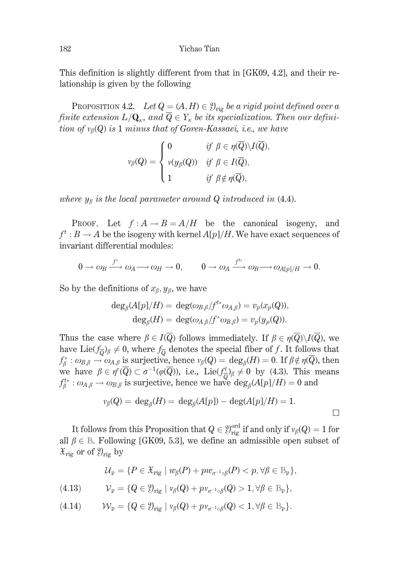This definition is slightly different from that in [GK09, 4.2], and their relationship is given by the following

PROPOSITION 4.2. Let  $Q = (A, H) \in \mathcal{Y}_{\text{rig}}$  be a rigid point defined over a finite extension  $L/\mathbf{Q}_{\kappa}$ , and  $\overline{Q} \in Y_{\kappa}$  be its specialization. Then our definition of  $v_{\beta}(Q)$  is 1 minus that of Goren-Kassaei, i.e., we have

$$
\nu_{\beta}(Q) = \begin{cases} 0 & \text{if } \beta \in \eta(\overline{Q}) \setminus I(\overline{Q}) \\ \nu(y_{\beta}(Q)) & \text{if } \beta \in I(\overline{Q}), \\ 1 & \text{if } \beta \notin \eta(\overline{Q}), \end{cases}
$$

where  $y_\beta$  is the local parameter around Q introduced in (4.4).

PROOF. Let  $f : A \rightarrow B = A/H$  be the canonical isogeny, and  $f^t: B \to A$  be the isogeny with kernel  $A[p]/H$ . We have exact sequences of invariant differential modules:

$$
0 \to \omega_B \xrightarrow{f^*} \omega_A \longrightarrow \omega_H \to 0, \qquad 0 \to \omega_A \xrightarrow{f^{t*}} \omega_B \longrightarrow \omega_{A[p]/H} \to 0.
$$

So by the definitions of  $x_{\beta}, y_{\beta}$ , we have

$$
\deg_{\beta}(A[p]/H) = \deg(\omega_{B,\beta}/f^{t*}\omega_{A,\beta}) = v_p(x_p(Q)),
$$
  

$$
\deg_{\beta}(H) = \deg(\omega_{A,\beta}/f^*\omega_{B,\beta}) = v_p(y_p(Q)).
$$

Thus the case where  $\beta \in I(\overline{Q})$  follows immediately. If  $\beta \in \eta(\overline{Q})\backslash I(\overline{Q})$ , we have Lie( $f_{\overline{\Omega}}$ )<sub>β</sub>  $\neq$  0, where  $f_{\overline{\Omega}}$  denotes the special fiber of f. It follows that  $f_{\beta}^* : \omega_{B,\beta} \to \omega_{A,\beta}$  is surjective, hence  $v_{\beta}(Q) = \deg_{\beta}(H) = 0$ . If  $\beta \notin \eta(Q)$ , then we have  $\beta \in \eta^c(\overline{Q}) \subset \sigma^{-1}(\varphi(\overline{Q}))$ , i.e., Lie $(f^t_{\overline{Q}})_{\beta} \neq 0$  by (4.3). This means  $f_{\beta}^{t*}: \omega_{A,\beta} \to \omega_{B,\beta}$  is surjective, hence we have  $\deg_{\beta}(A[p]/H) = 0$  and

$$
\nu_{\beta}(Q) = \deg_{\beta}(H) = \deg_{\beta}(A[p]) - \deg(A[p]/H) = 1.
$$

It follows from this Proposition that  $Q \in \mathcal{Y}_{\text{rig}}^{\text{ord}}$  if and only if  $v_\beta(Q) = 1$  for all  $\beta \in \mathbb{B}$ . Following [GK09, 5.3], we define an admissible open subset of  $\mathfrak{X}_{\text{rig}}$  or of  $\mathfrak{Y}_{\text{rig}}$  by

$$
\mathcal{U}_{\mathfrak{p}} = \{ P \in \mathfrak{X}_{\mathrm{rig}} \mid w_{\beta}(P) + pw_{\sigma^{-1} \circ \beta}(P) < p, \forall \beta \in \mathbb{B}_{\mathfrak{p}} \}
$$

$$
(4.13) \t\t V_{\mathfrak{p}} = \{Q \in \mathcal{Y}_{\mathrm{rig}} \mid \nu_{\beta}(Q) + p \nu_{\sigma^{-1} \circ \beta}(Q) > 1, \forall \beta \in \mathbb{B}_{\mathfrak{p}}\},
$$

$$
(4.14) \t\t W_{\mathfrak{p}} = \{Q \in \mathcal{Y}_{\mathrm{rig}} \mid \nu_{\beta}(Q) + p \nu_{\sigma^{-1} \circ \beta}(Q) < 1, \forall \beta \in \mathbb{B}_{\mathfrak{p}}\}.
$$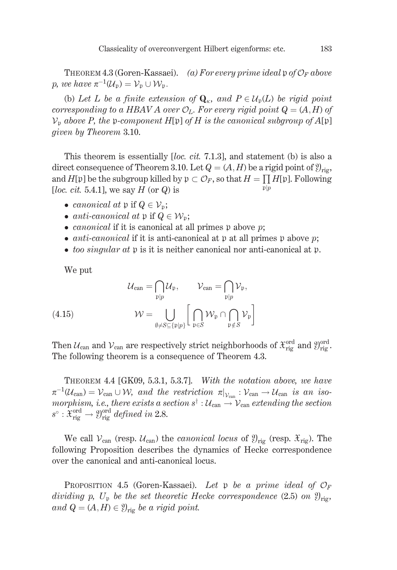THEOREM 4.3 (Goren-Kassaei). (a) For every prime ideal p of  $\mathcal{O}_F$  above p, we have  $\pi^{-1}(\mathcal{U}_n) = \mathcal{V}_n \cup \mathcal{W}_n$ .

(b) Let L be a finite extension of  $\mathbf{Q}_{\kappa}$ , and  $P \in \mathcal{U}_{p}(L)$  be rigid point corresponding to a HBAV A over  $\mathcal{O}_L$ . For every rigid point  $Q = (A, H)$  of  $\mathcal{V}_{\mathfrak{p}}$  above P, the p-component H[p] of H is the canonical subgroup of A[p] given by Theorem 3.10.

This theorem is essentially [*loc. cit.* 7.1.3], and statement (b) is also a direct consequence of Theorem 3.10. Let  $Q = (A, H)$  be a rigid point of  $\mathcal{Y}_{\text{ris}}$ , and  $H[\mathfrak{p}]$  be the subgroup killed by  $\mathfrak{p} \subset \mathcal{O}_F$ , so that  $H = \prod H[\mathfrak{p}]$ . Following [loc. cit. 5.4.1], we say  $H$  (or  $Q$ ) is  $\mathfrak{p}|p$ 

- canonical at p if  $Q \in \mathcal{V}_p$ ;
- anti-canonical at p if  $Q \in \mathcal{W}_p$ ;
- *canonical* if it is canonical at all primes  $\mathfrak p$  above  $\mathfrak p$ ;
- *anti-canonical* if it is anti-canonical at  $\nu$  at all primes  $\nu$  above  $\nu$ ;
- too singular at  $\mathfrak p$  is it is neither canonical nor anti-canonical at  $\mathfrak p$ .

We put

(4.15) 
$$
\mathcal{U}_{\text{can}} = \bigcap_{\mathfrak{p}|p} \mathcal{U}_{\mathfrak{p}}, \qquad \mathcal{V}_{\text{can}} = \bigcap_{\mathfrak{p}|p} \mathcal{V}_{\mathfrak{p}},
$$

$$
\mathcal{W} = \bigcup_{\emptyset \neq S \subseteq {\{\mathfrak{p}|p\}}} \bigg[ \bigcap_{\mathfrak{p} \in S} \mathcal{W}_{\mathfrak{p}} \cap \bigcap_{\mathfrak{p} \notin S} \mathcal{V}_{\mathfrak{p}} \bigg]
$$

Then  $\mathcal{U}_{\text{can}}$  and  $\mathcal{V}_{\text{can}}$  are respectively strict neighborhoods of  $\mathcal{X}_{\text{rig}}^{\text{ord}}$  and  $\mathcal{Y}_{\text{rig}}^{\text{ord}}$ . The following theorem is a consequence of Theorem 4.3.

THEOREM 4.4 [GK09, 5.3.1, 5.3.7]. With the notation above, we have  $\pi^{-1}(\mathcal{U}_{\text{can}}) = \mathcal{V}_{\text{can}} \cup \mathcal{W}$ , and the restriction  $\pi|_{\mathcal{V}_{\text{can}}} : \mathcal{V}_{\text{can}} \to \mathcal{U}_{\text{can}}$  is an isomorphism, i.e., there exists a section  $s^{\dagger} : \mathcal{U}_{\text{can}} \to \mathcal{V}_{\text{can}}$  extending the section  $s^{\circ} : \mathfrak{X}_{\mathrm{rig}}^{\mathrm{ord}} \to \mathfrak{Y}_{\mathrm{rig}}^{\mathrm{ord}}$  defined in 2.8.

We call  $V_{\text{can}}$  (resp.  $U_{\text{can}}$ ) the *canonical locus* of  $\mathcal{Y}_{\text{rig}}$  (resp.  $\mathcal{X}_{\text{rig}}$ ). The following Proposition describes the dynamics of Hecke correspondence over the canonical and anti-canonical locus.

**PROPOSITION** 4.5 (Goren-Kassaei). Let p be a prime ideal of  $\mathcal{O}_F$ dividing p,  $U_{\mathfrak{p}}$  be the set theoretic Hecke correspondence (2.5) on  $\mathfrak{Y}_{\text{rig}}$ , and  $Q = (A, H) \in \mathcal{Y}_{\text{rig}}$  be a rigid point.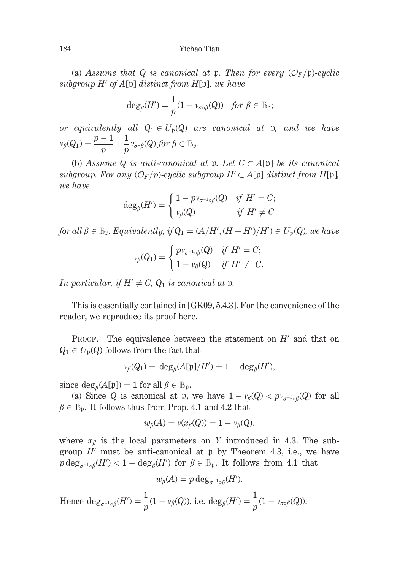(a) Assume that Q is canonical at p. Then for every  $(\mathcal{O}_F/\mathfrak{p})$ -cyclic subgroup  $H'$  of  $A[\mathfrak{p}]$  distinct from  $H[\mathfrak{p}]$ , we have

$$
\deg_{\beta}(H') = \frac{1}{p}(1 - v_{\sigma \circ \beta}(Q)) \text{ for } \beta \in \mathbb{B}_{\mathfrak{p}};
$$

or equivalently all  $Q_1 \in U_p(Q)$  are canonical at p, and we have  $\nu_{\beta}(Q_1) = \frac{p-1}{p} + \frac{1}{p} \nu_{\sigma \circ \beta}(Q)$  for  $\beta \in \mathbb{B}_{p}$ .

(b) Assume Q is anti-canonical at p. Let  $C \subset A[p]$  be its canonical subgroup. For any  $(\mathcal{O}_F/p)$ -cyclic subgroup  $H' \subset A[p]$  distinct from  $H[p]$ , we have

$$
\deg_{\beta}(H') = \begin{cases} 1 - p v_{\sigma^{-1} \circ \beta}(Q) & \text{if } H' = C; \\ v_{\beta}(Q) & \text{if } H' \neq C \end{cases}
$$

for all  $\beta \in \mathbb{B}_{p}$ . Equivalently, if  $Q_1 = (A/H', (H + H')/H') \in U_p(Q)$ , we have

$$
\nu_{\beta}(Q_1) = \begin{cases} p\nu_{\sigma^{-1}\circ\beta}(Q) & \text{if } H' = C; \\ 1 - \nu_{\beta}(Q) & \text{if } H' \neq C. \end{cases}
$$

In particular, if  $H' \neq C$ ,  $Q_1$  is canonical at p.

This is essentially contained in [GK09, 5.4.3]. For the convenience of the reader, we reproduce its proof here.

The equivalence between the statement on  $H'$  and that on PROOF.  $Q_1 \in U_p(Q)$  follows from the fact that

$$
\nu_\beta(Q_1)=\,\mathrm{deg}_\beta(A[\mathfrak{p}]/H')=1-\mathrm{deg}_\beta(H'),
$$

since  $\deg_{\beta}(A[\mathfrak{p}]) = 1$  for all  $\beta \in \mathbb{B}_{\mathfrak{p}}$ .

(a) Since Q is canonical at p, we have  $1 - v_{\beta}(Q) < pv_{\sigma^{-1} \circ \beta}(Q)$  for all  $\beta \in \mathbb{B}_{p}$ . It follows thus from Prop. 4.1 and 4.2 that

$$
w_{\beta}(A) = v(x_{\beta}(Q)) = 1 - v_{\beta}(Q),
$$

where  $x_{\beta}$  is the local parameters on Y introduced in 4.3. The subgroup  $H'$  must be anti-canonical at p by Theorem 4.3, i.e., we have  $p \deg_{\sigma^{-1} \circ \beta}(H') < 1 - \deg_{\beta}(H')$  for  $\beta \in \mathbb{B}_{p}$ . It follows from 4.1 that

$$
w_{\beta}(A) = p \deg_{\sigma^{-1} \circ \beta}(H').
$$

Hence  $\deg_{\sigma^{-1}\circ\beta}(H') = \frac{1}{n}(1 - v_{\beta}(Q))$ , i.e.  $\deg_{\beta}(H') = \frac{1}{n}(1 - v_{\sigma\circ\beta}(Q)).$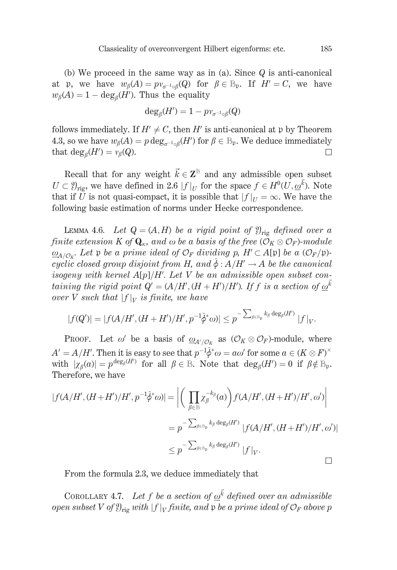(b) We proceed in the same way as in (a). Since  $Q$  is anti-canonical at p, we have  $w_{\beta}(A) = pv_{\sigma^{-1} {\alpha}}(Q)$  for  $\beta \in \mathbb{B}_{n}$ . If  $H' = C$ , we have  $w_{\beta}(A) = 1 - \deg_{\beta}(H')$ . Thus the equality

$$
\deg_{\beta}(H') = 1 - p v_{\sigma^{-1} \circ \beta}(Q)
$$

follows immediately. If  $H' \neq C$ , then H' is anti-canonical at p by Theorem 4.3, so we have  $w_{\beta}(A) = p \deg_{\sigma^{-1} \circ \beta}(H')$  for  $\beta \in \mathbb{B}_{p}$ . We deduce immediately that  $deg_{\beta}(H') = v_{\beta}(Q)$ .  $\Box$ 

Recall that for any weight  $\vec{k} \in \mathbb{Z}^{\mathbb{B}}$  and any admissible open subset  $U \subset \mathcal{Y}_{\text{rig}}$ , we have defined in 2.6  $|f|_U$  for the space  $f \in H^0(\overline{U}, \underline{\omega}^{\overline{k}})$ . Note that if U is not quasi-compact, it is possible that  $|f|_{U} = \infty$ . We have the following basic estimation of norms under Hecke correspondence.

LEMMA 4.6. Let  $Q = (A, H)$  be a rigid point of  $\mathcal{Y}_{\text{rig}}$  defined over a finite extension K of  $\mathbf{Q}_{\kappa}$ , and  $\omega$  be a basis of the free  $(\overline{\mathcal{O}}_K \otimes \mathcal{O}_F)$ -module  $\underline{\omega}_{A/O_{\nu}}$ . Let p be a prime ideal of  $\mathcal{O}_F$  dividing p,  $H' \subset A[\mathfrak{p}]$  be a  $(\mathcal{O}_F/\mathfrak{p})$ cyclic closed group disjoint from H, and  $\hat{\phi}: A/H' \to A$  be the canonical isogeny with kernel  $A[p]/H'$ . Let V be an admissible open subset containing the rigid point  $Q' = (A/H', (H + H')/H')$ . If f is a section of  $\omega^{\vec{k}}$ over V such that  $|f|_V$  is finite, we have

$$
|f(Q')| = |f(A/H', (H+H')/H', p^{-1}\hat{\phi}^*\omega)| \leq p^{-\sum_{\beta \in \mathbb{B}_{\mathfrak{p}}} k_{\beta} \deg_{\beta}(H')} |f|_{V}.
$$

PROOF. Let  $\omega'$  be a basis of  $\underline{\omega}_{A'/\mathcal{O}_K}$  as  $(\mathcal{O}_K \otimes \mathcal{O}_F)$ -module, where  $A' = A/H'$ . Then it is easy to see that  $p^{-1}\hat{\phi}^*\omega = a\omega'$  for some  $a \in (K \otimes F)^\times$ with  $|\chi_{\beta}(a)| = p^{\deg_{\beta}(H')}$  for all  $\beta \in \mathbb{B}$ . Note that  $\deg_{\beta}(H') = 0$  if  $\beta \notin \mathbb{B}_{p}$ . Therefore, we have

$$
|f(A/H', (H+H')/H', p^{-1}\hat{\phi}^*\omega)| = \left| \left( \prod_{\beta \in \mathbb{B}} \chi_\beta^{-k_\beta}(a) \right) f(A/H', (H+H')/H', \omega') \right|
$$
  

$$
= p^{-\sum_{\beta \in \mathbb{B}_p} k_\beta \deg_\beta(H')} |f(A/H', (H+H')/H', \omega')|
$$
  

$$
\leq p^{-\sum_{\beta \in \mathbb{B}_p} k_\beta \deg_\beta(H')} |f|_V.
$$

From the formula 2.3, we deduce immediately that

COROLLARY 4.7. Let f be a section of  $\omega^{\vec{k}}$  defined over an admissible open subset V of  $\mathfrak{Y}_{\text{rig}}$  with  $|f|_V$  finite, and  $\mathfrak p$  be a prime ideal of  $\mathcal{O}_F$  above p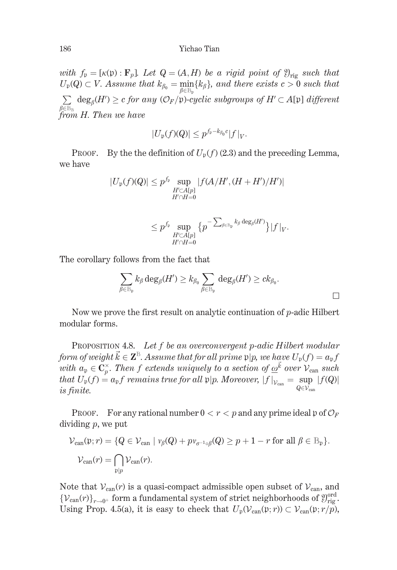with  $f_p = [\kappa(p) : \mathbf{F}_p]$ . Let  $Q = (A, H)$  be a rigid point of  $\mathfrak{Y}_{\text{ris}}$  such that  $U_p(Q) \subset V$ . Assume that  $k_{\beta_0} = \min_{\beta \in \mathbb{B}_p} \{k_{\beta}\}\$ , and there exists  $c > 0$  such that  $\sum \deg_{\beta}(H') \geq c \text{ for any } (\mathcal{O}_F/\mathfrak{p})\text{-cyclic subgroups of } H' \subset A[\mathfrak{p}] \text{ different }$ from H. Then we have

$$
|U_{\mathfrak{p}}(f)(Q)| \leq p^{f_{\mathfrak{p}} - k_{\beta_0}c} |f|_{V}.
$$

PROOF. By the the definition of  $U_n(f)(2.3)$  and the preceding Lemma, we have

$$
|U_{\mathfrak{p}}(f)(Q)| \leq p^{f_{\mathfrak{p}}} \sup_{\substack{H' \subset A[p] \\ H' \cap H = 0}} |f(A/H', (H + H')/H')|
$$

$$
\leq p^{f_{\mathfrak{p}}} \sup _{\substack{H'\subset A[p]\\ H'\cap H=0}}\big\{ p^{-\sum_{\beta\in\mathbb{B}_{\mathfrak{p}}}k_{\beta}\deg_{\beta}(H')}\big\} |f|_{V}.
$$

The corollary follows from the fact that

$$
\sum_{\beta\in\mathbb{B}_{\mathfrak{p}}}k_{\beta}\deg_{\beta}(H')\geq k_{\beta_0}\sum_{\beta\in\mathbb{B}_{\mathfrak{p}}}\deg_{\beta}(H')\geq ck_{\beta_0}.
$$

Now we prove the first result on analytic continuation of  $p$ -adic Hilbert modular forms.

PROPOSITION 4.8. Let f be an overconvergent p-adic Hilbert modular form of weight  $\vec{k} \in \mathbf{Z}^{\mathbb{B}}$ . Assume that for all prime  $p|p$ , we have  $U_p(f) = a_p f$ with  $a_p \in \mathbb{C}_p^{\times}$ . Then f extends uniquely to a section of  $\underline{\omega}^{\vec{k}}$  over  $\mathcal{V}_{\text{can}}$  such that  $U_{\mathfrak{p}}(f) = a_{\mathfrak{p}}f$  remains true for all  $\mathfrak{p}|p$ . Moreover,  $|f|_{\mathcal{V}_{can}} = \sup_{Q \in \mathcal{V}_{can}} |f(Q)|$ is finite.

**PROOF.** For any rational number  $0 < r < p$  and any prime ideal p of  $\mathcal{O}_F$ dividing  $p$ , we put

$$
\mathcal{V}_{\text{can}}(\mathfrak{p}; r) = \{ Q \in \mathcal{V}_{\text{can}} \mid \nu_{\beta}(Q) + p \nu_{\sigma^{-1} \circ \beta}(Q) \ge p + 1 - r \text{ for all } \beta \in \mathbb{B}_{\mathfrak{p}} \}.
$$
  

$$
\mathcal{V}_{\text{can}}(r) = \bigcap_{\mathfrak{p} \mid p} \mathcal{V}_{\text{can}}(r).
$$

Note that  $V_{\text{can}}(r)$  is a quasi-compact admissible open subset of  $V_{\text{can}}$ , and  $\{V_{\text{can}}(r)\}_{r\to 0^+}$  form a fundamental system of strict neighborhoods of  $\mathfrak{Y}_{\text{rig}}^{\text{ord}}$ . Using Prop. 4.5(a), it is easy to check that  $U_p(\mathcal{V}_{can}(\mathfrak{p};r)) \subset \mathcal{V}_{can}(\mathfrak{p};r/p)$ ,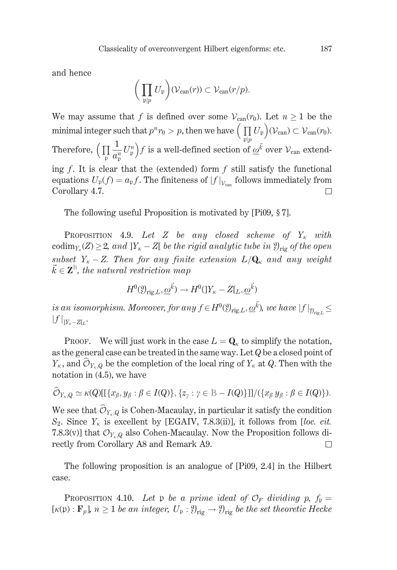and hence

$$
\bigg(\prod_{\mathfrak{p}|p} U_{\mathfrak{p}}\bigg)(\mathcal{V}_{\operatorname{can}}(r)) \subset \mathcal{V}_{\operatorname{can}}(r/p).
$$

We may assume that f is defined over some  $V_{can}(r_0)$ . Let  $n > 1$  be the minimal integer such that  $p^n r_0 > p$ , then we have  $\Big(\prod_{p|n} U_p\Big)(\mathcal{V}_{can}) \subset \mathcal{V}_{can}(r_0)$ . Therefore,  $\left(\prod_{n} \frac{1}{a_n^m} U_{\mathfrak{p}}^n\right) f$  is a well-defined section of  $\underline{\omega}^{\vec{k}}$  over  $\mathcal{V}_{\text{can}}$  extending  $f$ . It is clear that the (extended) form  $f$  still satisfy the functional equations  $U_{\mathfrak{p}}(f) = a_{\mathfrak{p}}f$ . The finiteness of  $|f|_{\mathcal{V}_{\text{can}}}$  follows immediately from Corollary 4.7. П

The following useful Proposition is motivated by [Pi09, §7].

PROPOSITION 4.9. Let Z be any closed scheme of  $Y_k$  with codim<sub>Y<sub>x</sub></sub> $(Z) \geq 2$ , and  $|Y_k - Z|$  be the rigid analytic tube in  $\mathcal{Y}_{\text{trig}}$  of the open subset  $Y_{\kappa} - Z$ . Then for any finite extension  $L/\mathbf{Q}_{\kappa}$  and any weight  $\vec{k} \in \mathbf{Z}^{\text{B}}$ , the natural restriction map

$$
H^0(\mathfrak{Y}_{\mathrm{rig},L},\underline{\omega}^{\vec{k}}) \to H^0(\mathfrak{Y}_{\kappa}-Z[\underline{L},\underline{\omega}^{\vec{k}})
$$

is an isomorphism. Moreover, for any  $f \in H^0(\mathcal{Y}_{\text{rig}\_L}, \underline{\omega}^{\vec{k}})$ , we have  $|f|_{\mathcal{Y}_{\text{rig}\_L}} \leq$  $||f||_{Y_{\kappa}-Z|_{L}}.$ 

PROOF. We will just work in the case  $L = \mathbf{Q}_{\kappa}$  to simplify the notation, as the general case can be treated in the same way. Let  $Q$  be a closed point of  $Y_{\kappa}$ , and  $\widehat{\mathcal{O}}_{Y_{\kappa},Q}$  be the completion of the local ring of  $Y_{\kappa}$  at Q. Then with the notation in  $(4.5)$ , we have

$$
\widehat{\mathcal{O}}_{Y_{\kappa},Q}\simeq \kappa(Q)[[\{x_{\beta},y_{\beta}:\beta\in I(Q)\},\{z_{\gamma}:\gamma\in\mathbb{B}-I(Q)\}]]/(\{x_{\beta}\,y_{\beta}:\beta\in I(Q)\}).
$$

We see that  $\widehat{\mathcal{O}}_{Y_{r},Q}$  is Cohen-Macaulay, in particular it satisfy the condition  $S_2$ . Since  $Y_{\kappa}$  is excellent by [EGAIV, 7.8.3(ii)], it follows from [loc. cit. 7.8.3(v)] that  $\mathcal{O}_{Y_{k},Q}$  also Cohen-Macaulay. Now the Proposition follows directly from Corollary A8 and Remark A9.  $\Box$ 

The following proposition is an analogue of [Pi09, 2.4] in the Hilbert case.

**PROPOSITION** 4.10. Let p be a prime ideal of  $\mathcal{O}_F$  dividing p,  $f_p =$  $[\kappa(\mathfrak{p}) : \mathbf{F}_p]$ ,  $n \geq 1$  be an integer,  $U_{\mathfrak{p}} : \mathcal{Y}_{\text{rig}} \to \mathcal{Y}_{\text{rig}}$  be the set theoretic Hecke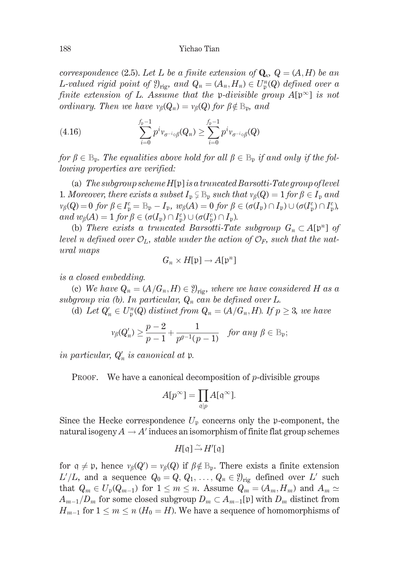correspondence (2.5). Let L be a finite extension of  $\mathbf{Q}_{\kappa}$ ,  $Q = (A, H)$  be an L-valued rigid point of  $\mathfrak{Y}_{\text{ris}}$ , and  $Q_n = (A_n, H_n) \in U_{\text{p}}^n(Q)$  defined over a finite extension of L. Assume that the p-divisible group  $A[\mathfrak{p}^{\infty}]$  is not ordinary. Then we have  $v_{\beta}(Q_n) = v_{\beta}(Q)$  for  $\beta \notin \mathbb{B}_n$ , and

(4.16) 
$$
\sum_{i=0}^{f_{\rm p}-1} p^i v_{\sigma^{-i}\circ\beta}(Q_n) \geq \sum_{i=0}^{f_{\rm p}-1} p^i v_{\sigma^{-i}\circ\beta}(Q)
$$

for  $\beta \in \mathbb{B}_{p}$ . The equalities above hold for all  $\beta \in \mathbb{B}_{p}$  if and only if the fol*lowing properties are verified:* 

(a) The subgroup scheme  $H[\mathfrak{p}]$  is a truncated Barsotti-Tate group of level 1. Moreover, there exists a subset  $I_p \subsetneq \mathbb{B}_p$  such that  $v_\beta(Q) = 1$  for  $\beta \in I_p$  and  $v_{\beta}(Q) = 0$  for  $\beta \in I_n^c = \mathbb{B}_p - I_p$ ,  $w_{\beta}(A) = 0$  for  $\beta \in (\sigma(I_p) \cap I_p) \cup (\sigma(I_n^c) \cap I_n^c)$ , and  $w_{\beta}(A) = 1$  for  $\beta \in (\sigma(I_n) \cap I_n^c) \cup (\sigma(I_n^c) \cap I_n)$ .

(b) There exists a truncated Barsotti-Tate subgroup  $G_n \subset A[\mathfrak{p}^n]$  of level n defined over  $\mathcal{O}_L$ , stable under the action of  $\mathcal{O}_F$ , such that the natural maps

$$
G_n \times H[\mathfrak{p}] \to A[\mathfrak{p}^n]
$$

is a closed embedding.

(c) We have  $Q_n = (A/G_n, H) \in \mathcal{Y}_{\text{rig}}$ , where we have considered H as a subgroup via (b). In particular,  $Q_n$  can be defined over L.

(d) Let  $Q'_n \in U^n_n(Q)$  distinct from  $Q_n = (A/G_n, H)$ . If  $p \geq 3$ , we have

$$
\nu_{\beta}(Q'_n)\geq \frac{p-2}{p-1}+\frac{1}{p^{g-1}(p-1)}\quad \text{for any }\beta\in\mathbb{B}_{\mathfrak{p}};
$$

in particular,  $Q'_n$  is canonical at p.

**PROOF.** We have a canonical decomposition of p-divisible groups

$$
A[p^{\infty}] = \prod_{\mathfrak{q}|p} A[\mathfrak{q}^{\infty}].
$$

Since the Hecke correspondence  $U_p$  concerns only the p-component, the natural isogeny  $A \to A'$  induces an isomorphism of finite flat group schemes

$$
H[\mathfrak{q}]\,\tilde{\rightarrow}\,H'[\mathfrak{q}]
$$

for  $q \neq p$ , hence  $\nu_{\beta}(Q') = \nu_{\beta}(Q)$  if  $\beta \notin \mathbb{B}_{p}$ . There exists a finite extension  $L'/L$ , and a sequence  $Q_0 = Q, Q_1, \ldots, Q_n \in \mathcal{Y}_{\text{rig}}$  defined over L' such that  $Q_m \in U_p(Q_{m-1})$  for  $1 \leq m \leq n$ . Assume  $Q_m = (A_m, H_m)$  and  $A_m \simeq$  $A_{m-1}/D_m$  for some closed subgroup  $D_m \subset A_{m-1}[\mathfrak{p}]$  with  $D_m$  distinct from  $H_{m-1}$  for  $1 \leq m \leq n$  ( $H_0 = H$ ). We have a sequence of homomorphisms of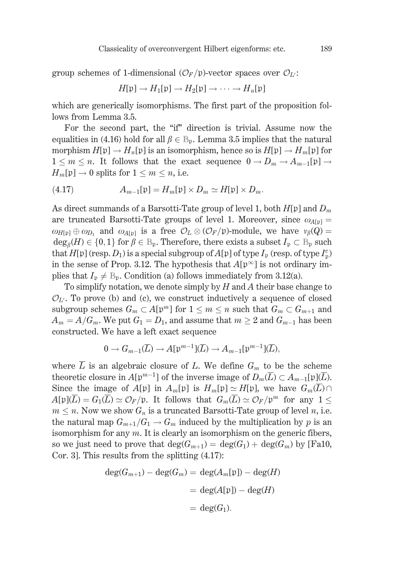group schemes of 1-dimensional  $(\mathcal{O}_F/\mathfrak{p})$ -vector spaces over  $\mathcal{O}_U$ :

$$
H[\mathfrak{p}]\to H_1[\mathfrak{p}]\to H_2[\mathfrak{p}]\to\cdots\to H_n[\mathfrak{p}]
$$

which are generically isomorphisms. The first part of the proposition follows from Lemma 3.5.

For the second part, the "if" direction is trivial. Assume now the equalities in (4.16) hold for all  $\beta \in \mathbb{B}_n$ . Lemma 3.5 implies that the natural morphism  $H[\mathfrak{p}] \to H_n[\mathfrak{p}]$  is an isomorphism, hence so is  $H[\mathfrak{p}] \to H_m[\mathfrak{p}]$  for  $1 \leq m \leq n$ . It follows that the exact sequence  $0 \to D_m \to A_{m-1}[\mathfrak{p}] \to$  $H_m[\mathfrak{p}] \to 0$  splits for  $1 \leq m \leq n$ , i.e.

$$
(4.17) \t A_{m-1}[\mathfrak{p}] = H_m[\mathfrak{p}] \times D_m \simeq H[\mathfrak{p}] \times D_m
$$

As direct summands of a Barsotti-Tate group of level 1, both  $H[\mathfrak{p}]$  and  $D_m$ are truncated Barsotti-Tate groups of level 1. Moreover, since  $\omega_{A[\mathfrak{p}]} =$  $\omega_{H[\text{b}]} \oplus \omega_{D}$ , and  $\omega_{A[\text{b}]}$  is a free  $\mathcal{O}_L \otimes (\mathcal{O}_F/\mathfrak{p})$ -module, we have  $v_{\beta}(Q)$  =  $\deg_{\beta}(H) \in \{0,1\}$  for  $\beta \in \mathbb{B}_{p}$ . Therefore, there exists a subset  $I_{p} \subset \mathbb{B}_{p}$  such that  $H[\mathfrak{p}]$  (resp.  $D_1$ ) is a special subgroup of  $A[\mathfrak{p}]$  of type  $I_p$  (resp. of type  $I_p^c$ ) in the sense of Prop. 3.12. The hypothesis that  $A[\mathfrak{p}^{\infty}]$  is not ordinary implies that  $I_p \neq \mathbb{B}_p$ . Condition (a) follows immediately from 3.12(a).

To simplify notation, we denote simply by  $H$  and  $A$  their base change to  $\mathcal{O}_{L'}$ . To prove (b) and (c), we construct inductively a sequence of closed subgroup schemes  $G_m \subset A[\mathfrak{p}^m]$  for  $1 \leq m \leq n$  such that  $G_m \subset G_{m+1}$  and  $A_m = A/G_m$ . We put  $G_1 = D_1$ , and assume that  $m \geq 2$  and  $G_{m-1}$  has been constructed. We have a left exact sequence

$$
0 \to G_{m-1}(\overline{L}) \to A[\mathfrak{p}^{m-1}](\overline{L}) \to A_{m-1}[\mathfrak{p}^{m-1}](\overline{L}),
$$

where  $\overline{L}$  is an algebraic closure of L. We define  $G_m$  to be the scheme theoretic closure in  $A[\mathfrak{p}^{m-1}]$  of the inverse image of  $D_m(\overline{L}) \subset A_{m-1}[\mathfrak{p}](\overline{L})$ . Since the image of  $A[\mathfrak{p}]$  in  $A_m[\mathfrak{p}]$  is  $H_m[\mathfrak{p}] \simeq H[\mathfrak{p}]$ , we have  $G_m(\overline{L}) \cap$  $A[\mathfrak{p}](\overline{L}) = G_1(\overline{L}) \simeq \mathcal{O}_F/\mathfrak{p}$ . It follows that  $G_m(\overline{L}) \simeq \mathcal{O}_F/\mathfrak{p}^m$  for any  $1 \leq$  $m \leq n$ . Now we show  $G_n$  is a truncated Barsotti-Tate group of level n, i.e. the natural map  $G_{m+1}/G_1 \rightarrow G_m$  induced by the multiplication by p is an isomorphism for any  $m$ . It is clearly an isomorphism on the generic fibers, so we just need to prove that  $deg(G_{m+1}) = deg(G_1) + deg(G_m)$  by [Fa10, Cor. 3]. This results from the splitting  $(4.17)$ :

$$
deg(G_{m+1}) - deg(G_m) = deg(A_m[\mathfrak{p}]) - deg(H)
$$

$$
= deg(A[\mathfrak{p}]) - deg(H)
$$

$$
= deg(G_1).
$$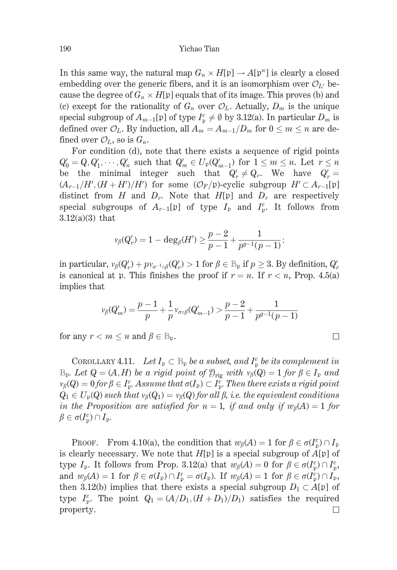In this same way, the natural map  $G_n \times H[\mathfrak{p}] \to A[\mathfrak{p}^n]$  is clearly a closed embedding over the generic fibers, and it is an isomorphism over  $\mathcal{O}_U$  because the degree of  $G_n \times H[\mathfrak{p}]$  equals that of its image. This proves (b) and (c) except for the rationality of  $G_n$  over  $\mathcal{O}_L$ . Actually,  $D_m$  is the unique special subgroup of  $A_{m-1}[\mathfrak{p}]$  of type  $I_n^c \neq \emptyset$  by 3.12(a). In particular  $D_m$  is defined over  $\mathcal{O}_L$ . By induction, all  $A_m = A_{m-1}/D_m$  for  $0 \leq m \leq n$  are defined over  $\mathcal{O}_L$ , so is  $G_n$ .

For condition (d), note that there exists a sequence of rigid points  $Q'_0 = Q, Q'_1, \dots, Q'_n$  such that  $Q'_m \in U_p(Q'_{m-1})$  for  $1 \leq m \leq n$ . Let  $r \leq n$ be the minimal integer such that  $Q'_r \neq Q_r$ . We have  $Q'_r =$  $(A_{r-1}/H', (H + H')/H')$  for some  $(\mathcal{O}_F/\mathfrak{p})$ -cyclic subgroup  $H' \subset A_{r-1}[\mathfrak{p}]$ distinct from H and  $D_r$ . Note that H[p] and  $D_r$  are respectively special subgroups of  $A_{r-1}[\mathfrak{p}]$  of type  $I_{\mathfrak{p}}$  and  $I_{\mathfrak{n}}^c$ . It follows from  $3.12(a)(3)$  that

$$
\nu_\beta(Q'_r) = 1 - \deg_\beta(H') \geq \frac{p-2}{p-1} + \frac{1}{p^{g-1}(p-1)};
$$

in particular,  $v_{\beta}(Q'_r) + p v_{\sigma^{-1} \circ \beta}(Q'_r) > 1$  for  $\beta \in \mathbb{B}_{p}$  if  $p \geq 3$ . By definition,  $Q'_r$ is canonical at p. This finishes the proof if  $r = n$ . If  $r < n$ , Prop. 4.5(a) implies that

$$
\nu_{\beta}(Q'_m) = \frac{p-1}{p} + \frac{1}{p} \nu_{\sigma \circ \beta}(Q'_{m-1}) > \frac{p-2}{p-1} + \frac{1}{p^{g-1}(p-1)}
$$

for any  $r < m \leq n$  and  $\beta \in \mathbb{B}_{p}$ .

COROLLARY 4.11. Let  $I_p \subset \mathbb{B}_p$  be a subset, and  $I_p^c$  be its complement in  $\mathbb{B}_{p}$ . Let  $Q = (A, H)$  be a rigid point of  $\mathcal{Y}_{\text{rig}}$  with  $v_{\beta}(Q) = 1$  for  $\beta \in I_{p}$  and  $\nu_{\beta}(Q) = 0$  for  $\beta \in I_{p}^{c}$ . Assume that  $\sigma(I_{p}) \subset I_{p}^{c}$ . Then there exists a rigid point  $Q_1 \in U_p(Q)$  such that  $v_\beta(Q_1) = v_\beta(Q)$  for all  $\beta$ , *i.e.* the equivalent conditions in the Proposition are satisfied for  $n = 1$ , if and only if  $w_{\beta}(A) = 1$  for  $\beta \in \sigma(I_{p}^{c}) \cap I_{p}$ 

**PROOF.** From 4.10(a), the condition that  $w_{\beta}(A) = 1$  for  $\beta \in \sigma(I_n^c) \cap I_p$ is clearly necessary. We note that  $H[\mathfrak{p}]$  is a special subgroup of  $A[\mathfrak{p}]$  of type  $I_p$ . It follows from Prop. 3.12(a) that  $w_\beta(A) = 0$  for  $\beta \in \sigma(I_p^c) \cap I_p^c$ , and  $w_{\beta}(A) = 1$  for  $\beta \in \sigma(I_p) \cap I_p^c = \sigma(I_p)$ . If  $w_{\beta}(A) = 1$  for  $\beta \in \sigma(I_p^c) \cap I_p$ , then 3.12(b) implies that there exists a special subgroup  $D_1 \subset A[\mathfrak{p}]$  of type  $I_n^c$ . The point  $Q_1 = (A/D_1, (H+D_1)/D_1)$  satisfies the required property.  $\Box$ 

 $\Box$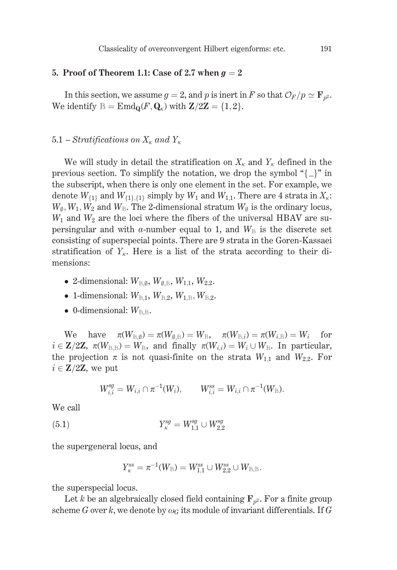## 5. Proof of Theorem 1.1: Case of 2.7 when  $g = 2$

In this section, we assume  $g = 2$ , and p is inert in F so that  $\mathcal{O}_F/p \simeq \mathbf{F}_{n^2}$ . We identify  $\mathbb{B} = \text{End}_{\mathbf{Q}}(F, \mathbf{Q}_{\kappa})$  with  $\mathbf{Z}/2\mathbf{Z} = \{1, 2\}.$ 

## 5.1 – Stratifications on  $X_{\kappa}$  and  $Y_{\kappa}$

We will study in detail the stratification on  $X_{\kappa}$  and  $Y_{\kappa}$  defined in the previous section. To simplify the notation, we drop the symbol " $\{\_\}$ " in the subscript, when there is only one element in the set. For example, we denote  $W_{\{1\}}$  and  $W_{\{1\},\{1\}}$  simply by  $W_1$  and  $W_{1,1}$ . There are 4 strata in  $X_k$ :  $W_{\emptyset}, W_1, W_2$  and  $W_{\mathbb{B}}$ . The 2-dimensional stratum  $W_{\emptyset}$  is the ordinary locus,  $W_1$  and  $W_2$  are the loci where the fibers of the universal HBAV are supersingular and with a-number equal to 1, and  $W_{\rm B}$  is the discrete set consisting of superspecial points. There are 9 strata in the Goren-Kassaei stratification of  $Y_k$ . Here is a list of the strata according to their dimensions:

- 2-dimensional:  $W_{\mathbb{B}, \emptyset}$ ,  $W_{\emptyset, \mathbb{B}}$ ,  $W_{1.1}$ ,  $W_{2.2}$ .
- 1-dimensional:  $W_{\mathbb{B}1}$ ,  $W_{\mathbb{B}2}$ ,  $W_{\mathbb{B}2}$ ,  $W_{\mathbb{B}2}$ .
- 0-dimensional:  $W_{\text{BB}}$ .

have  $\pi(W_{\mathbb{R} \emptyset}) = \pi(W_{\emptyset \mathbb{R}}) = W_{\mathbb{R}}$ ,  $\pi(W_{\mathbb{R} i}) = \pi(W_{i,\mathbb{R}}) = W_i$  for We  $i \in \mathbb{Z}/2\mathbb{Z}$ ,  $\pi(W_{\text{B,B}}) = W_{\text{B}}$ , and finally  $\pi(W_{i,i}) = W_i \cup W_{\text{B}}$ . In particular, the projection  $\pi$  is not quasi-finite on the strata  $W_{1,1}$  and  $W_{2,2}$ . For  $i \in \mathbf{Z}/2\mathbf{Z}$ , we put

$$
W_{i,i}^{sg}=W_{i,i}\cap \pi^{-1}(W_i),\qquad W_{i,i}^{ss}=W_{i,i}\cap \pi^{-1}(W_{\mathbb B}).
$$

We call

$$
(5.1) \t\t Y_{\kappa}^{sg} = W_{1,1}^{sg} \cup W_{2,2}^{sg}
$$

the supergeneral locus, and

$$
Y_{\scriptscriptstyle{\mathcal{K}}}^{ss}=\pi^{-1}(W_{\mathbb{B}})=W_{1.1}^{ss}\cup W_{2.2}^{ss}\cup W_{\mathbb{B},\mathbb{B}}.
$$

the superspecial locus.

Let k be an algebraically closed field containing  $\mathbf{F}_{p^2}$ . For a finite group scheme G over k, we denote by  $\omega_G$  its module of invariant differentials. If G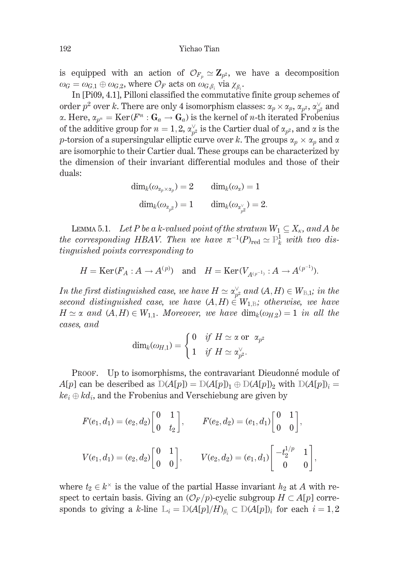is equipped with an action of  $\mathcal{O}_{F_n} \simeq \mathbb{Z}_{n^2}$ , we have a decomposition  $\omega_G = \omega_{G,1} \oplus \omega_{G,2}$ , where  $\mathcal{O}_F$  acts on  $\omega_{G,\beta}$ , via  $\chi_{\beta}$ .

In [Pi09, 4.1], Pilloni classified the commutative finite group schemes of order  $p^2$  over k. There are only 4 isomorphism classes:  $\alpha_p \times \alpha_p$ ,  $\alpha_{p^2}$ ,  $\alpha_{p^2}^{\vee}$  and  $\alpha$ . Here,  $\alpha_{p^n} = \text{Ker}(F^n : G_a \to G_a)$  is the kernel of *n*-th iterated Frobenius of the additive group for  $n = 1, 2, \alpha_{n^2}^{\vee}$  is the Cartier dual of  $\alpha_{p^2}$ , and  $\alpha$  is the p-torsion of a supersingular elliptic curve over k. The groups  $\alpha_p \times \alpha_p$  and  $\alpha$ are isomorphic to their Cartier dual. These groups can be characterized by the dimension of their invariant differential modules and those of their duals:

$$
\begin{aligned} \text{dim}_k(\omega_{\alpha_p\times\alpha_p})=2 \qquad \text{dim}_k(\omega_\alpha)=1\\ \text{dim}_k(\omega_{\alpha_{p^2}})=1 \qquad \text{dim}_k(\omega_{\alpha_{n^2}^\vee})=2 \end{aligned}
$$

LEMMA 5.1. Let P be a k-valued point of the stratum  $W_1 \subseteq X_{\kappa}$ , and A be the corresponding HBAV. Then we have  $\pi^{-1}(P)_{\text{red}} \simeq \mathbb{P}^1_k$  with two distinguished points corresponding to

$$
H = \text{Ker}(F_A : A \to A^{(p)})
$$
 and  $H = \text{Ker}(V_{A^{(p^{-1})}} : A \to A^{(p^{-1})})$ 

In the first distinguished case, we have  $H \simeq \alpha_{p^2}^{\vee}$  and  $(A, H) \in W_{B,1}$ ; in the second distinguished case, we have  $(A, H) \in W_{1, \mathbb{B}}$ ; otherwise, we have  $H \simeq \alpha$  and  $(A, H) \in W_{1,1}$ . Moreover, we have  $\dim_k(\omega_{H,2}) = 1$  in all the cases, and

$$
\dim_k(\omega_{H,1})=\begin{cases} 0 & \text{if}\,\ H \simeq \text{\textnormal{a}} \text{ or } \,\ \alpha_{p^2} \\ 1 & \text{if} \,\ H \simeq \alpha_{p^2}^\vee. \end{cases}
$$

PROOF. Up to isomorphisms, the contravariant Dieudonné module of  $A[p]$  can be described as  $D(A[p]) = D(A[p])_1 \oplus D(A[p])_2$  with  $D(A[p])_i =$  $ke_i \oplus kd_i$ , and the Frobenius and Verschiebung are given by

$$
F(e_1, d_1) = (e_2, d_2) \begin{bmatrix} 0 & 1 \ 0 & t_2 \end{bmatrix}, \qquad F(e_2, d_2) = (e_1, d_1) \begin{bmatrix} 0 & 1 \ 0 & 0 \end{bmatrix},
$$
  

$$
V(e_1, d_1) = (e_2, d_2) \begin{bmatrix} 0 & 1 \ 0 & 0 \end{bmatrix}, \qquad V(e_2, d_2) = (e_1, d_1) \begin{bmatrix} -t_2^{1/p} & 1 \ 0 & 0 \end{bmatrix},
$$

where  $t_2 \in k^{\times}$  is the value of the partial Hasse invariant  $h_2$  at A with respect to certain basis. Giving an  $(\mathcal{O}_F/p)$ -cyclic subgroup  $H \subset A[p]$  corresponds to giving a k-line  $L_i = D(A[p]/H)_{\beta_i} \subset D(A[p])_i$  for each  $i = 1, 2$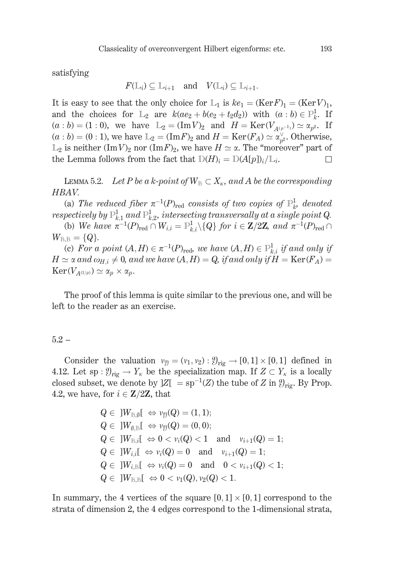satisfying

$$
F(\mathbb{L}_i) \subseteq \mathbb{L}_{i+1}
$$
 and  $V(\mathbb{L}_i) \subseteq \mathbb{L}_{i+1}$ .

It is easy to see that the only choice for  $L_1$  is  $ke_1 = (Ker F)_1 = (Ker V)_1$ , and the choices for  $L_2$  are  $k(ae_2 + b(e_2 + t_2d_2))$  with  $(a:b) \in \mathbb{P}^1_k$ . If  $(a:b) = (1:0)$ , we have  $L_2 = (\text{Im }V)_2$  and  $H = \text{Ker}(V_{A(p^{-1})}) \simeq \alpha_{p^2}$ . If  $(a:b) = (0:1)$ , we have  $L_2 = (\text{Im} F)_2$  and  $H = \text{Ker}(F_A) \simeq \alpha_{n^2}^{\vee}$ . Otherwise,  $\mathbb{L}_2$  is neither  $(\text{Im }V)_2$  nor  $(\text{Im }F)_2$ , we have  $H \simeq \alpha$ . The "moreover" part of the Lemma follows from the fact that  $D(H)_i = D(A[p])_i/L_i$ .  $\Box$ 

LEMMA 5.2. Let P be a k-point of  $W_B \subset X_{\kappa}$ , and A be the corresponding HBAV.

(a) The reduced fiber  $\pi^{-1}(P)_{\text{red}}$  consists of two copies of  $\mathbb{P}^1_{k}$ , denoted respectively by  $\mathbb{P}^1_{k,1}$  and  $\mathbb{P}^1_{k,2}$ , intersecting transversally at a single point Q.

(b) We have  $\pi^{-1}(P)_{\text{red}} \cap W_{i,i} = \mathbb{P}_{k,i}^1 \setminus \{Q\}$  for  $i \in \mathbb{Z}/2\mathbb{Z}$ , and  $\pi^{-1}(P)_{\text{red}} \cap$  $W_{B,B} = \{Q\}.$ 

(c) For a point  $(A, H) \in \pi^{-1}(P)_{\text{red}}$ , we have  $(A, H) \in \mathbb{P}^1_{k,i}$  if and only if  $H \simeq \alpha$  and  $\omega_{H,i} \neq 0$ , and we have  $(A, H) = Q$ , if and only if  $H = \text{Ker}(F_A) =$  $\text{Ker}(V_{A^{(1/p)}}) \simeq \alpha_p \times \alpha_p.$ 

The proof of this lemma is quite similar to the previous one, and will be left to the reader as an exercise.

### $5.2 -$

Consider the valuation  $v_{\mathfrak{Y}} = (v_1, v_2) : \mathfrak{Y}_{\text{rig}} \to [0, 1] \times [0, 1]$  defined in 4.12. Let sp :  $\mathcal{Y}_{\text{rig}} \to Y_{\kappa}$  be the specialization map. If  $Z \subset Y_{\kappa}$  is a locally closed subset, we denote by  $|Z| = sp^{-1}(Z)$  the tube of Z in  $\mathcal{Y}_{\text{rig}}$ . By Prop. 4.2, we have, for  $i \in \mathbb{Z}/2\mathbb{Z}$ , that

$$
Q \in ]W_{B,\emptyset}[ \iff v_{\emptyset}(Q) = (1,1);
$$
  
\n
$$
Q \in ]W_{\emptyset,B}[ \iff v_{\emptyset}(Q) = (0,0);
$$
  
\n
$$
Q \in ]W_{B,i}[ \iff 0 < v_i(Q) < 1 \text{ and } v_{i+1}(Q) = 1;
$$
  
\n
$$
Q \in ]W_{i,i}[ \iff v_i(Q) = 0 \text{ and } v_{i+1}(Q) = 1;
$$
  
\n
$$
Q \in ]W_{i,B}[ \iff v_i(Q) = 0 \text{ and } 0 < v_{i+1}(Q) < 1;
$$
  
\n
$$
Q \in ]W_{B,B}[ \iff 0 < v_1(Q), v_2(Q) < 1.
$$

In summary, the 4 vertices of the square  $[0,1] \times [0,1]$  correspond to the strata of dimension 2, the 4 edges correspond to the 1-dimensional strata,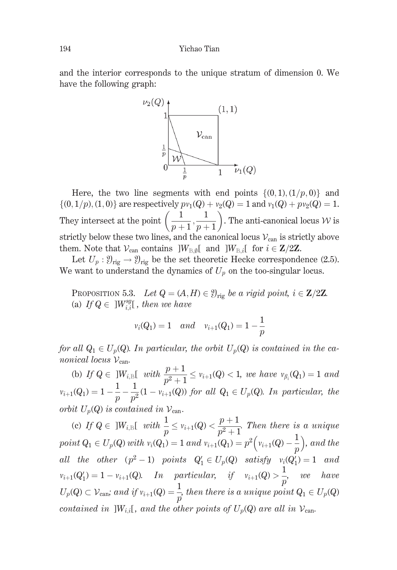and the interior corresponds to the unique stratum of dimension 0. We have the following graph:



Here, the two line segments with end points  $\{(0,1),(1/p,0)\}$  and  $\{(0,1/p), (1,0)\}\$ are respectively  $pv_1(Q) + v_2(Q) = 1$  and  $v_1(Q) + pv_2(Q) = 1$ . They intersect at the point  $\left(\frac{1}{p+1}, \frac{1}{p+1}\right)$ . The anti-canonical locus W is strictly below these two lines, and the canonical locus  $V_{\text{can}}$  is strictly above them. Note that  $V_{\text{can}}$  contains  $]W_{\text{B},\emptyset}[\text{ and }]W_{\text{B},i}[\text{ for }i\in\mathbb{Z}/2\mathbb{Z}].$ 

Let  $U_p : \mathcal{Y}_{\text{rig}} \to \mathcal{Y}_{\text{rig}}$  be the set theoretic Hecke correspondence (2.5). We want to understand the dynamics of  $U_p$  on the too-singular locus.

PROPOSITION 5.3. Let  $Q = (A, H) \in \mathcal{Y}_{\text{rig}}$  be a rigid point,  $i \in \mathbb{Z}/2\mathbb{Z}$ . (a) If  $Q \in W^{sg}_{i,j}$ , then we have

$$
v_i(Q_1) = 1
$$
 and  $v_{i+1}(Q_1) = 1 - \frac{1}{p}$ 

for all  $Q_1 \in U_p(Q)$ . In particular, the orbit  $U_p(Q)$  is contained in the canonical locus  $V_{\text{can}}$ .

(b) If  $Q \in ]W_{i,\mathbb{R}}[$  with  $\frac{p+1}{p^2+1} \le v_{i+1}(Q) < 1$ , we have  $v_{\beta_i}(Q_1) = 1$  and  $v_{i+1}(Q_1) = 1 - \frac{1}{p} - \frac{1}{p^2}(1 - v_{i+1}(Q))$  for all  $Q_1 \in U_p(Q)$ . In particular, the orbit  $U_p(Q)$  is contained in  $V_{\text{can}}$ .

(c) If  $Q \in ]W_{i,\mathbb{B}}[$  with  $\frac{1}{p} \leq v_{i+1}(Q) < \frac{p+1}{p^2+1}$ . Then there is a unique point  $Q_1 \in U_p(Q)$  with  $v_i(Q_1) = 1$  and  $v_{i+1}(Q_1) = p^2(v_{i+1}(Q) - \frac{1}{p})$ , and the all the other  $(p^2-1)$  points  $Q'_1 \in U_p(Q)$  satisfy  $v_i(Q'_1) = 1$  and  $v_{i+1}(Q'_1) = 1 - v_{i+1}(Q)$ . In particular, if  $v_{i+1}(Q) > \frac{1}{p}$ , we have<br>  $U_p(Q) \subset V_{\text{can}}$  and if  $v_{i+1}(Q) = \frac{1}{p}$ , then there is a unique point  $Q_1 \in U_p(Q)$ contained in  $]W_{i,i}[$ , and the other points of  $U_p(Q)$  are all in  $V_{\text{can}}$ .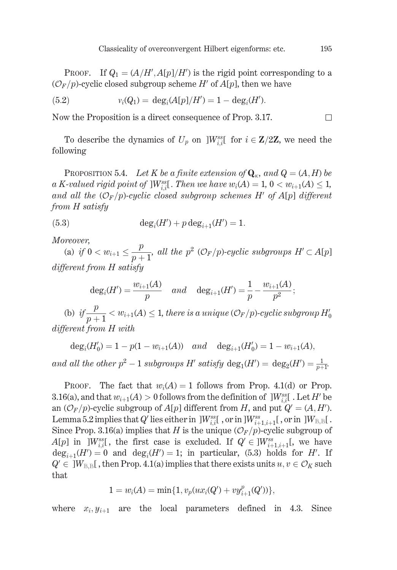PROOF. If  $Q_1 = (A/H', A[p]/H')$  is the rigid point corresponding to a  $(\mathcal{O}_F/p)$ -cyclic closed subgroup scheme H' of A[p], then we have

(5.2) 
$$
v_i(Q_1) = \deg_i(A[p]/H') = 1 - \deg_i(H').
$$

Now the Proposition is a direct consequence of Prop. 3.17.

To describe the dynamics of  $U_p$  on  $]W^{ss}_{i,i}$  for  $i \in \mathbb{Z}/2\mathbb{Z}$ , we need the following

**PROPOSITION 5.4.** Let K be a finite extension of  $\mathbf{Q}_{\kappa}$ , and  $Q = (A, H)$  be a K-valued rigid point of ]W<sup>ss</sup><sub>i</sub>[. Then we have  $w_i(A) = 1, 0 < w_{i+1}(A) \leq 1$ , and all the  $(\mathcal{O}_F/p)$ -cyclic closed subgroup schemes H' of A[p] different from H satisfy

(5.3) 
$$
\deg_i(H') + p \deg_{i+1}(H') = 1.
$$

Moreover,

(a) if  $0 < w_{i+1} \leq \frac{p}{p+1}$ , all the  $p^2$  (O<sub>F</sub>/p)-cyclic subgroups  $H' \subset A[p]$ different from H satisfy

$$
deg_i(H') = \frac{w_{i+1}(A)}{p}
$$
 and  $deg_{i+1}(H') = \frac{1}{p} - \frac{w_{i+1}(A)}{p^2}$ ;

(b) if  $\frac{p}{p+1} < w_{i+1}(A) \leq 1$ , there is a unique  $(\mathcal{O}_F/p)$ -cyclic subgroup  $H'_0$ different from H with

 $deg_i(H'_0) = 1 - p(1 - w_{i+1}(A))$  and  $deg_{i+1}(H'_0) = 1 - w_{i+1}(A)$ , and all the other  $p^2 - 1$  subgroups H' satisfy  $\deg_1(H') = \deg_2(H') = \frac{1}{p+1}$ .

The fact that  $w_i(A) = 1$  follows from Prop. 4.1(d) or Prop. PROOF. 3.16(a), and that  $w_{i+1}(A) > 0$  follows from the definition of  $\,]W_{i,i}^{ss}$ . Let H' be an  $(\mathcal{O}_F/p)$ -cyclic subgroup of  $A[p]$  different from H, and put  $Q' = (A, H')$ . Lemma 5.2 implies that Q' lies either in  $|W^{ss}_{i,i}|$ , or in  $|W^{ss}_{i+1,i+1}|$ , or in  $|W_{B,B}|$ . Since Prop. 3.16(a) implies that H is the unique  $(\mathcal{O}_F/p)$ -cyclic subgroup of  $A[p]$  in ] $W_{i,i}^{ss}$ , the first case is excluded. If  $Q' \in ]W_{i+1,i+1}^{ss}$ , we have  $deg_{i+1}(H') = 0$  and  $deg_i(H') = 1$ ; in particular, (5.3) holds for H'. If  $Q' \in \mathcal{W}_{B,B}$ , then Prop. 4.1(a) implies that there exists units  $u, v \in \mathcal{O}_K$  such that

$$
1 = w_i(A) = \min\{1, v_p(ux_i(Q') + vy_{i+1}^p(Q'))\},\
$$

where  $x_i, y_{i+1}$  are the local parameters defined in 4.3. Since

 $\Box$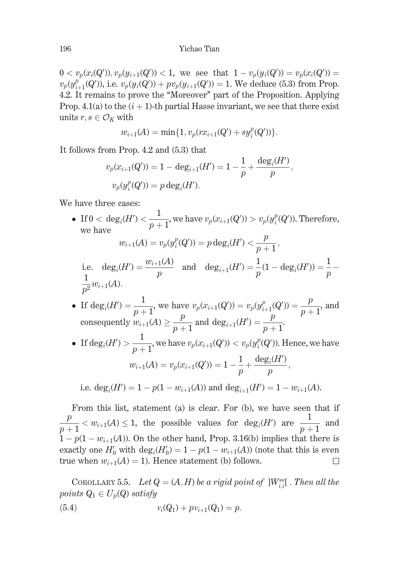$0 < v_p(x_i(Q'))$ ,  $v_p(y_{i+1}(Q')) < 1$ , we see that  $1 - v_p(y_i(Q')) = v_p(x_i(Q'))$  $v_p(y_{i+1}^p(Q'))$ , i.e.  $v_p(y_i(Q')) + pv_p(y_{i+1}(Q')) = 1$ . We deduce (5.3) from Prop. 4.2. It remains to prove the "Moreover" part of the Proposition. Applying Prop. 4.1(a) to the  $(i + 1)$ -th partial Hasse invariant, we see that there exist units  $r, s \in \mathcal{O}_K$  with

$$
w_{i+1}(A) = \min\{1, v_p(rx_{i+1}(Q') + sy_i^p(Q'))\}.
$$

It follows from Prop. 4.2 and (5.3) that

$$
v_p(x_{i+1}(Q')) = 1 - \deg_{i+1}(H') = 1 - \frac{1}{p} + \frac{\deg_i(H')}{p}
$$

$$
v_p(y_i^p(Q')) = p \deg_i(H').
$$

We have three cases:

• If  $0 < deg_i(H') < \frac{1}{p+1}$ , we have  $v_p(x_{i+1}(Q')) > v_p(y_i^p(Q'))$ . Therefore, we have

$$
w_{i+1}(A) = v_p(y_i^p(Q')) = p \deg_i(H') < \frac{p}{p+1},
$$
\ni.e. 
$$
\deg_i(H') = \frac{w_{i+1}(A)}{p} \quad \text{and} \quad \deg_{i+1}(H') = \frac{1}{p}(1 - \deg_i(H')) = \frac{1}{p} - \frac{1}{p^2}w_{i+1}(A).
$$

• If 
$$
\deg_i(H') = \frac{1}{p+1}
$$
, we have  $v_p(x_{i+1}(Q')) = v_p(y_{i+1}^p(Q')) = \frac{p}{p+1}$ , and  
consequently  $w_{i+1}(A) \ge \frac{p}{p+1}$  and  $\deg_{i+1}(H') = \frac{p}{p+1}$ .

• If  $\deg_i(H') > \frac{1}{n+1}$ , we have  $v_p(x_{i+1}(Q')) < v_p(y_i^p(Q'))$ . Hence, we have  $w_{i+1}(A) = v_p(x_{i+1}(Q')) = 1 - \frac{1}{p} + \frac{\deg_i(H')}{p},$ 

i.e.  $deg_i(H') = 1 - p(1 - w_{i+1}(A))$  and  $deg_{i+1}(H') = 1 - w_{i+1}(A)$ .

From this list, statement (a) is clear. For (b), we have seen that if  $\frac{p}{n+1}$  <  $w_{i+1}(A) \leq 1$ , the possible values for  $deg_i(H')$  are  $\frac{1}{n+1}$  and  $1-p(1-w_{i+1}(A))$ . On the other hand, Prop. 3.16(b) implies that there is exactly one  $H'_0$  with  $deg_i(H'_0) = 1 - p(1 - w_{i+1}(A))$  (note that this is even true when  $w_{i+1}(A) = 1$ ). Hence statement (b) follows. □

COROLLARY 5.5. Let  $Q = (A, H)$  be a rigid point of  $\vert W_{i,i}^{ss} \vert$ . Then all the points  $Q_1 \in U_p(Q)$  satisfy

(5.4) 
$$
v_i(Q_1) + p v_{i+1}(Q_1) = p.
$$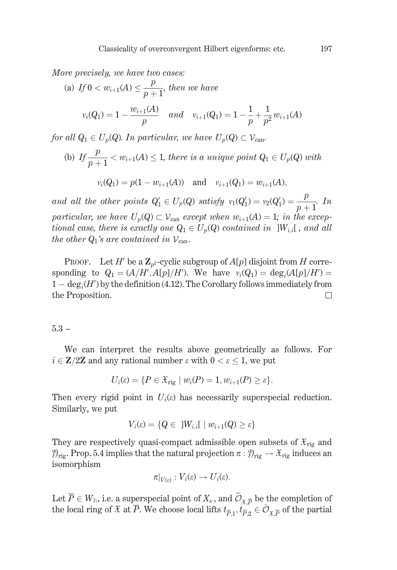More precisely, we have two cases:

(a) If 
$$
0 < w_{i+1}(A) \leq \frac{p}{p+1}
$$
, then we have  

$$
v_i(Q_1) = 1 - \frac{w_{i+1}(A)}{p} \quad and \quad v_{i+1}(Q_1) = 1 - \frac{1}{p} + \frac{1}{p^2}w_{i+1}(A)
$$

for all  $Q_1 \in U_p(Q)$ . In particular, we have  $U_p(Q) \subset \mathcal{V}_{\text{can}}$ .

(b) If  $\frac{p}{n+1} < w_{i+1}(A) \leq 1$ , there is a unique point  $Q_1 \in U_p(Q)$  with

$$
v_i(Q_1) = p(1 - w_{i+1}(A))
$$
 and  $v_{i+1}(Q_1) = w_{i+1}(A)$ ,

and all the other points  $Q'_1 \in U_p(Q)$  satisfy  $v_1(Q'_1) = v_2(Q'_1) = \frac{p}{p+1}$ . In particular, we have  $U_p(Q) \subset \mathcal{V}_{\text{can}}$  except when  $w_{i+1}(A) = 1$ ; in the exceptional case, there is exactly one  $Q_1 \in U_p(Q)$  contained in  $|W_{i,i}|$ , and all the other  $Q_1$ 's are contained in  $V_{\text{can}}$ .

PROOF. Let H' be a  $\mathbb{Z}_{p^2}$ -cyclic subgroup of  $A[p]$  disjoint from H corresponding to  $Q_1 = (A/H', A[p]/H')$ . We have  $v_i(Q_1) = \deg_i(A[p]/H') =$  $1 - \deg_i(H')$  by the definition (4.12). The Corollary follows immediately from the Proposition.  $\Box$ 

 $5.3 -$ 

We can interpret the results above geometrically as follows. For  $i \in \mathbb{Z}/2\mathbb{Z}$  and any rational number  $\varepsilon$  with  $0 < \varepsilon \leq 1$ , we put

$$
U_i(\varepsilon) = \{ P \in \mathfrak{X}_{\mathrm{rig}} \mid w_i(P) = 1, w_{i+1}(P) \ge \varepsilon \}.
$$

Then every rigid point in  $U_i(\varepsilon)$  has necessarily superspecial reduction. Similarly, we put

$$
V_i(\varepsilon) = \{Q \in \exists W_{i,i}[\;|\; w_{i+1}(Q) \ge \varepsilon\}
$$

They are respectively quasi-compact admissible open subsets of  $\mathfrak{X}_{\text{rig}}$  and  $\mathcal{Y}_{\text{rig}}$ . Prop. 5.4 implies that the natural projection  $\pi : \mathcal{Y}_{\text{rig}} \to \mathcal{X}_{\text{rig}}$  induces an isomorphism

$$
\pi|_{V(\varepsilon)}: V_i(\varepsilon) \to U_i(\varepsilon).
$$

Let  $\overline{P} \in W_{\mathbb{B}}$ , i.e. a superspecial point of  $X_{\kappa}$ , and  $\widehat{O}_{\kappa \overline{P}}$  be the completion of the local ring of  $\mathfrak X$  at  $\overline P$ . We choose local lifts  $t_{\overline{p}_1}, t_{\overline{p}_2}^{\overline{p}_2} \in \hat {\mathcal O}_{\mathfrak X \overline{p}}$  of the partial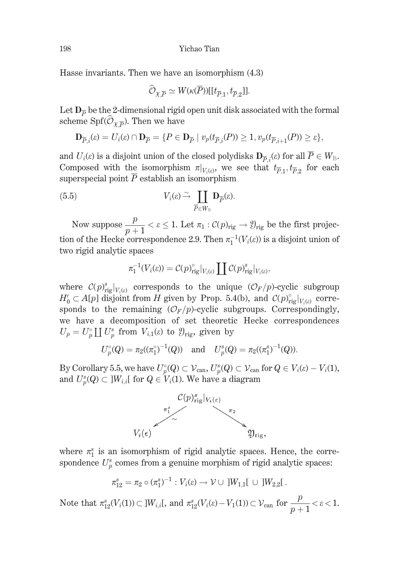Hasse invariants. Then we have an isomorphism (4.3)

$$
\widehat{\mathcal{O}}_{\mathfrak{X},\overline{P}}\simeq W(\kappa(\overline{P}))[[t_{\overline{P},1},t_{\overline{P},2}]].
$$

Let  $D_{\overline{p}}$  be the 2-dimensional rigid open unit disk associated with the formal scheme Spf $(\widehat{\mathcal{O}}_{x\overline{p}})$ . Then we have

$$
\mathbf{D}_{\overline{P},i}(\varepsilon) = U_i(\varepsilon) \cap \mathbf{D}_{\overline{P}} = \{ P \in \mathbf{D}_{\overline{P}} \mid v_p(t_{\overline{P},i}(P)) \ge 1, v_p(t_{\overline{P},i+1}(P)) \ge \varepsilon \},\
$$

and  $U_i(\varepsilon)$  is a disjoint union of the closed polydisks  $\mathbf{D}_{\overline{P}_i}(\varepsilon)$  for all  $\overline{P} \in W_{\mathbb{B}}$ . Composed with the isomorphism  $\pi|_{V_i(\varepsilon)}$ , we see that  $t_{\overline{p}_1}, t_{\overline{p}_2}$  for each superspecial point  $\overline{P}$  establish an isomorphism

(5.5) 
$$
V_i(\varepsilon) \xrightarrow{\sim} \coprod_{\overline{P} \in W_{\mathbb{B}}} \mathbf{D}_{\overline{P}}(\varepsilon)
$$

Now suppose  $\frac{p}{p+1} < \varepsilon \leq 1$ . Let  $\pi_1 : C(p)_{\text{rig}} \to \mathcal{Y}_{\text{rig}}$  be the first projection of the Hecke correspondence 2.9. Then  $\pi_1^{-1}(V_i(\varepsilon))$  is a disjoint union of two rigid analytic spaces

$$
\pi_1^{-1}(V_i(\varepsilon)) = \mathcal{C}(p)_{\mathrm{rig}}^{\circ}|_{V_i(\varepsilon)} \coprod \mathcal{C}(p)_{\mathrm{rig}}^s|_{V_i(\varepsilon)},
$$

where  $\mathcal{C}(p)^s_{\text{rig}}|_{V_i(\varepsilon)}$  corresponds to the unique  $(\mathcal{O}_F/p)$ -cyclic subgroup  $H'_0 \subset A[p]$  disjoint from H given by Prop. 5.4(b), and  $\mathcal{C}(p)_{\text{rig}}^{\circ}|_{V_1(\varepsilon)}$  corresponds to the remaining  $(\mathcal{O}_F/p)$ -cyclic subgroups. Correspondingly, we have a decomposition of set theoretic Hecke correspondences  $U_p = U_p^{\circ} \coprod U_p^s$  from  $V_{i,1}(\varepsilon)$  to  $\mathfrak{Y}_{\text{rig}}$ , given by

$$
U_p^{\circ}(Q) = \pi_2((\pi_1^{\circ})^{-1}(Q)) \quad \text{and} \quad U_p^s(Q) = \pi_2((\pi_1^s)^{-1}(Q)).
$$

By Corollary 5.5, we have  $U_p^{\circ}(Q) \subset \mathcal{V}_{\text{can}}, U_p^s(Q) \subset \mathcal{V}_{\text{can}}$  for  $Q \in V_i(\varepsilon) - V_i(1)$ , and  $U_p^s(Q) \subset ]W_{i,i}[$  for  $Q \in V_i(1)$ . We have a diagram



where  $\pi_1^s$  is an isomorphism of rigid analytic spaces. Hence, the correspondence  $U_p^s$  comes from a genuine morphism of rigid analytic spaces:

$$
\pi_{12}^s = \pi_2 \circ (\pi_1^s)^{-1} : V_i(\epsilon) \to \mathcal{V} \cup \ ]W_{1,1}[\ \cup \ ]W_{2,2}[
$$

Note that  $\pi_{12}^s(V_i(1)) \subset ]W_{i,i}[$ , and  $\pi_{12}^s(V_i(\varepsilon) - V_1(1)) \subset \mathcal{V}_{\text{can}}$  for  $\frac{p}{p+1} < \varepsilon < 1$ .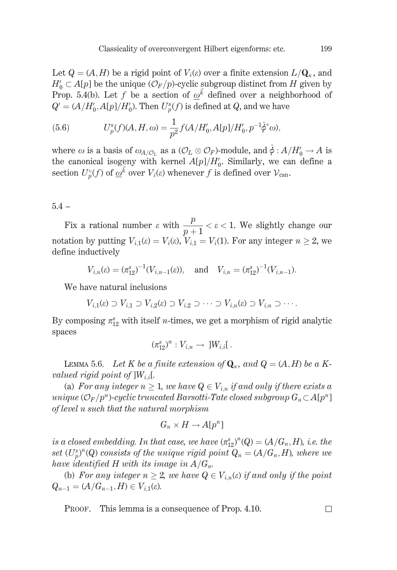Let  $Q = (A, H)$  be a rigid point of  $V_i(\varepsilon)$  over a finite extension  $L/\mathbf{Q}_{\kappa}$ , and  $H_0' \subset A[p]$  be the unique  $(\mathcal{O}_F/p)$ -cyclic subgroup distinct from H given by Prop. 5.4(b). Let f be a section of  $\omega^{\vec{k}}$  defined over a neighborhood of  $Q' = (A/H'_0, A[p]/H'_0)$ . Then  $U^s_n(f)$  is defined at Q, and we have

(5.6) 
$$
U_p^s(f)(A, H, \omega) = \frac{1}{p^2} f(A/H'_0, A[p]/H'_0, p^{-1}\hat{\phi}^*\omega),
$$

where  $\omega$  is a basis of  $\omega_{A/O_L}$  as a  $(\mathcal{O}_L \otimes \mathcal{O}_F)$ -module, and  $\hat{\phi}: A/H'_0 \to A$  is the canonical isogeny with kernel  $A[p]/H'_0$ . Similarly, we can define a section  $U_p^{\circ}(f)$  of  $\omega^{\vec{k}}$  over  $V_i(\varepsilon)$  whenever f is defined over  $\mathcal{V}_{\text{can}}$ .

## $5.4 -$

Fix a rational number  $\varepsilon$  with  $\frac{p}{p+1} < \varepsilon < 1$ . We slightly change our notation by putting  $V_{i,1}(\varepsilon) = V_i(\varepsilon)$ ,  $V_{i,1} = V_i(1)$ . For any integer  $n \geq 2$ , we define inductively

$$
V_{i,n}(\varepsilon) = (\pi_{12}^s)^{-1}(V_{i,n-1}(\varepsilon)), \text{ and } V_{i,n} = (\pi_{12}^s)^{-1}(V_{i,n-1}).
$$

We have natural inclusions

$$
V_{i,1}(\varepsilon) \supset V_{i,1} \supset V_{i,2}(\varepsilon) \supset V_{i,2} \supset \cdots \supset V_{i,n}(\varepsilon) \supset V_{i,n} \supset \cdots
$$

By composing  $\pi_{12}^s$  with itself *n*-times, we get a morphism of rigid analytic spaces

$$
(\pi_{12}^s)^n: V_{i,n} \to ]W_{i,i}[.
$$

LEMMA 5.6. Let K be a finite extension of  $\mathbf{Q}_{\kappa}$ , and  $Q = (A, H)$  be a Kvalued rigid point of  $]W_{i,i}[$ .

(a) For any integer  $n \geq 1$ , we have  $Q \in V_{i,n}$  if and only if there exists a unique  $(\mathcal{O}_F/p^n)$ -cyclic truncated Barsotti-Tate closed subgroup  $G_n \subset A[p^n]$ of level n such that the natural morphism

$$
G_n \times H \to A[p^n]
$$

is a closed embedding. In that case, we have  $(\pi_{12}^s)^n(Q) = (A/G_n, H)$ , i.e. the set  $(U_p^s)^n(Q)$  consists of the unique rigid point  $Q_n = (A/G_n, H)$ , where we have identified H with its image in  $A/G_n$ .

(b) For any integer  $n \geq 2$ , we have  $Q \in V_{i,n}(\varepsilon)$  if and only if the point  $Q_{n-1} = (A/G_{n-1}, H) \in V_{i,1}(\varepsilon).$ 

PROOF. This lemma is a consequence of Prop. 4.10.

 $\Box$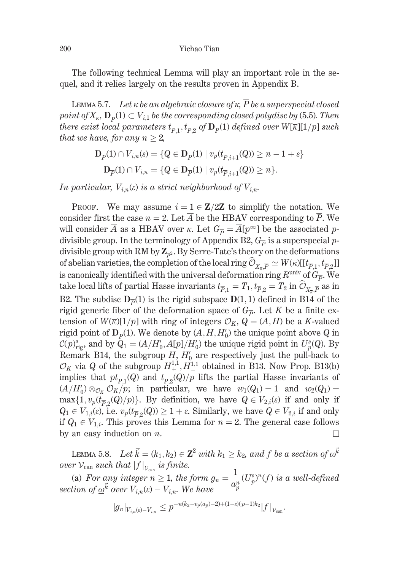The following technical Lemma will play an important role in the sequel, and it relies largely on the results proven in Appendix B.

LEMMA 5.7. Let  $\overline{\kappa}$  be an algebraic closure of  $\kappa$ ,  $\overline{P}$  be a superspecial closed point of  $X_{\kappa}$ ,  $\mathbf{D}_{\overline{p}}(1) \subset V_{i,1}$  be the corresponding closed polydisc by (5.5). Then there exist local parameters  $t_{\overline{p}_1}, t_{\overline{p}_2}$  of  $\mathbf{D}_{\overline{p}}(1)$  defined over  $W[\overline{\kappa}][1/p]$  such that we have, for any  $n \geq 2$ ,

$$
\mathbf{D}_{\overline{P}}(1) \cap V_{i,n}(\varepsilon) = \{ Q \in \mathbf{D}_{\overline{P}}(1) \mid v_p(t_{\overline{P},i+1}(Q)) \ge n - 1 + \varepsilon \}
$$
  

$$
\mathbf{D}_{\overline{P}}(1) \cap V_{i,n} = \{ Q \in \mathbf{D}_{\overline{P}}(1) \mid v_p(t_{\overline{P},i+1}(Q)) \ge n \}.
$$

In particular,  $V_{i,n}(\varepsilon)$  is a strict neighborhood of  $V_{i,n}$ .

**PROOF.** We may assume  $i = 1 \in \mathbb{Z}/2\mathbb{Z}$  to simplify the notation. We consider first the case  $n=2$ . Let  $\overline{A}$  be the HBAV corresponding to  $\overline{P}$ . We will consider  $\overline{A}$  as a HBAV over  $\overline{\kappa}$ . Let  $G_{\overline{p}} = \overline{A}[p^{\infty}]$  be the associated pdivisible group. In the terminology of Appendix B2,  $G_{\overline{p}}$  is a superspecial pdivisible group with RM by  $\mathbb{Z}_{p^2}$ . By Serre-Tate's theory on the deformations of abelian varieties, the completion of the local ring  $\mathcal{O}_{X_{\perp}} \to W(\overline{\kappa})[[t_{\overline{p}_1}, t_{\overline{p}_2}]]$ is canonically identified with the universal deformation ring  $R^{\text{univ}}$  of  $G_{\overline{P}}$ . We take local lifts of partial Hasse invariants  $t_{\overline{p}_1} = T_1, t_{\overline{p}_2} = T_2$  in  $\hat{\mathcal{O}}_{X_{\overline{p}}}$  as in B2. The subdisc  $D_{\overline{p}}(1)$  is the rigid subspace  $D(1, 1)$  defined in B14 of the rigid generic fiber of the deformation space of  $G_{\overline{\rho}}$ . Let K be a finite extension of  $W(\overline{\kappa})[1/p]$  with ring of integers  $\mathcal{O}_K$ ,  $Q = (A, H)$  be a K-valued rigid point of  $D_{\overline{p}}(1)$ . We denote by  $(A, H, H_0')$  the unique point above Q in  $\mathcal{C}(p)_{\text{rig}}^s$ , and by  $Q_1 = (A/H'_0, A[p]/H'_0)$  the unique rigid point in  $U_p^s(Q)$ . By Remark B14, the subgroup  $H, H_0'$  are respectively just the pull-back to  $\mathcal{O}_K$  via Q of the subgroup  $H_+^{1,1}, H_-^{1,1}$  obtained in B13. Now Prop. B13(b) implies that  $pt_{\overline{p}_1}(Q)$  and  $t_{\overline{p}_2}(Q)/p$  lifts the partial Hasse invariants of  $(A/H'_0) \otimes_{\mathcal{O}_K} \mathcal{O}_K/p$ ; in particular, we have  $w_1(Q_1) = 1$  and  $w_2(Q_1) =$  $\max\{1, v_p(t_{\overline{p},q}(Q)/p)\}\.$  By definition, we have  $Q \in V_{2,i}(\varepsilon)$  if and only if  $Q_1 \in V_{1,i}(\varepsilon)$ , i.e.  $v_p(t_{\overline{P},2}(Q)) \geq 1 + \varepsilon$ . Similarly, we have  $Q \in V_{2,i}$  if and only if  $Q_1 \in V_{1,i}$ . This proves this Lemma for  $n = 2$ . The general case follows by an easy induction on  $n$ . ப

LEMMA 5.8. Let  $\vec{k} = (k_1, k_2) \in \mathbb{Z}^2$  with  $k_1 > k_2$ , and f be a section of  $\omega^{\vec{k}}$ over  $V_{\text{can}}$  such that  $|f|_{V_{\text{can}}}$  is finite.

(a) For any integer  $n \ge 1$ , the form  $g_n = \frac{1}{a_p^n} (U_p^s)^n(f)$  is a well-defined section of  $\underline{\omega}^{\vec{k}}$  over  $V_{i,n}(\varepsilon) - V_{i,n}$ . We have

$$
|g_n|_{V_{i,n}( \varepsilon) - V_{i,n}} \le p^{-n(k_2 - v_p(a_p) -2) + (1-\varepsilon)(p-1)k_2} |f|_{\mathcal{V}_{\text{can}}}.
$$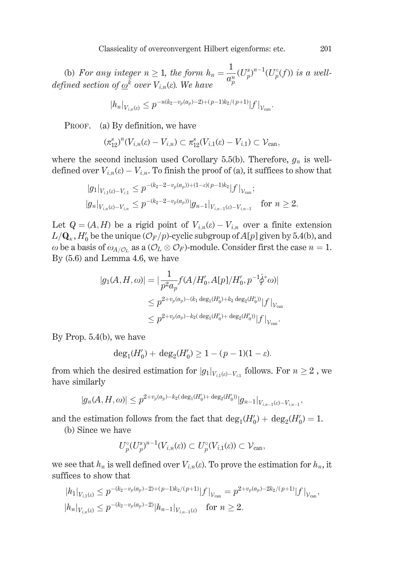(b) For any integer  $n \ge 1$ , the form  $h_n = \frac{1}{a_p^n} (U_p^s)^{n-1} (U_p^{\circ}(f))$  is a well-<br>defined section of  $\underline{\omega}^{\vec{k}}$  over  $V_{i,n}(\varepsilon)$ . We have

$$
|h_n|_{V_{i,n}(\varepsilon)} \leq p^{-n(k_2 - v_p(a_p) - 2) + (p-1)k_2/(p+1)} |f|_{\mathcal{V}_{\text{can}}}
$$

PROOF. (a) By definition, we have

$$
(\pi_{12}^s)^n(V_{i,n}(\varepsilon)-V_{i,n})\subset \pi_{12}^s(V_{i,1}(\varepsilon)-V_{i,1})\subset \mathcal{V}_{\text{can}}
$$

where the second inclusion used Corollary 5.5(b). Therefore,  $g_n$  is welldefined over  $V_{i,n}(\varepsilon) - V_{i,n}$ . To finish the proof of (a), it suffices to show that

$$
|g_1|_{V_{i,1}(s)-V_{i,1}} \le p^{-(k_2-2-\nu_p(a_p))+(1-\varepsilon)(p-1)k_2} |f|_{V_{\text{can}}};
$$
  

$$
|g_n|_{V_{i,n}(\varepsilon)-V_{i,n}} \le p^{-(k_2-2-\nu_p(a_p))} |g_{n-1}|_{V_{i,n-1}(\varepsilon)-V_{i,n-1}} \quad \text{for } n \ge 2.
$$

Let  $Q = (A, H)$  be a rigid point of  $V_{i,n}(\varepsilon) - V_{i,n}$  over a finite extension  $L/\mathbf{Q}_{\kappa}$ ,  $H_0'$  be the unique  $(\mathcal{O}_F/p)$ -cyclic subgroup of  $A[p]$  given by 5.4(b), and  $\omega$  be a basis of  $\omega_{A/O_L}$  as a  $(\mathcal{O}_L \otimes \mathcal{O}_F)$ -module. Consider first the case  $n = 1$ . By  $(5.6)$  and Lemma 4.6, we have

$$
|g_1(A, H, \omega)| = |\frac{1}{p^2 a_p} f(A/H'_0, A[p]/H'_0, p^{-1}\hat{\phi}^* \omega)|
$$
  
\n
$$
\leq p^{2+v_p(a_p) - (k_1 \deg_1(H'_0) + k_2 \deg_2(H'_0))} |f|_{\mathcal{V}_{can}}.
$$
  
\n
$$
\leq p^{2+v_p(a_p) - k_2(\deg_1(H'_0) + \deg_2(H'_0))} |f|_{\mathcal{V}_{can}}.
$$

By Prop.  $5.4(b)$ , we have

$$
\deg_1(H'_0) + \deg_2(H'_0) \ge 1 - (p-1)(1-\varepsilon).
$$

from which the desired estimation for  $|g_1|_{V_{i+1}(\varepsilon)-V_{i+1}}$  follows. For  $n \geq 2$ , we have similarly

$$
|g_n(A, H, \omega)| \le p^{2+v_p(a_p)-k_2(\,\deg_1(H_0') + \,\deg_2(H_0'))} |g_{n-1}|_{V_{i,n-1}(e) - V_{i,n-1}}
$$

and the estimation follows from the fact that  $deg_1(H'_0) + deg_2(H'_0) = 1$ .

(b) Since we have

$$
U_p^{\circ}(U_p^s)^{n-1}(V_{i,n}(\varepsilon)) \subset U_p^{\circ}(V_{i,1}(\varepsilon)) \subset \mathcal{V}_{\text{can}},
$$

we see that  $h_n$  is well defined over  $V_{i,n}(\varepsilon)$ . To prove the estimation for  $h_n$ , it suffices to show that

$$
|h_1|_{V_{i,1}(\varepsilon)} \le p^{-(k_2 - v_p(a_p) - 2) + (p-1)k_2/(p+1)} |f|_{\mathcal{V}_{\text{can}}} = p^{2+v_p(a_p) - 2k_2/(p+1)} |f|_{\mathcal{V}_{\text{can}}},
$$
  

$$
|h_n|_{V_{i,n}(\varepsilon)} \le p^{-(k_2 - v_p(a_p) - 2)} |h_{n-1}|_{V_{i,n-1}(\varepsilon)} \quad \text{for } n \ge 2.
$$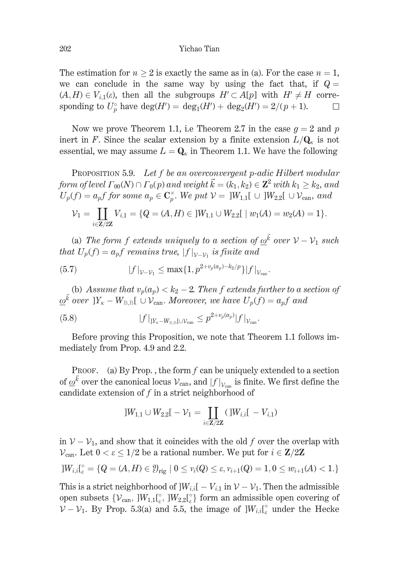The estimation for  $n > 2$  is exactly the same as in (a). For the case  $n = 1$ , we can conclude in the same way by using the fact that, if  $Q =$  $(A, H) \in V_{i,1}(\varepsilon)$ , then all the subgroups  $H' \subset A[p]$  with  $H' \neq H$  corresponding to  $U_p^{\circ}$  have deg(H') = deg<sub>1</sub>(H') + deg<sub>2</sub>(H') = 2/(p + 1).  $\Box$ 

Now we prove Theorem 1.1, i.e Theorem 2.7 in the case  $q = 2$  and p inert in F. Since the scalar extension by a finite extension  $L/Q_{\kappa}$  is not essential, we may assume  $L = \mathbf{Q}_{k}$  in Theorem 1.1. We have the following

PROPOSITION 5.9. Let f be an overconvergent p-adic Hilbert modular form of level  $\Gamma_{00}(N) \cap \Gamma_0(p)$  and weight  $\vec{k} = (k_1, k_2) \in \mathbb{Z}^2$  with  $k_1 \geq k_2$ , and  $U_p(f) = a_p f$  for some  $a_p \in \mathbb{C}_p^{\times}$ . We put  $\mathcal{V} = |W_{1,1}[ \cup ]W_{2,2}[ \cup \mathcal{V}_{\text{can}}$ , and

$$
\mathcal{V}_1 = \coprod_{i \in \mathbf{Z}/2\mathbf{Z}} V_{i,1} = \{ Q = (A, H) \in ]W_{1,1} \cup W_{2,2}[ \mid w_1(A) = w_2(A) = 1 \}.
$$

(a) The form f extends uniquely to a section of  $\underline{\omega}^{\vec{k}}$  over  $\mathcal{V} - \mathcal{V}_1$  such that  $U_p(f) = a_p f$  remains true,  $|f|_{\mathcal{V} - \mathcal{V}_1}$  is finite and

(5.7) 
$$
|f|_{\mathcal{V}-\mathcal{V}_1} \leq \max\{1, p^{2+v_p(a_p)-k_2/p}\}|f|_{\mathcal{V}_{\text{can}}}.
$$

(b) Assume that  $v_n(a_n) < k_2 - 2$ . Then f extends further to a section of  $\omega^{\vec{k}}$  over  $|Y_{\kappa}-W_{\text{B.B.}}| \cup \mathcal{V}_{\text{can}}$ . Moreover, we have  $U_p(f) = a_p f$  and

(5.8) 
$$
|f|_{]Y_{k}-W_{B,B}[ \cup \mathcal{V}_{\text{can}} } \leq p^{2+v_{p}(a_{p})} |f|_{\mathcal{V}_{\text{can}}}.
$$

Before proving this Proposition, we note that Theorem 1.1 follows immediately from Prop. 4.9 and 2.2.

PROOF. (a) By Prop., the form  $f$  can be uniquely extended to a section of  $\omega^k$  over the canonical locus  $V_{\text{can}}$ , and  $|f|_{V_{\text{can}}}$  is finite. We first define the candidate extension of  $f$  in a strict neighborhood of

$$
]W_{1,1} \cup W_{2,2}[ -\mathcal{V}_1 = \coprod_{i \in \mathbf{Z}/2\mathbf{Z}} (]W_{i,i}[ -V_{i,1})
$$

in  $V - V_1$ , and show that it coincides with the old f over the overlap with  $\mathcal{V}_{\text{can}}$ . Let  $0 < \varepsilon \leq 1/2$  be a rational number. We put for  $i \in \mathbb{Z}/2\mathbb{Z}$ 

$$
]W_{i,i}[_{\varepsilon}^{\circ} = \{Q = (A, H) \in \mathcal{Y}_{\text{rig}} \mid 0 \leq v_i(Q) \leq \varepsilon, v_{i+1}(Q) = 1, 0 \leq w_{i+1}(A) < 1.\}
$$

This is a strict neighborhood of  $]W_{i,i}[-V_{i,1}$  in  $V - V_1$ . Then the admissible open subsets  $\{V_{\text{can}}, [W_{1,1}]_{\epsilon}^{\circ}, [W_{2,2}]_{\epsilon}^{\circ}\}\$  form an admissible open covering of  $V - V_1$ . By Prop. 5.3(a) and 5.5, the image of  $]W_{i,i}]_{\varepsilon}^{\circ}$  under the Hecke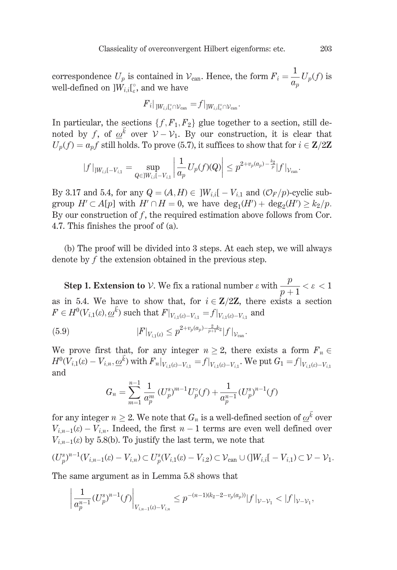correspondence  $U_p$  is contained in  $V_{\text{can}}$ . Hence, the form  $F_i = \frac{1}{a_n} U_p(f)$  is well-defined on  $]W_{i,i}[^{\circ}_{\circ},$  and we have

$$
{F}_{i}|_{]W_{i,i}\mathfrak{l}_{e}^{\circ}\cap\mathcal{V}_{\text{can}}}=f|_{]W_{i,i}\mathfrak{l}_{e}^{\circ}\cap\mathcal{V}_{\text{can}}}
$$

In particular, the sections  $\{f, F_1, F_2\}$  glue together to a section, still denoted by f, of  $\omega^{\vec{k}}$  over  $\mathcal{V}-\mathcal{V}_1$ . By our construction, it is clear that  $U_p(f) = a_p f$  still holds. To prove (5.7), it suffices to show that for  $i \in \mathbb{Z}/2\mathbb{Z}$ 

$$
|f|_{jW_{i,i}[-V_{i,1}} = \sup_{Q \in JW_{i,i}[-V_{i,1}]} \left| \frac{1}{a_p} U_p(f)(Q) \right| \leq p^{2+v_p(a_p) - \frac{k_2}{p}} |f|_{\mathcal{V}_{\text{can}}}.
$$

By 3.17 and 5.4, for any  $Q = (A, H) \in ]W_{i,i}[-V_{i,1}]$  and  $(\mathcal{O}_F/p)$ -cyclic subgroup  $H' \subset A[p]$  with  $H' \cap H = 0$ , we have  $\deg_1(H') + \deg_2(H') \geq k_2/p$ . By our construction of  $f$ , the required estimation above follows from Cor. 4.7. This finishes the proof of (a).

(b) The proof will be divided into 3 steps. At each step, we will always denote by  $f$  the extension obtained in the previous step.

**Step 1. Extension to**  $V$ . We fix a rational number  $\varepsilon$  with  $\frac{p}{n+1} < \varepsilon < 1$ as in 5.4. We have to show that, for  $i \in \mathbb{Z}/2\mathbb{Z}$ , there exists a section  $F \in H^0(V_{i,1}(\varepsilon), \underline{\omega}^{\vec{k}})$  such that  $F|_{V_{i,1}(\varepsilon) = V_{i,1}} = f|_{V_{i,1}(\varepsilon) = V_{i,1}}$  and

(5.9) 
$$
|F|_{V_{i,1}(z)} \le p^{2+v_p(a_p)-\frac{2}{p+1}k_2} |f|_{\mathcal{V}_{\text{can}}}
$$

We prove first that, for any integer  $n \geq 2$ , there exists a form  $F_n \in$  $H^0(\overline{V}_{i,1}(\varepsilon)-V_{i,n},\underline{\omega}^{\vec{k}})$  with  $F_n|_{V_{i,1}(\varepsilon)-V_{i,1}}=f|_{V_{i,1}(\varepsilon)-V_{i,1}}$ . We put  $G_1=f|_{V_{i,1}(\varepsilon)-V_{i,1}}$ and

$$
G_n = \sum_{m=1}^{n-1} \frac{1}{a_p^m} (U_p^s)^{m-1} U_p^{\circ}(f) + \frac{1}{a_p^{n-1}} (U_p^s)^{n-1}(f)
$$

for any integer  $n \geq 2$ . We note that  $G_n$  is a well-defined section of  $\omega^{\vec{k}}$  over  $V_{i,n-1}(\varepsilon) - V_{i,n}$ . Indeed, the first  $n-1$  terms are even well defined over  $V_{i,n-1}(\varepsilon)$  by 5.8(b). To justify the last term, we note that

$$
(U_p^s)^{n-1}(V_{i,n-1}(\varepsilon)-V_{i,n})\subset U_p^s(V_{i,1}(\varepsilon)-V_{i,2})\subset \mathcal{V}_{\text{can}}\cup (]W_{i,i}[-V_{i,1})\subset \mathcal{V}-\mathcal{V}_1.
$$

The same argument as in Lemma 5.8 shows that

$$
\left|\frac{1}{a_p^{n-1}}(U_p^s)^{n-1}(f)\right|_{V_{i,n-1}(s)-V_{i,n}}\leq p^{-(n-1)(k_2-2-v_p(a_p))}|f|_{\mathcal{V}-\mathcal{V}_1}<|f|_{\mathcal{V}-\mathcal{V}_1},
$$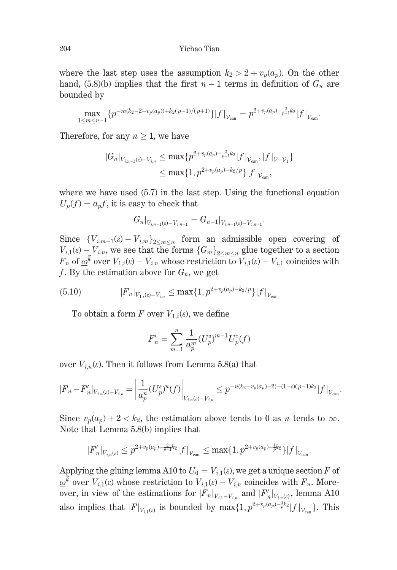where the last step uses the assumption  $k_2 > 2 + v_n(a_n)$ . On the other hand, (5.8)(b) implies that the first  $n-1$  terms in definition of  $G_n$  are bounded by

$$
\max_{1 \leq m \leq n-1} \{ p^{-m(k_2 - 2 - v_p(a_p)) + k_2(p-1)/(p+1)} \} |f|_{\mathcal{V}_{\text{can}}} = p^{2 + v_p(a_p) - \frac{2}{p+1}k_2} |f|_{\mathcal{V}_{\text{can}}}.
$$

Therefore, for any  $n \geq 1$ , we have

$$
\begin{aligned} |G_n|_{V_{i,n-1}(\varepsilon)-V_{i,n}} &\leq \max\{p^{2+v_p(a_p)-\frac{2}{p+1}k_2}|f|_{\mathcal{V}_{\mathrm{can}}},|f|_{\mathcal{V}-\mathcal{V}_1}\} \\ &\leq \max\{1,p^{2+v_p(a_p)-k_2/p}\}|f|_{\mathcal{V}_{\mathrm{can}}}, \end{aligned}
$$

where we have used  $(5.7)$  in the last step. Using the functional equation  $U_p(f) = a_p f$ , it is easy to check that

$$
G_n|_{V_{i,n-1}(\varepsilon)-V_{i,n-1}}=G_{n-1}|_{V_{i,n-1}(\varepsilon)-V_{i,n-1}}
$$

Since  ${V_{i,m-1}(\varepsilon) - V_{i,m}}_{2 \le m \le n}$  form an admissible open covering of  $V_{i,1}(\varepsilon) - V_{i,n}$ , we see that the forms  $\{G_m\}_{m \leq n \leq n}$  glue together to a section  $F_n$  of  $\underline{\omega}^k$  over  $V_{1,i}(\varepsilon) - V_{i,n}$  whose restriction to  $V_{i,1}(\varepsilon) - V_{i,1}$  coincides with f. By the estimation above for  $G_n$ , we get

$$
(5.10) \t\t\t |F_n|_{V_{1,i}(\varepsilon)-V_{i,n}} \leq \max\{1,p^{2+\nu_p(a_p)-k_2/p}\}|f|_{\mathcal{V}_{\text{can}}}
$$

To obtain a form F over  $V_{1,i}(\varepsilon)$ , we define

$$
F'_n = \sum_{m=1}^n \frac{1}{a_p^m} (U_p^s)^{m-1} U_p^{\circ}(f)
$$

over  $V_{i,n}(\varepsilon)$ . Then it follows from Lemma 5.8(a) that

$$
|F_n - F'_n|_{V_{i,n}(\varepsilon) - V_{i,n}} = \left| \frac{1}{a_p^n} (U_p^s)^n(f) \right|_{V_{i,n}(\varepsilon) - V_{i,n}} \le p^{-n(k_2 - v_p(a_p) - 2) + (1 - \varepsilon)(p - 1)k_2} |f|_{V_{\text{can}}}
$$

Since  $v_p(a_p) + 2 < k_2$ , the estimation above tends to 0 as *n* tends to  $\infty$ . Note that Lemma 5.8(b) implies that

$$
|F_n'|_{V_{i,n}(c)} \leq p^{2+v_p(a_p)-\frac{2}{p+1}k_2} |f|_{\mathcal{V}_{\text{can}}} \leq \max\{1,p^{2+v_p(a_p)-\frac{1}{p}k_2}\} |f|_{\mathcal{V}_{\text{can}}}.
$$

Applying the gluing lemma A10 to  $U_0 = V_{i,1}(\varepsilon)$ , we get a unique section F of  $\underline{\omega}^k$  over  $V_{i,1}(\varepsilon)$  whose restriction to  $V_{i,1}(\varepsilon) - V_{i,n}$  coincides with  $F_n$ . Moreover, in view of the estimations for  $|F_n|_{V_{i1}-V_{i_n}}$  and  $|F'_n|_{V_{i_n}(\varepsilon)}$ , lemma A10 also implies that  $|F|_{V_{i_1}(\varepsilon)}$  is bounded by  $\max\{1,p^{2+v_p(a_p)-\frac{1}{p}k_2}|f|_{V_{\text{ann}}}\}\$ . This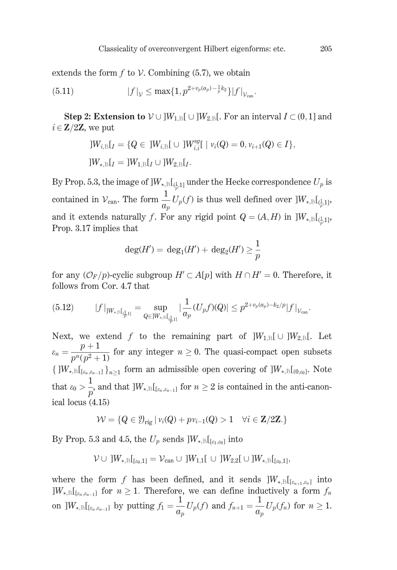extends the form  $f$  to  $V$ . Combining (5.7), we obtain

$$
(5.11) \t\t |f|_{\mathcal{V}} \le \max\{1, p^{2+v_p(a_p) - \frac{1}{p}k_2}\}|f|_{\mathcal{V}_{\text{can}}}
$$

**Step 2: Extension to**  $V \cup ]W_{1,B}[ \cup ]W_{2,B}[$ . For an interval  $I \subset (0,1]$  and  $i \in \mathbf{Z}/2\mathbf{Z}$ , we put

$$
]W_{i,B}[I] = \{Q \in ]W_{i,B}[ \cup ]W_{i,i}^{sg}[\ | \ v_i(Q) = 0, v_{i+1}(Q) \in I\},]
$$
  

$$
]W_{\star,B}[I] = ]W_{1,B}[I] \cup ]W_{2,B}[I].
$$

By Prop. 5.3, the image of  $]W_{\star,\text{B}}[$ <sub>(1,1)</sub> under the Hecke correspondence  $U_p$  is contained in  $\mathcal{V}_{\text{can}}$ . The form  $\frac{1}{a_n}U_p(f)$  is thus well defined over  $]W_{\star,\text{B}}[\mathcal{V}_{\mu,1}]$ , and it extends naturally f. For any rigid point  $Q = (A, H)$  in  $]W_{\star, B}[\underline{A}, \underline{B}]$ Prop. 3.17 implies that

$$
\deg(H') = \deg_1(H') + \deg_2(H') \ge \frac{1}{p}
$$

for any  $(\mathcal{O}_F/p)$ -cyclic subgroup  $H' \subset A[p]$  with  $H \cap H' = 0$ . Therefore, it follows from Cor. 4.7 that

$$
(5.12) \t|f|_{]W_{\star,\mathrm{B}}[\frac{1}{q},1]} = \sup_{Q \in ]W_{\star,\mathrm{B}}[\frac{1}{q},1]} |\frac{1}{a_p}(U_p f)(Q)| \le p^{2+v_p(a_p)-k_2/p}|f|_{\mathcal{V}_{\mathrm{can}}}.
$$

Next, we extend f to the remaining part of  $]W_{1,B}[\cup]W_{2,B}[\ldots]$ . Let  $\varepsilon_n = \frac{p+1}{n^n (n^2+1)}$  for any integer  $n \ge 0$ . The quasi-compact open subsets  $\{W_{\star,B}[c_{k,\ell_{n-1}}]\}_{n\geq 1}$  form an admissible open covering of  $]W_{\star,B}[c_{0,\ell_0}]$ . Note that  $\varepsilon_0 > \frac{1}{p}$ , and that  $]W_{\star,\mathbb{B}}[{}_{[\varepsilon_n,\varepsilon_{n-1}]}$  for  $n \geq 2$  is contained in the anti-canonical locus  $(4.15)$ 

$$
\mathcal{W} = \{Q \in \mathcal{Y}_{\text{rig}} \mid v_i(Q) + pv_{i-1}(Q) > 1 \quad \forall i \in \mathbb{Z}/2\mathbb{Z}.\}
$$

By Prop. 5.3 and 4.5, the  $U_p$  sends  $]W_{\star, \text{B}}[f_{\epsilon_1, \epsilon_0}]$  into

$$
\mathcal{V} \cup \,] W_{\star,B}[\mathfrak{l}_{\epsilon_{0},1}] = \mathcal{V}_{\mathrm{can}} \cup \,] W_{1,1}[\,\cup\,] W_{2,2}[\,\cup\,] W_{\star,B}[\mathfrak{l}_{\epsilon_{0},1}],
$$

where the form f has been defined, and it sends  $]W_{\star,\text{B}}[{}_{[\varepsilon_{n+1},\varepsilon_n]}]$  into  $|W_{\star, \mathbb{B}}|_{[\varepsilon_n, \varepsilon_{n-1}]}$  for  $n \geq 1$ . Therefore, we can define inductively a form  $f_n$ on  $]W_{\star,\mathbb{B}}[f_{[e_n,e_{n-1}]}]$  by putting  $f_1 = \frac{1}{a_n}U_p(f)$  and  $f_{n+1} = \frac{1}{a_n}U_p(f_n)$  for  $n \geq 1$ .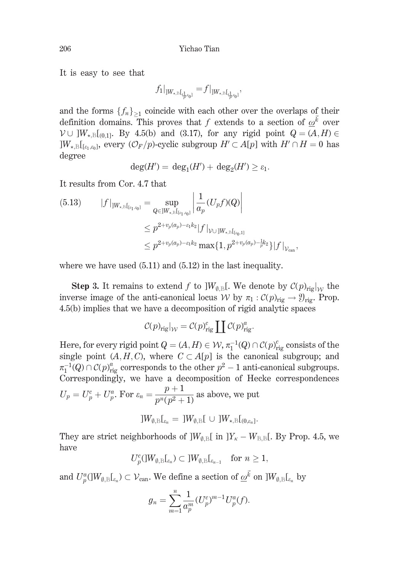It is easy to see that

$$
f_1|_{]W_{\star,\mathbb{B}}[\mathbf{q}_{\overline{p}^{,\varepsilon_0}]}}=f|_{]W_{\star,\mathbb{B}}[\mathbf{q}_{\overline{p}^{,\varepsilon_0}]}},
$$

and the forms  $\{f_n\}_{n \geq 1}$  coincide with each other over the overlaps of their definition domains. This proves that f extends to a section of  $\omega^{\vec{k}}$  over  $V \cup W_{k,\mathbb{B}}[0,1]$ . By 4.5(b) and (3.17), for any rigid point  $Q = (A,H) \in$  $\vert W_{\star,\mathbb{B}}\vert_{\lbrack \varepsilon_1,\varepsilon_0\rbrack}$ , every  $(\mathcal{O}_F/p)$ -cyclic subgroup  $H'\subset A[p]$  with  $H'\cap H=0$  has degree

$$
\deg(H') = \deg_1(H') + \deg_2(H') \ge \varepsilon_1.
$$

It results from Cor. 4.7 that

$$
(5.13) \t|f|_{]W_{\star,\mathbb{B}}[_{\mathfrak{l}_{e_1,a_0}}]} = \sup_{Q \in ]W_{\star,\mathbb{B}}[_{\mathfrak{l}_{e_1,a_0}}]} \left| \frac{1}{a_p} (U_p f)(Q) \right|
$$
  

$$
\leq p^{2+v_p(a_p)-\varepsilon_1 k_2} |f|_{\mathcal{V} \cup ]W_{\star,\mathbb{B}}[_{\mathfrak{l}_{e_0,1}}]}
$$
  

$$
\leq p^{2+v_p(a_p)-\varepsilon_1 k_2} \max\{1, p^{2+v_p(a_p)-\frac{1}{p}\varepsilon_2}\} |f|_{\mathcal{V}_{\text{can}}}
$$

where we have used  $(5.11)$  and  $(5.12)$  in the last inequality.

**Step 3.** It remains to extend f to  $]W_{\emptyset,\mathbb{B}}[$ . We denote by  $\mathcal{C}(p)_{\text{rig}}|_W$  the inverse image of the anti-canonical locus W by  $\pi_1 : C(p)_{\text{rig}} \to \mathcal{Y}_{\text{rig}}$ . Prop. 4.5(b) implies that we have a decomposition of rigid analytic spaces

$$
\mathcal{C}(p)_{\text{rig}}|_{\mathcal{W}} = \mathcal{C}(p)_{\text{rig}}^c \coprod \mathcal{C}(p)_{\text{rig}}^a.
$$

Here, for every rigid point  $Q = (A, H) \in W$ ,  $\pi_1^{-1}(Q) \cap C(p)_{\text{rig}}^c$  consists of the single point  $(A, H, C)$ , where  $C \subset A[p]$  is the canonical subgroup; and  $\pi_1^{-1}(Q) \cap C(p)_{\text{rig}}^a$  corresponds to the other  $p^2 - 1$  anti-canonical subgroups. Correspondingly, we have a decomposition of Hecke correspondences  $U_p = U_p^c + U_p^a$ . For  $\varepsilon_n = \frac{p+1}{p^n(p^2+1)}$  as above, we put

$$
\textstyle{]}W_{\emptyset,\mathbb{B}}\textstyle{\mathcal{L}}_{\varepsilon_n}=\textstyle{]}W_{\emptyset,\mathbb{B}}\textstyle{\mathcal{L}}\,\cup\,\textstyle{]}W_{\star,\mathbb{B}}\textstyle{\mathcal{L}}_{(0,\varepsilon_n]}.
$$

They are strict neighborhoods of  $]W_{\emptyset,\mathbb{B}}[$  in  $]Y_{\kappa}-W_{\mathbb{B},\mathbb{B}}[$ . By Prop. 4.5, we have

$$
U^c_p (]W_{\emptyset,\mathbb{B}}[\![\varepsilon_n)\subset ]W_{\emptyset,\mathbb{B}}[\![\varepsilon_{n-1}\quad\text{for }n\geq 1,
$$

and  $U^a_p(W_{\emptyset,\mathbb{B}}[_{\varepsilon_n}) \subset \mathcal{V}_{\text{can}}$ . We define a section of  $\underline{\omega}^{\vec{k}}$  on  $]W_{\emptyset,\mathbb{B}}[_{\varepsilon_n}]$  by

$$
g_n = \sum_{m=1}^n \frac{1}{a_p^m} (U_p^c)^{m-1} U_p^a(f).
$$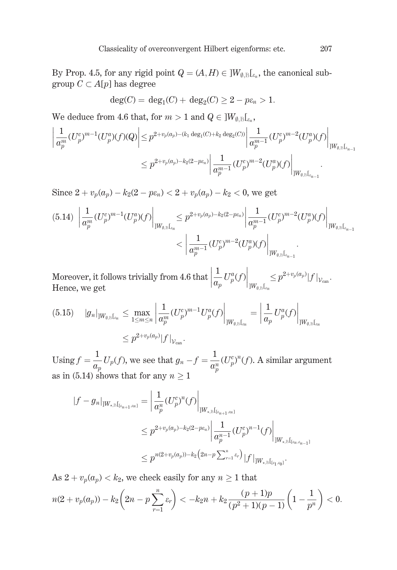By Prop. 4.5, for any rigid point  $Q = (A, H) \in ]W_{\emptyset, \mathbb{R}}[G_{\epsilon_n}]$ , the canonical subgroup  $C \subset A[p]$  has degree

$$
deg(C) = deg_1(C) + deg_2(C) \ge 2 - p\varepsilon_n > 1.
$$

We deduce from 4.6 that, for  $m > 1$  and  $Q \in ]W_{\emptyset, \mathbb{R}}[...]$ 

$$
\begin{aligned} \left| \frac{1}{a_p^m} (U_p^c)^{m-1} (U_p^a)(f)(Q) \right| &\leq p^{2+v_p(a_p)-(k_1\deg_1(C)+k_2\deg_2(C))} \left| \frac{1}{a_p^{m-1}} (U_p^c)^{m-2} (U_p^a)(f) \right|_{]W_{\emptyset,\mathbb{B}}[_{x_{n-1}}]} \\ &\leq p^{2+v_p(a_p)-k_2(2-p\epsilon_n)} \left| \frac{1}{a_p^{m-1}} (U_p^c)^{m-2} (U_p^a)(f) \right|_{]W_{\emptyset,\mathbb{B}}[_{x_{n-1}}]} . \end{aligned}
$$

Since  $2 + v_n(a_n) - k_2(2 - p\varepsilon_n) < 2 + v_n(a_n) - k_2 < 0$ , we get

$$
(5.14) \left. \left| \frac{1}{a_p^m} (U_p^c)^{m-1} (U_p^a)(f) \right|_{]W_{\emptyset,\mathbb{B}}[_{\epsilon_n}]} \leq p^{2+v_p(a_p)-k_2(2-p\epsilon_n)} \left| \frac{1}{a_p^{m-1}} (U_p^c)^{m-2} (U_p^a)(f) \right|_{]W_{\emptyset,\mathbb{B}}[_{\epsilon_{n-1}}]} \right|
$$

$$
< \left| \frac{1}{a_p^{m-1}} (U_p^c)^{m-2} (U_p^a)(f) \right|_{]W_{\emptyset,\mathbb{B}}[_{\epsilon_{n-1}}]}.
$$

Moreover, it follows trivially from 4.6 that  $\left|\frac{1}{a_p}U_p^a(f)\right|_{|W_{\alpha}|}\leq p^{2+v_p(a_p)}|f|_{V_{\text{can}}}.$ <br>Hence we get Hence, we get

$$
(5.15) \quad |g_n|_{]W_{\emptyset,\mathbb{B}}[_{s_n}]} \leq \max_{1 \leq m \leq n} \left| \frac{1}{a_p^m} (U_p^c)^{m-1} U_p^a(f) \right|_{]W_{\emptyset,\mathbb{B}}[_{s_n}]} = \left| \frac{1}{a_p} U_p^a(f) \right|_{]W_{\emptyset,\mathbb{B}}[_{s_n}]} \leq p^{2+v_p(a_p)} |f|_{\mathcal{V}_{\text{can}}}.
$$

Using  $f = \frac{1}{a_p} U_p(f)$ , we see that  $g_n - f = \frac{1}{a_n^n} (U_p^c)^n(f)$ . A similar argument as in (5.14) shows that for any  $n \geq 1$ 

$$
|f - g_n|_{]W_{\star,\mathbb{B}}[t_{\varepsilon_{n+1},\varepsilon_n}]} = \left| \frac{1}{a_p^n} (U_p^c)^n (f) \right|_{]W_{\star,\mathbb{B}}[t_{\varepsilon_{n+1},\varepsilon_n}]} \n\leq p^{2+v_p(a_p)-k_2(2-p\varepsilon_n)} \left| \frac{1}{a_p^{n-1}} (U_p^c)^{n-1} (f) \right|_{]W_{\star,\mathbb{B}}[t_{\varepsilon_n,\varepsilon_{n-1}}]} \n\leq p^{n(2+v_p(a_p))-k_2(2n-p\sum_{r=1}^n \varepsilon_r)} |f|_{]W_{\star,\mathbb{B}}[t_{\varepsilon_1,\varepsilon_0}]}.
$$

As  $2 + v_p(a_p) < k_2$ , we check easily for any  $n \ge 1$  that  $n(2+v_p(a_p))-k_2\left(2n-p\sum_{}^{n} \varepsilon_r\right) < -k_2n+k_2\frac{(p+1)p}{(p^2+1)(p-1)}\left(1-\frac{1}{p^n}\right)<0.$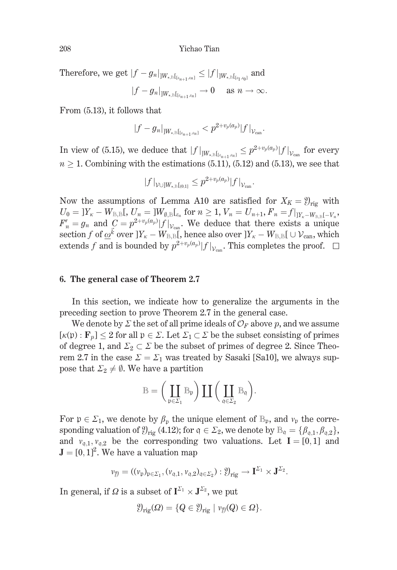Yichao Tian

Therefore, we get  $|f - g_n|_{]W_{\star,\mathbb{B}}[[g_n, g_n]]} \leq |f|_{]W_{\star,\mathbb{B}}[[g_n, g_n]]}$  and  $|f-g_n|_{]W_{\star,\mathbb{B}}[s_{n+1},s_n]} \to 0 \quad \text{ as } n \to \infty.$ 

From (5.13), it follows that

$$
|f-g_n|_{]W_{\star,\mathbb{B}}[_{[z_{n+1},z_n]}]} < p^{2+v_p(a_p)}|f|_{\mathcal{V}_{\text{can}}}.
$$

In view of (5.15), we deduce that  $|f|_{W_{\star,\mathbb{B}}[f_{\varepsilon_{n+1},\varepsilon_n}]} \leq p^{2+v_p(a_p)}|f|_{\mathcal{V}_{\text{can}}}$  for every  $n > 1$ . Combining with the estimations (5.11), (5.12) and (5.13), we see that

$$
|f|_{\mathcal{V} \cup ]W_{\star,\mathbb{B}}[_{(0,1]}} \leq p^{2+v_p(a_p)}|f|_{\mathcal{V}_{\text{can}}}.
$$

Now the assumptions of Lemma A10 are satisfied for  $X_K = \mathcal{Y}_{\text{ris}}$  with  $U_0 = |Y_{\kappa} - W_{\text{B,B}}|, U_n = |W_{\emptyset,\text{B}}|_{\varepsilon_n}$  for  $n \geq 1, V_n = U_{n+1}, F_n = f|_{|Y_{\kappa} - W_{\text{B,B}}| - V_n},$  $F'_n = g_n$  and  $C = p^{2+v_p(a_p)} |f|_{\mathcal{V}_{\text{can}}}$ . We deduce that there exists a unique section f of  $\omega^{\vec{k}}$  over  $]Y_k - W_{B,B}$ , hence also over  $]Y_k - W_{B,B}$   $] \cup V_{can}$ , which extends f and is bounded by  $p^{2+v_p(a_p)}|f|_{\mathcal{V}_{\text{cons}}}$ . This completes the proof.  $\square$ 

### 6. The general case of Theorem 2.7

In this section, we indicate how to generalize the arguments in the preceding section to prove Theorem 2.7 in the general case.

We denote by  $\Sigma$  the set of all prime ideals of  $\mathcal{O}_F$  above p, and we assume  $[\kappa(\mathfrak{p}): \mathbf{F}_p] \leq 2$  for all  $\mathfrak{p} \in \Sigma$ . Let  $\Sigma_1 \subset \Sigma$  be the subset consisting of primes of degree 1, and  $\Sigma_2 \subset \Sigma$  be the subset of primes of degree 2. Since Theorem 2.7 in the case  $\Sigma = \Sigma_1$  was treated by Sasaki [Sa10], we always suppose that  $\Sigma_2 \neq \emptyset$ . We have a partition

$$
\mathbb{B} = \bigg(\coprod_{\mathfrak{p} \in \Sigma_1} \mathbb{B}_{\mathfrak{p}}\bigg) \coprod \bigg(\coprod_{\mathfrak{q} \in \Sigma_2} \mathbb{B}_{\mathfrak{q}}\bigg).
$$

For  $\mathfrak{p} \in \Sigma_1$ , we denote by  $\beta_{\mathfrak{p}}$  the unique element of  $\mathbb{B}_{\mathfrak{p}}$ , and  $v_{\mathfrak{p}}$  the corresponding valuation of  $\mathcal{Y}_{\text{rig}}$  (4.12); for  $\mathfrak{q} \in \mathcal{Z}_2$ , we denote by  $\mathbb{B}_{\mathfrak{q}} = {\beta_{\mathfrak{q},1}, \beta_{\mathfrak{q},2}}$ , and  $v_{q,1}, v_{q,2}$  be the corresponding two valuations. Let  $I = [0, 1]$  and  $\mathbf{J} = [0, 1]^2$ . We have a valuation map

$$
v_{\mathfrak{Y}} = ((v_{\mathfrak{p}})_{\mathfrak{p} \in \Sigma_1}, (v_{\mathfrak{q},1}, v_{\mathfrak{q},2})_{\mathfrak{q} \in \Sigma_2}) : \mathfrak{Y}_{\mathrm{rig}} \to \mathbf{I}^{\Sigma_1} \times \mathbf{J}^{\Sigma_2}.
$$

In general, if  $\Omega$  is a subset of  $I^{\Sigma_1} \times J^{\Sigma_2}$ , we put

$$
\mathcal{Y}_{\text{rig}}(\Omega) = \{Q \in \mathcal{Y}_{\text{rig}} \mid \nu_{\mathcal{Y}}(Q) \in \Omega\}.
$$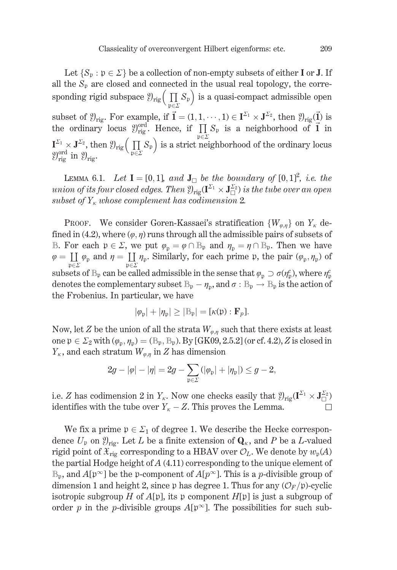Let  $\{S_n : p \in \Sigma\}$  be a collection of non-empty subsets of either I or J. If all the  $S_p$  are closed and connected in the usual real topology, the corresponding rigid subspace  $\mathcal{Y}_{\text{rig}}\left(\prod_{n\in\mathcal{Y}}S_p\right)$  is a quasi-compact admissible open subset of  $\mathcal{Y}_{\text{rig}}$ . For example, if  $\vec{\mathbf{l}} = (1, 1, \dots, 1) \in \mathbf{I}^{\Sigma_1} \times \mathbf{J}^{\Sigma_2}$ , then  $\mathcal{Y}_{\text{rig}}(\vec{\mathbf{l}})$  is the ordinary locus  $\mathcal{Y}_{\text{rig}}^{\text{ord}}$ . Hence, if  $\prod_{\mathfrak{p} \in \Sigma} S_{\mathfrak{p}}$  is a neighborhood of

LEMMA 6.1. Let  $I = [0,1]$ , and  $J_{\Box}$  be the boundary of  $[0,1]^2$ , i.e. the union of its four closed edges. Then  $\mathfrak{Y}_{\text{rig}}(\mathbf{I}^{\Sigma_1} \times \mathbf{J}_{\square}^{\Sigma_2})$  is the tube over an open subset of  $Y_{\kappa}$  whose complement has codimension 2.

**PROOF.** We consider Goren-Kassaei's stratification  $\{W_{\varphi,\eta}\}\$  on  $Y_{\kappa}$  defined in (4.2), where  $(\varphi, \eta)$  runs through all the admissible pairs of subsets of B. For each  $\mathfrak{p} \in \Sigma$ , we put  $\varphi_{\mathfrak{p}} = \varphi \cap \mathbb{B}_{\mathfrak{p}}$  and  $\eta_{\mathfrak{p}} = \eta \cap \mathbb{B}_{\mathfrak{p}}$ . Then we have  $\varphi = \coprod_{\mathfrak{p} \in \Sigma} \varphi_{\mathfrak{p}}$  and  $\eta = \coprod_{\mathfrak{p} \in \Sigma} \eta_{\mathfrak{p}}$ . Similarly, for each prime  $\mathfrak{p}$ , the pair  $(\varphi_{\mathfrak{p}}, \eta_{\mathfrak{p}})$  of subsets of  $\mathbb{B}_{p}$  can be called admissible in the sense that  $\varphi_{p} \supset \sigma(\eta_{p}^{c})$ , where  $\eta_{p}^{c}$ denotes the complementary subset  $\mathbb{B}_{\mathfrak{p}} - \eta_{\mathfrak{p}}$ , and  $\sigma : \mathbb{B}_{\mathfrak{p}} \to \mathbb{B}_{\mathfrak{p}}$  is the action of the Frobenius. In particular, we have

$$
|\varphi_{\mathfrak{p}}| + |\eta_{\mathfrak{p}}| \geq |\mathbb{B}_{\mathfrak{p}}| = [\kappa(\mathfrak{p}) : \mathbf{F}_{p}].
$$

Now, let Z be the union of all the strata  $W_{\varrho,\eta}$  such that there exists at least one  $\mathfrak{p} \in \Sigma_2$  with  $(\varphi_n, \eta_n) = (\mathbb{B}_{\mathfrak{p}}, \mathbb{B}_{\mathfrak{p}})$ . By [GK09, 2.5.2] (or cf. 4.2), Z is closed in  $Y_{\kappa}$ , and each stratum  $W_{\varphi,\eta}$  in Z has dimension

$$
2g - |\varphi| - |\eta| = 2g - \sum_{\mathfrak{p} \in \Sigma} (|\varphi_{\mathfrak{p}}| + |\eta_{\mathfrak{p}}|) \le g - 2,
$$

i.e. Z has codimension 2 in  $Y_{\kappa}$ . Now one checks easily that  $\mathcal{Y}_{\text{ric}}(\mathbf{I}^{\Sigma_1} \times \mathbf{J}_{\square}^{\Sigma_2})$ identifies with the tube over  $Y_{\kappa} - Z$ . This proves the Lemma.  $\Box$ 

We fix a prime  $\mathfrak{p} \in \Sigma_1$  of degree 1. We describe the Hecke correspondence  $U_{\mathfrak{p}}$  on  $\mathfrak{Y}_{\text{rig}}$ . Let L be a finite extension of  $\mathbf{Q}_{\kappa}$ , and P be a L-valued rigid point of  $\mathfrak{X}_{\text{rig}}$  corresponding to a HBAV over  $\mathcal{O}_L$ . We denote by  $w_{\mathfrak{p}}(A)$ the partial Hodge height of  $A(4.11)$  corresponding to the unique element of  $\mathbb{B}_{p}$ , and  $A[p^{\infty}]$  be the p-component of  $A[p^{\infty}]$ . This is a *p*-divisible group of dimension 1 and height 2, since p has degree 1. Thus for any  $(\mathcal{O}_F/\mathfrak{p})$ -cyclic isotropic subgroup H of  $A[\mathfrak{p}]$ , its p component  $H[\mathfrak{p}]$  is just a subgroup of order p in the p-divisible groups  $A[p^{\infty}]$ . The possibilities for such sub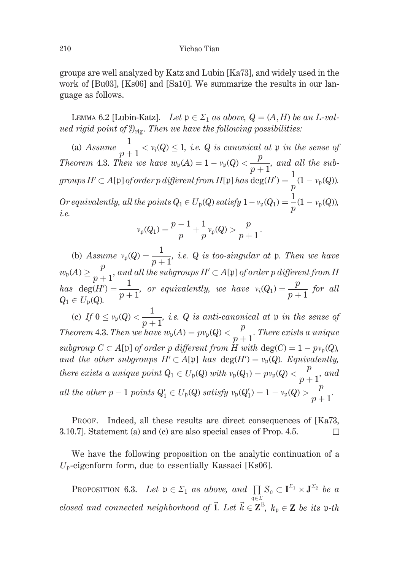groups are well analyzed by Katz and Lubin [Ka73], and widely used in the work of [Bu03], [Ks06] and [Sa10]. We summarize the results in our language as follows.

LEMMA 6.2 [Lubin-Katz]. Let  $\mathfrak{p} \in \Sigma_1$  as above,  $Q = (A, H)$  be an L-valued rigid point of  $\mathcal{Y}_{\text{ric}}$ . Then we have the following possibilities:

(a) Assume  $\frac{1}{n+1} < v_i(Q) \leq 1$ , i.e. Q is canonical at p in the sense of *Theorem 4.3. Then* we have  $w_p(A) = 1 - v_p(Q) < \frac{p}{n+1}$ , and all the subgroups  $H' \subset A[\mathfrak{p}]$  of order p different from  $H[\mathfrak{p}]$  has  $\deg(H') = \frac{1}{p}(1 - v_{\mathfrak{p}}(Q)).$ Or equivalently, all the points  $Q_1 \in U_\mathfrak{p}(Q)$  satisfy  $1 - v_\mathfrak{p}(Q_1) = \frac{1}{n}(1 - v_\mathfrak{p}(Q))$ , i.e.

$$
\nu_{\mathfrak{p}}(Q_1) = \frac{p-1}{p} + \frac{1}{p} \nu_{\mathfrak{p}}(Q) > \frac{p}{p+1}.
$$

(b) Assume  $v_p(Q) = \frac{1}{n+1}$ , i.e. Q is too-singular at p. Then we have  $w_{\mathfrak{p}}(A) \geq \frac{p}{p+1}$ , and all the subgroups  $H' \subset A[\mathfrak{p}]$  of order p different from H has deg( $H'$ ) =  $\frac{1}{p+1}$ , or equivalently, we have  $v_i(Q_1) = \frac{p}{p+1}$  for all  $Q_1 \in U_p(Q)$ . (c) If  $0 \le v_p(Q) < \frac{1}{n+1}$ , i.e. Q is anti-canonical at p in the sense of *Theorem 4.3. Then we have*  $w_p(A) = p v_p(Q) < \frac{p}{p+1}$ . *There exists a unique* 

subgroup  $C \subset A[\mathfrak{p}]$  of order p different from  $H$  with  $deg(C) = 1 - pv_p(Q)$ , and the other subgroups  $H' \subset A[\mathfrak{p}]$  has  $deg(H') = v_{\mathfrak{p}}(Q)$ . Equivalently, there exists a unique point  $Q_1 \in U_p(Q)$  with  $v_p(Q_1) = pv_p(Q) < \frac{p}{p+1}$ , and all the other  $p-1$  points  $Q'_1 \in U_p(Q)$  satisfy  $v_p(Q'_1) = 1 - v_p(Q) > \frac{p}{p+1}$ .

PROOF. Indeed, all these results are direct consequences of [Ka73, 3.10.7]. Statement (a) and (c) are also special cases of Prop. 4.5.  $\Box$ 

We have the following proposition on the analytic continuation of a  $U_{\mathfrak{p}}$ -eigenform form, due to essentially Kassaei [Ks06].

**PROPOSITION 6.3.** Let  $\mathfrak{p} \in \Sigma_1$  as above, and  $\prod_{\alpha} S_{\alpha} \subset \mathbf{I}^{\Sigma_1} \times \mathbf{J}^{\Sigma_2}$  be a closed and connected neighborhood of  $\vec{1}$ . Let  $\vec{k} \in \mathbb{Z}^{\mathbb{B}}$ ,  $k_{\mathfrak{p}} \in \mathbb{Z}$  be its p-th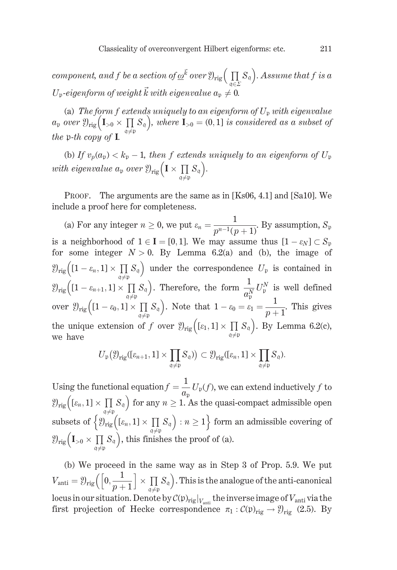component, and f be a section of  $\underline{\omega}^{\vec{k}}$  over  $\mathfrak{Y}_{\text{rig}}\left(\prod_{\alpha\in S_{\mathfrak{q}}}\right)$ . Assume that f is a  $U_{p}$ -eigenform of weight  $\vec{k}$  with eigenvalue  $a_{p} \neq 0$ .

(a) The form f extends uniquely to an eigenform of  $U_p$  with eigenvalue  $a_p$  over  $\mathcal{Y}_{\text{rig}}(I_{>0} \times \prod_{q \neq p} S_q)$ , where  $I_{>0} = (0, 1]$  is considered as a subset of the p-th copy of **I**.

(b) If  $v_p(a_p) < k_p - 1$ , then f extends uniquely to an eigenform of  $U_p$ with eigenvalue  $a_p$  over  $\mathfrak{Y}_{\text{rig}}\left(\mathbf{I} \times \prod_{\lambda \in \Lambda} S_{\mathfrak{q}}\right)$ .

PROOF. The arguments are the same as in [Ks06, 4.1] and [Sa10]. We include a proof here for completeness.

(a) For any integer  $n \ge 0$ , we put  $\varepsilon_n = \frac{1}{n^{n-1}(n+1)}$ . By assumption,  $S_p$ is a neighborhood of  $1 \in I = [0, 1]$ . We may assume thus  $[1 - \varepsilon_N] \subset S_n$ for some integer  $N > 0$ . By Lemma 6.2(a) and (b), the image of  $\mathcal{Y}_{\text{rig}}\left([1-\varepsilon_n,1]\times\prod_{\alpha\neq n}S_{\alpha}\right)$  under the correspondence  $U_{\mathfrak{p}}$  is contained in  $\mathcal{Y}_{\text{rig}}\left([1-\varepsilon_{n+1},1]\times\prod_{\mathfrak{q}\neq\mathfrak{p}}^{\mathfrak{p}'} S_{\mathfrak{q}}\right)$ . Therefore, the form  $\frac{1}{a_{\mathfrak{p}}^N}U_{\mathfrak{p}}^N$  is well defined over  $\mathcal{Y}_{\text{rig}}\left([1-\varepsilon_0,1]\times\prod_{\alpha\neq 0}S_{\mathfrak{q}}\right)$ . Note that  $1-\varepsilon_0=\varepsilon_1=\frac{1}{p+1}$ . This gives the unique extension of f over  $\mathcal{Y}_{\text{rig}}([{\varepsilon}_1,1] \times {\prod_{\alpha\neq n} S_{\mathfrak{q}}})$ . By Lemma 6.2(c), we have

$$
U_{\mathfrak{p}}(\mathfrak{Y}_{\mathrm{rig}}([\varepsilon_{n+1},1]\times\prod_{\mathfrak{q}\neq\mathfrak{p}}S_{\mathfrak{q}}))\subset \mathfrak{Y}_{\mathrm{rig}}([\varepsilon_n,1]\times\prod_{\mathfrak{q}\neq\mathfrak{p}}S_{\mathfrak{q}}).
$$

Using the functional equation  $f = \frac{1}{a_p} U_p(f)$ , we can extend inductively f to  $\mathcal{Y}_{\text{rig}}\left(\left[\varepsilon_n,1\right]\times\prod_{\alpha\neq\nu}S_{\alpha}\right)$  for any  $n\geq 1$ . As the quasi-compact admissible open subsets of  $\left\{ \mathfrak{Y}_{\text{rig}}\left([{\varepsilon_n},1]\times\prod\limits_{\alpha\neq p}S_{\mathfrak{q}}\right):n\geq 1\right\}$  form an admissible covering of  $\mathcal{Y}_{\text{rig}}\left(I_{>0} \times \prod_{\alpha \neq 0} S_{\mathfrak{q}}\right)$ , this finishes the proof of (a).

(b) We proceed in the same way as in Step 3 of Prop. 5.9. We put  $V_{\text{anti}} = \mathcal{Y}_{\text{rig}}\left(\left[0, \frac{1}{p+1}\right] \times \prod_{\alpha \neq n} S_{\mathfrak{q}}\right)$ . This is the analogue of the anti-canonical locus in our situation. Denote by  $\mathcal{C}(\mathfrak{p})_{\mathrm{rig}}|_{V_{\mathrm{anti}}}$  the inverse image of  $V_{\mathrm{anti}}$  via the first projection of Hecke correspondence  $\pi_1 : C(\mathfrak{p})_{\text{rig}} \to \mathfrak{Y}_{\text{rig}}$  (2.5). By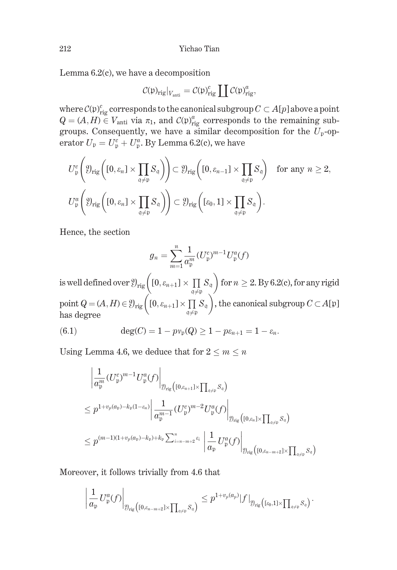Lemma  $6.2(c)$ , we have a decomposition

$$
\mathcal{C}(\mathfrak{p})_{\text{rig}}|_{V_{\text{anti}}} = \mathcal{C}(\mathfrak{p})_{\text{rig}}^c \coprod \mathcal{C}(\mathfrak{p})_{\text{rig}}^a,
$$

where  $C(\mathfrak{p})_{\text{rig}}^c$  corresponds to the canonical subgroup  $C \subset A[p]$  above a point  $Q = (A, H) \in V_{\text{anti}}$  via  $\pi_1$ , and  $C(\mathfrak{p})_{\text{rig}}^a$  corresponds to the remaining subgroups. Consequently, we have a similar decomposition for the  $U_p$ -operator  $U_p = U_p^c + U_p^a$ . By Lemma 6.2(c), we have

$$
U_{\mathfrak{p}}^{c}\left(\mathfrak{Y}_{\text{rig}}\left([0,\varepsilon_{n}]\times\prod_{\mathfrak{q}\neq\mathfrak{p}}S_{\mathfrak{q}}\right)\right)\subset \mathfrak{Y}_{\text{rig}}\left([0,\varepsilon_{n-1}]\times\prod_{\mathfrak{q}\neq\mathfrak{p}}S_{\mathfrak{q}}\right) \quad \text{for any } n\geq 2,
$$
  

$$
U_{\mathfrak{p}}^{a}\left(\mathfrak{Y}_{\text{rig}}\left([0,\varepsilon_{n}]\times\prod_{\mathfrak{q}\neq\mathfrak{p}}S_{\mathfrak{q}}\right)\right)\subset \mathfrak{Y}_{\text{rig}}\left([\varepsilon_{0},1]\times\prod_{\mathfrak{q}\neq\mathfrak{p}}S_{\mathfrak{q}}\right).
$$

Hence, the section

$$
g_n = \sum_{m=1}^n \frac{1}{a_{\mathfrak{p}}^m} (U_{\mathfrak{p}}^c)^{m-1} U_{\mathfrak{p}}^a(f)
$$

is well defined over  $\mathcal{Y}_{\text{rig}}\left([0, \varepsilon_{n+1}] \times \prod_{\mathfrak{q} \neq \mathfrak{p}} S_{\mathfrak{q}}\right)$  for  $n \geq 2$ . By 6.2(c), for any rigid<br>point  $Q = (A, H) \in \mathcal{Y}_{\text{rig}}\left([0, \varepsilon_{n+1}] \times \prod_{\mathfrak{q} \neq \mathfrak{p}} S_{\mathfrak{q}}\right)$ , the canonical subgrou has degree

(6.1) 
$$
\deg(C) = 1 - p v_{\mathfrak{p}}(Q) \ge 1 - p \varepsilon_{n+1} = 1 - \varepsilon_n.
$$

Using Lemma 4.6, we deduce that for  $2 \le m \le n$ 

$$
\frac{\left|\frac{1}{a_{\mathfrak{p}}^{m}}(U_{\mathfrak{p}}^{c})^{m-1}U_{\mathfrak{p}}^{a}(f)\right|_{\mathfrak{Y}_{\mathrm{rig}}\left(\left[0,\varepsilon_{n+1}\right]\times\prod_{\mathfrak{q}\neq\mathfrak{p}}S_{\mathfrak{q}}\right)}}{\left|\frac{1}{a_{\mathfrak{p}}^{m-1}}(U_{\mathfrak{p}}^{c})^{m-2}U_{\mathfrak{p}}^{a}(f)\right|_{\mathfrak{Y}_{\mathrm{rig}}\left(\left[0,\varepsilon_{n}\right]\times\prod_{\mathfrak{q}\neq\mathfrak{p}}S_{\mathfrak{q}}\right)}}}
$$
\n
$$
\leq p^{(m-1)(1+v_{p}(a_{\mathfrak{p}})-k_{\mathfrak{p}})+k_{\mathfrak{p}}\sum_{i=n-m+2}^{n} \varepsilon_{i}}\left|\frac{1}{a_{\mathfrak{p}}}U_{\mathfrak{p}}^{a}(f)\right|_{\mathfrak{Y}_{\mathrm{rig}}\left(\left[0,\varepsilon_{n-m+2}\right]\times\prod_{\mathfrak{q}\neq\mathfrak{p}}S_{\mathfrak{q}}\right)}
$$

Moreover, it follows trivially from 4.6 that

$$
\left|\frac{1}{a_{\mathfrak{p}}}U_{\mathfrak{p}}^{a}(f)\right|_{\mathfrak{Y}_{\mathrm{rig}}\left([0,\varepsilon_{n-m+2}]\times\prod_{\mathfrak{q}\neq \mathfrak{p}}S_{\mathfrak{q}}\right)}\leq p^{1+v_{p}(a_{p})}|f|_{\mathfrak{Y}_{\mathrm{rig}}\left([ \varepsilon_{0},1]\times\prod_{\mathfrak{q}\neq \mathfrak{p}}S_{\mathfrak{q}}\right)}.
$$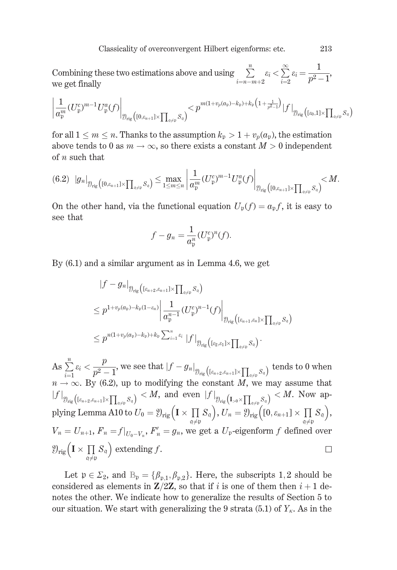Combining these two estimations above and using  $\sum_{i=-\infty}^n \varepsilon_i < \sum_{i=2}^\infty \varepsilon_i = \frac{1}{p^2-1},$ we get finally

$$
\left|\frac{1}{a_\mathfrak{p}^m}(U_\mathfrak{p}^c)^{m-1}U_\mathfrak{p}^a(f)\right|_{\mathfrak{Y}_\mathrm{rig}\big([0,\varepsilon_{n+1}]\times\prod_{\mathfrak{q}\neq \mathfrak{p}}S_\mathfrak{q}\big)}
$$

for all  $1 \leq m \leq n$ . Thanks to the assumption  $k_p > 1 + v_p(a_p)$ , the estimation above tends to 0 as  $m \to \infty$ , so there exists a constant  $M > 0$  independent of  $n$  such that

$$
(6.2) \quad |g_n|_{\mathfrak{Y}_{\mathrm{rig}}\left([0,\varepsilon_{n+1}]\times \prod_{\mathfrak{q}\neq \mathfrak{p}} S_\mathfrak{q}\right)} \leq \max_{1\leq m\leq n} \left|\frac{1}{a_\mathfrak{p}^m} (U_\mathfrak{p}^c)^{m-1} U_\mathfrak{p}^a(f)\right|_{\mathfrak{Y}_{\mathrm{rig}}\left([0,\varepsilon_{n+1}]\times \prod_{\mathfrak{q}\neq \mathfrak{p}} S_\mathfrak{q}\right)} < M.
$$

On the other hand, via the functional equation  $U_p(f) = a_p f$ , it is easy to see that

$$
f - g_n = \frac{1}{a_{\mathfrak{p}}^n} (U_{\mathfrak{p}}^c)^n(f).
$$

By  $(6.1)$  and a similar argument as in Lemma 4.6, we get

$$
\begin{aligned} &\|f-g_n|_{\mathfrak{Y}_{\mathrm{rig}}\big([{\varepsilon}_{n+2},{\varepsilon}_{n+1}]\times {\prod_{\mathfrak{q}\neq\mathfrak{p}}} S_{\mathfrak{q}}\big)}\\ &\leq p^{1+v_p(a_{\mathfrak{p}})-k_{\mathfrak{p}}(1-{\varepsilon}_n)} \bigg|\frac{1}{a_{\mathfrak{p}}^{n-1}}(U_{\mathfrak{p}}^c)^{n-1}(f)\bigg|_{\mathfrak{Y}_{\mathrm{rig}}\big([{\varepsilon}_{n+1},{\varepsilon}_n]\times {\prod_{\mathfrak{q}\neq\mathfrak{p}}} S_{\mathfrak{q}}\big)}\\ &\leq p^{n(1+v_p(a_{\mathfrak{p}})-k_{\mathfrak{p}})+k_{\mathfrak{p}}\sum_{i=1}^n {\varepsilon}_i}\, |f|_{\mathfrak{Y}_{\mathrm{rig}}\big([{\varepsilon}_2,{\varepsilon}_1]\times {\prod_{\mathfrak{q}\neq\mathfrak{p}}} S_{\mathfrak{q}}\big)}.\end{aligned}
$$

As  $\sum_{i=1}^n \varepsilon_i < \frac{p}{p^2-1}$ , we see that  $|f - g_n|_{\mathfrak{Y}_{\text{rig}}\left([\varepsilon_{n+2}, \varepsilon_{n+1}] \times \prod_{\mathfrak{q} \neq \mathfrak{p}} S_{\mathfrak{q}}\right)}\}$  tends to 0 when  $n \to \infty$ . By (6.2), up to modifying the constant M, we may assume that  $|f|_{\mathcal{Y}_{\text{rig}}\left([{\varepsilon}_{n+2},{\varepsilon}_{n+1}]\times \prod_{\alpha\neq \beta} S_\alpha\right)} < M$ , and even  $|f|_{\mathcal{Y}_{\text{rig}}\left(I_{>0}\times \prod_{\alpha\neq \beta} S_\alpha\right)} < M$ . Now applying Lemma A10 to  $U_0 = \mathcal{Y}_{\text{rig}}\left(I \times \prod_{\alpha\neq \beta} S_\alpha\right), U_n = \mathcal{Y}_{\text{rig}}\left([0,{\varepsilon}_{n+1}]\times \prod_{\alpha\neq \beta}$  $V_n = U_{n+1}$ ,  $F_n = f|_{U_0 - V_n}$ ,  $F'_n = g_n$ , we get a  $U_p$ -eigenform f defined over  $\mathfrak{Y}_{\text{rig}}\left(\mathbf{I} \times \prod_{\alpha \neq n} S_{\mathfrak{q}}\right)$  extending f.  $\Box$ 

Let  $\mathfrak{p} \in \Sigma_2$ , and  $\mathbb{B}_{\mathfrak{p}} = {\beta_{\mathfrak{p},1}, \beta_{\mathfrak{p},2}}$ . Here, the subscripts 1,2 should be considered as elements in  $\mathbb{Z}/2\mathbb{Z}$ , so that if i is one of them then  $i+1$  denotes the other. We indicate how to generalize the results of Section 5 to our situation. We start with generalizing the 9 strata (5.1) of  $Y_{\kappa}$ . As in the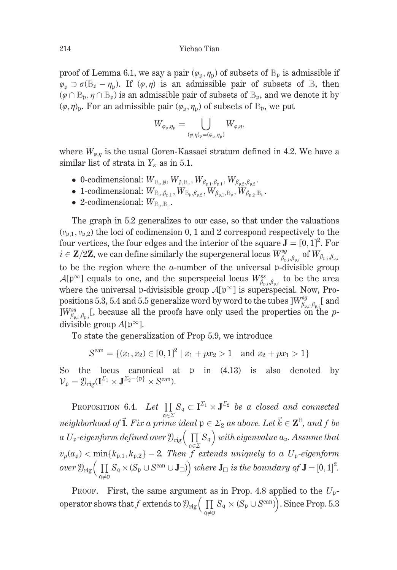### Yichao Tian

proof of Lemma 6.1, we say a pair  $(\varphi_n, \eta_n)$  of subsets of  $\mathbb{B}_p$  is admissible if  $\varphi_n \supset \sigma(\mathbb{B}_{p} - \eta_n)$ . If  $(\varphi, \eta)$  is an admissible pair of subsets of  $\mathbb{B}$ , then  $(\varphi \cap \mathbb{B}_{p}, \eta \cap \mathbb{B}_{p})$  is an admissible pair of subsets of  $\mathbb{B}_{p}$ , and we denote it by  $(\varphi, \eta)$ <sub>p</sub>. For an admissible pair  $(\varphi_p, \eta_p)$  of subsets of  $\mathbb{B}_p$ , we put

$$
W_{\varphi_{\mathfrak{p}},\eta_{\mathfrak{p}}}=\bigcup_{(\varphi,\eta)_{\mathfrak{p}}=(\varphi_{\mathfrak{p}},\eta_{\mathfrak{p}})}W_{\varphi,\eta},
$$

where  $W_{\varphi,\eta}$  is the usual Goren-Kassaei stratum defined in 4.2. We have a similar list of strata in  $Y_k$  as in 5.1.

- 0-codimensional:  $W_{\mathbb{B}_n,\emptyset}, W_{\emptyset,\mathbb{B}_n}, W_{\beta_{n-1},\beta_{n-1}}, W_{\beta_{n-2},\beta_{n-2}}$ .
- 1-codimensional:  $W_{\mathbb{B}_p,\beta_{p,1}}, W_{\mathbb{B}_p,\beta_{p,2}}, W_{\beta_{p,1},\mathbb{B}_p}, W_{\beta_{p,2},\mathbb{B}_p}.$
- 2-codimensional:  $W_{\mathbb{B}_n,\mathbb{B}_n}$ .

The graph in 5.2 generalizes to our case, so that under the valuations  $(v_{p,1}, v_{p,2})$  the loci of codimension 0, 1 and 2 correspond respectively to the four vertices, the four edges and the interior of the square  $\mathbf{J} = [0, 1]^2$ . For  $i \in \mathbb{Z}/2\mathbb{Z}$ , we can define similarly the supergeneral locus  $W_{\beta_n;\beta_n}^{sg}$  of  $W_{\beta_n;\beta_n;\beta_n}$ to be the region where the  $a$ -number of the universal p-divisible group  $\mathcal{A}[\mathfrak{p}^{\infty}]$  equals to one, and the superspecial locus  $W^{ss}_{\beta_{\mathfrak{p},i},\beta_{\mathfrak{p},i}}$  to be the area where the universal p-divisisible group  $\mathcal{A}[\mathfrak{p}^{\infty}]$  is superspecial. Now, Propositions 5.3, 5.4 and 5.5 generalize word by word to the tubes  $\vert W^{sg}_{\beta_n,\beta_n,\zeta}\vert$  and  $\vert W_{\beta_{n},\beta_{n}}^{ss}(t)\vert$ , because all the proofs have only used the properties on the pdivisible group  $A[p^{\infty}]$ .

To state the generalization of Prop 5.9, we introduce

$$
Scan = \{(x_1, x_2) \in [0, 1]^2 \mid x_1 + px_2 > 1 \text{ and } x_2 + px_1 > 1\}
$$

So the locus canonical at  $\upmu$  in  $(4.13)$  is also denoted by  $\mathcal{V}_{\mathfrak{p}} = \mathfrak{Y}_{\mathrm{rig}}(\mathbf{I}^{\Sigma_1} \times \mathbf{J}^{\Sigma_2 - \{\mathfrak{p}\}} \times S^{\mathrm{can}}).$ 

PROPOSITION 6.4. Let  $\prod_{\alpha \in \Sigma} S_{\alpha} \subset \mathbf{I}^{\Sigma_1} \times \mathbf{J}^{\Sigma_2}$  be a closed and connected neighborhood of **1**. Fix a prime ideal  $p \in \Sigma_2$  as above. Let  $\vec{k} \in \mathbb{Z}^B$ , and f be a  $U_{\mathfrak{p}}$ -eigenform defined over  $\mathfrak{Y}_{\text{rig}}\left(\prod_{\mathfrak{q}\in \Sigma}S_{\mathfrak{q}}\right)$  with eigenvalue  $a_{\mathfrak{p}}$ . Assume that  $v_p(a_p) < \min\{k_{p,1}, k_{p,2}\} - 2$ . Then f extends uniquely to a  $U_p$ -eigenform over  $\mathfrak{Y}_{\text{rig}}\left(\prod_{\mathfrak{a}\neq \mathfrak{p}} S_{\mathfrak{q}}\times (S_{\mathfrak{p}}\cup S^{\text{can}}\cup J_{\square})\right)$  where  $J_{\square}$  is the boundary of  $J=[0,1]^2$ .

PROOF. First, the same argument as in Prop. 4.8 applied to the  $U_p$ operator shows that f extends to  $\mathcal{Y}_{\text{rig}}\left(\prod_{\mathfrak{q}\neq \mathfrak{p}} S_{\mathfrak{q}}\times (S_{\mathfrak{p}}\cup S^{\text{can}})\right)$ . Since Prop. 5.3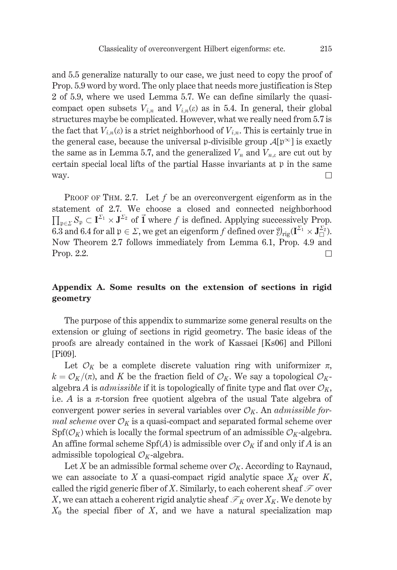and 5.5 generalize naturally to our case, we just need to copy the proof of Prop. 5.9 word by word. The only place that needs more justification is Step 2 of 5.9, where we used Lemma 5.7. We can define similarly the quasicompact open subsets  $V_{i,n}$  and  $V_{i,n}(\varepsilon)$  as in 5.4. In general, their global structures maybe be complicated. However, what we really need from 5.7 is the fact that  $V_{i,n}(\varepsilon)$  is a strict neighborhood of  $V_{i,n}$ . This is certainly true in the general case, because the universal p-divisible group  $\mathcal{A}[\mathfrak{p}^{\infty}]$  is exactly the same as in Lemma 5.7, and the generalized  $V_n$  and  $V_{n,\varepsilon}$  are cut out by certain special local lifts of the partial Hasse invariants at p in the same way.  $\Box$ 

PROOF OF THM. 2.7. Let  $f$  be an overconvergent eigenform as in the statement of 2.7. We choose a closed and connected neighborhood  $\prod_{n \in \mathcal{F}} S_n \subset I^{\Sigma_1} \times J^{\Sigma_2}$  of  $\vec{\mathbf{I}}$  where f is defined. Applying successively Prop. 6.3 and 6.4 for all  $\mathfrak{p} \in \Sigma$ , we get an eigenform f defined over  $\mathfrak{Y}_{\text{trip}}(\mathbf{I}^{\Sigma_1} \times \mathbf{J}_{\square}^{\Sigma_2})$ . Now Theorem 2.7 follows immediately from Lemma 6.1, Prop. 4.9 and Prop. 2.2.  $\Box$ 

## Appendix A. Some results on the extension of sections in rigid geometry

The purpose of this appendix to summarize some general results on the extension or gluing of sections in rigid geometry. The basic ideas of the proofs are already contained in the work of Kassaei [Ks06] and Pilloni [Pi09].

Let  $\mathcal{O}_K$  be a complete discrete valuation ring with uniformizer  $\pi$ ,  $k = \mathcal{O}_K/(\pi)$ , and K be the fraction field of  $\mathcal{O}_K$ . We say a topological  $\mathcal{O}_K$ algebra A is *admissible* if it is topologically of finite type and flat over  $\mathcal{O}_K$ , i.e. A is a  $\pi$ -torsion free quotient algebra of the usual Tate algebra of convergent power series in several variables over  $\mathcal{O}_K$ . An *admissible for*mal scheme over  $\mathcal{O}_K$  is a quasi-compact and separated formal scheme over  $Spf(\mathcal{O}_K)$  which is locally the formal spectrum of an admissible  $\mathcal{O}_K$ -algebra. An affine formal scheme Spf(A) is admissible over  $\mathcal{O}_K$  if and only if A is an admissible topological  $\mathcal{O}_K$ -algebra.

Let X be an admissible formal scheme over  $\mathcal{O}_K$ . According to Raynaud, we can associate to X a quasi-compact rigid analytic space  $X_K$  over K, called the rigid generic fiber of X. Similarly, to each coherent sheaf  $\mathcal F$  over X, we can attach a coherent rigid analytic sheaf  $\mathcal{F}_K$  over  $X_K$ . We denote by  $X_0$  the special fiber of X, and we have a natural specialization map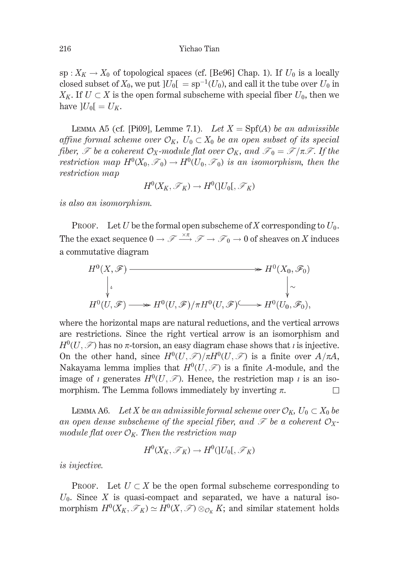sp:  $X_K \to X_0$  of topological spaces (cf. [Be96] Chap. 1). If  $U_0$  is a locally closed subset of  $X_0$ , we put  $|U_0| = sp^{-1}(U_0)$ , and call it the tube over  $U_0$  in  $X_K$ . If  $U \subset X$  is the open formal subscheme with special fiber  $U_0$ , then we have  $|U_0| = U_K$ .

LEMMA A5 (cf. [Pi09], Lemme 7.1). Let  $X = Spf(A)$  be an admissible affine formal scheme over  $\mathcal{O}_K$ ,  $U_0 \subset X_0$  be an open subset of its special fiber,  $\mathcal F$  be a coherent  $\mathcal O_X$ -module flat over  $\mathcal O_K$ , and  $\mathcal F_0 = \mathcal F/\pi \mathcal F$ . If the restriction map  $H^0(X_0, \mathcal{F}_0) \to H^0(U_0, \mathcal{F}_0)$  is an isomorphism, then the *restriction map* 

$$
H^0(X_K,\mathscr{F}_K)\to H^0(\]U_0[,\mathscr{F}_K)
$$

is also an isomorphism.

**PROOF.** Let U be the formal open subscheme of X corresponding to  $U_0$ . The the exact sequence  $0 \to \mathscr{F} \xrightarrow{\times \pi} \mathscr{F} \to \mathscr{F}_0 \to 0$  of sheaves on X induces a commutative diagram

$$
H^{0}(X, \mathscr{F}) \longrightarrow H^{0}(X_{0}, \mathscr{F}_{0})
$$
  
\n
$$
\downarrow \qquad \qquad \downarrow \sim
$$
  
\n
$$
H^{0}(U, \mathscr{F}) \longrightarrow H^{0}(U, \mathscr{F})/\pi H^{0}(U, \mathscr{F}) \longrightarrow H^{0}(U_{0}, \mathscr{F}_{0}),
$$

where the horizontal maps are natural reductions, and the vertical arrows are restrictions. Since the right vertical arrow is an isomorphism and  $H^0(U,\mathcal{F})$  has no  $\pi$ -torsion, an easy diagram chase shows that *i* is injective. On the other hand, since  $H^0(U,\mathcal{F})/\pi H^0(U,\mathcal{F})$  is a finite over  $A/\pi A$ , Nakayama lemma implies that  $H^0(U, \mathcal{F})$  is a finite A-module, and the image of *i* generates  $H^0(U, \mathcal{F})$ . Hence, the restriction map *i* is an isomorphism. The Lemma follows immediately by inverting  $\pi$ .  $\Box$ 

LEMMA A6. Let X be an admissible formal scheme over  $\mathcal{O}_K$ ,  $U_0 \subset X_0$  be an open dense subscheme of the special fiber, and  $\mathscr F$  be a coherent  $\mathcal O_X$ module flat over  $\mathcal{O}_K$ . Then the restriction map

$$
H^0(X_K,\mathscr{F}_K)\to H^0(\mathopen{]}U_0\mathclose{[},\mathscr{F}_K)
$$

is injective.

PROOF. Let  $U \subset X$  be the open formal subscheme corresponding to  $U_0$ . Since X is quasi-compact and separated, we have a natural isomorphism  $H^0(X_K, \mathscr{F}_K) \simeq H^0(X, \mathscr{F}) \otimes_{\mathcal{O}_K} K$ ; and similar statement holds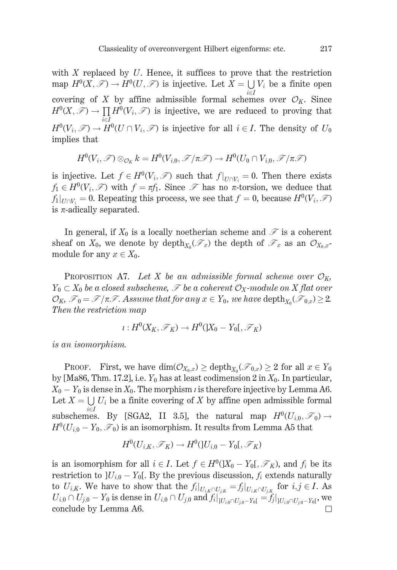with  $X$  replaced by  $U$ . Hence, it suffices to prove that the restriction map  $H^0(X,\mathcal{F}) \to H^0(U,\mathcal{F})$  is injective. Let  $X = \bigcup V_i$  be a finite open  $i \in I$ covering of X by affine admissible formal schemes over  $\mathcal{O}_K$ . Since  $H^0(X,\mathcal{F}) \to \prod H^0(V_i,\mathcal{F})$  is injective, we are reduced to proving that  $H^0(V_i,\mathcal{F}) \to \overline{H}^0(U \cap V_i,\mathcal{F})$  is injective for all  $i \in I$ . The density of  $U_0$ implies that

$$
H^0(V_i,\mathscr{F})\otimes_{\mathcal{O}_K}k=H^0(V_{i,0},\mathscr{F}/\pi\mathscr{F})\to H^0(U_0\cap V_{i,0},\mathscr{F}/\pi\mathscr{F})
$$

is injective. Let  $f \in H^0(V_i, \mathcal{F})$  such that  $f|_{U \cap V_i} = 0$ . Then there exists  $f_1 \in H^0(V_i, \mathcal{F})$  with  $f = \pi f_1$ . Since  $\mathcal F$  has no  $\pi$ -torsion, we deduce that  $f_1|_{U \cap V_i} = 0$ . Repeating this process, we see that  $f = 0$ , because  $H^0(V_i, \mathcal{F})$ is  $\pi$ -adically separated.

In general, if  $X_0$  is a locally noetherian scheme and  $\mathscr F$  is a coherent sheaf on  $X_0$ , we denote by depth $_{X_0}(\mathcal{F}_x)$  the depth of  $\mathcal{F}_x$  as an  $\mathcal{O}_{X_0,x}$ . module for any  $x \in X_0$ .

PROPOSITION A7. Let X be an admissible formal scheme over  $\mathcal{O}_K$ ,  $Y_0 \subset X_0$  be a closed subscheme,  $\mathcal F$  be a coherent  $\mathcal O_X$ -module on X flat over  $\mathcal{O}_K$ ,  $\mathcal{F}_0 = \mathcal{F}/\pi \mathcal{F}$ . Assume that for any  $x \in Y_0$ , we have depth<sub> $x_0$ </sub>  $(\mathcal{F}_{0,x}) \geq 2$ . Then the restriction map

$$
\iota: H^0(X_K,\mathscr{F}_K)\to H^0(X_0-Y_0[,\mathscr{F}_K)
$$

*is an isomorphism.* 

PROOF. First, we have  $\dim(\mathcal{O}_{X_0,x}) \geq \operatorname{depth}_{X_0}(\mathcal{F}_{0,x}) \geq 2$  for all  $x \in Y_0$ by [Ma86, Thm. 17.2], i.e.  $Y_0$  has at least codimension 2 in  $X_0$ . In particular,  $X_0 - Y_0$  is dense in  $X_0$ . The morphism *i* is therefore injective by Lemma A6. Let  $X = \bigcup U_i$  be a finite covering of X by affine open admissible formal subschemes. By [SGA2, II 3.5], the natural map  $H^0(U_{i,0}, \mathcal{F}_0) \to$  $H^0(U_{i,0} - Y_0, \mathcal{F}_0)$  is an isomorphism. It results from Lemma A5 that

$$
H^0(U_{i,K}, \mathscr{F}_K) \to H^0(U_{i,0} - Y_0[, \mathscr{F}_K)
$$

is an isomorphism for all  $i \in I$ . Let  $f \in H^0(X_0 - Y_0[, \mathscr{F}_K)$ , and  $f_i$  be its restriction to  $]U_{i,0} - Y_0[$ . By the previous discussion,  $f_i$  extends naturally to  $U_{i,K}$ . We have to show that the  $f_i|_{U_{i,K} \cap U_{i,K}} = f_j|_{U_{i,K} \cap U_{i,K}}$  for  $i,j \in I$ . As  $U_{i,0} \cap U_{j,0} - Y_0$  is dense in  $U_{i,0} \cap U_{j,0}$  and  $f_i|_{]U_{i,0} \cap U_{j,0} - Y_0[} = f_j|_{]U_{i,0} \cap U_{j,0} - Y_0[}$ , we conclude by Lemma A6.  $\Box$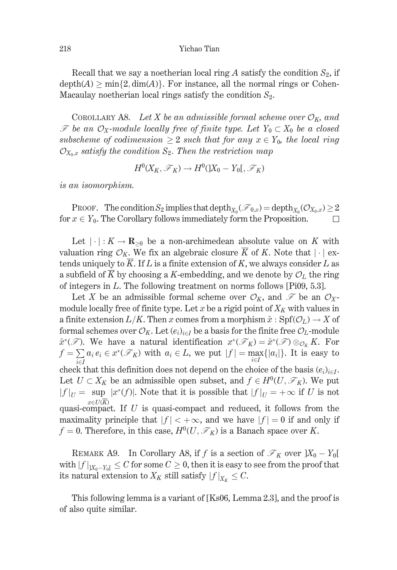### Yichao Tian

Recall that we say a noetherian local ring A satisfy the condition  $S_2$ , if  $depth(A) > min\{2, dim(A)\}\$ . For instance, all the normal rings or Cohen-Macaulay noetherian local rings satisfy the condition  $S_2$ .

COROLLARY A8. Let X be an admissible formal scheme over  $\mathcal{O}_K$ , and  $\mathscr F$  be an  $\mathcal O_X$ -module locally free of finite type. Let  $Y_0 \subset X_0$  be a closed subscheme of codimension  $\geq 2$  such that for any  $x \in Y_0$ , the local ring  $\mathcal{O}_{X_0,x}$  satisfy the condition  $S_2$ . Then the restriction map

$$
H^0(X_K,\mathscr{F}_K)\to H^0(X_0-Y_0[,\mathscr{F}_K)
$$

is an isomorphism.

PROOF. The condition  $S_2$  implies that depth<sub> $X_0$ </sub> $(\mathcal{F}_{0,x}) = \text{depth}_{X_0}$  $(\mathcal{O}_{X_0,x}) \geq 2$ for  $x \in Y_0$ . The Corollary follows immediately form the Proposition.  $\Box$ 

Let  $|\cdot|: K \to \mathbf{R}_{\geq 0}$  be a non-archimedean absolute value on K with valuation ring  $\mathcal{O}_K$ . We fix an algebraic closure  $\overline{K}$  of K. Note that  $|\cdot|$  extends uniquely to  $\overline{K}$ . If L is a finite extension of K, we always consider L as a subfield of  $\overline{K}$  by choosing a K-embedding, and we denote by  $\mathcal{O}_L$  the ring of integers in  $L$ . The following treatment on norms follows [Pi09, 5.3].

Let X be an admissible formal scheme over  $\mathcal{O}_K$ , and  $\mathcal F$  be an  $\mathcal{O}_X$ module locally free of finite type. Let x be a rigid point of  $X_K$  with values in a finite extension  $L/K$ . Then x comes from a morphism  $\tilde{x}$ : Spf $(\mathcal{O}_L) \to X$  of formal schemes over  $\mathcal{O}_K$ . Let  $(e_i)_{i \in I}$  be a basis for the finite free  $\mathcal{O}_L$ -module  $\tilde{x}^*(\mathscr{F})$ . We have a natural identification  $x^*(\mathscr{F}_K) = \tilde{x}^*(\mathscr{F}) \otimes_{\mathcal{O}_K} K$ . For  $f = \sum a_i e_i \in x^*(\mathcal{F}_K)$  with  $a_i \in L$ , we put  $|f| = \max_{i \in I} \{|a_i|\}$ . It is easy to check that this definition does not depend on the choice of the basis  $(e_i)_{i \in I}$ . Let  $U \subset X_K$  be an admissible open subset, and  $f \in H^0(U, \mathcal{F}_K)$ . We put  $|f|_U =$  sup  $|x^*(f)|$ . Note that it is possible that  $|f|_U = +\infty$  if U is not  $x \in U(\overline{K})$ quasi-compact. If  $U$  is quasi-compact and reduced, it follows from the maximality principle that  $|f| < +\infty$ , and we have  $|f| = 0$  if and only if  $f = 0$ . Therefore, in this case,  $H^0(U, \mathcal{F}_K)$  is a Banach space over K.

REMARK A9. In Corollary A8, if f is a section of  $\mathcal{F}_K$  over  $|X_0 - Y_0|$ with  $|f|_{X_0-Y_0} \leq C$  for some  $C \geq 0$ , then it is easy to see from the proof that its natural extension to  $X_K$  still satisfy  $|f|_{X_K} \leq C$ .

This following lemma is a variant of [Ks06, Lemma 2.3], and the proof is of also quite similar.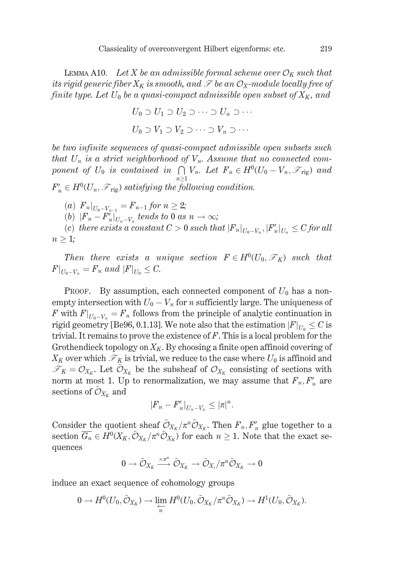LEMMA A10. Let X be an admissible formal scheme over  $\mathcal{O}_K$  such that its rigid generic fiber  $X_K$  is smooth, and  $\mathscr F$  be an  $\mathcal O_X$ -module locally free of finite type. Let  $U_0$  be a quasi-compact admissible open subset of  $X_K$ , and

$$
U_0 \supset U_1 \supset U_2 \supset \cdots \supset U_n \supset \cdots
$$
  

$$
U_0 \supset V_1 \supset V_2 \supset \cdots \supset V_n \supset \cdots
$$

be two infinite sequences of quasi-compact admissible open subsets such that  $U_n$  is a strict neighborhood of  $V_n$ . Assume that no connected component of  $U_0$  is contained in  $\bigcap V_n$ . Let  $F_n \in H^0(U_0 - V_n, \mathcal{F}_{\text{rig}})$  and

 $F'_{n} \in H^{0}(U_{n}, \mathcal{F}_{\text{rig}})$  satisfying the following condition.

- (a)  $F_n|_{U_0-V_{n-1}} = F_{n-1}$  for  $n \geq 2$ ;
- (b)  $|F_n-F_n||_{U_n-V_n}$  tends to 0 as  $n \to \infty$ ;

(c) there exists a constant  $C > 0$  such that  $|F_n|_{U_0 - V_n}$ ,  $|F'_n|_{U_n} \leq C$  for all  $n \geq 1$ ;

Then there exists a unique section  $F \in H^0(U_0, \mathcal{F}_K)$  such that  $F|_{U_0-V_n} = F_n$  and  $|F|_{U_0} \leq C$ .

PROOF. By assumption, each connected component of  $U_0$  has a nonempty intersection with  $U_0 - V_n$  for *n* sufficiently large. The uniqueness of F with  $F|_{U_0-V_n} = F_n$  follows from the principle of analytic continuation in rigid geometry [Be96, 0.1.13]. We note also that the estimation  $|F|_{U_0} \leq C$  is trivial. It remains to prove the existence of  $F$ . This is a local problem for the Grothendieck topology on  $X_K$ . By choosing a finite open affinoid covering of  $X_K$  over which  $\mathcal{F}_K$  is trivial, we reduce to the case where  $U_0$  is affinoid and  $\mathcal{F}_K = \mathcal{O}_{X_K}$ . Let  $\mathcal{O}_{X_K}$  be the subsheaf of  $\mathcal{O}_{X_K}$  consisting of sections with norm at most 1. Up to renormalization, we may assume that  $F_n, F'_n$  are sections of  $\mathcal{O}_{X_K}$  and

$$
|{F}_n-F'_n|_{U_n-V_n}\leq |\pi|^n.
$$

Consider the quotient sheaf  $\tilde{\mathcal{O}}_{X_K}/\pi^n\tilde{\mathcal{O}}_{X_K}$ . Then  $F_n, F'_n$  glue together to a section  $\overline{G_n} \in H^0(X_K, \tilde{\mathcal{O}}_{X_K}/\pi^n \tilde{\mathcal{O}}_{X_K})$  for each  $n \geq 1$ . Note that the exact sequences

$$
0\to \tilde{\mathcal{O}}_{X_K}\xrightarrow{\times \pi^n} \tilde{\mathcal{O}}_{X_K}\to \tilde{\mathcal{O}}_{X_i}/\pi^n\tilde{\mathcal{O}}_{X_K}\to 0
$$

induce an exact sequence of cohomology groups

$$
0 \to H^0(U_0, \tilde{\mathcal{O}}_{X_K}) \to \varprojlim_n H^0(U_0, \tilde{\mathcal{O}}_{X_K}/\pi^n \tilde{\mathcal{O}}_{X_K}) \to H^1(U_0, \tilde{\mathcal{O}}_{X_K}).
$$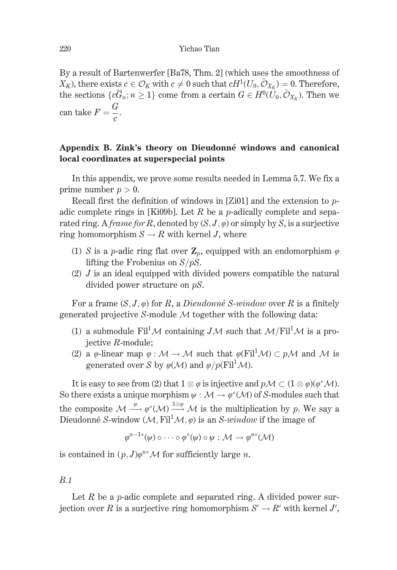By a result of Bartenwerfer [Ba78, Thm, 2] (which uses the smoothness of  $X_K$ ), there exists  $c \in \mathcal{O}_K$  with  $c \neq 0$  such that  $cH^1(U_0, \tilde{\mathcal{O}}_{X_V}) = 0$ . Therefore, the sections  $\{c\overline{G}_n; n\geq 1\}$  come from a certain  $G \in H^0(\overline{U}_0, \tilde{O}_{X_K})$ . Then we can take  $F = \frac{G}{f}$ .

# Appendix B. Zink's theory on Dieudonné windows and canonical local coordinates at superspecial points

In this appendix, we prove some results needed in Lemma 5.7. We fix a prime number  $p > 0$ .

Recall first the definition of windows in [Zi01] and the extension to  $p$ adic complete rings in [Ki09b]. Let R be a p-adically complete and separated ring. A frame for R, denoted by  $(S, J, \varphi)$  or simply by S, is a surjective ring homomorphism  $S \to R$  with kernel J, where

- (1) S is a p-adic ring flat over  $\mathbf{Z}_p$ , equipped with an endomorphism  $\varphi$ lifting the Frobenius on  $S/pS$ .
- $(2)$  J is an ideal equipped with divided powers compatible the natural divided power structure on  $pS$ .

For a frame  $(S, J, \varphi)$  for R, a Dieudonné S-window over R is a finitely generated projective S-module  $M$  together with the following data:

- (1) a submodule Fil<sup>1</sup> $\mathcal M$  containing J $\mathcal M$  such that  $\mathcal M$ /Fil<sup>1</sup> $\mathcal M$  is a proiective  $R$ -module;
- (2) a  $\varphi$ -linear map  $\varphi : \mathcal{M} \to \mathcal{M}$  such that  $\varphi$ (Fil<sup>1</sup> $\mathcal{M}$ )  $\subset$  p $\mathcal{M}$  and  $\mathcal{M}$  is generated over S by  $\varphi(\mathcal{M})$  and  $\varphi/p(Fil^1\mathcal{M})$ .

It is easy to see from (2) that  $1 \otimes \varphi$  is injective and  $pM \subset (1 \otimes \varphi)(\varphi^*M)$ . So there exists a unique morphism  $\psi : \mathcal{M} \to \varphi^*(\mathcal{M})$  of S-modules such that the composite  $M \xrightarrow{\psi} \varphi^*(M) \xrightarrow{1 \otimes \varphi} M$  is the multiplication by p. We say a Dieudonné S-window (M. Fil<sup>1</sup>M,  $\varphi$ ) is an S-*window* if the image of

$$
\varphi^{n-1*}(\psi) \circ \cdots \circ \varphi^{*}(\psi) \circ \psi : \mathcal{M} \to \varphi^{n*}(\mathcal{M})
$$

is contained in  $(p, J)\varphi^{n*}\mathcal{M}$  for sufficiently large *n*.

## $B.1$

Let R be a p-adic complete and separated ring. A divided power surjection over R is a surjective ring homomorphism  $S' \to R'$  with kernel J',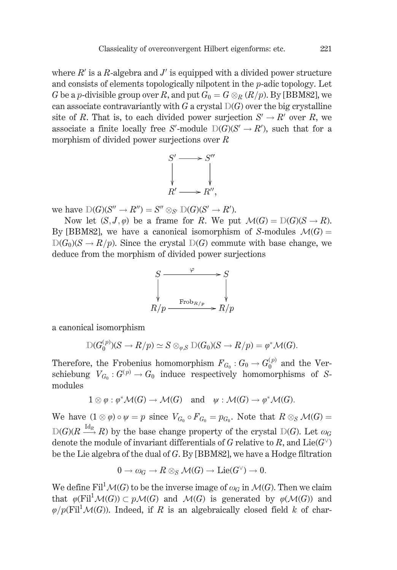where  $R'$  is a R-algebra and J' is equipped with a divided power structure and consists of elements topologically nilpotent in the  $p$ -adic topology. Let G be a p-divisible group over R, and put  $G_0 = G \otimes_R (R/p)$ . By [BBM82], we can associate contravariantly with G a crystal  $D(G)$  over the big crystalline site of R. That is, to each divided power surjection  $S' \to R'$  over R, we associate a finite locally free S'-module  $D(G)(S' \rightarrow R')$ , such that for a morphism of divided power surjections over  $R$ 



we have  $D(G)(S'' \to R'') = S'' \otimes_{S'} D(G)(S' \to R').$ 

Now let  $(S, J, \varphi)$  be a frame for R. We put  $\mathcal{M}(G) = \mathcal{D}(G)(S \to R)$ . By [BBM82], we have a canonical isomorphism of S-modules  $\mathcal{M}(G)$  =  $D(G_0)(S \to R/p)$ . Since the crystal  $D(G)$  commute with base change, we deduce from the morphism of divided power surjections



a canonical isomorphism

$$
D(G_0^{(p)})(S \to R/p) \simeq S \otimes_{\varphi, S} D(G_0)(S \to R/p) = \varphi^* \mathcal{M}(G).
$$

Therefore, the Frobenius homomorphism  $F_{G_0}: G_0 \to G_0^{(p)}$  and the Verschiebung  $V_{G_0}: G^{(p)} \to G_0$  induce respectively homomorphisms of Smodules

$$
1 \otimes \varphi : \varphi^* \mathcal{M}(G) \to \mathcal{M}(G) \text{ and } \psi : \mathcal{M}(G) \to \varphi^* \mathcal{M}(G).
$$

We have  $(1 \otimes \varphi) \circ \psi = p$  since  $V_{G_0} \circ F_{G_0} = p_{G_0}$ . Note that  $R \otimes_S \mathcal{M}(G) =$  $D(G)(R \stackrel{\text{Id}_R}{\longrightarrow} R)$  by the base change property of the crystal  $D(G)$ . Let  $\omega_G$ denote the module of invariant differentials of G relative to R, and  $Lie(G^{\vee})$ be the Lie algebra of the dual of  $G$ . By [BBM82], we have a Hodge filtration

$$
0 \to \omega_G \to R \otimes_S \mathcal{M}(G) \to \mathrm{Lie}(G^\vee) \to 0.
$$

We define Fil<sup>1</sup> $\mathcal{M}(G)$  to be the inverse image of  $\omega_G$  in  $\mathcal{M}(G)$ . Then we claim that  $\varphi$ (Fil<sup>1</sup> $\mathcal{M}(G)$ )  $\subset$   $p\mathcal{M}(G)$  and  $\mathcal{M}(G)$  is generated by  $\varphi$ ( $\mathcal{M}(G)$ ) and  $\varphi/p(Fil^1\mathcal{M}(G))$ . Indeed, if R is an algebraically closed field k of char-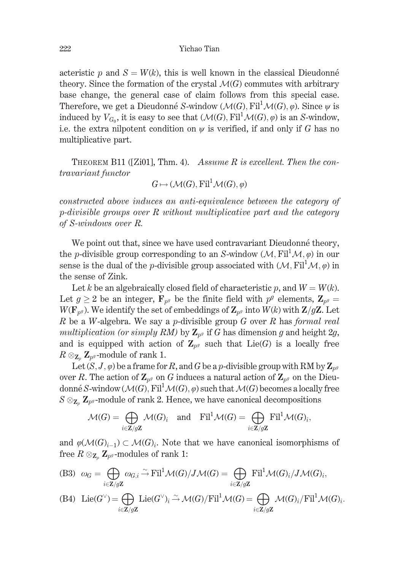### Yichao Tian

acteristic p and  $S = W(k)$ , this is well known in the classical Dieudonné theory. Since the formation of the crystal  $\mathcal{M}(G)$  commutes with arbitrary base change, the general case of claim follows from this special case. Therefore, we get a Dieudonné S-window  $(\mathcal{M}(G), \mathrm{Fil}^1 \mathcal{M}(G), \varphi)$ . Since  $\psi$  is induced by  $V_{G_0}$ , it is easy to see that  $(\mathcal{M}(G), \mathrm{Fil}^1 \mathcal{M}(G), \varphi)$  is an S-window, i.e. the extra nilpotent condition on  $\psi$  is verified, if and only if G has no multiplicative part.

THEOREM B11 ([Zi01], Thm. 4). Assume R is excellent. Then the contravariant functor

$$
G \mapsto (\mathcal{M}(G), \mathrm{Fil}^1 \mathcal{M}(G), \varphi)
$$

constructed above induces an anti-equivalence between the category of  $p\text{-divisible}$  groups over R without multiplicative part and the category of S-windows over R.

We point out that, since we have used contravariant Dieudonné theory, the *p*-divisible group corresponding to an S-window  $(M, Fil^1M,\varphi)$  in our sense is the dual of the *p*-divisible group associated with  $(M, Fil<sup>1</sup>M, \varphi)$  in the sense of Zink.

Let k be an algebraically closed field of characteristic p, and  $W = W(k)$ . Let  $g \ge 2$  be an integer,  $\mathbf{F}_{p^g}$  be the finite field with  $p^g$  elements,  $\mathbf{Z}_{p^g} =$  $W(\mathbf{F}_{p^g})$ . We identify the set of embeddings of  $\mathbf{Z}_{p^g}$  into  $W(k)$  with  $\mathbf{Z}/g\mathbf{Z}$ . Let  $R$  be a W-algebra. We say a p-divisible group  $G$  over  $R$  has formal real multiplication (or simply RM) by  $\mathbb{Z}_{p^g}$  if G has dimension g and height  $2g$ , and is equipped with action of  $\mathbb{Z}_{p^g}$  such that  $Lie(G)$  is a locally free  $R \otimes_{\mathbb{Z}_p} \mathbb{Z}_{p^g}$ -module of rank 1.

Let  $(S, J, \varphi)$  be a frame for R, and G be a p-divisible group with RM by  $\mathbb{Z}_{n^g}$ over R. The action of  $\mathbb{Z}_{p^g}$  on G induces a natural action of  $\mathbb{Z}_{p^g}$  on the Dieudonné S-window ( $\mathcal{M}(G)$ , Fil<sup>1</sup> $\mathcal{M}(G)$ ,  $\varphi$ ) such that  $\mathcal{M}(G)$  becomes a locally free  $S \otimes_{\mathbb{Z}_n} \mathbb{Z}_{p^g}$ -module of rank 2. Hence, we have canonical decompositions

$$
\mathcal{M}(G) = \bigoplus_{i \in \mathbb{Z}/g\mathbb{Z}} \mathcal{M}(G)_i \quad \text{and} \quad \mathrm{Fil}^1 \mathcal{M}(G) = \bigoplus_{i \in \mathbb{Z}/g\mathbb{Z}} \mathrm{Fil}^1 \mathcal{M}(G)_i,
$$

and  $\varphi(\mathcal{M}(G)_{i-1}) \subset \mathcal{M}(G)_{i}$ . Note that we have canonical isomorphisms of free  $R \otimes_{\mathbf{Z}_n} \mathbf{Z}_{p^g}$ -modules of rank 1:

(B3) 
$$
\omega_G = \bigoplus_{i \in \mathbb{Z}/g\mathbb{Z}} \omega_{G,i} \stackrel{\sim}{\rightarrow} \text{Fil}^1 \mathcal{M}(G)/J \mathcal{M}(G) = \bigoplus_{i \in \mathbb{Z}/g\mathbb{Z}} \text{Fil}^1 \mathcal{M}(G)_i/J \mathcal{M}(G)_i,
$$

(B4) Lie
$$
(G^{\vee})
$$
 =  $\bigoplus_{i \in \mathbb{Z}/g\mathbb{Z}}$  Lie $(G^{\vee})_i \xrightarrow{\sim} \mathcal{M}(G)/\mathrm{Fil}^1 \mathcal{M}(G) = \bigoplus_{i \in \mathbb{Z}/g\mathbb{Z}} \mathcal{M}(G)_i/\mathrm{Fil}^1 \mathcal{M}(G)_i$ .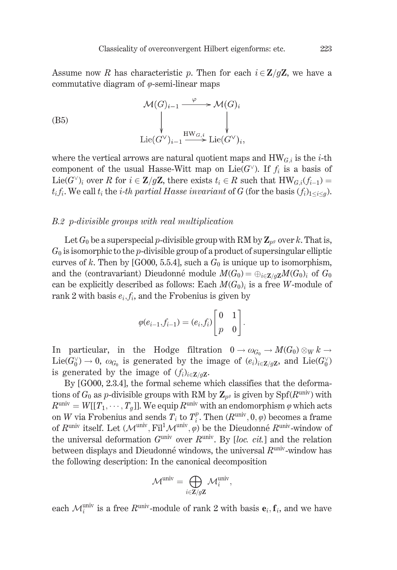Assume now R has characteristic p. Then for each  $i \in \mathbb{Z}/q\mathbb{Z}$ , we have a commutative diagram of  $\varphi$ -semi-linear maps

(B5)  
\n
$$
\mathcal{M}(G)_{i-1} \xrightarrow{\varphi} \mathcal{M}(G)_i
$$
\n
$$
\downarrow \qquad \qquad \downarrow
$$
\n
$$
\text{Lie}(G^{\vee})_{i-1} \xrightarrow{\text{HW}_{G,i}} \text{Lie}(G^{\vee})_i,
$$

where the vertical arrows are natural quotient maps and  $HW_{G,i}$  is the *i*-th component of the usual Hasse-Witt map on Lie( $G^{\vee}$ ). If  $f_i$  is a basis of Lie(G')<sub>i</sub> over R for  $i \in \mathbb{Z}/g\mathbb{Z}$ , there exists  $t_i \in R$  such that  $HW_{G,i}(f_{i-1}) =$  $t_i f_i$ . We call  $t_i$  the *i*-th partial Hasse invariant of G (for the basis  $(f_i)_{1 \leq i \leq q}$ ).

### B.2 p-divisible groups with real multiplication

Let  $G_0$  be a superspecial p-divisible group with RM by  $\mathbb{Z}_{p^g}$  over k. That is,  $G_0$  is isomorphic to the p-divisible group of a product of supersingular elliptic curves of k. Then by [GO00, 5.5.4], such a  $G_0$  is unique up to isomorphism, and the (contravariant) Dieudonné module  $M(G_0) = \bigoplus_{i \in \mathbb{Z}/q\mathbb{Z}} M(G_0)_i$  of  $G_0$ can be explicitly described as follows: Each  $M(G_0)_i$  is a free W-module of rank 2 with basis  $e_i, f_i$ , and the Frobenius is given by

$$
\varphi(e_{i-1}, f_{i-1}) = (e_i, f_i) \begin{bmatrix} 0 & 1 \\ p & 0 \end{bmatrix}.
$$

In particular, in the Hodge filtration  $0 \to \omega_{G_0} \to M(G_0) \otimes_W k \to$  $Lie(G_0^{\vee}) \to 0$ ,  $\omega_{G_0}$  is generated by the image of  $(e_i)_{i \in \mathbb{Z}/q\mathbb{Z}}$ , and  $Lie(G_0^{\vee})$ is generated by the image of  $(f_i)_{i \in \mathbb{Z}/q\mathbb{Z}}$ .

By [GO00, 2.3.4], the formal scheme which classifies that the deformations of  $G_0$  as p-divisible groups with RM by  $\mathbb{Z}_{p^g}$  is given by  $Spf(R^{\text{univ}})$  with  $R^{\text{univ}} = W[[T_1, \cdots, T_a]]$ . We equip  $R^{\text{univ}}$  with an endomorphism  $\varphi$  which acts on W via Frobenius and sends  $T_i$  to  $T_i^p$ . Then  $(R^{\text{univ}}, 0, \varphi)$  becomes a frame of  $R^{\text{univ}}$  itself. Let  $(\mathcal{M}^{\text{univ}}, \text{Fil}^1 \mathcal{M}^{\text{univ}}, \varphi)$  be the Dieudonné  $R^{\text{univ}}$ -window of the universal deformation  $G^{\text{univ}}$  over  $R^{\text{univ}}$ . By [loc. cit.] and the relation between displays and Dieudonné windows, the universal  $R^{\text{univ}}$ -window has the following description: In the canonical decomposition

$$
\mathcal{M}^{\text{univ}} = \bigoplus_{i \in \mathbf{Z}/g\mathbf{Z}} \mathcal{M}^{\text{univ}}_i,
$$

each  $\mathcal{M}_i^{\text{univ}}$  is a free  $R^{\text{univ}}$ -module of rank 2 with basis  $\mathbf{e}_i, \mathbf{f}_i$ , and we have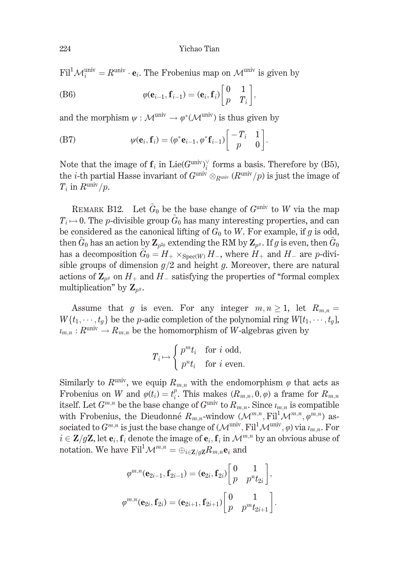$\text{Fil}^1 \mathcal{M}_i^{\text{univ}} = R^{\text{univ}} \cdot \mathbf{e}_i$ . The Frobenius map on  $\mathcal{M}^{\text{univ}}$  is given by

(B6) 
$$
\varphi(\mathbf{e}_{i-1}, \mathbf{f}_{i-1}) = (\mathbf{e}_i, \mathbf{f}_i) \begin{bmatrix} 0 & 1 \\ p & T_i \end{bmatrix},
$$

and the morphism  $\psi : \mathcal{M}^{\text{univ}} \to \varphi^*(\mathcal{M}^{\text{univ}})$  is thus given by

(B7) 
$$
\psi(\mathbf{e}_i, \mathbf{f}_i) = (\varphi^* \mathbf{e}_{i-1}, \varphi^* \mathbf{f}_{i-1}) \begin{bmatrix} -T_i & 1 \\ p & 0 \end{bmatrix}.
$$

Note that the image of  $f_i$  in Lie( $G^{\text{univ}}$ )<sup> $\vee$ </sup> forms a basis. Therefore by (B5), the *i*-th partial Hasse invariant of  $G^{\text{univ}} \otimes_{R^{\text{univ}}} (R^{\text{univ}}/p)$  is just the image of  $T_i$  in  $R^{\text{univ}}/p$ .

REMARK B12. Let  $\tilde{G}_0$  be the base change of  $G^{\text{univ}}$  to W via the map  $T_i \mapsto 0$ . The *p*-divisible group  $\tilde{G}_0$  has many interesting properties, and can be considered as the canonical lifting of  $G_0$  to W. For example, if g is odd, then  $\tilde{G}_0$  has an action by  $\mathbb{Z}_{n^2}$  extending the RM by  $\mathbb{Z}_{n^q}$ . If g is even, then  $\tilde{G}_0$ has a decomposition  $\tilde{G}_0 = H_+ \times_{\text{Spec}(W)} H_-,$  where  $H_+$  and  $H_-$  are p-divisible groups of dimension  $g/2$  and height g. Moreover, there are natural actions of  $\mathbb{Z}_{p^g}$  on  $H_+$  and  $H_-$  satisfying the properties of "formal complex multiplication" by  $\mathbf{Z}_{n^g}$ .

Assume that g is even. For any integer  $m, n \ge 1$ , let  $R_{m,n} =$  $W\{t_1,\dots,t_q\}$  be the *p*-adic completion of the polynomial ring  $W[t_1,\dots,t_q]$ ,  $u_{m,n}: R^{\text{univ}} \to R_{m,n}$  be the homomorphism of W-algebras given by

$$
T_i \mapsto \begin{cases} p^m t_i & \text{for } i \text{ odd,} \\ p^n t_i & \text{for } i \text{ even.} \end{cases}
$$

Similarly to  $R^{\text{univ}}$ , we equip  $R_{m,n}$  with the endomorphism  $\varphi$  that acts as Frobenius on W and  $\varphi(t_i) = t_i^p$ . This makes  $(R_{m,n}, 0, \varphi)$  a frame for  $R_{m,n}$ itself. Let  $G^{m,n}$  be the base change of  $G^{\text{univ}}$  to  $R_{m,n}$ . Since  $\iota_{m,n}$  is compatible with Frobenius, the Dieudonné  $R_{m,n}$ -window  $(\mathcal{M}^{m,n}, \mathrm{Fil}^1 \mathcal{M}^{m,n}, \varphi^{m,n})$  associated to  $G^{m,n}$  is just the base change of  $(\mathcal{M}^{\text{univ}}, \text{Fil}^1 \mathcal{M}^{\text{univ}}, \varphi)$  via  $\iota_{m,n}$ . For  $i \in \mathbb{Z}/q\mathbb{Z}$ , let  $\mathbf{e}_i$ ,  $\mathbf{f}_i$  denote the image of  $\mathbf{e}_i$ ,  $\mathbf{f}_i$  in  $\mathcal{M}^{m,n}$  by an obvious abuse of notation. We have  $\text{Fil}^1 \mathcal{M}^{m,n} = \bigoplus_{i \in \mathbb{Z}/q\mathbb{Z}} R_{m,n} \mathbf{e}_i$  and

$$
\varphi^{m,n}(\mathbf{e}_{2i-1}, \mathbf{f}_{2i-1}) = (\mathbf{e}_{2i}, \mathbf{f}_{2i}) \begin{bmatrix} 0 & 1 \\ p & p^{n} t_{2i} \end{bmatrix},
$$

$$
\varphi^{m,n}(\mathbf{e}_{2i}, \mathbf{f}_{2i}) = (\mathbf{e}_{2i+1}, \mathbf{f}_{2i+1}) \begin{bmatrix} 0 & 1 \\ p & p^{m} t_{2i+1} \end{bmatrix}.
$$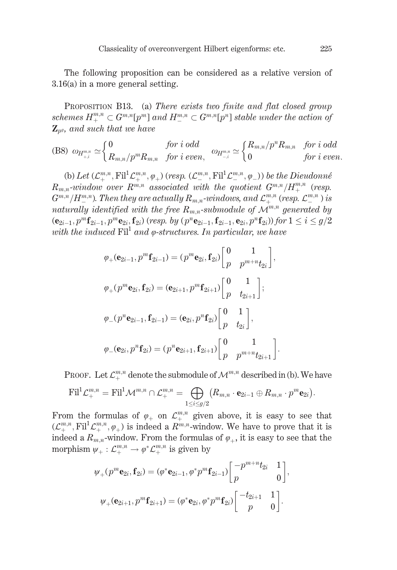The following proposition can be considered as a relative version of  $3.16(a)$  in a more general setting.

PROPOSITION B13. (a) There exists two finite and flat closed group schemes  $H^{m,n}_{+}\subset G^{m,n}[p^m]$  and  $H^{m,n}_{-}\subset G^{m,n}[p^n]$  stable under the action of  $\mathbf{Z}_{n^g}$ , and such that we have

$$
\text{(B8) \ } \omega_{H^{m,n}_{+,i}} \simeq \left\{ \begin{matrix} 0 & \textit{for i odd} \\ R_{m,n}/p^mR_{m,n} & \textit{for i even}, \end{matrix} \right. \\ \left. \begin{matrix} m_{m,n} \geq \begin{cases} R_{m,n}/p^nR_{m,n} & \textit{for i odd} \\ 0 & \textit{for i even}. \end{cases} \right.
$$

(b) Let  $(\mathcal{L}_{+}^{m,n}, \mathrm{Fil}^1 \mathcal{L}_{+}^{m,n}, \varphi_+)$  (resp.  $(\mathcal{L}_{-}^{m,n}, \mathrm{Fil}^1 \mathcal{L}_{-}^{m,n}, \varphi_-)$ ) be the Dieudonné  $R_{m,n}$ -window over  $R^{m,n}$  associated with the quotient  $G^{m,n}/H_{+}^{m,n}$  (resp.  $G^{m,n}/H^{m,n}$ ). Then they are actually  $R_{m,n}$ -windows, and  $\mathcal{L}^{m,n}$  (resp.  $\mathcal{L}^{m,n}$  ) is naturally identified with the free  $R_{m,n}$ -submodule of  $\mathcal{M}^{m,n}$  generated by  $(\mathbf{e}_{2i-1}, p^m \mathbf{f}_{2i-1}, p^m \mathbf{e}_{2i}, \mathbf{f}_{2i})$  (resp. by  $(p^n \mathbf{e}_{2i-1}, \mathbf{f}_{2i-1}, \mathbf{e}_{2i}, p^n \mathbf{f}_{2i}))$  for  $1 \le i \le g/2$ with the induced  $\text{Fil}^1$  and  $\varphi$ -structures. In particular, we have

$$
\varphi_{+}(\mathbf{e}_{2i-1}, p^{m}\mathbf{f}_{2i-1}) = (p^{m}\mathbf{e}_{2i}, \mathbf{f}_{2i}) \begin{bmatrix} 0 & 1 \\ p & p^{m+n}t_{2i} \end{bmatrix},
$$
  

$$
\varphi_{+}(p^{m}\mathbf{e}_{2i}, \mathbf{f}_{2i}) = (\mathbf{e}_{2i+1}, p^{m}\mathbf{f}_{2i+1}) \begin{bmatrix} 0 & 1 \\ p & t_{2i+1} \end{bmatrix};
$$
  

$$
\varphi_{-}(p^{n}\mathbf{e}_{2i-1}, \mathbf{f}_{2i-1}) = (\mathbf{e}_{2i}, p^{n}\mathbf{f}_{2i}) \begin{bmatrix} 0 & 1 \\ p & t_{2i} \end{bmatrix},
$$
  

$$
\varphi_{-}(\mathbf{e}_{2i}, p^{n}\mathbf{f}_{2i}) = (p^{n}\mathbf{e}_{2i+1}, \mathbf{f}_{2i+1}) \begin{bmatrix} 0 & 1 \\ p & p^{m+n}t_{2i+1} \end{bmatrix}.
$$

PROOF. Let  $\mathcal{L}^{m,n}_+$  denote the submodule of  $\mathcal{M}^{m,n}$  described in (b). We have

$$
\textnormal{Fil}^1 \mathcal{L}_+^{m,n} = \textnormal{Fil}^1 \mathcal{M}^{m,n} \cap \mathcal{L}_+^{m,n} = \bigoplus_{1 \leq i \leq g/2} \bigl(R_{m,n} \cdot \mathbf{e}_{2i-1} \oplus R_{m,n} \cdot p^m \mathbf{e}_{2i} \bigr).
$$

From the formulas of  $\varphi_+$  on  $\mathcal{L}_+^{m,n}$  given above, it is easy to see that  $(\mathcal{L}^{m,n}_+, \mathrm{Fil}^1 \mathcal{L}^{m,n}_+, \varphi_+)$  is indeed a  $R^{m,n}$ -window. We have to prove that it is indeed a  $R_{m,n}$ -window. From the formulas of  $\varphi_+$ , it is easy to see that the morphism  $\psi_+ : \mathcal{L}_+^{m,n} \to \varphi^* \mathcal{L}_+^{m,n}$  is given by

$$
\psi_{+}(p^{m}\mathbf{e}_{2i}, \mathbf{f}_{2i}) = (\varphi^{*}\mathbf{e}_{2i-1}, \varphi^{*}p^{m}\mathbf{f}_{2i-1})\begin{bmatrix} -p^{m+n}t_{2i} & 1\\ p & 0 \end{bmatrix}
$$

$$
\psi_{+}(\mathbf{e}_{2i+1}, p^{m}\mathbf{f}_{2i+1}) = (\varphi^{*}\mathbf{e}_{2i}, \varphi^{*}p^{m}\mathbf{f}_{2i})\begin{bmatrix} -t_{2i+1} & 1\\ p & 0 \end{bmatrix}.
$$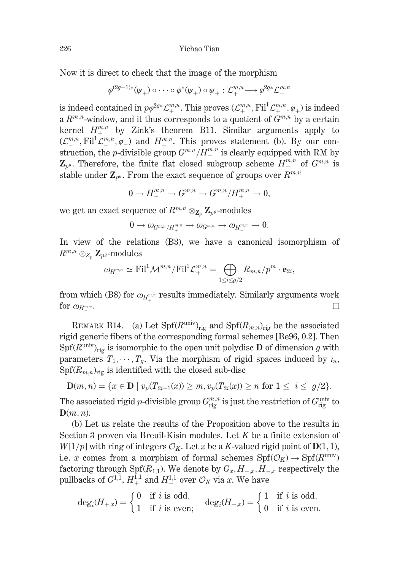Now it is direct to check that the image of the morphism

$$
\varphi^{(2g-1)*}(\psi_+) \circ \cdots \circ \varphi^*(\psi_+) \circ \psi_+ : \mathcal{L}^{m,n}_+ \longrightarrow \varphi^{2g*}\mathcal{L}^{m,n}_+
$$

is indeed contained in  $p\varphi^{2g*}\mathcal{L}^{m,n}_+$ . This proves  $(\mathcal{L}^{m,n}_+, \mathrm{Fil}^1\mathcal{L}^{m,n}_+, \varphi_+)$  is indeed a  $R^{m,n}$ -window, and it thus corresponds to a quotient of  $G^{m,n}$  by a certain kernel  $H^{m,n}_{+}$  by Zink's theorem B11. Similar arguments apply to  $(\mathcal{L}^{m,n}, \mathrm{Fil}^1 \mathcal{L}^{m,n}, \varphi)$  and  $H^{m,n}$ . This proves statement (b). By our construction, the *p*-divisible group  $G^{m,n}/H^{m,n}_+$  is clearly equipped with RM by  $\mathbf{Z}_{p^g}$ . Therefore, the finite flat closed subgroup scheme  $H^{m,n}_{\perp}$  of  $G^{m,n}$  is stable under  $\mathbf{Z}_{p^g}$ . From the exact sequence of groups over  $R^{m,n}$ 

$$
0\rightarrow H^{m,n}_+\rightarrow G^{m,n}\rightarrow G^{m,n}/H^{m,n}_+\rightarrow 0,
$$

we get an exact sequence of  $R^{m,n} \otimes_{\mathbf{Z}_n} \mathbf{Z}_{p^g}$ -modules

$$
0\longrightarrow\omega_{G^{m,n}/H_+^{m,n}}\longrightarrow\omega_{G^{m,n}}\longrightarrow\omega_{H_+^{m,n}}\longrightarrow0.
$$

In view of the relations (B3), we have a canonical isomorphism of  $R^{m,n} \otimes_{Z_n} \mathbf{Z}_{p^g}$ -modules

$$
\omega_{H^{m,n}_+} \simeq \mathrm{Fil}^1 \mathcal{M}^{m,n}/\mathrm{Fil}^1 \mathcal{L}^{m,n}_+ = \bigoplus_{1 \leq i \leq g/2} R_{m,n}/p^m \cdot \mathbf{e}_{2i}
$$

from which (B8) for  $\omega_{H^{m,n}}$  results immediately. Similarly arguments work for  $\omega_{H^{m,n}}$ .  $\Box$ 

REMARK B14. (a) Let  $\text{Spf}(R^{\text{univ}})_{\text{rig}}$  and  $\text{Spf}(R_{m,n})_{\text{rig}}$  be the associated rigid generic fibers of the corresponding formal schemes [Be96, 0.2]. Then  $Spf(R^{\text{univ}})_{\text{rig}}$  is isomorphic to the open unit polydisc **D** of dimension g with parameters  $T_1, \dots, T_q$ . Via the morphism of rigid spaces induced by  $u_n$ ,  $Spf(R_{m,n})_{\text{rig}}$  is identified with the closed sub-disc

$$
\mathbf{D}(m,n) = \{x \in \mathbf{D} \mid v_p(T_{2i-1}(x)) \ge m, v_p(T_{2i}(x)) \ge n \text{ for } 1 \le i \le g/2\}.
$$

The associated rigid p-divisible group  $G_{\text{rig}}^{m,n}$  is just the restriction of  $G_{\text{rig}}^{\text{univ}}$  to  $\mathbf{D}(m,n)$ .

(b) Let us relate the results of the Proposition above to the results in Section 3 proven via Breuil-Kisin modules. Let  $K$  be a finite extension of  $W[1/p]$  with ring of integers  $\mathcal{O}_K$ . Let x be a K-valued rigid point of  $D(1, 1)$ , i.e. x comes from a morphism of formal schemes  $\text{Spf}(\mathcal{O}_K) \to \text{Spf}(R^{\text{univ}})$ factoring through Spf $(R_{1,1})$ . We denote by  $G_x, H_{+x}, H_{-x}$  respectively the pullbacks of  $G^{1,1}, H^{1,1}_+$  and  $H^{1,1}_-$  over  $\mathcal{O}_K$  via x. We have

$$
\deg_i(H_{+,x}) = \left\{\begin{matrix} 0 & \text{if $i$ is odd,} \\ 1 & \text{if $i$ is even;} \end{matrix}\right. \quad \deg_i(H_{-,x}) = \left\{\begin{matrix} 1 & \text{if $i$ is odd,} \\ 0 & \text{if $i$ is even.} \end{matrix}\right.
$$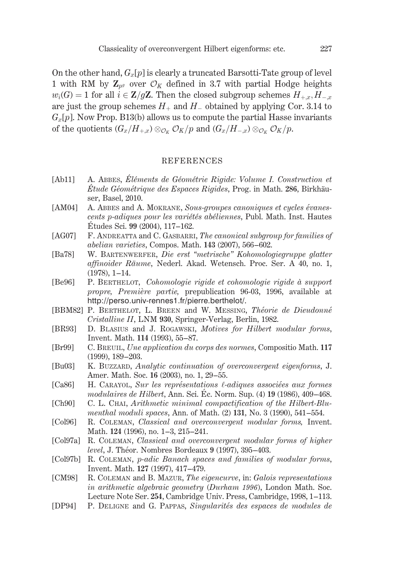On the other hand,  $G_x[p]$  is clearly a truncated Barsotti-Tate group of level 1 with RM by  $\mathbb{Z}_{n^g}$  over  $\mathcal{O}_K$  defined in 3.7 with partial Hodge heights  $w_i(G) = 1$  for all  $i \in \mathbb{Z}/g\mathbb{Z}$ . Then the closed subgroup schemes  $H_{+,x}, H_{-,x}$ are just the group schemes  $H_+$  and  $H_-$  obtained by applying Cor. 3.14 to  $G_x[p]$ . Now Prop. B13(b) allows us to compute the partial Hasse invariants of the quotients  $(G_x/H_{+x}) \otimes_{\mathcal{O}_K} \mathcal{O}_K/p$  and  $(G_x/H_{-x}) \otimes_{\mathcal{O}_K} \mathcal{O}_K/p$ .

#### **REFERENCES**

- $[Ab11]$ A. ABBES, Éléments de Géométrie Rigide: Volume I. Construction et Etude Géométrique des Espaces Rigides, Prog. in Math. 286, Birkhäuser, Basel, 2010.
- A. ABBES and A. MOKRANE, Sous-groupes canoniques et cycles évanes- $[AM04]$ cents p-adiques pour les variétés abéliennes, Publ. Math. Inst. Hautes Études Sci. 99 (2004), 117-162.
- $[AG07]$ F. ANDREATTA and C. GASBARRI, The canonical subgroup for families of abelian varieties, Compos. Math. 143 (2007), 566–602.
- W. BARTENWERFER, Die erst "metrische" Kohomologiegruppe glatter [Ba78] affinoider Räume, Nederl. Akad. Wetensch. Proc. Ser. A 40, no. 1,  $(1978), 1 - 14.$
- P. BERTHELOT, Cohomologie rigide et cohomologie rigide à support [Be96] propre, Première partie, prepublication 96-03, 1996, available at http://perso.univ-rennes1.fr/pierre.berthelot/.
- [BBM82] P. BERTHELOT, L. BREEN and W. MESSING, Théorie de Dieudonné Cristalline II, LNM 930, Springer-Verlag, Berlin, 1982.
- [BR93] D. BLASIUS and J. ROGAWSKI, Motives for Hilbert modular forms, Invent. Math. 114 (1993), 55-87.
- [Br99] C. BREUIL, Une application du corps des normes, Compositio Math. 117  $(1999)$ ,  $189-203$ .
- [Bu03] K. BUZZARD, Analytic continuation of overconvergent eigenforms, J. Amer. Math. Soc. 16 (2003), no. 1, 29-55.
- $[Ca86]$ H. CARAYOL, Sur les représentations l-adiques associées aux formes modulaires de Hilbert, Ann. Sci. Éc. Norm. Sup. (4) 19 (1986), 409–468.
- $[Ch90]$ C. L. CHAI, Arithmetic minimal compactification of the Hilbert-Blumenthal moduli spaces, Ann. of Math. (2) 131, No. 3 (1990), 541–554.
- $[Col96]$ R. COLEMAN, Classical and overconvergent modular forms, Invent. Math. 124 (1996), no. 1-3, 215-241.
- $[Col97a]$ R. COLEMAN, Classical and overconvergent modular forms of higher *level*, J. Théor. Nombres Bordeaux 9 (1997), 395-403.
- [Col97b] R. COLEMAN, p-adic Banach spaces and families of modular forms, Invent. Math. 127 (1997), 417-479.

R. COLEMAN and B. MAZUR, The eigencurve, in: Galois representations [CM98] in arithmetic algebraic geometry (Durham 1996), London Math. Soc. Lecture Note Ser. 254, Cambridge Univ. Press, Cambridge, 1998, 1-113.

 $[DP94]$ P. DELIGNE and G. PAPPAS, Singularités des espaces de modules de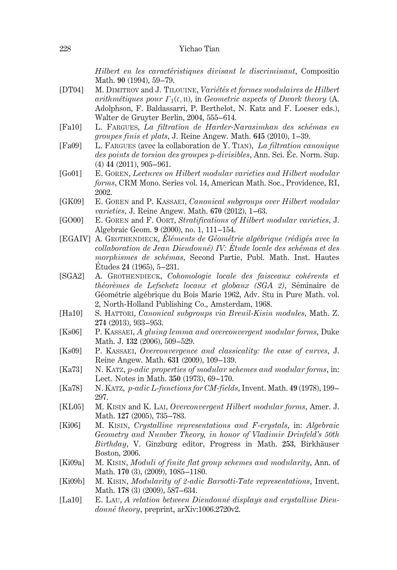Hilbert en les caractéristiques divisant le discriminant, Compositio Math. 90 (1994), 59-79.

- M. DIMITROV and J. TILOUINE, Variétés et formes modulaires de Hilbert  $[DT04]$ arithmétiques pour  $\Gamma_1(\mathfrak{c}, \mathfrak{n})$ , in Geometric aspects of Dwork theory (A. Adolphson, F. Baldassarri, P. Berthelot, N. Katz and F. Loeser eds.), Walter de Gruvter Berlin, 2004, 555-614.
- $[Fa10]$ L. FARGUES, La filtration de Harder-Narasimhan des schémas en groupes finis et plats, J. Reine Angew. Math. 645 (2010), 1-39.
- **FFa091** L. FARGUES (avec la collaboration de Y. TIAN). La filtration canonique des points de torsion des groupes p-divisibles, Ann. Sci. Éc. Norm. Sup.  $(4)$  44  $(2011)$ , 905-961.
- E. GOREN, Lectures on Hilbert modular varieties and Hilbert modular  $\lceil \text{Go01} \rceil$ forms, CRM Mono. Series vol. 14, American Math. Soc., Providence, RI, 2002.
- $GK09$ E. GOREN and P. KASSAEL, Canonical subgroups over Hilbert modular varieties, J. Reine Angew. Math. 670 (2012), 1-63.
- E. GOREN and F. OORT, Stratifications of Hilbert modular varieties, J. **EGO001** Algebraic Geom. 9 (2000), no. 1, 111-154.
- [EGAIV] A. GROTHENDIECK, Éléments de Géométrie algébrique (rédigés avec la collaboration de Jean Dieudonné) IV: Étude locale des schémas et des morphismes de schémas, Second Partie, Publ. Math. Inst. Hautes Études 24 (1965), 5-231.
- $[SGA2]$ A. GROTHENDIECK, Cohomologie locale des faisceaux cohérents et théorèmes de Lefschetz locaux et globaux (SGA 2), Séminaire de Géométrie algébrique du Bois Marie 1962, Adv. Stu in Pure Math. vol. 2, North-Holland Publishing Co., Amsterdam, 1968.
- $[Ha10]$ S. HATTORI, Canonical subgroups via Breuil-Kisin modules, Math. Z. 274 (2013), 933-953.
- P. KASSAEI, A gluing lemma and overconvergent modular forms, Duke  $Ks06$ Math. J. 132 (2006), 509-529.
- $Ks09$ ] P. KASSAEI, Overconvergence and classicality: the case of curves, J. Reine Angew. Math. 631 (2009), 109-139.
- $[Ka73]$ N. KATZ, p-adic properties of modular schemes and modular forms, in: Lect. Notes in Math. 350 (1973), 69-170.
- N. KATZ, p-adic L-functions for CM-fields, Invent. Math. 49 (1978), 199-[Ka78] 297.
- M. KISIN and K. LAI, Overconvergent Hilbert modular forms, Amer. J.  $\vert$ KL05] Math. 127 (2005), 735-783.
- **[Ki06]** M. KISIN, Crystalline representations and F-crystals, in: Algebraic Geometry and Number Theory, in honor of Vladimir Drinfeld's 50th Birthday, V. Ginzburg editor, Progress in Math. 253, Birkhäuser Boston, 2006.
- $[Ki09a]$ M. KISIN, Moduli of finite flat group schemes and modularity, Ann. of Math. 170 (3), (2009), 1085-1180.
- M. KISIN, Modularity of 2-adic Barsotti-Tate representations, Invent.  $[Ki09b]$ Math. 178 (3) (2009), 587-634.
- E. LAU, A relation between Dieudonné displays and crystalline Dieu- $[La10]$ donné theory, preprint, arXiv:1006.2720v2.